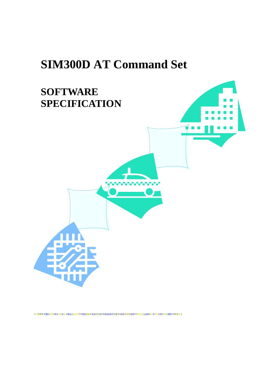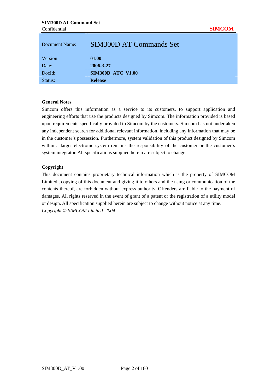| Document Name: | SIM300D AT Commands Set  |
|----------------|--------------------------|
| Version:       | 01.00                    |
| Date:          | 2006-3-27                |
| DocId:         | <b>SIM300D_ATC_V1.00</b> |
| Status:        | <b>Release</b>           |

## **General Notes**

Simcom offers this information as a service to its customers, to support application and engineering efforts that use the products designed by Simcom. The information provided is based upon requirements specifically provided to Simcom by the customers. Simcom has not undertaken any independent search for additional relevant information, including any information that may be in the customer's possession. Furthermore, system validation of this product designed by Simcom within a larger electronic system remains the responsibility of the customer or the customer's system integrator. All specifications supplied herein are subject to change.

#### **Copyright**

This document contains proprietary technical information which is the property of SIMCOM Limited., copying of this document and giving it to others and the using or communication of the contents thereof, are forbidden without express authority. Offenders are liable to the payment of damages. All rights reserved in the event of grant of a patent or the registration of a utility model or design. All specification supplied herein are subject to change without notice at any time. *Copyright © SIMCOM Limited. 2004*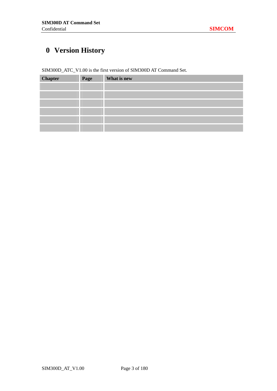## **0 Version History**

SIM300D\_ATC\_V1.00 is the first version of SIM300D AT Command Set.

| <b>Chapter</b> | Page | What is new |
|----------------|------|-------------|
|                |      |             |
|                |      |             |
|                |      |             |
|                |      |             |
|                |      |             |
|                |      |             |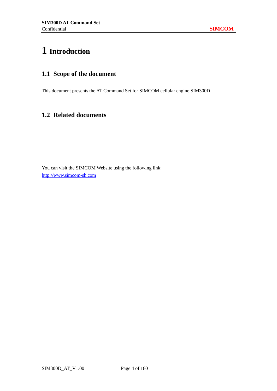## **1 Introduction**

## **1.1 Scope of the document**

This document presents the AT Command Set for SIMCOM cellular engine SIM300D

## **1.2 Related documents**

You can visit the SIMCOM Website using the following link: http://www.simcom-sh.com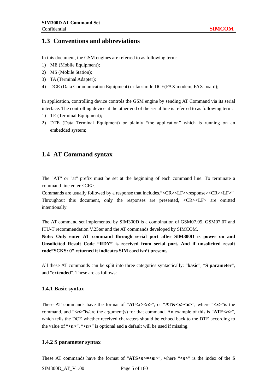## **1.3 Conventions and abbreviations**

In this document, the GSM engines are referred to as following term:

- 1) ME (Mobile Equipment);
- 2) MS (Mobile Station);
- 3) TA (Terminal Adapter);
- 4) DCE (Data Communication Equipment) or facsimile DCE(FAX modem, FAX board);

In application, controlling device controls the GSM engine by sending AT Command via its serial interface. The controlling device at the other end of the serial line is referred to as following term:

- 1) TE (Terminal Equipment);
- 2) DTE (Data Terminal Equipment) or plainly "the application" which is running on an embedded system;

## **1.4 AT Command syntax**

The "AT" or "at" prefix must be set at the beginning of each command line. To terminate a command line enter <CR>.

Commands are usually followed by a response that includes."<CR><LF><response><CR><LF>" Throughout this document, only the responses are presented, <CR><LF> are omitted intentionally.

The AT command set implemented by SIM300D is a combination of GSM07.05, GSM07.07 and ITU-T recommendation V.25ter and the AT commands developed by SIMCOM.

**Note: Only enter AT command through serial port after SIM300D is power on and Unsolicited Result Code "RDY" is received from serial port. And if unsolicited result code"SCKS: 0" returned it indicates SIM card isn't present.** 

All these AT commands can be split into three categories syntactically: "**basic**", "**S parameter**", and "**extended**". These are as follows:

#### **1.4.1 Basic syntax**

These AT commands have the format of "**AT***<x><n>*", or "**AT&<x><n>**", where "*<x>*"is the command, and "*<n>*"is/are the argument(s) for that command. An example of this is "**ATE***<n>*", which tells the DCE whether received characters should be echoed back to the DTE according to the value of "<*n*>". "<*n*>" is optional and a default will be used if missing.

#### **1.4.2 S parameter syntax**

These AT commands have the format of "ATS $\langle n \rangle$  =  $\langle m \rangle$ ", where " $\langle n \rangle$ " is the index of the S

SIM300D AT V1.00 Page 5 of 180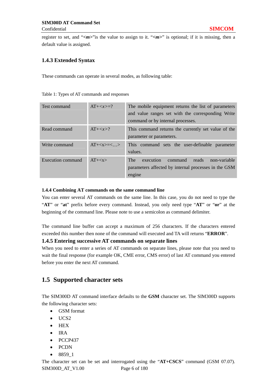register to set, and "<*m*>"is the value to assign to it. "<*m*>" is optional; if it is missing, then a default value is assigned.

## **1.4.3 Extended Syntax**

These commands can operate in several modes, as following table:

| Test command      | $AT+z>=?$ | The mobile equipment returns the list of parameters<br>and value ranges set with the corresponding Write<br>command or by internal processes. |
|-------------------|-----------|-----------------------------------------------------------------------------------------------------------------------------------------------|
| Read command      | $AT+$ ?   | This command returns the currently set value of the<br>parameter or parameters.                                                               |
| Write command     | $AT+=<$ > | This command sets the user-definable parameter<br>values.                                                                                     |
| Execution command | $AT+$     | execution<br><b>The</b><br>command<br>reads<br>non-variable<br>parameters affected by internal processes in the GSM<br>engine                 |

#### Table 1: Types of AT commands and responses

#### **1.4.4 Combining AT commands on the same command line**

You can enter several AT commands on the same line. In this case, you do not need to type the "**AT**" or "**at**" prefix before every command. Instead, you only need type "**AT**" or "**or**" at the beginning of the command line. Please note to use a semicolon as command delimiter.

The command line buffer can accept a maximum of 256 characters. If the characters entered exceeded this number then none of the command will executed and TA will returns "**ERROR**".

## **1.4.5 Entering successive AT commands on separate lines**

When you need to enter a series of AT commands on separate lines, please note that you need to wait the final response (for example OK, CME error, CMS error) of last AT command you entered before you enter the next AT command.

## **1.5 Supported character sets**

The SIM300D AT command interface defaults to the **GSM** character set. The SIM300D supports the following character sets:

- GSM format
- UCS<sub>2</sub>
- HEX
- IRA
- PCCP437
- PCDN
- 8859\_1

SIM300D AT V1.00 Page 6 of 180 The character set can be set and interrogated using the "**AT+CSCS**" command (GSM 07.07).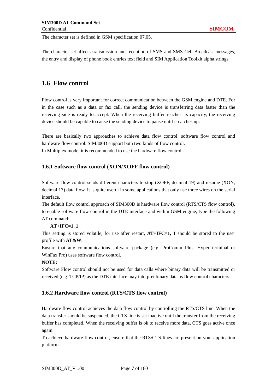The character set is defined in GSM specification 07.05.

The character set affects transmission and reception of SMS and SMS Cell Broadcast messages, the entry and display of phone book entries text field and SIM Application Toolkit alpha strings.

## **1.6 Flow control**

Flow control is very important for correct communication between the GSM engine and DTE. For in the case such as a data or fax call, the sending device is transferring data faster than the receiving side is ready to accept. When the receiving buffer reaches its capacity, the receiving device should be capable to cause the sending device to pause until it catches up.

There are basically two approaches to achieve data flow control: software flow control and hardware flow control. SIM300D support both two kinds of flow control. In Multiplex mode, it is recommended to use the hardware flow control.

### **1.6.1 Software flow control (XON/XOFF flow control)**

Software flow control sends different characters to stop (XOFF, decimal 19) and resume (XON, decimal 17) data flow. It is quite useful in some applications that only use three wires on the serial interface.

The default flow control approach of SIM300D is hardware flow control (RTS/CTS flow control), to enable software flow control in the DTE interface and within GSM engine, type the following AT command:

#### **AT+IFC=1, 1**

This setting is stored volatile, for use after restart, **AT+IFC=1, 1** should be stored to the user profile with **AT&W**.

Ensure that any communications software package (e.g. ProComm Plus, Hyper terminal or WinFax Pro) uses software flow control.

#### **NOTE:**

Software Flow control should not be used for data calls where binary data will be transmitted or received (e.g. TCP/IP) as the DTE interface may interpret binary data as flow control characters.

## **1.6.2 Hardware flow control (RTS/CTS flow control)**

Hardware flow control achieves the data flow control by controlling the RTS/CTS line. When the data transfer should be suspended, the CTS line is set inactive until the transfer from the receiving buffer has completed. When the receiving buffer is ok to receive more data, CTS goes active once again.

To achieve hardware flow control, ensure that the RTS/CTS lines are present on your application platform.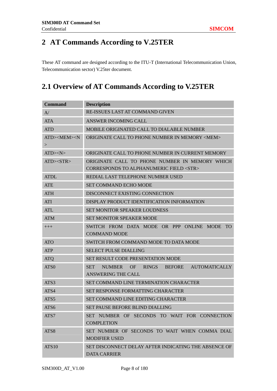## **2 AT Commands According to V.25TER**

These AT command are designed according to the ITU-T (International Telecommunication Union, Telecommunication sector) V.25ter document.

## **2.1 Overview of AT Commands According to V.25TER**

| <b>Command</b>                    | <b>Description</b>                                                                              |  |  |
|-----------------------------------|-------------------------------------------------------------------------------------------------|--|--|
| A/                                | RE-ISSUES LAST AT COMMAND GIVEN                                                                 |  |  |
| <b>ATA</b>                        | <b>ANSWER INCOMING CALL</b>                                                                     |  |  |
| <b>ATD</b>                        | MOBILE ORIGINATED CALL TO DIALABLE NUMBER                                                       |  |  |
| ATD> <mem><n<br>&gt;</n<br></mem> | ORIGINATE CALL TO PHONE NUMBER IN MEMORY <mem></mem>                                            |  |  |
| $ATD>\N>$                         | ORIGINATE CALL TO PHONE NUMBER IN CURRENT MEMORY                                                |  |  |
| ATD > <b>STR</b>                  | ORIGINATE CALL TO PHONE NUMBER IN MEMORY WHICH<br>CORRESPONDS TO ALPHANUMERIC FIELD <str></str> |  |  |
| <b>ATDL</b>                       | REDIAL LAST TELEPHONE NUMBER USED                                                               |  |  |
| <b>ATE</b>                        | <b>SET COMMAND ECHO MODE</b>                                                                    |  |  |
| <b>ATH</b>                        | DISCONNECT EXISTING CONNECTION                                                                  |  |  |
| <b>ATI</b>                        | DISPLAY PRODUCT IDENTIFICATION INFORMATION                                                      |  |  |
| <b>ATL</b>                        | <b>SET MONITOR SPEAKER LOUDNESS</b>                                                             |  |  |
| <b>ATM</b>                        | <b>SET MONITOR SPEAKER MODE</b>                                                                 |  |  |
| $+++$                             | SWITCH FROM DATA MODE OR PPP ONLINE MODE<br><b>TO</b><br><b>COMMAND MODE</b>                    |  |  |
| <b>ATO</b>                        | SWITCH FROM COMMAND MODE TO DATA MODE                                                           |  |  |
| <b>ATP</b>                        | <b>SELECT PULSE DIALLING</b>                                                                    |  |  |
| <b>ATQ</b>                        | SET RESULT CODE PRESENTATION MODE                                                               |  |  |
| ATS0                              | SET NUMBER OF RINGS<br><b>AUTOMATICALLY</b><br>BEFORE<br><b>ANSWERING THE CALL</b>              |  |  |
| ATS3                              | <b>SET COMMAND LINE TERMINATION CHARACTER</b>                                                   |  |  |
| ATS4                              | <b>SET RESPONSE FORMATTING CHARACTER</b>                                                        |  |  |
| ATS5                              | <b>SET COMMAND LINE EDITING CHARACTER</b>                                                       |  |  |
| ATS6                              | SET PAUSE BEFORE BLIND DIALLING                                                                 |  |  |
| ATS7                              | SET NUMBER OF SECONDS TO WAIT FOR CONNECTION<br><b>COMPLETION</b>                               |  |  |
| ATS8                              | SET NUMBER OF SECONDS TO WAIT WHEN COMMA DIAL<br><b>MODIFIER USED</b>                           |  |  |
| <b>ATS10</b>                      | SET DISCONNECT DELAY AFTER INDICATING THE ABSENCE OF<br><b>DATA CARRIER</b>                     |  |  |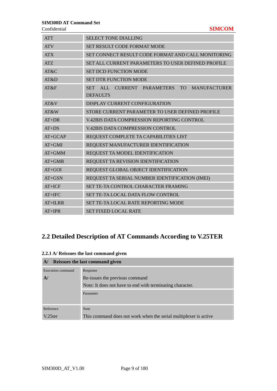**Confidential** 

|  | × |  |
|--|---|--|

| <b>ATT</b> | <b>SELECT TONE DIALLING</b>                                                            |
|------------|----------------------------------------------------------------------------------------|
| <b>ATV</b> | <b>SET RESULT CODE FORMAT MODE</b>                                                     |
| <b>ATX</b> | SET CONNECT RESULT CODE FORMAT AND CALL MONITORING                                     |
| <b>ATZ</b> | SET ALL CURRENT PARAMETERS TO USER DEFINED PROFILE                                     |
| AT&C       | <b>SET DCD FUNCTION MODE</b>                                                           |
| AT&D       | <b>SET DTR FUNCTION MODE</b>                                                           |
| AT&F       | ALL CURRENT PARAMETERS<br>TO T<br><b>MANUFACTURER</b><br><b>SET</b><br><b>DEFAULTS</b> |
| AT&V       | <b>DISPLAY CURRENT CONFIGURATION</b>                                                   |
| AT&W       | STORE CURRENT PARAMETER TO USER DEFINED PROFILE                                        |
| $AT+DR$    | V.42BIS DATA COMPRESSION REPORTING CONTROL                                             |
| $AT+DS$    | <b>V.42BIS DATA COMPRESSION CONTROL</b>                                                |
| $AT+GCAP$  | REQUEST COMPLETE TA CAPABILITIES LIST                                                  |
| $AT+GMI$   | REQUEST MANUFACTURER IDENTIFICATION                                                    |
| $AT + GMM$ | REQUEST TA MODEL IDENTIFICATION                                                        |
| $AT+GMR$   | REQUEST TA REVISION IDENTIFICATION                                                     |
| $AT+GOI$   | REQUEST GLOBAL OBJECT IDENTIFICATION                                                   |
| $AT+GSN$   | REQUEST TA SERIAL NUMBER IDENTIFICATION (IMEI)                                         |
| $AT+ICF$   | SET TE-TA CONTROL CHARACTER FRAMING                                                    |
| $AT+IFC$   | <b>SET TE-TA LOCAL DATA FLOW CONTROL</b>                                               |
| $AT+ILRR$  | SET TE-TA LOCAL RATE REPORTING MODE                                                    |
| $AT+IPR$   | <b>SET FIXED LOCAL RATE</b>                                                            |

## **2.2 Detailed Description of AT Commands According to V.25TER**

|  |  | 2.2.1 A/ Reissues the last command given |  |
|--|--|------------------------------------------|--|
|  |  |                                          |  |

| ${\bf A}$ /                                               | Reissues the last command given                                  |  |  |
|-----------------------------------------------------------|------------------------------------------------------------------|--|--|
| Execution command                                         | Response                                                         |  |  |
| A.                                                        | Re-issues the previous command                                   |  |  |
| Note: It does not have to end with terminating character. |                                                                  |  |  |
| Parameter                                                 |                                                                  |  |  |
|                                                           |                                                                  |  |  |
| Reference                                                 | <b>Note</b>                                                      |  |  |
| $V.25$ ter                                                | This command does not work when the serial multiplexer is active |  |  |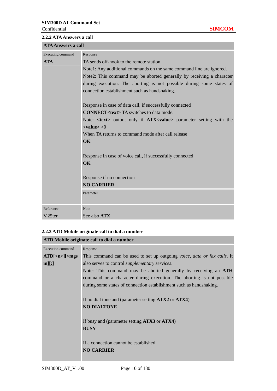| <b>2.2.2 ATA Answers a call</b> |                                                                                                      |
|---------------------------------|------------------------------------------------------------------------------------------------------|
| <b>ATA Answers a call</b>       |                                                                                                      |
| Executing command               | Response                                                                                             |
| <b>ATA</b>                      | TA sends off-hook to the remote station.                                                             |
|                                 | Note1: Any additional commands on the same command line are ignored.                                 |
|                                 | Note2: This command may be aborted generally by receiving a character                                |
|                                 | during execution. The aborting is not possible during some states of                                 |
|                                 | connection establishment such as handshaking.                                                        |
|                                 | Response in case of data call, if successfully connected                                             |
|                                 | <b>CONNECT<text>TA</text></b> switches to data mode.                                                 |
|                                 | Note: < <b>text</b> > output only if <b>ATX<value< b="">&gt; parameter setting with the</value<></b> |
|                                 | $\langle \mathbf{value} \rangle > 0$                                                                 |
|                                 | When TA returns to command mode after call release                                                   |
|                                 | <b>OK</b>                                                                                            |
|                                 |                                                                                                      |
|                                 | Response in case of voice call, if successfully connected                                            |
|                                 | <b>OK</b>                                                                                            |
|                                 | Response if no connection                                                                            |
|                                 | <b>NO CARRIER</b>                                                                                    |
|                                 | Parameter                                                                                            |
|                                 |                                                                                                      |
| Reference                       | <b>Note</b>                                                                                          |
| V.25ter                         | See also ATX                                                                                         |

## **2.2.3 ATD Mobile originate call to dial a number**

## **ATD Mobile originate call to dial a number**

| <b>Execution command</b>               | Response                                                                 |
|----------------------------------------|--------------------------------------------------------------------------|
| $ATD[\langle n \rangle]$ $\langle mgs$ | This command can be used to set up outgoing voice, data or fax calls. It |
| m][;]                                  | also serves to control supplementary services.                           |
|                                        | Note: This command may be aborted generally by receiving an ATH          |
|                                        | command or a character during execution. The aborting is not possible    |
|                                        | during some states of connection establishment such as handshaking.      |
|                                        |                                                                          |
|                                        | If no dial tone and (parameter setting ATX2 or ATX4)                     |
|                                        | <b>NO DIALTONE</b>                                                       |
|                                        |                                                                          |
|                                        | If busy and (parameter setting ATX3 or ATX4)                             |
|                                        | <b>BUSY</b>                                                              |
|                                        |                                                                          |
|                                        | If a connection cannot be established                                    |
|                                        | <b>NO CARRIER</b>                                                        |
|                                        |                                                                          |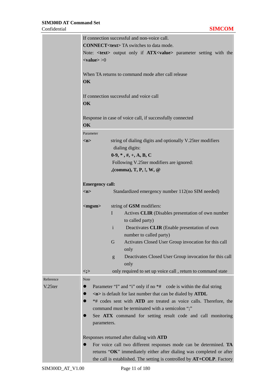|           | If connection successful and non-voice call.                                                         |   |                                                                           |  |  |  |
|-----------|------------------------------------------------------------------------------------------------------|---|---------------------------------------------------------------------------|--|--|--|
|           | <b>CONNECT<text>TA</text></b> switches to data mode.                                                 |   |                                                                           |  |  |  |
|           | Note: < <b>text</b> > output only if <b>ATX<value< b="">&gt; parameter setting with the</value<></b> |   |                                                                           |  |  |  |
|           | $<$ value $>$ $>$ 0                                                                                  |   |                                                                           |  |  |  |
|           |                                                                                                      |   |                                                                           |  |  |  |
|           |                                                                                                      |   | When TA returns to command mode after call release                        |  |  |  |
|           | OK                                                                                                   |   |                                                                           |  |  |  |
|           |                                                                                                      |   |                                                                           |  |  |  |
|           |                                                                                                      |   | If connection successful and voice call                                   |  |  |  |
|           | OK                                                                                                   |   |                                                                           |  |  |  |
|           |                                                                                                      |   |                                                                           |  |  |  |
|           |                                                                                                      |   | Response in case of voice call, if successfully connected                 |  |  |  |
|           | OK                                                                                                   |   |                                                                           |  |  |  |
|           | Parameter                                                                                            |   |                                                                           |  |  |  |
|           | m                                                                                                    |   | string of dialing digits and optionally V.25ter modifiers                 |  |  |  |
|           |                                                                                                      |   | dialing digits:                                                           |  |  |  |
|           |                                                                                                      |   | $0-9, *, *, +, A, B, C$                                                   |  |  |  |
|           |                                                                                                      |   | Following V.25ter modifiers are ignored:                                  |  |  |  |
|           |                                                                                                      |   | , (comma), $T, P, I, W, \mathcal{Q}$                                      |  |  |  |
|           |                                                                                                      |   |                                                                           |  |  |  |
|           | <b>Emergency call:</b>                                                                               |   |                                                                           |  |  |  |
|           | m                                                                                                    |   | Standardized emergency number 112(no SIM needed)                          |  |  |  |
|           | $<$ mgsm $>$                                                                                         |   | string of GSM modifiers:                                                  |  |  |  |
|           |                                                                                                      | I | Actives CLIR (Disables presentation of own number                         |  |  |  |
|           |                                                                                                      |   | to called party)                                                          |  |  |  |
|           |                                                                                                      | i | Deactivates CLIR (Enable presentation of own                              |  |  |  |
|           |                                                                                                      |   | number to called party)                                                   |  |  |  |
|           |                                                                                                      | G | Activates Closed User Group invocation for this call                      |  |  |  |
|           |                                                                                                      |   | only                                                                      |  |  |  |
|           |                                                                                                      | g | Deactivates Closed User Group invocation for this call                    |  |  |  |
|           |                                                                                                      |   | only                                                                      |  |  |  |
|           | <;>                                                                                                  |   | only required to set up voice call, return to command state               |  |  |  |
| Reference | <b>Note</b>                                                                                          |   |                                                                           |  |  |  |
| V.25ter   |                                                                                                      |   | Parameter "I" and "i" only if no *# code is within the dial string        |  |  |  |
|           |                                                                                                      |   | $\langle n \rangle$ is default for last number that can be dialed by ATDL |  |  |  |
|           |                                                                                                      |   | *# codes sent with ATD are treated as voice calls. Therefore, the         |  |  |  |
|           |                                                                                                      |   | command must be terminated with a semicolon ";"                           |  |  |  |
|           |                                                                                                      |   | See ATX command for setting result code and call monitoring               |  |  |  |
|           | parameters.                                                                                          |   |                                                                           |  |  |  |
|           |                                                                                                      |   |                                                                           |  |  |  |
|           |                                                                                                      |   | Responses returned after dialing with ATD                                 |  |  |  |
|           |                                                                                                      |   | For voice call two different responses mode can be determined. TA         |  |  |  |
|           |                                                                                                      |   | returns "OK" immediately either after dialing was completed or after      |  |  |  |
|           |                                                                                                      |   | the call is established. The setting is controlled by AT+COLP. Factory    |  |  |  |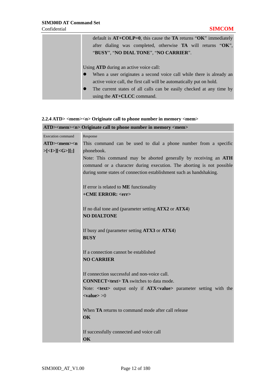| default is $AT+COLP=0$ , this cause the TA returns "OK" immediately  |
|----------------------------------------------------------------------|
| after dialing was completed, otherwise <b>TA</b> will returns "OK",  |
| "BUSY", "NO DIAL TONE", "NO CARRIER".                                |
|                                                                      |
| Using <b>ATD</b> during an active voice call:                        |
| When a user originates a second voice call while there is already an |
| active voice call, the first call will be automatically put on hold. |
| The current states of all calls can be easily checked at any time by |
| using the $AT+CLCC$ command.                                         |

### **2.2.4 ATD> <mem><n> Originate call to phone number in memory <mem>**

|                                                                                                                        | ATD> <mem><n> Originate call to phone number in memory <mem></mem></n></mem>                         |  |  |  |  |  |  |
|------------------------------------------------------------------------------------------------------------------------|------------------------------------------------------------------------------------------------------|--|--|--|--|--|--|
| <b>Execution command</b>                                                                                               | Response                                                                                             |  |  |  |  |  |  |
| $ATD$ > <mem><n< th=""><th colspan="6">This command can be used to dial a phone number from a specific</th></n<></mem> | This command can be used to dial a phone number from a specific                                      |  |  |  |  |  |  |
| $>[5]$ $[5]$ $[6]$                                                                                                     | phonebook.                                                                                           |  |  |  |  |  |  |
|                                                                                                                        | Note: This command may be aborted generally by receiving an ATH                                      |  |  |  |  |  |  |
|                                                                                                                        | command or a character during execution. The aborting is not possible                                |  |  |  |  |  |  |
|                                                                                                                        | during some states of connection establishment such as handshaking.                                  |  |  |  |  |  |  |
|                                                                                                                        | If error is related to ME functionality                                                              |  |  |  |  |  |  |
|                                                                                                                        | +CME ERROR: <err></err>                                                                              |  |  |  |  |  |  |
|                                                                                                                        | If no dial tone and (parameter setting ATX2 or ATX4)                                                 |  |  |  |  |  |  |
|                                                                                                                        | <b>NO DIALTONE</b>                                                                                   |  |  |  |  |  |  |
|                                                                                                                        | If busy and (parameter setting ATX3 or ATX4)                                                         |  |  |  |  |  |  |
|                                                                                                                        | <b>BUSY</b><br>If a connection cannot be established<br><b>NO CARRIER</b>                            |  |  |  |  |  |  |
|                                                                                                                        |                                                                                                      |  |  |  |  |  |  |
|                                                                                                                        |                                                                                                      |  |  |  |  |  |  |
|                                                                                                                        | If connection successful and non-voice call.                                                         |  |  |  |  |  |  |
|                                                                                                                        | <b>CONNECT<text>TA</text></b> switches to data mode.                                                 |  |  |  |  |  |  |
|                                                                                                                        | Note: < <b>text</b> > output only if <b>ATX<value< b="">&gt; parameter setting with the</value<></b> |  |  |  |  |  |  |
|                                                                                                                        | $\langle \mathbf{value} \rangle > 0$                                                                 |  |  |  |  |  |  |
|                                                                                                                        | When <b>TA</b> returns to command mode after call release                                            |  |  |  |  |  |  |
|                                                                                                                        | OK                                                                                                   |  |  |  |  |  |  |
|                                                                                                                        | If successfully connected and voice call                                                             |  |  |  |  |  |  |
|                                                                                                                        | OK                                                                                                   |  |  |  |  |  |  |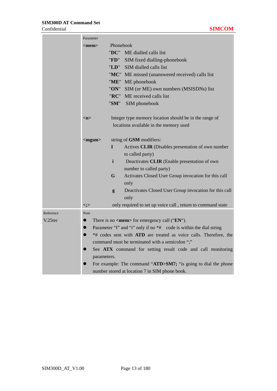÷

|           | Parameter                                      |                                                                    |  |  |
|-----------|------------------------------------------------|--------------------------------------------------------------------|--|--|
|           | Phonebook<br>$<$ mem $>$                       |                                                                    |  |  |
|           | "DC"                                           | ME dialled calls list                                              |  |  |
|           | "FD"                                           | SIM fixed dialling-phonebook                                       |  |  |
|           |                                                | "LD" SIM dialled calls list                                        |  |  |
|           |                                                | "MC" ME missed (unanswered received) calls list                    |  |  |
|           |                                                | "ME" ME phonebook                                                  |  |  |
|           | "ON"                                           | SIM (or ME) own numbers (MSISDNs) list                             |  |  |
|           | "RC"                                           | ME received calls list                                             |  |  |
|           |                                                | "SM" SIM phonebook                                                 |  |  |
|           |                                                |                                                                    |  |  |
|           | m                                              | Integer type memory location should be in the range of             |  |  |
|           |                                                | locations available in the memory used                             |  |  |
|           |                                                |                                                                    |  |  |
|           | $<$ mgsm $>$                                   | string of GSM modifiers:                                           |  |  |
|           | I                                              | Actives CLIR (Disables presentation of own number                  |  |  |
|           |                                                | to called party)                                                   |  |  |
|           | $\mathbf{i}$                                   | Deactivates CLIR (Enable presentation of own                       |  |  |
|           |                                                | number to called party)                                            |  |  |
|           | G                                              | Activates Closed User Group invocation for this call<br>only       |  |  |
|           | g                                              | Deactivates Closed User Group invocation for this call             |  |  |
|           |                                                | only                                                               |  |  |
|           | <;>                                            | only required to set up voice call, return to command state        |  |  |
| Reference | <b>Note</b>                                    |                                                                    |  |  |
| V.25ter   | $\bullet$                                      | There is no $\langle$ mem $\rangle$ for emergency call (" $EN$ "). |  |  |
|           | $\bullet$                                      | Parameter "I" and "i" only if no *# code is within the dial string |  |  |
|           | $\bullet$                                      | *# codes sent with ATD are treated as voice calls. Therefore, the  |  |  |
|           |                                                | command must be terminated with a semicolon ";"                    |  |  |
|           | $\bullet$                                      | See ATX command for setting result code and call monitoring        |  |  |
|           | parameters.                                    |                                                                    |  |  |
|           |                                                | For example: The command "ATD>SM7; "is going to dial the phone     |  |  |
|           | number stored at location 7 in SIM phone book. |                                                                    |  |  |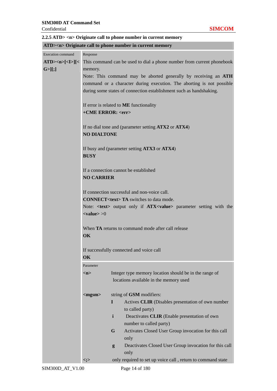|                                        |                                                                                                                                                                                                                                                                            | ATD> <n> Originate call to phone number in current memory</n>                                                                                |  |  |  |  |
|----------------------------------------|----------------------------------------------------------------------------------------------------------------------------------------------------------------------------------------------------------------------------------------------------------------------------|----------------------------------------------------------------------------------------------------------------------------------------------|--|--|--|--|
| Execution command                      | Response                                                                                                                                                                                                                                                                   |                                                                                                                                              |  |  |  |  |
| $\text{ATD}>>n>[<\text{I}>][<\text{I}$ |                                                                                                                                                                                                                                                                            | This command can be used to dial a phone number from current phonebook                                                                       |  |  |  |  |
| $G >$ ][;]                             | memory.                                                                                                                                                                                                                                                                    |                                                                                                                                              |  |  |  |  |
|                                        |                                                                                                                                                                                                                                                                            | Note: This command may be aborted generally by receiving an ATH                                                                              |  |  |  |  |
|                                        |                                                                                                                                                                                                                                                                            | command or a character during execution. The aborting is not possible<br>during some states of connection establishment such as handshaking. |  |  |  |  |
|                                        | +CME ERROR: <err></err>                                                                                                                                                                                                                                                    | If error is related to <b>ME</b> functionality                                                                                               |  |  |  |  |
|                                        | <b>NO DIALTONE</b>                                                                                                                                                                                                                                                         | If no dial tone and (parameter setting ATX2 or ATX4)                                                                                         |  |  |  |  |
|                                        | If busy and (parameter setting ATX3 or ATX4)<br><b>BUSY</b>                                                                                                                                                                                                                |                                                                                                                                              |  |  |  |  |
|                                        | <b>NO CARRIER</b>                                                                                                                                                                                                                                                          | If a connection cannot be established                                                                                                        |  |  |  |  |
|                                        | If connection successful and non-voice call.<br><b>CONNECT<text>TA</text></b> switches to data mode.<br>Note: < <b>text</b> > output only if <b>ATX<value< b="">&gt; parameter setting with the<br/><math>&lt;</math>value<math>&gt;</math><math>&gt;</math>0</value<></b> |                                                                                                                                              |  |  |  |  |
|                                        |                                                                                                                                                                                                                                                                            |                                                                                                                                              |  |  |  |  |
|                                        | OK                                                                                                                                                                                                                                                                         | When TA returns to command mode after call release                                                                                           |  |  |  |  |
|                                        | OK                                                                                                                                                                                                                                                                         | If successfully connected and voice call                                                                                                     |  |  |  |  |
|                                        | Parameter                                                                                                                                                                                                                                                                  |                                                                                                                                              |  |  |  |  |
|                                        | m                                                                                                                                                                                                                                                                          | Integer type memory location should be in the range of<br>locations available in the memory used                                             |  |  |  |  |
|                                        | $<$ mgsm $>$                                                                                                                                                                                                                                                               | string of GSM modifiers:                                                                                                                     |  |  |  |  |
|                                        |                                                                                                                                                                                                                                                                            | Actives CLIR (Disables presentation of own number<br>п                                                                                       |  |  |  |  |
|                                        |                                                                                                                                                                                                                                                                            | to called party)                                                                                                                             |  |  |  |  |
|                                        |                                                                                                                                                                                                                                                                            | i<br>Deactivates CLIR (Enable presentation of own<br>number to called party)                                                                 |  |  |  |  |
|                                        |                                                                                                                                                                                                                                                                            | G<br>Activates Closed User Group invocation for this call<br>only                                                                            |  |  |  |  |
|                                        |                                                                                                                                                                                                                                                                            | Deactivates Closed User Group invocation for this call<br>g<br>only                                                                          |  |  |  |  |
|                                        | $\lt; ;$                                                                                                                                                                                                                                                                   | only required to set up voice call, return to command state                                                                                  |  |  |  |  |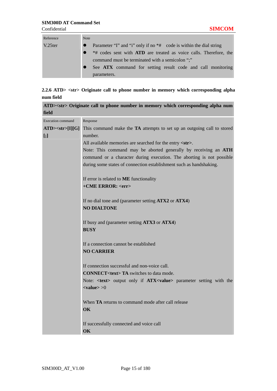| Reference | <b>Note</b>                                                              |  |  |  |  |  |
|-----------|--------------------------------------------------------------------------|--|--|--|--|--|
| V.25ter   | Parameter "I" and "i" only if no *# code is within the dial string       |  |  |  |  |  |
|           | *# codes sent with <b>ATD</b> are treated as voice calls. Therefore, the |  |  |  |  |  |
|           | command must be terminated with a semicolon ";"                          |  |  |  |  |  |
|           | See ATX command for setting result code and call monitoring              |  |  |  |  |  |
|           | parameters.                                                              |  |  |  |  |  |

## **2.2.6 ATD> <str> Originate call to phone number in memory which corresponding alpha num field**

|                   | ATD> <str> Originate call to phone number in memory which corresponding alpha num</str>     |  |  |  |  |  |
|-------------------|---------------------------------------------------------------------------------------------|--|--|--|--|--|
| field             |                                                                                             |  |  |  |  |  |
| Execution command | Response                                                                                    |  |  |  |  |  |
| $ATD>\n[I][G]$    | This command make the TA attempts to set up an outgoing call to stored                      |  |  |  |  |  |
| [;]               | number.                                                                                     |  |  |  |  |  |
|                   | All available memories are searched for the entry <str>.</str>                              |  |  |  |  |  |
|                   | Note: This command may be aborted generally by receiving an ATH                             |  |  |  |  |  |
|                   | command or a character during execution. The aborting is not possible                       |  |  |  |  |  |
|                   | during some states of connection establishment such as handshaking.                         |  |  |  |  |  |
|                   | If error is related to <b>ME</b> functionality                                              |  |  |  |  |  |
|                   | +CME ERROR: <err></err>                                                                     |  |  |  |  |  |
|                   | If no dial tone and (parameter setting ATX2 or ATX4)                                        |  |  |  |  |  |
|                   | <b>NO DIALTONE</b>                                                                          |  |  |  |  |  |
|                   | If busy and (parameter setting ATX3 or ATX4)                                                |  |  |  |  |  |
|                   | <b>BUSY</b>                                                                                 |  |  |  |  |  |
|                   | If a connection cannot be established                                                       |  |  |  |  |  |
|                   | <b>NO CARRIER</b>                                                                           |  |  |  |  |  |
|                   | If connection successful and non-voice call.                                                |  |  |  |  |  |
|                   | <b>CONNECT<text>TA</text></b> switches to data mode.                                        |  |  |  |  |  |
|                   | Note: < <b>text&gt;</b> output only if <b>ATX<value></value></b> parameter setting with the |  |  |  |  |  |
|                   | $\langle \mathbf{value} \rangle > 0$                                                        |  |  |  |  |  |
|                   | When TA returns to command mode after call release                                          |  |  |  |  |  |
|                   | OK                                                                                          |  |  |  |  |  |
|                   | If successfully connected and voice call                                                    |  |  |  |  |  |
|                   | OK                                                                                          |  |  |  |  |  |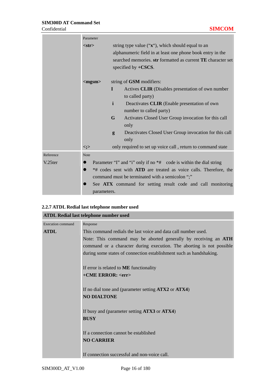m a

 $\sim$ 

|           | Parameter    |                                                                                                                                                                                                           |  |  |
|-----------|--------------|-----------------------------------------------------------------------------------------------------------------------------------------------------------------------------------------------------------|--|--|
|           | $<$ str $>$  | string type value ("x"), which should equal to an<br>alphanumeric field in at least one phone book entry in the<br>searched memories. str formatted as current TE character set<br>specified by $+CSCS$ . |  |  |
|           | $<$ mgsm $>$ | string of <b>GSM</b> modifiers:                                                                                                                                                                           |  |  |
|           |              | Actives CLIR (Disables presentation of own number<br>L<br>to called party)                                                                                                                                |  |  |
|           |              | $\mathbf{i}$<br>Deactivates CLIR (Enable presentation of own<br>number to called party)                                                                                                                   |  |  |
|           |              | G<br>Activates Closed User Group invocation for this call<br>only                                                                                                                                         |  |  |
|           |              | Deactivates Closed User Group invocation for this call<br>g<br>only                                                                                                                                       |  |  |
|           | $\lt; ;$     | only required to set up voice call, return to command state                                                                                                                                               |  |  |
| Reference | <b>Note</b>  |                                                                                                                                                                                                           |  |  |
| V.25ter   | $\bullet$    | Parameter "I" and "i" only if no *# code is within the dial string                                                                                                                                        |  |  |
|           | $\bullet$    | *# codes sent with ATD are treated as voice calls. Therefore, the<br>command must be terminated with a semicolon ";"                                                                                      |  |  |
|           | parameters.  | See ATX command for setting result code and call monitoring                                                                                                                                               |  |  |

the contract of the contract of the contract of

| 2.2.7 ATDL Redial last telephone number used |  |  |  |  |  |
|----------------------------------------------|--|--|--|--|--|
|----------------------------------------------|--|--|--|--|--|

|                   | <b>ATDL Redial last telephone number used</b>                          |
|-------------------|------------------------------------------------------------------------|
| Execution command | Response                                                               |
| <b>ATDL</b>       | This command redials the last voice and data call number used.         |
|                   | Note: This command may be aborted generally by receiving an <b>ATH</b> |
|                   | command or a character during execution. The aborting is not possible  |
|                   | during some states of connection establishment such as handshaking.    |
|                   | If error is related to <b>ME</b> functionality                         |
|                   | +CME ERROR: <err></err>                                                |
|                   |                                                                        |
|                   | If no dial tone and (parameter setting ATX2 or ATX4)                   |
|                   | <b>NO DIALTONE</b>                                                     |
|                   | If busy and (parameter setting ATX3 or ATX4)                           |
|                   | <b>BUSY</b>                                                            |
|                   |                                                                        |
|                   | If a connection cannot be established                                  |
|                   | <b>NO CARRIER</b>                                                      |
|                   | If connection successful and non-voice call.                           |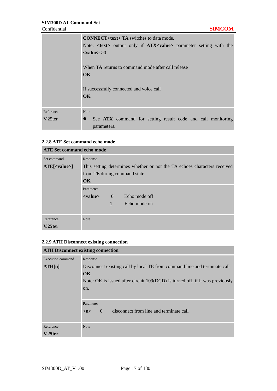|           | <b>CONNECT<text>TA</text></b> switches to data mode.                                        |  |  |  |  |  |
|-----------|---------------------------------------------------------------------------------------------|--|--|--|--|--|
|           | Note: < <b>text&gt;</b> output only if <b>ATX<value></value></b> parameter setting with the |  |  |  |  |  |
|           | $\langle \mathbf{value} \rangle > 0$                                                        |  |  |  |  |  |
|           | When <b>TA</b> returns to command mode after call release<br>$\overline{\text{OK}}$         |  |  |  |  |  |
|           | If successfully connected and voice call<br>$\alpha$                                        |  |  |  |  |  |
| Reference | <b>Note</b>                                                                                 |  |  |  |  |  |
| V.25ter   | See ATX command for setting result code and call monitoring<br>∙<br>parameters.             |  |  |  |  |  |

## **2.2.8 ATE Set command echo mode**

| <b>ATE Set command echo mode</b> |                                                                                                                                     |              |               |  |
|----------------------------------|-------------------------------------------------------------------------------------------------------------------------------------|--------------|---------------|--|
| Set command                      | Response                                                                                                                            |              |               |  |
| $ATE[<$ value>]                  | This setting determines whether or not the TA echoes characters received<br>from TE during command state.<br>$\overline{\text{OK}}$ |              |               |  |
|                                  | Parameter                                                                                                                           |              |               |  |
|                                  | <value></value>                                                                                                                     | $\theta$     | Echo mode off |  |
|                                  |                                                                                                                                     | $\mathbf{1}$ | Echo mode on  |  |
| Reference                        | <b>Note</b>                                                                                                                         |              |               |  |
| $V.25$ ter                       |                                                                                                                                     |              |               |  |

## **2.2.9 ATH Disconnect existing connection**

| <b>ATH Disconnect existing connection</b> |                                                                                    |
|-------------------------------------------|------------------------------------------------------------------------------------|
| Execution command                         | Response                                                                           |
| ATH[n]                                    | Disconnect existing call by local TE from command line and terminate call          |
|                                           | $\overline{\text{OK}}$                                                             |
|                                           | Note: OK is issued after circuit 109(DCD) is turned off, if it was previously      |
|                                           | on.                                                                                |
|                                           |                                                                                    |
|                                           | Parameter                                                                          |
|                                           | disconnect from line and terminate call<br>$\left( \right)$<br>$\langle n \rangle$ |
|                                           |                                                                                    |
| Reference                                 | <b>Note</b>                                                                        |
| $V.25$ ter                                |                                                                                    |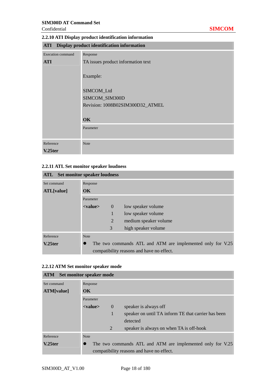### Confidential **SIMCOM**

## **2.2.10 ATI Display product identification information**

|  | <b>ATI</b> Display product identification information |  |
|--|-------------------------------------------------------|--|
|  |                                                       |  |

| <b>Execution command</b> | Response                           |
|--------------------------|------------------------------------|
| <b>ATI</b>               | TA issues product information text |
|                          |                                    |
|                          | Example:                           |
|                          |                                    |
|                          | SIMCOM_Ltd                         |
|                          | SIMCOM_SIM300D                     |
|                          | Revision: 1008B02SIM300D32_ATMEL   |
|                          |                                    |
|                          | OK                                 |
|                          | Parameter                          |
|                          |                                    |
| Reference                | <b>Note</b>                        |
| V.25ter                  |                                    |

## **2.2.11 ATL Set monitor speaker loudness**

| <b>ATL</b> Set monitor speaker loudness |                        |                |                                                            |
|-----------------------------------------|------------------------|----------------|------------------------------------------------------------|
| Set command                             | Response               |                |                                                            |
| ATL[value]                              | $\overline{\text{OK}}$ |                |                                                            |
|                                         | Parameter              |                |                                                            |
|                                         | $<$ value $>$          | $\theta$       | low speaker volume                                         |
|                                         |                        | 1              | low speaker volume                                         |
|                                         |                        | $\overline{2}$ | medium speaker volume                                      |
|                                         |                        | 3              | high speaker volume                                        |
| Reference                               | <b>Note</b>            |                |                                                            |
| $V.25$ ter                              |                        |                | The two commands ATL and ATM are implemented only for V.25 |
|                                         |                        |                | compatibility reasons and have no effect.                  |

| 2.2.12 ATM Set monitor speaker mode |  |
|-------------------------------------|--|
|-------------------------------------|--|

| Set monitor speaker mode<br>ATM |               |          |                                                            |
|---------------------------------|---------------|----------|------------------------------------------------------------|
| Set command                     | Response      |          |                                                            |
| ATM[value]                      | $\alpha$      |          |                                                            |
|                                 | Parameter     |          |                                                            |
|                                 | $<$ value $>$ | $\theta$ | speaker is always off                                      |
|                                 |               | 1        | speaker on until TA inform TE that carrier has been        |
|                                 |               |          | detected                                                   |
|                                 |               | 2        | speaker is always on when TA is off-hook                   |
| Reference                       | <b>Note</b>   |          |                                                            |
| V.25ter                         |               |          | The two commands ATL and ATM are implemented only for V.25 |
|                                 |               |          | compatibility reasons and have no effect.                  |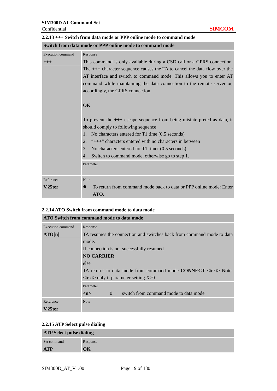÷.

| Switch from data mode or PPP online mode to command mode |                                                                                 |  |  |
|----------------------------------------------------------|---------------------------------------------------------------------------------|--|--|
| <b>Execution</b> command                                 | Response                                                                        |  |  |
| $+++$                                                    | This command is only available during a CSD call or a GPRS connection.          |  |  |
|                                                          | The $++$ character sequence causes the TA to cancel the data flow over the      |  |  |
|                                                          | AT interface and switch to command mode. This allows you to enter AT            |  |  |
|                                                          | command while maintaining the data connection to the remote server or,          |  |  |
|                                                          | accordingly, the GPRS connection.                                               |  |  |
|                                                          |                                                                                 |  |  |
|                                                          | OK                                                                              |  |  |
|                                                          |                                                                                 |  |  |
|                                                          | To prevent the $+++$ escape sequence from being misinterpreted as data, it      |  |  |
|                                                          | should comply to following sequence:                                            |  |  |
|                                                          | No characters entered for T1 time (0.5 seconds)<br>1.                           |  |  |
|                                                          | "+++" characters entered with no characters in between<br>2.                    |  |  |
|                                                          | No characters entered for T1 timer (0.5 seconds)<br>3.                          |  |  |
|                                                          | Switch to command mode, otherwise go to step 1.<br>4.                           |  |  |
|                                                          | Parameter                                                                       |  |  |
|                                                          |                                                                                 |  |  |
| Reference                                                | <b>Note</b>                                                                     |  |  |
| $V.25$ ter                                               | To return from command mode back to data or PPP online mode: Enter<br>$\bullet$ |  |  |
|                                                          | ATO.                                                                            |  |  |

#### **2.2.13 +++ Switch from data mode or PPP online mode to command mode**  and the control of the control of the control of

#### **2.2.14 ATO Switch from command mode to data mode**

| <b>ATO Switch from command mode to data mode</b> |                                                                              |  |
|--------------------------------------------------|------------------------------------------------------------------------------|--|
| <b>Execution command</b>                         | Response                                                                     |  |
| ATO[n]                                           | TA resumes the connection and switches back from command mode to data        |  |
|                                                  | mode.                                                                        |  |
|                                                  | If connection is not successfully resumed                                    |  |
|                                                  | <b>NO CARRIER</b>                                                            |  |
|                                                  | else                                                                         |  |
|                                                  | TA returns to data mode from command mode <b>CONNECT</b> <text> Note:</text> |  |
|                                                  | $\langle \text{text} \rangle$ only if parameter setting X $>0$               |  |
|                                                  | Parameter                                                                    |  |
|                                                  | switch from command mode to data mode<br>$\theta$<br>m                       |  |
| Reference                                        | <b>Note</b>                                                                  |  |
| V.25ter                                          |                                                                              |  |

## **2.2.15 ATP Select pulse dialing**

| <b>ATP Select pulse dialing</b> |          |  |
|---------------------------------|----------|--|
| Set command                     | Response |  |
| <b>ATP</b>                      | OK       |  |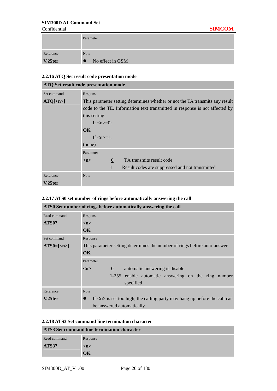and the company

m.

|           | Parameter                     |
|-----------|-------------------------------|
| Reference | <b>Note</b>                   |
| V.25ter   | No effect in GSM<br>$\bullet$ |

### **2.2.16 ATQ Set result code presentation mode**

| <b>ATQ Set result code presentation mode</b> |                                                                              |  |
|----------------------------------------------|------------------------------------------------------------------------------|--|
| Set command                                  | Response                                                                     |  |
| $ATQ[\langle n \rangle]$                     | This parameter setting determines whether or not the TA transmits any result |  |
|                                              | code to the TE. Information text transmitted in response is not affected by  |  |
|                                              | this setting.                                                                |  |
|                                              | If $\langle n \rangle = 0$ :                                                 |  |
|                                              | $\alpha$                                                                     |  |
|                                              | If $\langle n \rangle = 1$ :                                                 |  |
|                                              | (none)                                                                       |  |
|                                              | Parameter                                                                    |  |
|                                              | TA transmits result code<br>$\mathbf{0}$<br>m                                |  |
|                                              | Result codes are suppressed and not transmitted<br>$\mathbf{1}$              |  |
| Reference                                    | <b>Note</b>                                                                  |  |
| V.25ter                                      |                                                                              |  |

### **2.2.17 ATS0 set number of rings before automatically answering the call**

| ATS0 Set number of rings before automatically answering the call |                                                                                           |  |
|------------------------------------------------------------------|-------------------------------------------------------------------------------------------|--|
| Read command                                                     | Response                                                                                  |  |
| ATS0?                                                            | m                                                                                         |  |
|                                                                  | <b>OK</b>                                                                                 |  |
| Set command                                                      | Response                                                                                  |  |
| $ATS0=[$                                                         | This parameter setting determines the number of rings before auto-answer.                 |  |
|                                                                  | <b>OK</b>                                                                                 |  |
|                                                                  | Parameter                                                                                 |  |
|                                                                  | automatic answering is disable<br>$\overline{0}$<br>m                                     |  |
|                                                                  | 1-255 enable automatic answering on the ring number                                       |  |
|                                                                  | specified                                                                                 |  |
| Reference                                                        | <b>Note</b>                                                                               |  |
| V.25ter                                                          | If $\langle n \rangle$ is set too high, the calling party may hang up before the call can |  |
|                                                                  | be answered automatically.                                                                |  |

#### **2.2.18 ATS3 Set command line termination character**

| <b>ATS3 Set command line termination character</b> |                     |  |
|----------------------------------------------------|---------------------|--|
| Read command                                       | Response            |  |
| ATS3?                                              | $\langle n \rangle$ |  |
|                                                    | OK                  |  |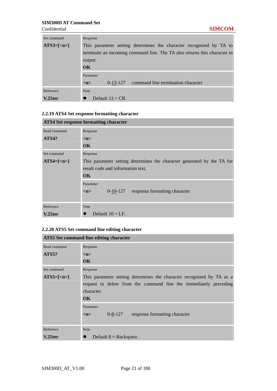| Set command | Response                                                                  |
|-------------|---------------------------------------------------------------------------|
| $ATS3=[$    | This parameter setting determines the character recognized by TA to       |
|             | terminate an incoming command line. The TA also returns this character in |
|             | output.                                                                   |
|             | $\overline{\text{OK}}$                                                    |
|             | Parameter                                                                 |
|             | command line termination character<br>$0-13-127$<br>$\langle n \rangle$   |
| Reference   | <b>Note</b>                                                               |
| $V.25$ ter  | Default $13 = CR$ .                                                       |

#### **2.2.19 ATS4 Set response formatting character**

| <b>ATS4 Set response formatting character</b> |                                                                         |  |  |  |  |  |
|-----------------------------------------------|-------------------------------------------------------------------------|--|--|--|--|--|
| Read command                                  | Response                                                                |  |  |  |  |  |
| ATS4?                                         | m                                                                       |  |  |  |  |  |
|                                               | <b>OK</b>                                                               |  |  |  |  |  |
| Set command                                   | Response                                                                |  |  |  |  |  |
| $ATS4=[n]$                                    | This parameter setting determines the character generated by the TA for |  |  |  |  |  |
|                                               | result code and information text.                                       |  |  |  |  |  |
|                                               | $\alpha$                                                                |  |  |  |  |  |
|                                               | Parameter                                                               |  |  |  |  |  |
|                                               | $0-10-127$ response formatting character<br>m                           |  |  |  |  |  |
|                                               |                                                                         |  |  |  |  |  |
| Reference                                     | <b>Note</b>                                                             |  |  |  |  |  |
| $V.25$ ter                                    | Default $10 = LF$ .                                                     |  |  |  |  |  |

## **2.2.20 ATS5 Set command line editing character**

| <b>ATS5</b> Set command line editing character |                                                                       |  |  |  |  |  |  |  |
|------------------------------------------------|-----------------------------------------------------------------------|--|--|--|--|--|--|--|
| Read command                                   | Response                                                              |  |  |  |  |  |  |  |
| ATS5?                                          | m                                                                     |  |  |  |  |  |  |  |
|                                                | <b>OK</b>                                                             |  |  |  |  |  |  |  |
| Set command                                    | Response                                                              |  |  |  |  |  |  |  |
| $ATS5=[n]$                                     | This parameter setting determines the character recognized by TA as a |  |  |  |  |  |  |  |
|                                                | request to delete from the command line the immediately preceding     |  |  |  |  |  |  |  |
|                                                | character.                                                            |  |  |  |  |  |  |  |
|                                                | $\alpha$                                                              |  |  |  |  |  |  |  |
|                                                | Parameter                                                             |  |  |  |  |  |  |  |
|                                                | $0 - 8 - 127$<br>response formatting character<br>m                   |  |  |  |  |  |  |  |
|                                                |                                                                       |  |  |  |  |  |  |  |
| Reference                                      | <b>Note</b>                                                           |  |  |  |  |  |  |  |
| V.25ter                                        | Default $8 =$ Backspace.                                              |  |  |  |  |  |  |  |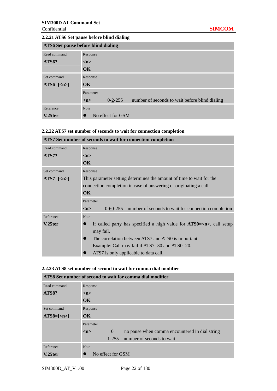i.

### **2.2.21 ATS6 Set pause before blind dialing**

| <b>ATS6 Set pause before blind dialing</b> |                                                                      |  |  |
|--------------------------------------------|----------------------------------------------------------------------|--|--|
| Read command                               | Response                                                             |  |  |
| ATS6?                                      | m                                                                    |  |  |
|                                            | $\overline{\textbf{OK}}$                                             |  |  |
| Set command                                | Response                                                             |  |  |
| $ATS6=[$                                   | $\alpha$                                                             |  |  |
|                                            | Parameter                                                            |  |  |
|                                            | $0 - 2 - 255$<br>number of seconds to wait before blind dialing<br>m |  |  |
| Reference                                  | <b>Note</b>                                                          |  |  |
| $V.25$ ter                                 | No effect for GSM                                                    |  |  |

## **2.2.22 ATS7 set number of seconds to wait for connection completion**

|              | ATS7 Set number of seconds to wait for connection completion           |  |  |  |  |  |  |  |
|--------------|------------------------------------------------------------------------|--|--|--|--|--|--|--|
| Read command | Response                                                               |  |  |  |  |  |  |  |
| ATS7?        | m>                                                                     |  |  |  |  |  |  |  |
|              | <b>OK</b>                                                              |  |  |  |  |  |  |  |
| Set command  | Response                                                               |  |  |  |  |  |  |  |
| $ATS7=[$     | This parameter setting determines the amount of time to wait for the   |  |  |  |  |  |  |  |
|              | connection completion in case of answering or originating a call.      |  |  |  |  |  |  |  |
|              | $\overline{\text{OK}}$                                                 |  |  |  |  |  |  |  |
|              | Parameter                                                              |  |  |  |  |  |  |  |
|              | 0-60-255 number of seconds to wait for connection completion<br>m      |  |  |  |  |  |  |  |
| Reference    | <b>Note</b>                                                            |  |  |  |  |  |  |  |
| $V.25$ ter   | If called party has specified a high value for $ATS0 = n$ , call setup |  |  |  |  |  |  |  |
|              | may fail.                                                              |  |  |  |  |  |  |  |
|              | The correlation between ATS7 and ATS0 is important<br>$\bullet$        |  |  |  |  |  |  |  |
|              | Example: Call may fail if ATS7=30 and ATS0=20.                         |  |  |  |  |  |  |  |
|              | ATS7 is only applicable to data call.                                  |  |  |  |  |  |  |  |

#### **2.2.23 ATS8 set number of second to wait for comma dial modifier**

| ATS8 Set number of second to wait for comma dial modifier |                                                                       |  |  |
|-----------------------------------------------------------|-----------------------------------------------------------------------|--|--|
| Read command                                              | Response                                                              |  |  |
| ATS8?                                                     | $\langle n \rangle$                                                   |  |  |
|                                                           | OK                                                                    |  |  |
| Set command                                               | Response                                                              |  |  |
| $ATS8=[$                                                  | $\overline{\text{OK}}$                                                |  |  |
|                                                           | Parameter                                                             |  |  |
|                                                           | $\overline{0}$<br>no pause when comma encountered in dial string<br>m |  |  |
|                                                           | number of seconds to wait<br>$1 - 255$                                |  |  |
| Reference                                                 | <b>Note</b>                                                           |  |  |
| $V.25$ ter                                                | No effect for GSM                                                     |  |  |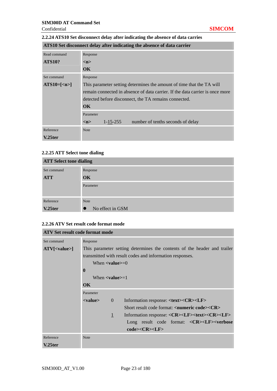## **2.2.24 ATS10 Set disconnect delay after indicating the absence of data carries**

|               | ATS10 Set disconnect delay after indicating the absence of data carrier       |  |  |  |  |  |  |
|---------------|-------------------------------------------------------------------------------|--|--|--|--|--|--|
| Read command  | Response                                                                      |  |  |  |  |  |  |
| <b>ATS10?</b> | m                                                                             |  |  |  |  |  |  |
|               | OK.                                                                           |  |  |  |  |  |  |
| Set command   | Response                                                                      |  |  |  |  |  |  |
| $ATS10=[en]$  | This parameter setting determines the amount of time that the TA will         |  |  |  |  |  |  |
|               | remain connected in absence of data carrier. If the data carrier is once more |  |  |  |  |  |  |
|               | detected before disconnect, the TA remains connected.                         |  |  |  |  |  |  |
|               | $\overline{\text{OK}}$                                                        |  |  |  |  |  |  |
|               | Parameter                                                                     |  |  |  |  |  |  |
|               | $1 - 15 - 255$<br>number of tenths seconds of delay<br>m                      |  |  |  |  |  |  |
| Reference     | <b>Note</b>                                                                   |  |  |  |  |  |  |
| $V.25$ ter    |                                                                               |  |  |  |  |  |  |

## **2.2.25 ATT Select tone dialing**

| <b>ATT Select tone dialing</b> |                               |  |  |  |  |  |
|--------------------------------|-------------------------------|--|--|--|--|--|
| Set command                    | Response                      |  |  |  |  |  |
| <b>ATT</b>                     | OK                            |  |  |  |  |  |
|                                | Parameter                     |  |  |  |  |  |
| Reference                      | <b>Note</b>                   |  |  |  |  |  |
| V.25ter                        | No effect in GSM<br>$\bullet$ |  |  |  |  |  |

## **2.2.26 ATV Set result code format mode**

| <b>ATV Set result code format mode</b> |                                                                          |                                                          |                                                                                       |  |  |
|----------------------------------------|--------------------------------------------------------------------------|----------------------------------------------------------|---------------------------------------------------------------------------------------|--|--|
| Set command                            | Response                                                                 |                                                          |                                                                                       |  |  |
| $ATV[<$ value>]                        | This parameter setting determines the contents of the header and trailer |                                                          |                                                                                       |  |  |
|                                        |                                                                          | transmitted with result codes and information responses. |                                                                                       |  |  |
|                                        | When $\langle$ value $\rangle$ =0                                        |                                                          |                                                                                       |  |  |
|                                        | $\bf{0}$                                                                 |                                                          |                                                                                       |  |  |
|                                        | When $\langle$ value $\rangle$ =1                                        |                                                          |                                                                                       |  |  |
|                                        | $\alpha$                                                                 |                                                          |                                                                                       |  |  |
|                                        | Parameter                                                                |                                                          |                                                                                       |  |  |
|                                        | <value></value>                                                          | $\Omega$                                                 | Information response: < <b>text&gt;<cr><lf></lf></cr></b>                             |  |  |
|                                        |                                                                          |                                                          | Short result code format: $\langle$ <b>numeric code&gt;<math>\langle</math>CR&gt;</b> |  |  |
|                                        |                                                                          | $\mathbf{1}$                                             | Information response: <cr><lf><text><cr><lf></lf></cr></text></lf></cr>               |  |  |
|                                        |                                                                          |                                                          | Long result code format: $\langle CR \rangle \langle LF \rangle \langle verbose$      |  |  |
|                                        |                                                                          |                                                          | code> <cr><llf></llf></cr>                                                            |  |  |
| Reference                              | <b>Note</b>                                                              |                                                          |                                                                                       |  |  |
| V.25ter                                |                                                                          |                                                          |                                                                                       |  |  |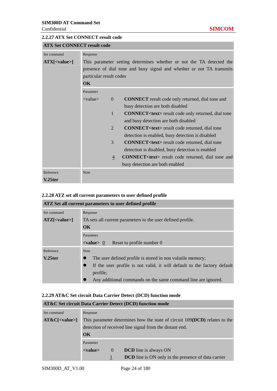m

#### **2.2.27 ATX Set CONNECT result code**

| <b>ATX Set CONNECT result code</b> |                                                                      |                |                                                                       |  |  |
|------------------------------------|----------------------------------------------------------------------|----------------|-----------------------------------------------------------------------|--|--|
| Set command                        | Response                                                             |                |                                                                       |  |  |
| $ATX[<$ value>]                    | This parameter setting determines whether or not the TA detected the |                |                                                                       |  |  |
|                                    |                                                                      |                | presence of dial tone and busy signal and whether or not TA transmits |  |  |
|                                    | particular result codes                                              |                |                                                                       |  |  |
|                                    | $\alpha$                                                             |                |                                                                       |  |  |
|                                    | Parameter                                                            |                |                                                                       |  |  |
|                                    | $\langle$ value $\rangle$                                            | $\overline{0}$ | <b>CONNECT</b> result code only returned, dial tone and               |  |  |
|                                    |                                                                      |                | busy detection are both disabled                                      |  |  |
|                                    |                                                                      | 1              | <b>CONNECT<text></text></b> result code only returned, dial tone      |  |  |
|                                    |                                                                      |                | and busy detection are both disabled                                  |  |  |
|                                    |                                                                      | $\overline{2}$ | <b>CONNECT<text></text></b> result code returned, dial tone           |  |  |
|                                    |                                                                      |                | detection is enabled, busy detection is disabled                      |  |  |
|                                    |                                                                      | 3              | <b>CONNECT<text></text></b> result code returned, dial tone           |  |  |
|                                    |                                                                      |                | detection is disabled, busy detection is enabled                      |  |  |
|                                    |                                                                      | 4              | <b>CONNECT<text></text></b> result code returned, dial tone and       |  |  |
|                                    |                                                                      |                | busy detection are both enabled                                       |  |  |
| Reference                          | <b>Note</b>                                                          |                |                                                                       |  |  |
| V.25ter                            |                                                                      |                |                                                                       |  |  |

#### **2.2.28 ATZ set all current parameters to user defined profile ATZ Set all current parameters to user defined profile**

|                 | ATZ Set all current parameters to user defined profile                                |  |  |  |  |  |  |  |
|-----------------|---------------------------------------------------------------------------------------|--|--|--|--|--|--|--|
| Set command     | Response                                                                              |  |  |  |  |  |  |  |
| $ATZ[<$ value>] | TA sets all current parameters to the user defined profile.                           |  |  |  |  |  |  |  |
|                 | $\overline{\text{OK}}$                                                                |  |  |  |  |  |  |  |
|                 | Parameter                                                                             |  |  |  |  |  |  |  |
|                 | Reset to profile number 0<br>$\langle$ value $> 0$                                    |  |  |  |  |  |  |  |
| Reference       | <b>Note</b>                                                                           |  |  |  |  |  |  |  |
| $V.25$ ter      | The user defined profile is stored in non volatile memory;                            |  |  |  |  |  |  |  |
|                 | If the user profile is not valid, it will default to the factory default<br>$\bullet$ |  |  |  |  |  |  |  |
|                 | profile;                                                                              |  |  |  |  |  |  |  |
|                 | Any additional commands on the same command line are ignored.                         |  |  |  |  |  |  |  |

### **2.2.29 AT&C Set circuit Data Carrier Detect (DCD) function mode**

| <b>AT&amp;C Set circuit Data Carrier Detect (DCD) function mode</b> |                                                                              |                  |                                                            |  |  |
|---------------------------------------------------------------------|------------------------------------------------------------------------------|------------------|------------------------------------------------------------|--|--|
| Set command                                                         | Response                                                                     |                  |                                                            |  |  |
| $AT&C[<$ value>]                                                    | This parameter determines how the state of circuit $109(DCD)$ relates to the |                  |                                                            |  |  |
|                                                                     | detection of received line signal from the distant end.                      |                  |                                                            |  |  |
|                                                                     | $\alpha$                                                                     |                  |                                                            |  |  |
|                                                                     | Parameter                                                                    |                  |                                                            |  |  |
|                                                                     | $<$ value $>$                                                                | $\left( \right)$ | <b>DCD</b> line is always ON                               |  |  |
|                                                                     |                                                                              |                  | <b>DCD</b> line is ON only in the presence of data carrier |  |  |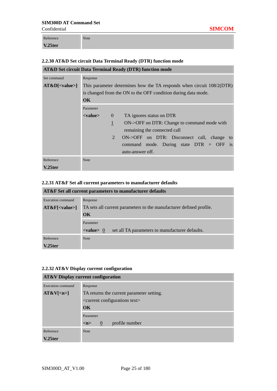Confidential **SIMCOM**

Reference **V.25ter** Note

## **2.2.30 AT&D Set circuit Data Terminal Ready (DTR) function mode**

|                  |                        |                | <b>AT&amp;D Set circuit Data Terminal Ready (DTR) function mode</b>   |
|------------------|------------------------|----------------|-----------------------------------------------------------------------|
| Set command      | Response               |                |                                                                       |
| $AT&D[<$ value>] |                        |                | This parameter determines how the TA responds when circuit 108/2(DTR) |
|                  |                        |                | is changed from the ON to the OFF condition during data mode.         |
|                  | $\overline{\text{OK}}$ |                |                                                                       |
|                  | Parameter              |                |                                                                       |
|                  | <value></value>        | $\theta$       | TA ignores status on DTR                                              |
|                  |                        | $\mathbf{1}$   | ON->OFF on DTR: Change to command mode with                           |
|                  |                        |                | remaining the connected call                                          |
|                  |                        | $\overline{2}$ | ON->OFF on DTR: Disconnect call, change to                            |
|                  |                        |                | command mode. During state $DTR = OFF$ is                             |
|                  |                        |                | auto-answer off.                                                      |
| Reference        | <b>Note</b>            |                |                                                                       |
| $V.25$ ter       |                        |                |                                                                       |

#### **2.2.31 AT&F Set all current parameters to manufacturer defaults**

| AT&F Set all current parameters to manufacturer defaults |                                                                          |  |  |
|----------------------------------------------------------|--------------------------------------------------------------------------|--|--|
| <b>Execution</b> command                                 | Response                                                                 |  |  |
| $AT&F[<$ value>]                                         | TA sets all current parameters to the manufacturer defined profile.      |  |  |
|                                                          | OK                                                                       |  |  |
|                                                          | Parameter                                                                |  |  |
|                                                          | $\langle$ value $> 0$<br>set all TA parameters to manufacturer defaults. |  |  |
| Reference                                                | <b>Note</b>                                                              |  |  |
| V.25ter                                                  |                                                                          |  |  |

#### **2.2.32 AT&V Display current configuration**

### **AT&V Display current configuration**

| Execution command    | Response                                          |  |  |
|----------------------|---------------------------------------------------|--|--|
| AT&V[ <sub>n</sub> ] | TA returns the current parameter setting.         |  |  |
|                      | <current configurations="" text=""></current>     |  |  |
|                      | OK                                                |  |  |
|                      | Parameter                                         |  |  |
|                      | profile number<br>$\theta$<br>$\langle n \rangle$ |  |  |
| Reference            | <b>Note</b>                                       |  |  |
| $V.25$ ter           |                                                   |  |  |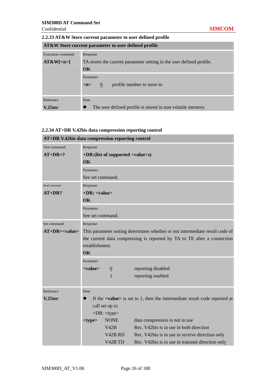a.

u.

### **2.2.33 AT&W Store current parameter to user defined profile**

| AT&W Store current parameter to user defined profile |                                                                         |  |
|------------------------------------------------------|-------------------------------------------------------------------------|--|
| Execution command                                    | Response                                                                |  |
| AT&W[ <sub>n</sub> ]                                 | TA stores the current parameter setting in the user defined profile.    |  |
|                                                      | OK                                                                      |  |
|                                                      | Parameter                                                               |  |
|                                                      | profile number to store to<br>$\langle n \rangle$<br>$\mathbf{0}$       |  |
|                                                      |                                                                         |  |
| Reference                                            | <b>Note</b>                                                             |  |
| V.25ter                                              | The user defined profile is stored in non volatile memory.<br>$\bullet$ |  |

## **2.2.34 AT+DR V.42bis data compression reporting control**

| AT+DR v.42bis data compression reporting control |                                                                                             |                                 |                                                  |  |
|--------------------------------------------------|---------------------------------------------------------------------------------------------|---------------------------------|--------------------------------------------------|--|
| <b>Test command</b>                              | Response                                                                                    |                                 |                                                  |  |
| $AT+DR=?$                                        | +DR: (list of supported <value>s)</value>                                                   |                                 |                                                  |  |
|                                                  | OK                                                                                          |                                 |                                                  |  |
|                                                  | Parameter                                                                                   |                                 |                                                  |  |
|                                                  | See set command.                                                                            |                                 |                                                  |  |
| Read command                                     | Response                                                                                    |                                 |                                                  |  |
| $AT+DR?$                                         | $+DR:$ <value></value>                                                                      |                                 |                                                  |  |
|                                                  | <b>OK</b>                                                                                   |                                 |                                                  |  |
|                                                  | Parameter                                                                                   |                                 |                                                  |  |
|                                                  | See set command.                                                                            |                                 |                                                  |  |
| Set command                                      | Response                                                                                    |                                 |                                                  |  |
| $AT+DR = < value>$                               | This parameter setting determines whether or not intermediate result code of                |                                 |                                                  |  |
|                                                  | the current data compressing is reported by TA to TE after a connection                     |                                 |                                                  |  |
|                                                  | establishment.                                                                              |                                 |                                                  |  |
|                                                  | OK                                                                                          |                                 |                                                  |  |
|                                                  | Parameter                                                                                   |                                 |                                                  |  |
|                                                  | <value></value>                                                                             | $\underline{0}$                 | reporting disabled                               |  |
|                                                  |                                                                                             | $\mathbf{1}$                    | reporting enabled                                |  |
|                                                  |                                                                                             |                                 |                                                  |  |
| Reference                                        | Note                                                                                        |                                 |                                                  |  |
| $V.25$ ter                                       | If the $\langle$ value $\rangle$ is set to 1, then the intermediate result code reported at |                                 |                                                  |  |
|                                                  | call set up is:                                                                             |                                 |                                                  |  |
|                                                  | $+DR: <$ type $>$                                                                           |                                 |                                                  |  |
|                                                  | $<$ type $>$                                                                                | <b>NONE</b>                     | data compression is not in use                   |  |
|                                                  |                                                                                             | V42B                            | Rec. V42bis is in use in both direction          |  |
|                                                  |                                                                                             | V <sub>42</sub> B <sub>RD</sub> | Rec. V42bis is in use in receive direction only  |  |
|                                                  |                                                                                             | V <sub>42</sub> B TD            | Rec. V42bis is in use in transmit direction only |  |

#### **AT+DR V.42bis data compression reporting control**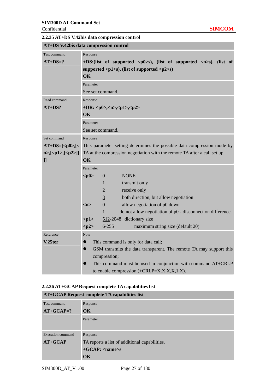$\overline{a}$ 

÷

|  |  |  | 2.2.35 AT+DS V.42bis data compression control |  |
|--|--|--|-----------------------------------------------|--|
|--|--|--|-----------------------------------------------|--|

| AT+DS V.42bis data compression control |                                                                                                   |                                                                           |  |  |  |
|----------------------------------------|---------------------------------------------------------------------------------------------------|---------------------------------------------------------------------------|--|--|--|
| <b>Test command</b>                    | Response                                                                                          |                                                                           |  |  |  |
| $AT+DS=?$                              | +DS:(list of supported $\langle p0\rangle$ s), (list of supported $\langle n\rangle$ s), (list of |                                                                           |  |  |  |
|                                        | supported $\langle p1\rangle$ s), (list of supported $\langle p2\rangle$ s)                       |                                                                           |  |  |  |
|                                        | OK                                                                                                |                                                                           |  |  |  |
|                                        | Parameter                                                                                         |                                                                           |  |  |  |
|                                        |                                                                                                   | See set command.                                                          |  |  |  |
| Read command                           | Response                                                                                          |                                                                           |  |  |  |
| $AT+DS?$                               |                                                                                                   | +DR: <p0>,<n>,<p1>,<p2></p2></p1></n></p0>                                |  |  |  |
|                                        | OK                                                                                                |                                                                           |  |  |  |
|                                        | Parameter                                                                                         |                                                                           |  |  |  |
|                                        |                                                                                                   | See set command.                                                          |  |  |  |
| Set command                            | Response                                                                                          |                                                                           |  |  |  |
| $AT+DS=[,[<]$                          |                                                                                                   | This parameter setting determines the possible data compression mode by   |  |  |  |
| $n >$ , [ <p1>, [<p2>]]</p2></p1>      |                                                                                                   | TA at the compression negotiation with the remote TA after a call set up. |  |  |  |
| $_{\rm ll}$                            | OK                                                                                                |                                                                           |  |  |  |
|                                        | Parameter                                                                                         |                                                                           |  |  |  |
|                                        | < p0                                                                                              | $\overline{0}$<br><b>NONE</b>                                             |  |  |  |
|                                        |                                                                                                   | transmit only<br>1                                                        |  |  |  |
|                                        |                                                                                                   | $\overline{2}$<br>receive only                                            |  |  |  |
|                                        |                                                                                                   | $\overline{3}$<br>both direction, but allow negotiation                   |  |  |  |
|                                        | m                                                                                                 | $\underline{0}$<br>allow negotiation of p0 down                           |  |  |  |
|                                        |                                                                                                   | $\mathbf{1}$<br>do not allow negotiation of p0 - disconnect on difference |  |  |  |
|                                        | < p1>                                                                                             | 512-2048 dictionary size                                                  |  |  |  |
|                                        | < p2>                                                                                             | $6 - 255$<br>maximum string size (default 20)                             |  |  |  |
| Reference                              | <b>Note</b>                                                                                       |                                                                           |  |  |  |
| V.25ter                                | This command is only for data call;<br>$\bullet$                                                  |                                                                           |  |  |  |
|                                        | GSM transmits the data transparent. The remote TA may support this<br>$\bullet$                   |                                                                           |  |  |  |
|                                        | compression;                                                                                      |                                                                           |  |  |  |
|                                        | $\bullet$                                                                                         | This command must be used in conjunction with command AT+CRLP             |  |  |  |
|                                        | to enable compression $(+\text{CRLP=X}, X, X, X, 1, X)$ .                                         |                                                                           |  |  |  |

## **2.2.36 AT+GCAP Request complete TA capabilities list**

| <b>AT+GCAP Request complete TA capabilities list</b> |                                               |  |
|------------------------------------------------------|-----------------------------------------------|--|
| Test command                                         | Response                                      |  |
| $AT+GCAP=?$                                          | $\overline{\textbf{OK}}$                      |  |
|                                                      | Parameter                                     |  |
| <b>Execution</b> command                             | Response                                      |  |
| $AT+GCAP$                                            | TA reports a list of additional capabilities. |  |
|                                                      | $+GCAP:$ <name>s</name>                       |  |
|                                                      | OK                                            |  |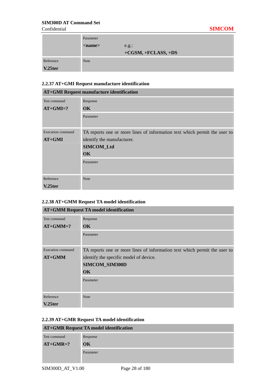|           | Parameter                |                       |
|-----------|--------------------------|-----------------------|
|           | $\langle$ name $\rangle$ | e.g.:                 |
|           |                          | $+CGSM, +FCLASS, +DS$ |
| Reference | <b>Note</b>              |                       |
| V.25ter   |                          |                       |

## **2.2.37 AT+GMI Request manufacture identification**

|                          | <b>AT+GMI Request manufacture identification</b>                          |
|--------------------------|---------------------------------------------------------------------------|
| Test command             | Response                                                                  |
| $AT+GMI=?$               | OK.                                                                       |
|                          | Parameter                                                                 |
|                          |                                                                           |
| <b>Execution command</b> | TA reports one or more lines of information text which permit the user to |
| $AT+GMI$                 | identify the manufacturer.                                                |
|                          | SIMCOM_Ltd                                                                |
|                          | $\overline{\text{OK}}$                                                    |
|                          | Parameter                                                                 |
|                          |                                                                           |
| Reference                | Note                                                                      |
| $V.25$ ter               |                                                                           |

## **2.2.38 AT+GMM Request TA model identification**

| <b>AT+GMM Request TA model identification</b> |                                                                           |  |
|-----------------------------------------------|---------------------------------------------------------------------------|--|
| Test command                                  | Response                                                                  |  |
| $AT+GMM=?$                                    | $\overline{\text{OK}}$                                                    |  |
|                                               | Parameter                                                                 |  |
|                                               |                                                                           |  |
| <b>Execution command</b>                      | TA reports one or more lines of information text which permit the user to |  |
| $AT+GMM$                                      | identify the specific model of device.                                    |  |
|                                               | SIMCOM_SIM300D                                                            |  |
|                                               | $\overline{\text{OK}}$                                                    |  |
|                                               | Parameter                                                                 |  |
|                                               |                                                                           |  |
| Reference                                     | <b>Note</b>                                                               |  |
| $V.25$ ter                                    |                                                                           |  |

## **2.2.39 AT+GMR Request TA model identification**

| <b>AT+GMR Request TA model identification</b> |           |
|-----------------------------------------------|-----------|
| Test command                                  | Response  |
| $AT+GMR=?$                                    | OK        |
|                                               | Parameter |
|                                               |           |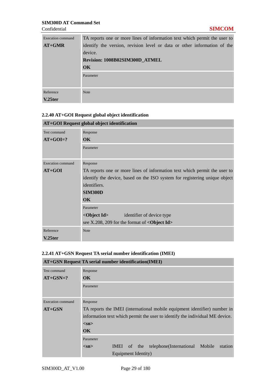| Execution command | TA reports one or more lines of information text which permit the user to |
|-------------------|---------------------------------------------------------------------------|
| $AT+GMR$          | identify the version, revision level or data or other information of the  |
|                   | device.                                                                   |
|                   | Revision: 1008B02SIM300D ATMEL                                            |
|                   | OK                                                                        |
|                   | Parameter                                                                 |
|                   |                                                                           |
| Reference         |                                                                           |
|                   | <b>Note</b>                                                               |
| V.25ter           |                                                                           |

### **2.2.40 AT+GOI Request global object identification**

| AT+GOI Request global object identification |                                                                            |  |  |  |
|---------------------------------------------|----------------------------------------------------------------------------|--|--|--|
| Test command                                | Response                                                                   |  |  |  |
| $AT+GOI=?$                                  | $\overline{\text{OK}}$                                                     |  |  |  |
|                                             | Parameter                                                                  |  |  |  |
|                                             |                                                                            |  |  |  |
| Execution command                           | Response                                                                   |  |  |  |
| $AT+GOI$                                    | TA reports one or more lines of information text which permit the user to  |  |  |  |
|                                             | identify the device, based on the ISO system for registering unique object |  |  |  |
|                                             | identifiers.                                                               |  |  |  |
|                                             | <b>SIM300D</b>                                                             |  |  |  |
|                                             | $\overline{\text{OK}}$                                                     |  |  |  |
|                                             | Parameter                                                                  |  |  |  |
|                                             | <object id=""><br/>identifier of device type</object>                      |  |  |  |
|                                             | see X.208, 209 for the format of $\langle$ Object Id $\rangle$             |  |  |  |
| Reference                                   | <b>Note</b>                                                                |  |  |  |
| $V.25$ ter                                  |                                                                            |  |  |  |

## **2.2.41 AT+GSN Request TA serial number identification (IMEI)**

| <b>AT+GSN Request TA serial number identification(IMEI)</b> |                                                                              |  |  |
|-------------------------------------------------------------|------------------------------------------------------------------------------|--|--|
| Test command                                                | Response                                                                     |  |  |
| $AT+GSN=?$                                                  | $\overline{\textbf{OK}}$                                                     |  |  |
|                                                             | Parameter                                                                    |  |  |
|                                                             |                                                                              |  |  |
| <b>Execution command</b>                                    | Response                                                                     |  |  |
| $AT+GSN$                                                    | TA reports the IMEI (international mobile equipment identifier) number in    |  |  |
|                                                             | information text which permit the user to identify the individual ME device. |  |  |
|                                                             | $<$ sn $>$                                                                   |  |  |
|                                                             | $\alpha$                                                                     |  |  |
|                                                             | Parameter                                                                    |  |  |
|                                                             | telephone(International Mobile)<br>station<br>IMEI of the<br>$<$ sn $>$      |  |  |
|                                                             | Equipment Identity)                                                          |  |  |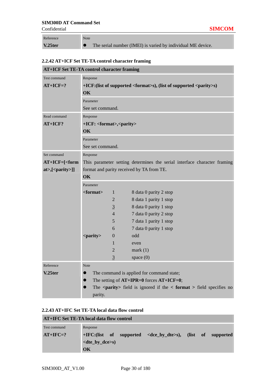Confidential **SIMCOM**

| Reference  | <b>Note</b>                                                 |
|------------|-------------------------------------------------------------|
| $V.25$ ter | The serial number (IMEI) is varied by individual ME device. |

## **2.2.42 AT+ICF Set TE-TA control character framing**

| <b>AT+ICF Set TE-TA control character framing</b> |                                                                                     |                                           |                                                                                               |  |
|---------------------------------------------------|-------------------------------------------------------------------------------------|-------------------------------------------|-----------------------------------------------------------------------------------------------|--|
| Test command                                      | Response                                                                            |                                           |                                                                                               |  |
| $AT+ICF=?$                                        | +ICF:(list of supported <format>s), (list of supported <parity>s)</parity></format> |                                           |                                                                                               |  |
|                                                   | OK                                                                                  |                                           |                                                                                               |  |
|                                                   | Parameter                                                                           |                                           |                                                                                               |  |
|                                                   | See set command.                                                                    |                                           |                                                                                               |  |
| Read command                                      | Response                                                                            |                                           |                                                                                               |  |
| AT+ICF?                                           |                                                                                     | +ICF: <format>,<parity></parity></format> |                                                                                               |  |
|                                                   | OK                                                                                  |                                           |                                                                                               |  |
|                                                   | Parameter                                                                           |                                           |                                                                                               |  |
|                                                   | See set command.                                                                    |                                           |                                                                                               |  |
| Set command                                       | Response                                                                            |                                           |                                                                                               |  |
| $AT+ICF = \n[ form$                               |                                                                                     |                                           | This parameter setting determines the serial interface character framing                      |  |
| at>,[ <parity>]]</parity>                         |                                                                                     |                                           | format and parity received by TA from TE.                                                     |  |
|                                                   | OK                                                                                  |                                           |                                                                                               |  |
|                                                   | Parameter                                                                           |                                           |                                                                                               |  |
|                                                   | <format></format>                                                                   | $\mathbf{1}$                              | 8 data 0 parity 2 stop                                                                        |  |
|                                                   |                                                                                     | 2                                         | 8 data 1 parity 1 stop                                                                        |  |
|                                                   |                                                                                     | $\overline{3}$                            | 8 data 0 parity 1 stop                                                                        |  |
|                                                   |                                                                                     | $\overline{4}$                            | 7 data 0 parity 2 stop                                                                        |  |
|                                                   |                                                                                     | 5                                         | 7 data 1 parity 1 stop                                                                        |  |
|                                                   |                                                                                     | 6                                         | 7 data 0 parity 1 stop                                                                        |  |
|                                                   | <parity></parity>                                                                   | $\Omega$                                  | odd                                                                                           |  |
|                                                   |                                                                                     | $\mathbf{1}$                              | even                                                                                          |  |
|                                                   |                                                                                     | $\overline{2}$                            | mark(1)                                                                                       |  |
|                                                   |                                                                                     | 3                                         | space $(0)$                                                                                   |  |
| Reference                                         | <b>Note</b>                                                                         |                                           |                                                                                               |  |
| V.25ter                                           | $\bullet$                                                                           |                                           | The command is applied for command state;                                                     |  |
|                                                   | The setting of $AT+IPR=0$ forces $AT+ICF=0$ ;<br>$\bullet$                          |                                           |                                                                                               |  |
|                                                   | $\bullet$                                                                           |                                           | The $\epsilon$ <b>parity</b> field is ignored if the $\epsilon$ format $>$ field specifies no |  |
|                                                   | parity.                                                                             |                                           |                                                                                               |  |

|  |  | 2.2.43 AT+IFC Set TE-TA local data flow control |
|--|--|-------------------------------------------------|
|--|--|-------------------------------------------------|

| AT+IFC Set TE-TA local data flow control |                                                                            |  |  |
|------------------------------------------|----------------------------------------------------------------------------|--|--|
| Test command                             | Response                                                                   |  |  |
| $AT+IFC=?$                               | $+IFC$ :(list of supported <dce_by_dte>s), (list of supported</dce_by_dte> |  |  |
|                                          | $\langle$ dte_by_dce>s)                                                    |  |  |
|                                          | OK                                                                         |  |  |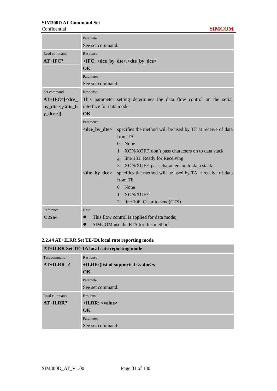|                                                                             | Parameter                                                 |                                                                       |  |  |
|-----------------------------------------------------------------------------|-----------------------------------------------------------|-----------------------------------------------------------------------|--|--|
|                                                                             | See set command.                                          |                                                                       |  |  |
| Read command                                                                | Response                                                  |                                                                       |  |  |
| $AT+IFC?$                                                                   | +IFC: <dce_by_dte>,<dte_by_dce></dte_by_dce></dce_by_dte> |                                                                       |  |  |
|                                                                             | OK                                                        |                                                                       |  |  |
|                                                                             | Parameter                                                 |                                                                       |  |  |
|                                                                             | See set command.                                          |                                                                       |  |  |
| Set command                                                                 | Response                                                  |                                                                       |  |  |
| $AT+IFC = [\langle dce \rangle]$                                            |                                                           | This parameter setting determines the data flow control on the serial |  |  |
| by_dte>[, <dte_b< th=""><th>interface for data mode.</th><th></th></dte_b<> | interface for data mode.                                  |                                                                       |  |  |
| $y_dce>]]$                                                                  | $\overline{\text{OK}}$                                    |                                                                       |  |  |
|                                                                             | Parameter                                                 |                                                                       |  |  |
|                                                                             | <dce_by_dte></dce_by_dte>                                 | specifies the method will be used by TE at receive of data            |  |  |
|                                                                             |                                                           | from TA                                                               |  |  |
|                                                                             |                                                           | None<br>$\Omega$                                                      |  |  |
|                                                                             |                                                           | XON/XOFF, don't pass characters on to data stack<br>$\mathbf{1}$      |  |  |
|                                                                             |                                                           | line 133: Ready for Receiving<br>$\overline{2}$                       |  |  |
|                                                                             |                                                           | 3<br>XON/XOFF, pass characters on to data stack                       |  |  |
|                                                                             | <dte_by_dce></dte_by_dce>                                 | specifies the method will be used by TA at receive of data            |  |  |
|                                                                             |                                                           | from TE                                                               |  |  |
|                                                                             |                                                           | None<br>0                                                             |  |  |
|                                                                             |                                                           | XON/XOFF<br>$\mathbf{1}$                                              |  |  |
|                                                                             |                                                           | line 106: Clear to send(CTS)<br>$\overline{2}$                        |  |  |
| Reference                                                                   | Note                                                      |                                                                       |  |  |
| V.25ter                                                                     | This flow control is applied for data mode;               |                                                                       |  |  |
|                                                                             | SIMCOM use the RTS for this method.                       |                                                                       |  |  |

## **2.2.44 AT+ILRR Set TE-TA local rate reporting mode**

| <b>AT+ILRR Set TE-TA local rate reporting mode</b> |                                            |  |  |
|----------------------------------------------------|--------------------------------------------|--|--|
| Test command                                       | Response                                   |  |  |
| $AT+ILRR=?$                                        | +ILRR: (list of supported <value>s</value> |  |  |
|                                                    | $\overline{\text{OK}}$                     |  |  |
|                                                    | Parameter                                  |  |  |
|                                                    | See set command.                           |  |  |
| Read command                                       | Response                                   |  |  |
| $AT+ILRR?$                                         | $+ILRR:$ $\langle$ value $\rangle$         |  |  |
|                                                    | $\overline{\text{OK}}$                     |  |  |
|                                                    | Parameter                                  |  |  |
|                                                    | See set command.                           |  |  |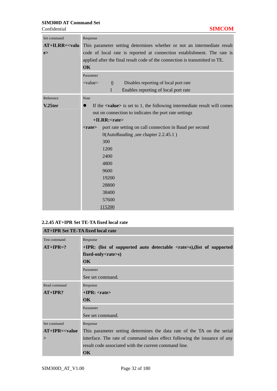| Set command      | Response                                                                                                |  |  |
|------------------|---------------------------------------------------------------------------------------------------------|--|--|
| $AT+ILRR=<$ valu | This parameter setting determines whether or not an intermediate result                                 |  |  |
| e                | code of local rate is reported at connection establishment. The rate is                                 |  |  |
|                  | applied after the final result code of the connection is transmitted to TE.                             |  |  |
|                  | $\overline{\text{OK}}$                                                                                  |  |  |
|                  | Parameter                                                                                               |  |  |
|                  | $\langle$ value $\rangle$<br>$\underline{0}$<br>Disables reporting of local port rate                   |  |  |
|                  | $\mathbf{1}$<br>Enables reporting of local port rate                                                    |  |  |
| Reference        | <b>Note</b>                                                                                             |  |  |
| V.25ter          | If the $\langle$ value $\rangle$ is set to 1, the following intermediate result will comes<br>$\bullet$ |  |  |
|                  | out on connection to indicates the port rate settings                                                   |  |  |
|                  | +ILRR: <rate></rate>                                                                                    |  |  |
|                  | port rate setting on call connection in Baud per second<br>$<$ rate $>$                                 |  |  |
|                  | 0(AutoBauding, see chapter 2.2.45.1)                                                                    |  |  |
|                  | 300                                                                                                     |  |  |
|                  | 1200                                                                                                    |  |  |
|                  | 2400                                                                                                    |  |  |
|                  | 4800                                                                                                    |  |  |
|                  | 9600                                                                                                    |  |  |
|                  | 19200                                                                                                   |  |  |
|                  | 28800                                                                                                   |  |  |
|                  | 38400                                                                                                   |  |  |
|                  | 57600                                                                                                   |  |  |
|                  | 115200                                                                                                  |  |  |

## **2.2.45 AT+IPR Set TE-TA fixed local rate**

| AT+IPR Set TE-TA fixed local rate |                                                                                                   |  |  |
|-----------------------------------|---------------------------------------------------------------------------------------------------|--|--|
| Test command                      | Response                                                                                          |  |  |
| $AT+IPR=?$                        | $+ IPR$ : (list of supported auto detectable $\langle \text{rate} \rangle$ s), (list of supported |  |  |
|                                   | fixed-only <rate>s)</rate>                                                                        |  |  |
|                                   | $\overline{\text{OK}}$                                                                            |  |  |
|                                   | Parameter                                                                                         |  |  |
|                                   | See set command.                                                                                  |  |  |
| Read command                      | Response                                                                                          |  |  |
| $AT+IPR?$                         | $+IPR: <$ rate>                                                                                   |  |  |
|                                   | $\overline{\text{OK}}$                                                                            |  |  |
|                                   | Parameter                                                                                         |  |  |
|                                   | See set command.                                                                                  |  |  |
| Set command                       | Response                                                                                          |  |  |
| $AT+IPR=$                         | This parameter setting determines the data rate of the TA on the serial                           |  |  |
| $\geq$                            | interface. The rate of command takes effect following the issuance of any                         |  |  |
|                                   | result code associated with the current command line.                                             |  |  |
|                                   | $\alpha$                                                                                          |  |  |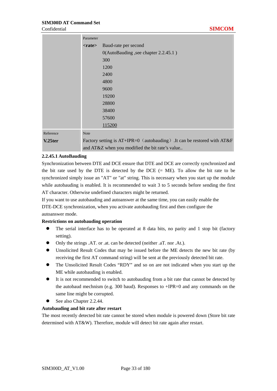|           | Parameter    |                                                                         |
|-----------|--------------|-------------------------------------------------------------------------|
|           | $<$ rate $>$ | Baud-rate per second                                                    |
|           |              | 0(AutoBauding, see chapter 2.2.45.1)                                    |
|           |              | 300                                                                     |
|           |              | 1200                                                                    |
|           |              | 2400                                                                    |
|           |              | 4800                                                                    |
|           |              | 9600                                                                    |
|           |              | 19200                                                                   |
|           |              | 28800                                                                   |
|           |              | 38400                                                                   |
|           |              | 57600                                                                   |
|           |              | 115200                                                                  |
| Reference | <b>Note</b>  |                                                                         |
| V.25ter   |              | Factory setting is AT+IPR=0 (autobauding) .It can be restored with AT&F |
|           |              | and AT&Z when you modified the bit rate's value                         |

#### **2.2.45.1 AutoBauding**

Synchronization between DTE and DCE ensure that DTE and DCE are correctly synchronized and the bit rate used by the DTE is detected by the DCE  $(= ME)$ . To allow the bit rate to be synchronized simply issue an "AT" or "at" string. This is necessary when you start up the module while autobauding is enabled. It is recommended to wait 3 to 5 seconds before sending the first AT character. Otherwise undefined characters might be returned.

If you want to use autobauding and autoanswer at the same time, you can easily enable the DTE-DCE synchronization, when you activate autobauding first and then configure the

## autoanswer mode.

### **Restrictions on autobauding operation**

- The serial interface has to be operated at 8 data bits, no parity and 1 stop bit (factory setting).
- Only the strings .AT. or .at. can be detected (neither .aT. nor .At.).
- Unsolicited Result Codes that may be issued before the ME detects the new bit rate (by receiving the first AT command string) will be sent at the previously detected bit rate.
- The Unsolicited Result Codes "RDY" and so on are not indicated when you start up the ME while autobauding is enabled.
- It is not recommended to switch to autobauding from a bit rate that cannot be detected by the autobaud mechnism (e.g. 300 baud). Responses to +IPR=0 and any commands on the same line might be corrupted.
- See also Chapter 2.2.44.

#### **Autobauding and bit rate after restart**

The most recently detected bit rate cannot be stored when module is powered down (Store bit rate determined with AT&W). Therefore, module will detect bit rate again after restart.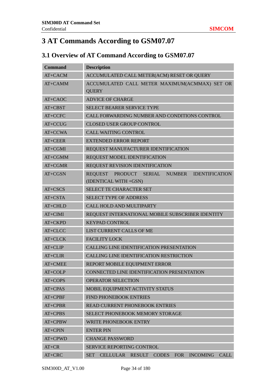## **3 AT Commands According to GSM07.07**

## **3.1 Overview of AT Command According to GSM07.07**

| <b>Command</b> | <b>Description</b>                                                              |  |  |  |  |
|----------------|---------------------------------------------------------------------------------|--|--|--|--|
| AT+CACM        | ACCUMULATED CALL METER(ACM) RESET OR QUERY                                      |  |  |  |  |
| $AT+CAMM$      | ACCUMULATED CALL METER MAXIMUM(ACMMAX) SET OR<br><b>QUERY</b>                   |  |  |  |  |
| AT+CAOC        | <b>ADVICE OF CHARGE</b>                                                         |  |  |  |  |
| AT+CBST        | <b>SELECT BEARER SERVICE TYPE</b>                                               |  |  |  |  |
| AT+CCFC        | CALL FORWARDING NUMBER AND CONDITIONS CONTROL                                   |  |  |  |  |
| AT+CCUG        | <b>CLOSED USER GROUP CONTROL</b>                                                |  |  |  |  |
| AT+CCWA        | <b>CALL WAITING CONTROL</b>                                                     |  |  |  |  |
| AT+CEER        | <b>EXTENDED ERROR REPORT</b>                                                    |  |  |  |  |
| $AT+CGMI$      | REQUEST MANUFACTURER IDENTIFICATION                                             |  |  |  |  |
| AT+CGMM        | REQUEST MODEL IDENTIFICATION                                                    |  |  |  |  |
| $AT+CGMR$      | REQUEST REVISION IDENTIFICATION                                                 |  |  |  |  |
| AT+CGSN        | REQUEST PRODUCT SERIAL NUMBER<br><b>IDENTIFICATION</b><br>(IDENTICAL WITH +GSN) |  |  |  |  |
| AT+CSCS        | <b>SELECT TE CHARACTER SET</b>                                                  |  |  |  |  |
| AT+CSTA        | <b>SELECT TYPE OF ADDRESS</b>                                                   |  |  |  |  |
| $AT+CHLD$      | CALL HOLD AND MULTIPARTY                                                        |  |  |  |  |
| $AT+CIMI$      | REQUEST INTERNATIONAL MOBILE SUBSCRIBER IDENTITY                                |  |  |  |  |
| AT+CKPD        | <b>KEYPAD CONTROL</b>                                                           |  |  |  |  |
| AT+CLCC        | LIST CURRENT CALLS OF ME                                                        |  |  |  |  |
| AT+CLCK        | <b>FACILITY LOCK</b>                                                            |  |  |  |  |
| $AT+CLIP$      | CALLING LINE IDENTIFICATION PRESENTATION                                        |  |  |  |  |
| AT+CLIR        | CALLING LINE IDENTIFICATION RESTRICTION                                         |  |  |  |  |
| AT+CMEE        | REPORT MOBILE EQUIPMENT ERROR                                                   |  |  |  |  |
| AT+COLP        | CONNECTED LINE IDENTIFICATION PRESENTATION                                      |  |  |  |  |
| AT+COPS        | OPERATOR SELECTION                                                              |  |  |  |  |
| AT+CPAS        | MOBIL EQUIPMENT ACTIVITY STATUS                                                 |  |  |  |  |
| AT+CPBF        | <b>FIND PHONEBOOK ENTRIES</b>                                                   |  |  |  |  |
| AT+CPBR        | <b>READ CURRENT PHONEBOOK ENTRIES</b>                                           |  |  |  |  |
| AT+CPBS        | SELECT PHONEBOOK MEMORY STORAGE                                                 |  |  |  |  |
| AT+CPBW        | <b>WRITE PHONEBOOK ENTRY</b>                                                    |  |  |  |  |
| AT+CPIN        | <b>ENTER PIN</b>                                                                |  |  |  |  |
| AT+CPWD        | <b>CHANGE PASSWORD</b>                                                          |  |  |  |  |
| $AT+CR$        | SERVICE REPORTING CONTROL                                                       |  |  |  |  |
| AT+CRC         | <b>CALL</b><br>CELLULAR RESULT CODES FOR<br><b>INCOMING</b><br><b>SET</b>       |  |  |  |  |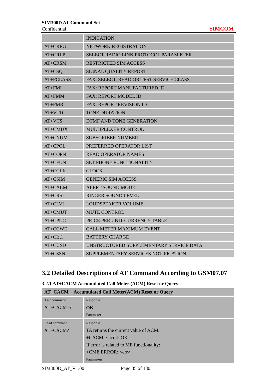|            | <b>INDICATION</b>                            |  |
|------------|----------------------------------------------|--|
| AT+CREG    | NETWORK REGISTRATION                         |  |
| AT+CRLP    | <b>SELECT RADIO LINK PROTOCOL PARAM.ETER</b> |  |
| $AT+CRSM$  | RESTRICTED SIM ACCESS                        |  |
| $AT+CSQ$   | SIGNAL QUALITY REPORT                        |  |
| AT+FCLASS  | FAX: SELECT, READ OR TEST SERVICE CLASS      |  |
| $AT + FMI$ | <b>FAX: REPORT MANUFACTURED ID</b>           |  |
| $AT+FMM$   | <b>FAX: REPORT MODEL ID</b>                  |  |
| $AT + FMR$ | <b>FAX: REPORT REVISION ID</b>               |  |
| $AT+VTD$   | <b>TONE DURATION</b>                         |  |
| $AT+VTS$   | <b>DTMF AND TONE GENERATION</b>              |  |
| AT+CMUX    | MULTIPLEXER CONTROL                          |  |
| AT+CNUM    | <b>SUBSCRIBER NUMBER</b>                     |  |
| AT+CPOL    | PREFERRED OPERATOR LIST                      |  |
| AT+COPN    | <b>READ OPERATOR NAMES</b>                   |  |
| $AT+CFUN$  | <b>SET PHONE FUNCTIONALITY</b>               |  |
| $AT+CCLK$  | <b>CLOCK</b>                                 |  |
| AT+CSIM    | <b>GENERIC SIM ACCESS</b>                    |  |
| AT+CALM    | <b>ALERT SOUND MODE</b>                      |  |
| AT+CRSL    | <b>RINGER SOUND LEVEL</b>                    |  |
| AT+CLVL    | <b>LOUDSPEAKER VOLUME</b>                    |  |
| AT+CMUT    | <b>MUTE CONTROL</b>                          |  |
| AT+CPUC    | PRICE PER UNIT CURRENCY TABLE                |  |
| AT+CCWE    | <b>CALL METER MAXIMUM EVENT</b>              |  |
| $AT+CBC$   | <b>BATTERY CHARGE</b>                        |  |
| AT+CUSD    | UNSTRUCTURED SUPPLEMENTARY SERVICE DATA      |  |
| $AT+CSSN$  | SUPPLEMENTARY SERVICES NOTIFICATION          |  |

## **3.2 Detailed Descriptions of AT Command According to GSM07.07**

| <b>AT+CACM</b> Accumulated Call Meter(ACM) Reset or Query |                                          |  |  |  |
|-----------------------------------------------------------|------------------------------------------|--|--|--|
| Test command                                              | Response                                 |  |  |  |
| $AT+CACM=?$                                               | $\alpha$                                 |  |  |  |
|                                                           | Parameter                                |  |  |  |
| Read command                                              | Response                                 |  |  |  |
| $AT+CACM?$                                                | TA returns the current value of ACM.     |  |  |  |
|                                                           | $+CACM:$ < acm > OK                      |  |  |  |
|                                                           | If error is related to ME functionality: |  |  |  |
|                                                           | $+CME$ ERROR: $\langle$ err $>$          |  |  |  |
|                                                           | Parameters                               |  |  |  |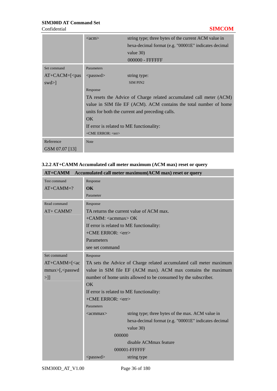|                  | $\langle \text{acm} \rangle$                                                                      | string type; three bytes of the current ACM value in |  |  |
|------------------|---------------------------------------------------------------------------------------------------|------------------------------------------------------|--|--|
|                  |                                                                                                   | hexa-decimal format (e.g. "00001E" indicates decimal |  |  |
|                  |                                                                                                   | value 30)                                            |  |  |
|                  |                                                                                                   | 000000 - FFFFFF                                      |  |  |
| Set command      | Parameters                                                                                        |                                                      |  |  |
| $AT+CACM=[<$ pas | $<$ passwd $>$                                                                                    | string type:                                         |  |  |
| $swd>\lbrack$    |                                                                                                   | <b>SIM PIN2</b>                                      |  |  |
|                  | Response                                                                                          |                                                      |  |  |
|                  | TA resets the Advice of Charge related accumulated call meter (ACM)                               |                                                      |  |  |
|                  | value in SIM file EF (ACM). ACM contains the total number of home                                 |                                                      |  |  |
|                  | units for both the current and preceding calls.<br>OK<br>If error is related to ME functionality: |                                                      |  |  |
|                  |                                                                                                   |                                                      |  |  |
|                  |                                                                                                   |                                                      |  |  |
|                  | $+$ CME ERROR: $\langle$ err $>$                                                                  |                                                      |  |  |
| Reference        | Note                                                                                              |                                                      |  |  |
| GSM 07.07 [13]   |                                                                                                   |                                                      |  |  |

| 3.2.2 AT+CAMM Accumulated call meter maximum (ACM max) reset or query |  |
|-----------------------------------------------------------------------|--|
|                                                                       |  |

| AT+CAMM Accumulated call meter maximum(ACM max) reset or query                                                     |                                                                     |                                                      |  |  |  |
|--------------------------------------------------------------------------------------------------------------------|---------------------------------------------------------------------|------------------------------------------------------|--|--|--|
| Test command                                                                                                       | Response                                                            |                                                      |  |  |  |
| $AT+CAMM=?$                                                                                                        | $\alpha$                                                            |                                                      |  |  |  |
|                                                                                                                    | Parameter                                                           |                                                      |  |  |  |
| Read command                                                                                                       | Response                                                            |                                                      |  |  |  |
| AT+ CAMM?                                                                                                          | TA returns the current value of ACM max.                            |                                                      |  |  |  |
|                                                                                                                    | $+CAMM$ : <acmmax> OK</acmmax>                                      |                                                      |  |  |  |
|                                                                                                                    | If error is related to ME functionality:                            |                                                      |  |  |  |
|                                                                                                                    | $+$ CME ERROR: $\langle$ err $>$                                    |                                                      |  |  |  |
|                                                                                                                    | Parameters                                                          |                                                      |  |  |  |
|                                                                                                                    | see set command                                                     |                                                      |  |  |  |
| Set command                                                                                                        | Response                                                            |                                                      |  |  |  |
| $AT+CAMM=[ac]$                                                                                                     | TA sets the Advice of Charge related accumulated call meter maximum |                                                      |  |  |  |
| mmax>[, <passwd< th=""><th colspan="3">value in SIM file EF (ACM max). ACM max contains the maximum</th></passwd<> | value in SIM file EF (ACM max). ACM max contains the maximum        |                                                      |  |  |  |
| $>$ ]]                                                                                                             | number of home units allowed to be consumed by the subscriber.      |                                                      |  |  |  |
|                                                                                                                    | OK                                                                  |                                                      |  |  |  |
|                                                                                                                    | If error is related to ME functionality:                            |                                                      |  |  |  |
|                                                                                                                    | +CME ERROR: <err></err>                                             |                                                      |  |  |  |
|                                                                                                                    | Parameters                                                          |                                                      |  |  |  |
|                                                                                                                    | $\alpha$ cmmax $>$                                                  | string type; three bytes of the max. ACM value in    |  |  |  |
|                                                                                                                    |                                                                     | hexa-decimal format (e.g. "00001E" indicates decimal |  |  |  |
|                                                                                                                    |                                                                     | value 30)                                            |  |  |  |
|                                                                                                                    | 000000                                                              |                                                      |  |  |  |
|                                                                                                                    |                                                                     | disable ACMmax feature                               |  |  |  |
|                                                                                                                    | 000001-FFFFFFF                                                      |                                                      |  |  |  |
|                                                                                                                    | $<$ passwd $>$                                                      | string type                                          |  |  |  |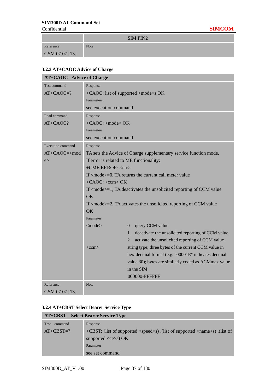**The Common State** 

 $SIM DIN2$ 

|                | $\sum_{i=1}^{n}$ |
|----------------|------------------|
| Reference      | <b>Note</b>      |
| GSM 07.07 [13] |                  |

## **3.2.3 AT+CAOC Advice of Charge**

| <b>AT+CAOC</b> Advice of Charge |                                                                                     |                                                                   |  |  |
|---------------------------------|-------------------------------------------------------------------------------------|-------------------------------------------------------------------|--|--|
| <b>Test command</b>             | Response                                                                            |                                                                   |  |  |
| $AT+CAOC=?$                     | +CAOC: list of supported <mode>s OK</mode>                                          |                                                                   |  |  |
|                                 | Parameters                                                                          |                                                                   |  |  |
|                                 | see execution command                                                               |                                                                   |  |  |
| Read command                    | Response                                                                            |                                                                   |  |  |
| AT+CAOC?                        | +CAOC: <mode> OK</mode>                                                             |                                                                   |  |  |
|                                 | Parameters                                                                          |                                                                   |  |  |
|                                 | see execution command                                                               |                                                                   |  |  |
| <b>Execution command</b>        | Response                                                                            |                                                                   |  |  |
| $AT+CAOC=\nmod$                 |                                                                                     | TA sets the Advice of Charge supplementary service function mode. |  |  |
| e                               | If error is related to ME functionality:                                            |                                                                   |  |  |
|                                 | +CME ERROR: <err></err>                                                             |                                                                   |  |  |
|                                 | If <mode>=0, TA returns the current call meter value</mode>                         |                                                                   |  |  |
|                                 | $+CAOC: OK$                                                                         |                                                                   |  |  |
|                                 | If $\leq$ mode $>=$ 1, TA deactivates the unsolicited reporting of CCM value        |                                                                   |  |  |
|                                 | <b>OK</b>                                                                           |                                                                   |  |  |
|                                 | If $\langle$ mode $\rangle$ =2. TA activates the unsolicited reporting of CCM value |                                                                   |  |  |
|                                 | OK                                                                                  |                                                                   |  |  |
|                                 | Parameter                                                                           |                                                                   |  |  |
|                                 | $<$ mode $>$                                                                        | query CCM value<br>$\theta$                                       |  |  |
|                                 |                                                                                     | deactivate the unsolicited reporting of CCM value<br>$\mathbf{1}$ |  |  |
|                                 |                                                                                     | $\overline{2}$<br>activate the unsolicited reporting of CCM value |  |  |
|                                 | $<<$ c $cm$                                                                         | string type; three bytes of the current CCM value in              |  |  |
|                                 |                                                                                     | hex-decimal format (e.g. "00001E" indicates decimal               |  |  |
|                                 |                                                                                     | value 30); bytes are similarly coded as ACMmax value              |  |  |
|                                 |                                                                                     | in the SIM                                                        |  |  |
|                                 |                                                                                     | 000000-FFFFFF                                                     |  |  |
| Reference                       | Note                                                                                |                                                                   |  |  |
| GSM 07.07 [13]                  |                                                                                     |                                                                   |  |  |

## **3.2.4 AT+CBST Select Bearer Service Type**

|                        | <b>AT+CBST</b> Select Bearer Service Type                                                 |
|------------------------|-------------------------------------------------------------------------------------------|
| <b>Test</b><br>command | Response                                                                                  |
| $AT+CBST=?$            | +CBST: (list of supported <speed>s), (list of supported <name>s), (list of</name></speed> |
|                        | supported $\langle ce \rangle$ s) OK                                                      |
|                        | Parameter                                                                                 |
|                        | see set command                                                                           |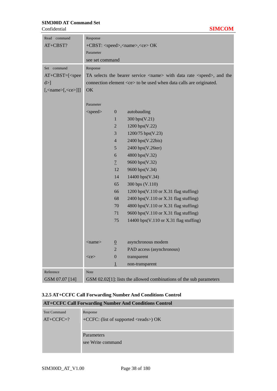| Read command                       | Response                                          |                  |                                                                                     |  |
|------------------------------------|---------------------------------------------------|------------------|-------------------------------------------------------------------------------------|--|
| AT+CBST?                           | +CBST: <speed>,<name>,<ce> OK</ce></name></speed> |                  |                                                                                     |  |
|                                    | Parameter                                         |                  |                                                                                     |  |
|                                    | see set command                                   |                  |                                                                                     |  |
| Set command                        | Response                                          |                  |                                                                                     |  |
| $AT+CBST=[$                        |                                                   |                  | TA selects the bearer service <name> with data rate <speed>, and the</speed></name> |  |
| $d >$ ]                            |                                                   |                  | connection element <ce> to be used when data calls are originated.</ce>             |  |
| $[,\text{name} > [,\text{ce} >]]]$ | OK                                                |                  |                                                                                     |  |
|                                    |                                                   |                  |                                                                                     |  |
|                                    | Parameter                                         |                  |                                                                                     |  |
|                                    | <speed></speed>                                   | $\boldsymbol{0}$ | autobauding                                                                         |  |
|                                    |                                                   | 1                | 300 bps(V.21)                                                                       |  |
|                                    |                                                   | $\overline{2}$   | 1200 bps(V.22)                                                                      |  |
|                                    |                                                   | 3                | 1200/75 bps(V.23)                                                                   |  |
|                                    |                                                   | $\overline{4}$   | 2400 bps(V.22bis)                                                                   |  |
|                                    |                                                   | 5                | 2400 bps(V.26ter)                                                                   |  |
|                                    |                                                   | 6                | 4800 bps(V.32)                                                                      |  |
|                                    |                                                   | $\overline{1}$   | 9600 bps(V.32)                                                                      |  |
|                                    |                                                   | 12               | 9600 bps(V.34)                                                                      |  |
|                                    |                                                   | 14               | 14400 bps(V.34)                                                                     |  |
|                                    |                                                   | 65               | 300 bps (V.110)                                                                     |  |
|                                    |                                                   | 66               | 1200 bps(V.110 or X.31 flag stuffing)                                               |  |
|                                    |                                                   | 68               | 2400 bps(V.110 or X.31 flag stuffing)                                               |  |
|                                    |                                                   | 70               | 4800 bps(V.110 or X.31 flag stuffing)                                               |  |
|                                    |                                                   | 71               | 9600 bps(V.110 or X.31 flag stuffing)                                               |  |
|                                    |                                                   | 75               | 14400 bps(V.110 or X.31 flag stuffing)                                              |  |
|                                    |                                                   |                  |                                                                                     |  |
|                                    |                                                   |                  |                                                                                     |  |
|                                    | <name></name>                                     | $\underline{0}$  | asynchronous modem                                                                  |  |
|                                    |                                                   | $\overline{2}$   | PAD access (asynchronous)                                                           |  |
|                                    | $<$ ce $>$                                        | $\boldsymbol{0}$ | transparent                                                                         |  |
|                                    |                                                   | $\overline{1}$   | non-transparent                                                                     |  |
| Reference                          | <b>Note</b>                                       |                  |                                                                                     |  |
| GSM 07.07 [14]                     |                                                   |                  | GSM 02.02[1]: lists the allowed combinations of the sub parameters                  |  |

## **3.2.5 AT+CCFC Call Forwarding Number And Conditions Control**

|                     | <b>AT+CCFC Call Forwarding Number And Conditions Control</b> |
|---------------------|--------------------------------------------------------------|
| <b>Test Command</b> | Response                                                     |
| $AT+CCFC=?$         | +CCFC: (list of supported <reads>) OK</reads>                |
|                     | <b>Parameters</b><br>see Write command                       |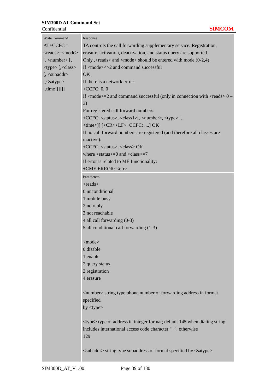| Write Command                          | Response                                                                                                     |
|----------------------------------------|--------------------------------------------------------------------------------------------------------------|
| $AT+CCFC =$                            | TA controls the call forwarding supplementary service. Registration,                                         |
| <reads>, <mode></mode></reads>         | erasure, activation, deactivation, and status query are supported.                                           |
| $[$ , $\langle$ number $\rangle$ $[$ , | Only, <reads> and <mode> should be entered with mode <math>(0-2,4)</math></mode></reads>                     |
| <type>[,<class></class></type>         | If $<$ mode $>$ $<$ $>$ 2 and command successful                                                             |
| $[$ , $\langle$ subaddr $\rangle$      | OK                                                                                                           |
| [, <satype></satype>                   | If there is a network error:                                                                                 |
| $[$ , time]]]]]]                       | $+CCFC: 0, 0$                                                                                                |
|                                        | If $\langle$ mode $\rangle$ =2 and command successful (only in connection with $\langle$ reads $\rangle$ 0 – |
|                                        | 3)                                                                                                           |
|                                        | For registered call forward numbers:                                                                         |
|                                        | +CCFC: <status>, <class1>[, <number>, <type>[,</type></number></class1></status>                             |
|                                        | <time>]] [<cr><lf>+CCFC: ] OK</lf></cr></time>                                                               |
|                                        | If no call forward numbers are registered (and therefore all classes are                                     |
|                                        | inactive):                                                                                                   |
|                                        | +CCFC: <status>, <class> OK</class></status>                                                                 |
|                                        | where $\langle$ status $>=$ 0 and $\langle$ class $>=$ 7                                                     |
|                                        | If error is related to ME functionality:                                                                     |
|                                        | +CME ERROR: <err></err>                                                                                      |
|                                        | Parameters                                                                                                   |
|                                        | $<$ reads $>$                                                                                                |
|                                        | 0 unconditional                                                                                              |
|                                        | 1 mobile busy                                                                                                |
|                                        | 2 no reply                                                                                                   |
|                                        | 3 not reachable                                                                                              |
|                                        | 4 all call forwarding (0-3)                                                                                  |
|                                        | 5 all conditional call forwarding (1-3)                                                                      |
|                                        |                                                                                                              |
|                                        | $<$ mode $>$                                                                                                 |
|                                        | 0 disable                                                                                                    |
|                                        | 1 enable                                                                                                     |
|                                        | 2 query status                                                                                               |
|                                        | 3 registration                                                                                               |
|                                        | 4 erasure                                                                                                    |
|                                        |                                                                                                              |
|                                        | <number> string type phone number of forwarding address in format</number>                                   |
|                                        | specified                                                                                                    |
|                                        | by $ltype$                                                                                                   |
|                                        |                                                                                                              |
|                                        | <type> type of address in integer format; default 145 when dialing string</type>                             |
|                                        | includes international access code character "+", otherwise                                                  |
|                                        | 129                                                                                                          |
|                                        |                                                                                                              |
|                                        | <subaddr> string type subaddress of format specified by <satype></satype></subaddr>                          |

r.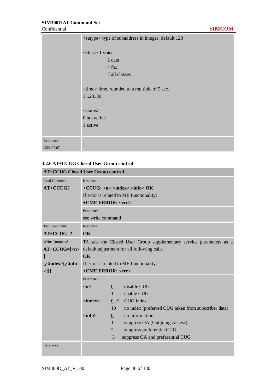|           | <satype> type of subaddress in integer; default 128</satype> |
|-----------|--------------------------------------------------------------|
|           | <class> 1 voice</class>                                      |
|           | 2 data                                                       |
|           | 4 fax                                                        |
|           | 7 all classes                                                |
|           |                                                              |
|           | <time> time, rounded to a multiple of 5 sec.</time>          |
|           | 12030                                                        |
|           |                                                              |
|           | $<$ status $>$                                               |
|           | 0 not active                                                 |
|           | 1 active                                                     |
|           |                                                              |
| Reference |                                                              |
| GSM07.07  |                                                              |

## **3.2.6 AT+CCUG Closed User Group control**

| <b>AT+CCUG Closed User Group control</b>       |                                             |                 |                                                                     |  |
|------------------------------------------------|---------------------------------------------|-----------------|---------------------------------------------------------------------|--|
| <b>Read Command</b>                            | Response                                    |                 |                                                                     |  |
| AT+CCUG?                                       |                                             |                 | +CCUG: <n>,<index>,<info> OK</info></index></n>                     |  |
|                                                |                                             |                 | If error is related to ME functionality:                            |  |
|                                                | +CME ERROR: <err></err>                     |                 |                                                                     |  |
|                                                | Parameter                                   |                 |                                                                     |  |
|                                                | see write command                           |                 |                                                                     |  |
| <b>Test Command</b>                            | Response                                    |                 |                                                                     |  |
| $AT+CCUG=?$                                    | $\alpha$                                    |                 |                                                                     |  |
| Write Command                                  |                                             |                 | TA sets the Closed User Group supplementary service parameters as a |  |
| $AT+CCUG=[n$                                   | default adjustment for all following calls. |                 |                                                                     |  |
| 1                                              | <b>OK</b>                                   |                 |                                                                     |  |
| $\left[\frac{\sin\theta x}{\sin\theta}\right]$ | If error is related to ME functionality:    |                 |                                                                     |  |
| $>$ ]]]                                        | +CME ERROR: <err></err>                     |                 |                                                                     |  |
|                                                | Parameter                                   |                 |                                                                     |  |
|                                                | m                                           | $\overline{0}$  | disable CUG                                                         |  |
|                                                |                                             | $\mathbf{1}$    | enable CUG                                                          |  |
|                                                | $\langle$ index $\rangle$                   | 09              | CUG index                                                           |  |
|                                                |                                             | 10              | no index (preferred CUG taken from subscriber data)                 |  |
|                                                | $\langle \text{info} \rangle$               | $\underline{0}$ | no information                                                      |  |
|                                                |                                             | $\mathbf{1}$    | suppress OA (Outgoing Access)                                       |  |
|                                                |                                             | $\overline{2}$  | suppress preferential CUG                                           |  |
|                                                |                                             | 3               | suppress OA and preferential CUG                                    |  |
| Reference                                      |                                             |                 |                                                                     |  |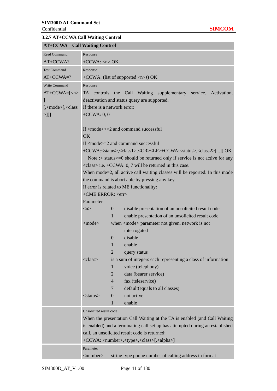| 3.2.7 AT+CCWA Call Waiting Control                         |                                                     |                                                                                                              |  |  |  |  |  |
|------------------------------------------------------------|-----------------------------------------------------|--------------------------------------------------------------------------------------------------------------|--|--|--|--|--|
| <b>AT+CCWA</b>                                             | <b>Call Waiting Control</b>                         |                                                                                                              |  |  |  |  |  |
| <b>Read Command</b>                                        | Response                                            |                                                                                                              |  |  |  |  |  |
| $AT+CCWA?$                                                 | $+CCWA: n > OK$                                     |                                                                                                              |  |  |  |  |  |
| <b>Test Command</b>                                        | Response                                            |                                                                                                              |  |  |  |  |  |
| $AT+CCWA=?$                                                | +CCWA: (list of supported $\langle n \rangle$ s) OK |                                                                                                              |  |  |  |  |  |
| Write Command                                              | Response                                            |                                                                                                              |  |  |  |  |  |
| $AT+CCWA=[n$                                               |                                                     | TA controls the Call Waiting supplementary service. Activation,                                              |  |  |  |  |  |
|                                                            |                                                     | deactivation and status query are supported.                                                                 |  |  |  |  |  |
| $[$ , $\langle$ mode $\rangle$ [ $\langle$ $\langle$ class |                                                     | If there is a network error:                                                                                 |  |  |  |  |  |
| $>$ ]]]                                                    | $+CCWA: 0, 0$                                       |                                                                                                              |  |  |  |  |  |
|                                                            |                                                     |                                                                                                              |  |  |  |  |  |
|                                                            |                                                     | If $\langle$ mode $\rangle$ $\langle$ $\rangle$ and command successful                                       |  |  |  |  |  |
|                                                            | OK                                                  |                                                                                                              |  |  |  |  |  |
|                                                            |                                                     | If $\langle$ mode $\rangle$ =2 and command successful                                                        |  |  |  |  |  |
|                                                            |                                                     | +CCWA: <status>,<class1>[<cr><lf>+CCWA:<status>,<class2>[]] OK</class2></status></lf></cr></class1></status> |  |  |  |  |  |
|                                                            |                                                     | Note :< status $> = 0$ should be returned only if service is not active for any                              |  |  |  |  |  |
|                                                            |                                                     | $\langle class \rangle$ i.e. +CCWA: 0, 7 will be returned in this case.                                      |  |  |  |  |  |
|                                                            |                                                     | When mode=2, all active call waiting classes will be reported. In this mode                                  |  |  |  |  |  |
|                                                            |                                                     | the command is abort able by pressing any key.                                                               |  |  |  |  |  |
|                                                            |                                                     | If error is related to ME functionality:                                                                     |  |  |  |  |  |
|                                                            | +CME ERROR: <err></err>                             |                                                                                                              |  |  |  |  |  |
|                                                            | Parameter                                           |                                                                                                              |  |  |  |  |  |
|                                                            | $\langle n \rangle$                                 | disable presentation of an unsolicited result code<br>$\underline{0}$                                        |  |  |  |  |  |
|                                                            |                                                     | $\mathbf{1}$<br>enable presentation of an unsolicited result code                                            |  |  |  |  |  |
|                                                            | <mode></mode>                                       | when <mode> parameter not given, network is not</mode>                                                       |  |  |  |  |  |
|                                                            |                                                     | interrogated                                                                                                 |  |  |  |  |  |
|                                                            |                                                     | $\mathbf{0}$<br>disable                                                                                      |  |  |  |  |  |
|                                                            |                                                     | enable<br>1                                                                                                  |  |  |  |  |  |
|                                                            | $<$ class>                                          | $\overline{2}$<br>query status                                                                               |  |  |  |  |  |
|                                                            |                                                     | is a sum of integers each representing a class of information<br>1<br>voice (telephony)                      |  |  |  |  |  |
|                                                            |                                                     | $\overline{2}$<br>data (bearer service)                                                                      |  |  |  |  |  |
|                                                            |                                                     | fax (teleservice)<br>$\overline{4}$                                                                          |  |  |  |  |  |
|                                                            |                                                     | default(equals to all classes)<br>$\overline{1}$                                                             |  |  |  |  |  |
|                                                            | $<$ status $>$                                      | not active<br>$\theta$                                                                                       |  |  |  |  |  |
|                                                            |                                                     | enable<br>1                                                                                                  |  |  |  |  |  |
|                                                            | Unsolicited result code                             |                                                                                                              |  |  |  |  |  |
|                                                            |                                                     | When the presentation Call Waiting at the TA is enabled (and Call Waiting                                    |  |  |  |  |  |
|                                                            |                                                     | is enabled) and a terminating call set up has attempted during an established                                |  |  |  |  |  |
|                                                            |                                                     | call, an unsolicited result code is returned:                                                                |  |  |  |  |  |
|                                                            |                                                     | +CCWA: <number>,<type>,<class>[,<alpha>]</alpha></class></type></number>                                     |  |  |  |  |  |
|                                                            | Parameter                                           |                                                                                                              |  |  |  |  |  |
|                                                            | $\langle$ number $\rangle$                          | string type phone number of calling address in format                                                        |  |  |  |  |  |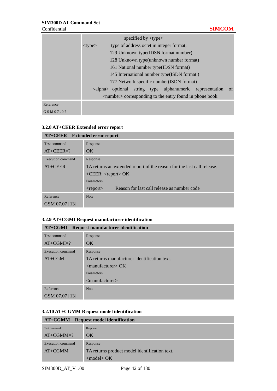|           |              | specified by $\langle$ type $\rangle$ |                                                                   |               |
|-----------|--------------|---------------------------------------|-------------------------------------------------------------------|---------------|
|           | $lt$ vpe $>$ |                                       | type of address octet in integer format;                          |               |
|           |              |                                       | 129 Unknown type (IDSN format number)                             |               |
|           |              |                                       | 128 Unknown type(unknown number format)                           |               |
|           |              |                                       | 161 National number type (IDSN format)                            |               |
|           |              |                                       | 145 International number type(ISDN format)                        |               |
|           |              |                                       | 177 Network specific number (ISDN format)                         |               |
|           |              |                                       | <alpha> optional string type alphanumeric representation</alpha>  | <sub>of</sub> |
|           |              |                                       | $\le$ number $\ge$ corresponding to the entry found in phone book |               |
| Reference |              |                                       |                                                                   |               |
| GSM07.07  |              |                                       |                                                                   |               |

#### **3.2.8 AT+CEER Extended error report**

| <b>AT+CEER</b> Extended error report |                                                                        |
|--------------------------------------|------------------------------------------------------------------------|
| Test command                         | Response                                                               |
| $AT+CEER=?$                          | OK                                                                     |
| Execution command                    | Response                                                               |
| $AT+CEER$                            | TA returns an extended report of the reason for the last call release. |
|                                      | $+CEER$ : <report> OK</report>                                         |
|                                      | Parameters                                                             |
|                                      | Reason for last call release as number code<br>$<$ report $>$          |
| Reference                            | <b>Note</b>                                                            |
| GSM 07.07 [13]                       |                                                                        |

#### **3.2.9 AT+CGMI Request manufacturer identification**

| <b>AT+CGMI</b> Request manufacturer identification |                                              |  |  |
|----------------------------------------------------|----------------------------------------------|--|--|
| Test command                                       | Response                                     |  |  |
| $AT+CGMI=?$                                        | OK                                           |  |  |
| <b>Execution command</b>                           | Response                                     |  |  |
| $AT+CGMI$                                          | TA returns manufacturer identification text. |  |  |
|                                                    | $\leq$ manufacturer $>$ OK                   |  |  |
|                                                    | Parameters                                   |  |  |
|                                                    | $\leq$ manufacturer $>$                      |  |  |
| Reference                                          | <b>Note</b>                                  |  |  |
| GSM 07.07 [13]                                     |                                              |  |  |

#### **3.2.10 AT+CGMM Request model identification**

#### **AT+CGMM Request model identification** Test command AT+CGMM=? Response OK Execution command AT+CGMM Response TA returns product model identification text. <model> OK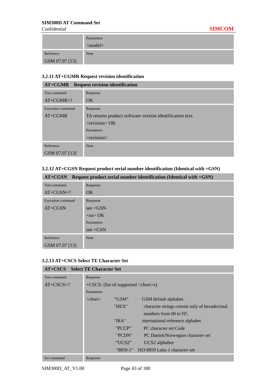|                | Parameters    |
|----------------|---------------|
|                | $<$ model $>$ |
| Reference      | <b>Note</b>   |
| GSM 07.07 [13] |               |

# **3.2.11 AT+CGMR Request revision identification**

| <b>AT+CGMR</b> Request revision identification |                                                          |  |  |
|------------------------------------------------|----------------------------------------------------------|--|--|
| Test command                                   | Response                                                 |  |  |
| $AT+CGMR=?$                                    | OK                                                       |  |  |
| Execution command                              | Response                                                 |  |  |
| $AT+CGMR$                                      | TA returns product software version identification text. |  |  |
|                                                | $<$ revision $>$ OK                                      |  |  |
|                                                | <b>Parameters</b>                                        |  |  |
|                                                | $<$ revision $>$                                         |  |  |
| Reference                                      | <b>Note</b>                                              |  |  |
| GSM 07.07 [13]                                 |                                                          |  |  |

## **3.2.12 AT+CGSN Request product serial number identification (Identical with +GSN)**

| Request product serial number identification (Identical with +GSN)<br>AT+CGSN |                 |  |  |  |
|-------------------------------------------------------------------------------|-----------------|--|--|--|
| Test command                                                                  | Response        |  |  |  |
| $AT+CGSN=?$                                                                   | OK              |  |  |  |
| Execution command                                                             | Response        |  |  |  |
| AT+CGSN                                                                       | $see + GSN$     |  |  |  |
|                                                                               | $\langle$ sn>OK |  |  |  |
|                                                                               | Parameters      |  |  |  |
|                                                                               | $see + GSN$     |  |  |  |
| Reference                                                                     | <b>Note</b>     |  |  |  |
| GSM 07.07 [13]                                                                |                 |  |  |  |

## **3.2.13 AT+CSCS Select TE Character Set**

| <b>AT+CSCS</b> Select TE Character Set |                                                           |            |                                               |  |
|----------------------------------------|-----------------------------------------------------------|------------|-----------------------------------------------|--|
| Test command                           | Response                                                  |            |                                               |  |
| $AT+CSCS=?$                            | $+CSCS$ : (list of supported $\langle$ chset $\rangle$ s) |            |                                               |  |
|                                        | Parameters                                                |            |                                               |  |
|                                        | $\langle$ chset $\rangle$                                 | "GSM"      | GSM default alphabet.                         |  |
|                                        |                                                           | "HEX"      | character strings consist only of hexadecimal |  |
|                                        |                                                           |            | numbers from 00 to FF;                        |  |
|                                        |                                                           | "IRA"      | international reference alphabet              |  |
|                                        |                                                           | "PCCP"     | PC character set Code                         |  |
|                                        |                                                           | "PCDN"     | PC Danish/Norwegian character set             |  |
|                                        |                                                           | "UCS2"     | UCS2 alphabet                                 |  |
|                                        |                                                           | $"8859-1"$ | ISO 8859 Latin 1 character set                |  |
| Set command                            | Response                                                  |            |                                               |  |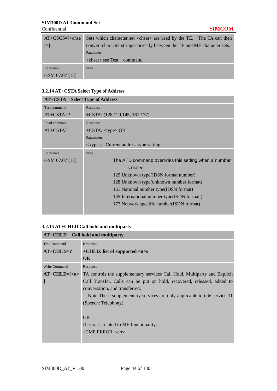| $AT+CSCS=$ [ <chse]< th=""><th>Sets which character set <chset> are used by the TE. The TA can then</chset></th></chse]<> | Sets which character set <chset> are used by the TE. The TA can then</chset> |
|---------------------------------------------------------------------------------------------------------------------------|------------------------------------------------------------------------------|
| $\triangleright$                                                                                                          | convert character strings correctly between the TE and ME character sets.    |
|                                                                                                                           | Parameter                                                                    |
|                                                                                                                           | <chset> see Test command</chset>                                             |
| Reference                                                                                                                 | <b>Note</b>                                                                  |
| GSM 07.07 [13]                                                                                                            |                                                                              |

## **3.2.14 AT+CSTA Select Type of Address**

| <b>AT+CSTA</b> Select Type of Address |                                                      |  |  |  |
|---------------------------------------|------------------------------------------------------|--|--|--|
| Test command                          | Response                                             |  |  |  |
| $AT+CSTA=?$                           | $+CSTA: (128, 129, 145, 161, 177)$                   |  |  |  |
| Read command                          | Response                                             |  |  |  |
| $AT+CSTA?$                            | $+{\rm CSTA:}$ <type> OK</type>                      |  |  |  |
|                                       | Parameters                                           |  |  |  |
|                                       | $\langle$ type $>$ Current address type setting.     |  |  |  |
| Reference                             | <b>Note</b>                                          |  |  |  |
| GSM 07.07 [13]                        | The ATD command overrides this setting when a number |  |  |  |
|                                       | is dialed.                                           |  |  |  |
|                                       | 129 Unknown type (IDSN format number)                |  |  |  |
|                                       | 128 Unknown type (unknown number format)             |  |  |  |
|                                       | 161 National number type (IDSN format)               |  |  |  |
|                                       | 145 International number type(ISDN format)           |  |  |  |
|                                       | 177 Network specific number (ISDN format)            |  |  |  |
|                                       |                                                      |  |  |  |

# **3.2.15 AT+CHLD Call hold and multiparty**

| AT+CHLD Call hold and multiparty |                                                                           |  |  |  |  |
|----------------------------------|---------------------------------------------------------------------------|--|--|--|--|
| <b>Test Command</b>              | Response                                                                  |  |  |  |  |
| $AT+CHLD=?$                      | $+$ CHLD: list of supported $\langle n \rangle$ s                         |  |  |  |  |
|                                  | $\overline{\text{OK}}$                                                    |  |  |  |  |
| <b>Write Command</b>             | Response                                                                  |  |  |  |  |
| $AT+CHLD=[2]$                    | TA controls the supplementary services Call Hold, Multiparty and Explicit |  |  |  |  |
|                                  | Call Transfer. Calls can be put on hold, recovered, released, added to    |  |  |  |  |
|                                  | conversation, and transferred.                                            |  |  |  |  |
|                                  | Note These supplementary services are only applicable to tele service 11  |  |  |  |  |
|                                  | (Speech: Telephony).                                                      |  |  |  |  |
|                                  |                                                                           |  |  |  |  |
|                                  | OK                                                                        |  |  |  |  |
|                                  | If error is related to ME functionality:                                  |  |  |  |  |
|                                  | $+$ CME ERROR: $\langle$ err $>$                                          |  |  |  |  |
|                                  |                                                                           |  |  |  |  |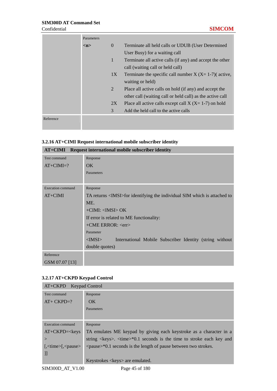## **SIM300D AT Command Set**  Confidential **SIMCOM**

|           | Parameters |              |                                                            |
|-----------|------------|--------------|------------------------------------------------------------|
|           | m          | $\Omega$     | Terminate all held calls or UDUB (User Determined          |
|           |            |              | User Busy) for a waiting call                              |
|           |            | $\mathbf{1}$ | Terminate all active calls (if any) and accept the other   |
|           |            |              | call (waiting call or held call)                           |
|           |            | 1X           | Terminate the specific call number $X$ (X= 1-7)( active,   |
|           |            |              | waiting or held)                                           |
|           |            | 2            | Place all active calls on hold (if any) and accept the     |
|           |            |              | other call (waiting call or held call) as the active call  |
|           |            | 2X           | Place all active calls except call $X$ ( $X=1-7$ ) on hold |
|           |            | 3            | Add the held call to the active calls                      |
| Reference |            |              |                                                            |

# **3.2.16 AT+CIMI Request international mobile subscriber identity**

| AT+CIMI Request international mobile subscriber identity |                                                                                 |  |  |  |  |
|----------------------------------------------------------|---------------------------------------------------------------------------------|--|--|--|--|
| Test command                                             | Response                                                                        |  |  |  |  |
| $AT+CIMI=?$                                              | OK                                                                              |  |  |  |  |
|                                                          | Parameters                                                                      |  |  |  |  |
|                                                          |                                                                                 |  |  |  |  |
| Execution command                                        | Response                                                                        |  |  |  |  |
| $AT+CIMI$                                                | TA returns <imsi>for identifying the individual SIM which is attached to</imsi> |  |  |  |  |
|                                                          | ME.                                                                             |  |  |  |  |
|                                                          | $+$ CIMI: $<$ IMSI $>$ OK                                                       |  |  |  |  |
|                                                          | If error is related to ME functionality:                                        |  |  |  |  |
|                                                          | $+$ CME ERROR: $\langle$ err $>$                                                |  |  |  |  |
|                                                          | Parameter                                                                       |  |  |  |  |
|                                                          | $<$ IMSI $>$<br>International Mobile Subscriber Identity (string without        |  |  |  |  |
|                                                          | double quotes)                                                                  |  |  |  |  |
| Reference                                                |                                                                                 |  |  |  |  |
| GSM 07.07 [13]                                           |                                                                                 |  |  |  |  |

## **3.2.17 AT+CKPD Keypad Control**

| AT+CKPD Keypad Control                                                          |                                                                                                                      |
|---------------------------------------------------------------------------------|----------------------------------------------------------------------------------------------------------------------|
| Test command                                                                    | Response                                                                                                             |
| $AT+ CKPD=?$                                                                    | OK.                                                                                                                  |
|                                                                                 | Parameters                                                                                                           |
|                                                                                 |                                                                                                                      |
| Execution command                                                               | Response                                                                                                             |
| $AT+CKPD=<\text{keys}$                                                          | TA emulates ME keypad by giving each keystroke as a character in a                                                   |
| $\rm{>}$                                                                        | string $\langle \text{keys} \rangle$ . $\langle \text{time} \rangle$ *0.1 seconds is the time to stroke each key and |
| $\left[\frac{1}{2}, \frac{1}{2}\right]$ $\left[\frac{1}{2}, \frac{1}{2}\right]$ | $\langle$ quare $>$ *0.1 seconds is the length of pause between two strokes.                                         |
| 11                                                                              |                                                                                                                      |
|                                                                                 | Keystrokes < keys > are emulated.                                                                                    |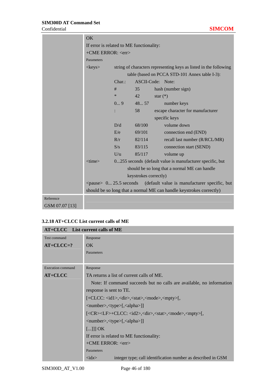|                | OK                                       |        |        |                                                                            |  |  |
|----------------|------------------------------------------|--------|--------|----------------------------------------------------------------------------|--|--|
|                | If error is related to ME functionality: |        |        |                                                                            |  |  |
|                | +CME ERROR: <err></err>                  |        |        |                                                                            |  |  |
|                | Parameters                               |        |        |                                                                            |  |  |
|                | $\langle$ keys $>$                       |        |        | string of characters representing keys as listed in the following          |  |  |
|                |                                          |        |        | table (based on PCCA STD-101 Annex table I-3):                             |  |  |
|                |                                          | Char.  |        | ASCII-Code: Note:                                                          |  |  |
|                |                                          | #      | 35     | hash (number sign)                                                         |  |  |
|                |                                          | $\ast$ | 42     | star $(*)$                                                                 |  |  |
|                |                                          | 09     | 4857   | number keys                                                                |  |  |
|                |                                          |        | 58     | escape character for manufacturer                                          |  |  |
|                |                                          |        |        | specific keys                                                              |  |  |
|                |                                          | D/d    | 68/100 | volume down                                                                |  |  |
|                |                                          | E/e    | 69/101 | connection end (END)                                                       |  |  |
|                |                                          | R/r    | 82/114 | recall last number (R/RCL/MR)                                              |  |  |
|                |                                          | S/s    | 83/115 | connection start (SEND)                                                    |  |  |
|                |                                          | U/u    | 85/117 | volume up                                                                  |  |  |
|                | $<$ time $>$                             |        |        | 0255 seconds (default value is manufacturer specific, but                  |  |  |
|                |                                          |        |        | should be so long that a normal ME can handle                              |  |  |
|                | keystrokes correctly)                    |        |        |                                                                            |  |  |
|                |                                          |        |        | $\epsilon$ $>$ 0 25.5 seconds (default value is manufacturer specific, but |  |  |
|                |                                          |        |        | should be so long that a normal ME can handle keystrokes correctly)        |  |  |
| Reference      |                                          |        |        |                                                                            |  |  |
| GSM 07.07 [13] |                                          |        |        |                                                                            |  |  |

#### **3.2.18 AT+CLCC List current calls of ME**

| $AT+CLCC$ List current calls of ME |                                                                                                |  |  |  |  |
|------------------------------------|------------------------------------------------------------------------------------------------|--|--|--|--|
| Test command                       | Response                                                                                       |  |  |  |  |
| $AT+CLCC=?$                        | $\overline{\text{OK}}$                                                                         |  |  |  |  |
|                                    | Parameters                                                                                     |  |  |  |  |
|                                    |                                                                                                |  |  |  |  |
| Execution command                  | Response                                                                                       |  |  |  |  |
| <b>AT+CLCC</b>                     | TA returns a list of current calls of ME.                                                      |  |  |  |  |
|                                    | Note: If command succeeds but no calls are available, no information                           |  |  |  |  |
|                                    | response is sent to TE.                                                                        |  |  |  |  |
|                                    | [+CLCC: <id1>,<dir>,<stat>,<mode>,<mpty>[,</mpty></mode></stat></dir></id1>                    |  |  |  |  |
|                                    | <number>,<type>[,<alpha>]]</alpha></type></number>                                             |  |  |  |  |
|                                    | [ <cr><lf>+CLCC: <id2>,<dir>,<stat>,<mode>,<mpty>[,</mpty></mode></stat></dir></id2></lf></cr> |  |  |  |  |
|                                    | <number>,<type>[,<alpha>]]</alpha></type></number>                                             |  |  |  |  |
|                                    | $[]]$ OK                                                                                       |  |  |  |  |
|                                    | If error is related to ME functionality:                                                       |  |  |  |  |
|                                    | $+$ CME ERROR: $\langle$ err $>$                                                               |  |  |  |  |
|                                    | Parameters                                                                                     |  |  |  |  |
|                                    | $\langle \text{idx} \rangle$<br>integer type; call identification number as described in GSM   |  |  |  |  |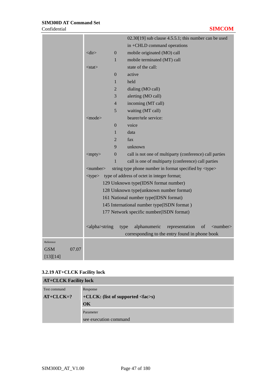|            |              |                            | $02.30[19]$ sub clause 4.5.5.1; this number can be used                    |
|------------|--------------|----------------------------|----------------------------------------------------------------------------|
|            |              |                            | in +CHLD command operations                                                |
|            | $<$ dir $>$  | $\boldsymbol{0}$           | mobile originated (MO) call                                                |
|            |              | 1                          | mobile terminated (MT) call                                                |
|            | $<$ stat $>$ |                            | state of the call:                                                         |
|            |              | $\boldsymbol{0}$           | active                                                                     |
|            |              | 1                          | held                                                                       |
|            |              | $\overline{2}$             | dialing (MO call)                                                          |
|            |              | 3                          | alerting (MO call)                                                         |
|            |              | $\overline{4}$             | incoming (MT call)                                                         |
|            |              | 5                          | waiting (MT call)                                                          |
|            | $<$ mode $>$ |                            | bearer/tele service:                                                       |
|            |              | $\boldsymbol{0}$           | voice                                                                      |
|            |              | 1                          | data                                                                       |
|            |              | $\overline{2}$             | fax                                                                        |
|            |              | 9                          | unknown                                                                    |
|            | $<$ mpty $>$ | $\boldsymbol{0}$           | call is not one of multiparty (conference) call parties                    |
|            |              | 1                          | call is one of multiparty (conference) call parties                        |
|            |              | $\langle$ number $\rangle$ | string type phone number in format specified by <type></type>              |
|            | $<$ type $>$ |                            | type of address of octet in integer format;                                |
|            |              |                            | 129 Unknown type(IDSN format number)                                       |
|            |              |                            | 128 Unknown type(unknown number format)                                    |
|            |              |                            | 161 National number type(IDSN format)                                      |
|            |              |                            | 145 International number type(ISDN format)                                 |
|            |              |                            | 177 Network specific number(ISDN format)                                   |
|            |              |                            |                                                                            |
|            |              | <alpha>string</alpha>      | alphanumeric<br>representation<br>of<br>$\langle$ number $\rangle$<br>type |
|            |              |                            | corresponding to the entry found in phone book                             |
| Reference  |              |                            |                                                                            |
| <b>GSM</b> | 07.07        |                            |                                                                            |
| [13][14]   |              |                            |                                                                            |

## **3.2.19 AT+CLCK Facility lock**

| <b>AT+CLCK Facility lock</b> |                                                       |  |  |
|------------------------------|-------------------------------------------------------|--|--|
| Test command                 | Response                                              |  |  |
| $AT+CLCK=?$                  | $+CLCK$ : (list of supported $\langle fac \rangle$ s) |  |  |
|                              | OK                                                    |  |  |
|                              | Parameter                                             |  |  |
|                              | see execution command                                 |  |  |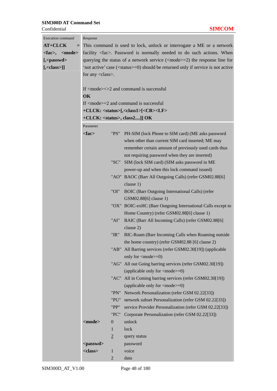| <b>Execution</b> command                       | Response                                                                                  |                  |                                                             |  |  |
|------------------------------------------------|-------------------------------------------------------------------------------------------|------------------|-------------------------------------------------------------|--|--|
| AT+CLCK<br>$=$                                 | This command is used to lock, unlock or interrogate a ME or a network                     |                  |                                                             |  |  |
| $\langle fac \rangle$ , $\langle mode \rangle$ | facility <fac>. Password is normally needed to do such actions. When</fac>                |                  |                                                             |  |  |
| $[-<$ passwd $>$                               | querying the status of a network service $(\text{=2})$ the response line for              |                  |                                                             |  |  |
| $[$ , < class>]]                               | 'not active' case ( <status>=0) should be returned only if service is not active</status> |                  |                                                             |  |  |
|                                                | for any <class>.</class>                                                                  |                  |                                                             |  |  |
|                                                |                                                                                           |                  |                                                             |  |  |
|                                                |                                                                                           |                  | If $<$ mode $>$ $<$ $>$ 2 and command is successful         |  |  |
|                                                | OK                                                                                        |                  |                                                             |  |  |
|                                                | If $<$ mode $>=$ 2 and command is successful                                              |                  |                                                             |  |  |
|                                                | +CLCK: <status>[,<class1>[<cr><lf></lf></cr></class1></status>                            |                  |                                                             |  |  |
|                                                | $+CLCK:$ <status>, class2]] OK</status>                                                   |                  |                                                             |  |  |
|                                                | Parameter                                                                                 |                  |                                                             |  |  |
|                                                | $<$ fac $>$                                                                               | "PS"             | PH-SIM (lock Phone to SIM card) (ME asks password           |  |  |
|                                                |                                                                                           |                  | when other than current SIM card inserted; ME may           |  |  |
|                                                |                                                                                           |                  | remember certain amount of previously used cards thus       |  |  |
|                                                |                                                                                           |                  | not requiring password when they are inserted)              |  |  |
|                                                |                                                                                           | "SC"             | SIM (lock SIM card) (SIM asks password in ME                |  |  |
|                                                |                                                                                           |                  | power-up and when this lock command issued)                 |  |  |
|                                                |                                                                                           |                  | "AO" BAOC (Barr All Outgoing Calls) (refer GSM02.88[6]      |  |  |
|                                                |                                                                                           |                  | clause 1)                                                   |  |  |
|                                                |                                                                                           | "OI"             | BOIC (Barr Outgoing International Calls) (refer             |  |  |
|                                                |                                                                                           |                  | GSM02.88[6] clause 1)                                       |  |  |
|                                                |                                                                                           |                  | "OX" BOIC-exHC (Barr Outgoing International Calls except to |  |  |
|                                                |                                                                                           |                  | Home Country) (refer GSM02.88[6] clause 1)                  |  |  |
|                                                |                                                                                           | "AI"             | BAIC (Barr All Incoming Calls) (refer GSM02.88[6]           |  |  |
|                                                |                                                                                           |                  | clause 2)                                                   |  |  |
|                                                |                                                                                           | "IR"             | BIC-Roam (Barr Incoming Calls when Roaming outside          |  |  |
|                                                |                                                                                           |                  | the home country) (refer GSM02.88 [6] clause 2)             |  |  |
|                                                |                                                                                           |                  | "AB" All Barring services (refer GSM02.30[19]) (applicable  |  |  |
|                                                |                                                                                           |                  | only for $\langle$ mode $>=$ 0)                             |  |  |
|                                                |                                                                                           | "AG"             | All out Going barring services (refer GSM02.30[19])         |  |  |
|                                                |                                                                                           |                  | (applicable only for $\langle$ mode $>=$ 0)                 |  |  |
|                                                |                                                                                           | "AC"             | All in Coming barring services (refer GSM02.30[19])         |  |  |
|                                                |                                                                                           |                  | (applicable only for $\langle$ mode $>=$ 0)                 |  |  |
|                                                |                                                                                           | "PN"             | Network Personalization (refer GSM 02.22[33])               |  |  |
|                                                |                                                                                           | "PU"             | network subset Personalization (refer GSM 02.22[33])        |  |  |
|                                                |                                                                                           | "PP"             | service Provider Personalization (refer GSM 02.22[33])      |  |  |
|                                                |                                                                                           | "PC"             | Corporate Personalization (refer GSM 02.22[33])             |  |  |
|                                                | <mode></mode>                                                                             | $\boldsymbol{0}$ | unlock                                                      |  |  |
|                                                |                                                                                           | 1                | lock                                                        |  |  |
|                                                |                                                                                           | $\overline{2}$   | query status                                                |  |  |
|                                                | <passwd></passwd>                                                                         |                  | password                                                    |  |  |
|                                                | <class></class>                                                                           | $\mathbf{1}$     | voice                                                       |  |  |
|                                                |                                                                                           | $\mathbf{2}$     | data                                                        |  |  |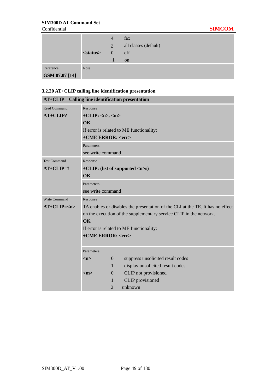Confidential **SIMCOM**

|                |                   | $\overline{4}$ | fax                   |
|----------------|-------------------|----------------|-----------------------|
|                |                   | 7              | all classes (default) |
|                | <status></status> | $\theta$       | off                   |
|                |                   |                | <sub>on</sub>         |
| Reference      | <b>Note</b>       |                |                       |
| GSM 07.07 [14] |                   |                |                       |

# **3.2.20 AT+CLIP calling line identification presentation**

| $AT+CLIP$           |                                                                                |                  | <b>Calling line identification presentation</b> |  |
|---------------------|--------------------------------------------------------------------------------|------------------|-------------------------------------------------|--|
| <b>Read Command</b> | Response                                                                       |                  |                                                 |  |
| $AT+CLIP?$          | $+CLIP: , $                                                                    |                  |                                                 |  |
|                     | $\alpha$                                                                       |                  |                                                 |  |
|                     |                                                                                |                  | If error is related to ME functionality:        |  |
|                     | +CME ERROR: <err></err>                                                        |                  |                                                 |  |
|                     | Parameters                                                                     |                  |                                                 |  |
|                     | see write command                                                              |                  |                                                 |  |
| <b>Test Command</b> | Response                                                                       |                  |                                                 |  |
| $AT+CLIP=?$         | +CLIP: (list of supported $\langle n \rangle$ s)                               |                  |                                                 |  |
|                     | <b>OK</b>                                                                      |                  |                                                 |  |
|                     | Parameters                                                                     |                  |                                                 |  |
|                     | see write command                                                              |                  |                                                 |  |
| Write Command       | Response                                                                       |                  |                                                 |  |
| $AT+CLIP=$          | TA enables or disables the presentation of the CLI at the TE. It has no effect |                  |                                                 |  |
|                     | on the execution of the supplementary service CLIP in the network.             |                  |                                                 |  |
|                     | OK                                                                             |                  |                                                 |  |
|                     |                                                                                |                  | If error is related to ME functionality:        |  |
|                     | +CME ERROR: <err></err>                                                        |                  |                                                 |  |
|                     |                                                                                |                  |                                                 |  |
|                     | Parameters                                                                     |                  |                                                 |  |
|                     | m>                                                                             | $\boldsymbol{0}$ | suppress unsolicited result codes               |  |
|                     |                                                                                | $\mathbf{1}$     | display unsolicited result codes                |  |
|                     | $<$ m $>$                                                                      | $\boldsymbol{0}$ | CLIP not provisioned                            |  |
|                     |                                                                                | 1                | CLIP provisioned                                |  |
|                     |                                                                                | $\overline{2}$   | unknown                                         |  |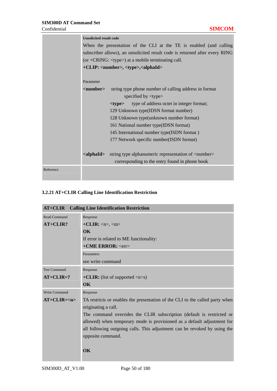|           | <b>Unsolicited result code</b>                                              |                                                              |  |  |  |  |  |
|-----------|-----------------------------------------------------------------------------|--------------------------------------------------------------|--|--|--|--|--|
|           | When the presentation of the CLI at the TE is enabled (and calling          |                                                              |  |  |  |  |  |
|           | subscriber allows), an unsolicited result code is returned after every RING |                                                              |  |  |  |  |  |
|           | (or + $CRING$ : $\langle type \rangle$ ) at a mobile terminating call.      |                                                              |  |  |  |  |  |
|           |                                                                             | +CLIP: <number>, <type>,<alphaid></alphaid></type></number>  |  |  |  |  |  |
|           |                                                                             |                                                              |  |  |  |  |  |
|           | Parameter                                                                   |                                                              |  |  |  |  |  |
|           | $\langle$ number $\rangle$                                                  | string type phone number of calling address in format        |  |  |  |  |  |
|           |                                                                             | specified by $\langle$ type $\rangle$                        |  |  |  |  |  |
|           |                                                                             | type of address octet in integer format;<br><tvpe></tvpe>    |  |  |  |  |  |
|           |                                                                             | 129 Unknown type(IDSN format number)                         |  |  |  |  |  |
|           |                                                                             | 128 Unknown type(unknown number format)                      |  |  |  |  |  |
|           |                                                                             | 161 National number type(IDSN format)                        |  |  |  |  |  |
|           |                                                                             | 145 International number type(ISDN format)                   |  |  |  |  |  |
|           |                                                                             | 177 Network specific number(ISDN format)                     |  |  |  |  |  |
|           |                                                                             |                                                              |  |  |  |  |  |
|           | <alphaid></alphaid>                                                         | string type alphanumeric representation of <number></number> |  |  |  |  |  |
|           |                                                                             | corresponding to the entry found in phone book               |  |  |  |  |  |
| Reference |                                                                             |                                                              |  |  |  |  |  |
|           |                                                                             |                                                              |  |  |  |  |  |

## **3.2.21 AT+CLIR Calling Line Identification Restriction**

| $AT+CLIR$           | <b>Calling Line Identification Restriction</b>                               |
|---------------------|------------------------------------------------------------------------------|
| <b>Read Command</b> | Response                                                                     |
| AT+CLIR?            | $+CLIR: \langle n \rangle, \langle m \rangle$                                |
|                     | $\alpha$                                                                     |
|                     | If error is related to ME functionality:                                     |
|                     | $+$ CME ERROR: $\langle$ err $>$                                             |
|                     | Parameters                                                                   |
|                     | see write command                                                            |
| <b>Test Command</b> | Response                                                                     |
| $AT+CLIR=?$         | + <b>CLIR:</b> (list of supported $\langle n \rangle$ s)                     |
|                     | $\alpha$                                                                     |
| Write Command       | Response                                                                     |
| $AT+CLIR=$          | TA restricts or enables the presentation of the CLI to the called party when |
|                     | originating a call.                                                          |
|                     | The command overrides the CLIR subscription (default is restricted or        |
|                     | allowed) when temporary mode is provisioned as a default adjustment for      |
|                     | all following outgoing calls. This adjustment can be revoked by using the    |
|                     | opposite command.                                                            |
|                     | $\alpha$                                                                     |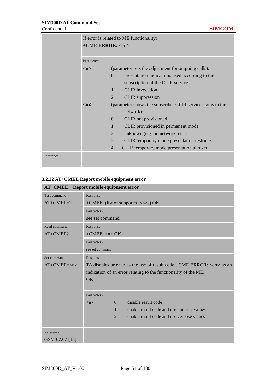|           | If error is related to ME functionality:<br>+CME ERROR: <err></err> |                                                     |                                                            |
|-----------|---------------------------------------------------------------------|-----------------------------------------------------|------------------------------------------------------------|
|           | Parameters                                                          |                                                     |                                                            |
|           | m>                                                                  | (parameter sets the adjustment for outgoing calls): |                                                            |
|           |                                                                     | $\underline{0}$                                     | presentation indicator is used according to the            |
|           |                                                                     |                                                     | subscription of the CLIR service                           |
|           |                                                                     | 1                                                   | <b>CLIR</b> invocation                                     |
|           |                                                                     | $\overline{2}$                                      | <b>CLIR</b> suppression                                    |
|           | $<$ m $>$                                                           |                                                     | (parameter shows the subscriber CLIR service status in the |
|           |                                                                     |                                                     | network):                                                  |
|           |                                                                     | $\overline{0}$                                      | <b>CLIR</b> not provisioned                                |
|           |                                                                     | 1                                                   | CLIR provisioned in permanent mode                         |
|           |                                                                     | 2                                                   | unknown (e.g. no network, etc.)                            |
|           |                                                                     | 3                                                   | CLIR temporary mode presentation restricted                |
|           |                                                                     | $\overline{4}$                                      | CLIR temporary mode presentation allowed                   |
| Reference |                                                                     |                                                     |                                                            |

## **3.2.22 AT+CMEE Report mobile equipment error**

|                | <b>AT+CMEE</b> Report mobile equipment error                                |  |  |
|----------------|-----------------------------------------------------------------------------|--|--|
| Test command   | Response                                                                    |  |  |
| $AT+CMEE=?$    | +CMEE: (list of supported $\langle n \rangle$ s) OK                         |  |  |
|                | Parameters                                                                  |  |  |
|                | see set command                                                             |  |  |
| Read command   | Response                                                                    |  |  |
| AT+CMEE?       | $+$ CMEE: $\langle n \rangle$ OK                                            |  |  |
|                | Parameters                                                                  |  |  |
|                | see set command                                                             |  |  |
| Set command    | Response                                                                    |  |  |
| $AT+CMEE=n>$   | TA disables or enables the use of result code +CME ERROR: <err> as an</err> |  |  |
|                | indication of an error relating to the functionality of the ME.             |  |  |
|                | <b>OK</b>                                                                   |  |  |
|                |                                                                             |  |  |
|                | Parameters                                                                  |  |  |
|                | disable result code<br>$\overline{0}$<br>$\langle n \rangle$                |  |  |
|                | $\mathbf{1}$<br>enable result code and use numeric values                   |  |  |
|                | $\mathfrak{D}$<br>enable result code and use verbose values                 |  |  |
|                |                                                                             |  |  |
| Reference      |                                                                             |  |  |
| GSM 07.07 [13] |                                                                             |  |  |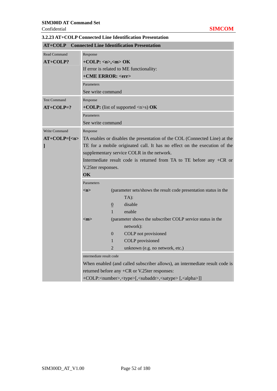| <b>AT+COLP</b>      |                                                                                                  | <b>Connected Line Identification Presentation</b>                           |  |  |
|---------------------|--------------------------------------------------------------------------------------------------|-----------------------------------------------------------------------------|--|--|
| <b>Read Command</b> | Response                                                                                         |                                                                             |  |  |
| AT+COLP?            | $+COLP: m>> OK$                                                                                  |                                                                             |  |  |
|                     |                                                                                                  | If error is related to ME functionality:                                    |  |  |
|                     | +CME ERROR: <err></err>                                                                          |                                                                             |  |  |
|                     | Parameters                                                                                       |                                                                             |  |  |
|                     | See write command                                                                                |                                                                             |  |  |
| <b>Test Command</b> | Response                                                                                         |                                                                             |  |  |
| $AT+COLP=?$         |                                                                                                  | +COLP: (list of supported $\langle n \rangle$ s) OK                         |  |  |
|                     | Parameters                                                                                       |                                                                             |  |  |
|                     | See write command                                                                                |                                                                             |  |  |
| Write Command       | Response                                                                                         |                                                                             |  |  |
| $AT+COLP=[2]$       | TA enables or disables the presentation of the COL (Connected Line) at the                       |                                                                             |  |  |
| I                   |                                                                                                  | TE for a mobile originated call. It has no effect on the execution of the   |  |  |
|                     |                                                                                                  | supplementary service COLR in the network.                                  |  |  |
|                     | Intermediate result code is returned from TA to TE before any $+CR$ or                           |                                                                             |  |  |
|                     | V.25ter responses.                                                                               |                                                                             |  |  |
|                     | OK                                                                                               |                                                                             |  |  |
|                     | Parameters                                                                                       |                                                                             |  |  |
|                     | (parameter sets/shows the result code presentation status in the<br>m                            |                                                                             |  |  |
|                     |                                                                                                  | $TA$ :                                                                      |  |  |
|                     | $\overline{0}$                                                                                   | disable                                                                     |  |  |
|                     | $\mathbf{1}$                                                                                     | enable                                                                      |  |  |
|                     | $<$ m $>$                                                                                        | (parameter shows the subscriber COLP service status in the                  |  |  |
|                     |                                                                                                  | network):                                                                   |  |  |
|                     | $\Omega$                                                                                         | COLP not provisioned                                                        |  |  |
|                     | $\mathbf{1}$                                                                                     | COLP provisioned                                                            |  |  |
|                     | $\mathfrak{D}$                                                                                   | unknown (e.g. no network, etc.)                                             |  |  |
|                     | Intermediate result code                                                                         |                                                                             |  |  |
|                     |                                                                                                  | When enabled (and called subscriber allows), an intermediate result code is |  |  |
|                     |                                                                                                  | returned before any +CR or V.25ter responses:                               |  |  |
|                     | +COLP: <number>,<type>[,<subaddr>,<satype>[,<alpha>]]</alpha></satype></subaddr></type></number> |                                                                             |  |  |

**3.2.23 AT+COLP Connected Line Identification Presentation**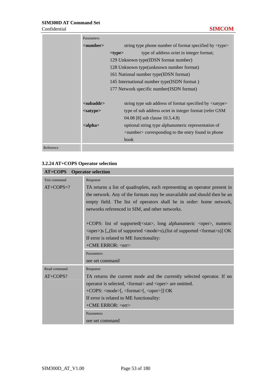|           | Parameters                 |                                                               |                                                                  |  |
|-----------|----------------------------|---------------------------------------------------------------|------------------------------------------------------------------|--|
|           | $\langle$ number $\rangle$ | string type phone number of format specified by <type></type> |                                                                  |  |
|           |                            | $<$ type $>$                                                  | type of address octet in integer format;                         |  |
|           |                            | 129 Unknown type (IDSN format number)                         |                                                                  |  |
|           |                            |                                                               | 128 Unknown type (unknown number format)                         |  |
|           |                            |                                                               | 161 National number type (IDSN format)                           |  |
|           |                            |                                                               | 145 International number type (ISDN format)                      |  |
|           |                            |                                                               | 177 Network specific number (ISDN format)                        |  |
|           |                            |                                                               |                                                                  |  |
|           | <subaddr></subaddr>        |                                                               | string type sub address of format specified by <satype></satype> |  |
|           | $<$ satype $>$             |                                                               | type of sub address octet in integer format (refer GSM)          |  |
|           |                            |                                                               | 04.08 [8] sub clause 10.5.4.8)                                   |  |
|           | $\langle$ alpha $\rangle$  |                                                               | optional string type alphanumeric representation of              |  |
|           |                            |                                                               | <number> corresponding to the entry found in phone</number>      |  |
|           |                            |                                                               | book                                                             |  |
| Reference |                            |                                                               |                                                                  |  |

## **3.2.24 AT+COPS Operator selection**

| <b>AT+COPS</b> Operator selection |                                                                                                                                                                                                                                                                                                                     |
|-----------------------------------|---------------------------------------------------------------------------------------------------------------------------------------------------------------------------------------------------------------------------------------------------------------------------------------------------------------------|
| <b>Test command</b>               | Response                                                                                                                                                                                                                                                                                                            |
| $AT+COPS=?$                       | TA returns a list of quadruplets, each representing an operator present in<br>the network. Any of the formats may be unavailable and should then be an<br>empty field. The list of operators shall be in order: home network,<br>networks referenced in SIM, and other networks.                                    |
|                                   | +COPS: list of supported( <stat>, long alphanumeric <oper>, numeric<br/><math>\langle</math> <oper>)s [, (list of supported <math>\langle</math> mode&gt;s), (list of supported <math>\langle</math> format&gt;s)] OK<br/>If error is related to ME functionality:<br/>+CME ERROR: <err></err></oper></oper></stat> |
|                                   | Parameters                                                                                                                                                                                                                                                                                                          |
|                                   | see set command                                                                                                                                                                                                                                                                                                     |
| Read command                      | Response                                                                                                                                                                                                                                                                                                            |
| $AT+COPS?$                        | TA returns the current mode and the currently selected operator. If no<br>operator is selected, <format> and <oper> are omitted.<br/>+COPS: <mode>[, <format>[, <oper>]] OK<br/>If error is related to ME functionality:<br/>+CME ERROR: <err></err></oper></format></mode></oper></format>                         |
|                                   | Parameters                                                                                                                                                                                                                                                                                                          |
|                                   | see set command                                                                                                                                                                                                                                                                                                     |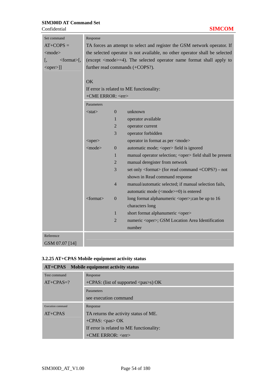| Set command<br>$AT+COPS=$<br>$<$ mode $>$<br>$<$ format $>$ [,<br>ı.<br>$\le$ oper $>$ ]] | Response<br>TA forces an attempt to select and register the GSM network operator. If<br>the selected operator is not available, no other operator shall be selected<br>(except <mode>=4). The selected operator name format shall apply to<br/>further read commands (+COPS?).<br/>OK<br/>If error is related to ME functionality:</mode> |                  |                                                                 |  |
|-------------------------------------------------------------------------------------------|-------------------------------------------------------------------------------------------------------------------------------------------------------------------------------------------------------------------------------------------------------------------------------------------------------------------------------------------|------------------|-----------------------------------------------------------------|--|
|                                                                                           | +CME ERROR: <err></err>                                                                                                                                                                                                                                                                                                                   |                  |                                                                 |  |
|                                                                                           | Parameters                                                                                                                                                                                                                                                                                                                                |                  |                                                                 |  |
|                                                                                           | $<$ stat $>$                                                                                                                                                                                                                                                                                                                              | $\mathbf{0}$     | unknown                                                         |  |
|                                                                                           |                                                                                                                                                                                                                                                                                                                                           | 1                | operator available                                              |  |
|                                                                                           |                                                                                                                                                                                                                                                                                                                                           | $\overline{2}$   | operator current                                                |  |
|                                                                                           |                                                                                                                                                                                                                                                                                                                                           | 3                | operator forbidden                                              |  |
|                                                                                           | <oper></oper>                                                                                                                                                                                                                                                                                                                             |                  | operator in format as per <mode></mode>                         |  |
|                                                                                           | $<$ mode $>$                                                                                                                                                                                                                                                                                                                              | $\boldsymbol{0}$ | automatic mode; <oper> field is ignored</oper>                  |  |
|                                                                                           |                                                                                                                                                                                                                                                                                                                                           | 1                | manual operator selection; <oper> field shall be present</oper> |  |
|                                                                                           |                                                                                                                                                                                                                                                                                                                                           | 2                | manual deregister from network                                  |  |
|                                                                                           |                                                                                                                                                                                                                                                                                                                                           | 3                | set only <format> (for read command +COPS?) – not</format>      |  |
|                                                                                           |                                                                                                                                                                                                                                                                                                                                           |                  | shown in Read command response                                  |  |
|                                                                                           |                                                                                                                                                                                                                                                                                                                                           | $\overline{4}$   | manual/automatic selected; if manual selection fails,           |  |
|                                                                                           |                                                                                                                                                                                                                                                                                                                                           |                  | automatic mode ( <mode>=0) is entered</mode>                    |  |
|                                                                                           | $<$ format $>$                                                                                                                                                                                                                                                                                                                            | $\overline{0}$   | long format alphanumeric <oper>;can be up to 16</oper>          |  |
|                                                                                           |                                                                                                                                                                                                                                                                                                                                           |                  | characters long                                                 |  |
|                                                                                           |                                                                                                                                                                                                                                                                                                                                           | $\mathbf{1}$     | short format alphanumeric <oper></oper>                         |  |
|                                                                                           |                                                                                                                                                                                                                                                                                                                                           | $\overline{2}$   | numeric <oper>; GSM Location Area Identification</oper>         |  |
|                                                                                           |                                                                                                                                                                                                                                                                                                                                           |                  | number                                                          |  |
| Reference                                                                                 |                                                                                                                                                                                                                                                                                                                                           |                  |                                                                 |  |
| GSM 07.07 [14]                                                                            |                                                                                                                                                                                                                                                                                                                                           |                  |                                                                 |  |

# **3.2.25 AT+CPAS Mobile equipment activity status**

| AT+CPAS Mobile equipment activity status |                                                          |  |  |  |
|------------------------------------------|----------------------------------------------------------|--|--|--|
| Test command                             | Response                                                 |  |  |  |
| $AT+CPAS=?$                              | $+CPAS$ : (list of supported $\langle pass \rangle$ ) OK |  |  |  |
|                                          | Parameters                                               |  |  |  |
|                                          | see execution command                                    |  |  |  |
| Execution command                        | Response                                                 |  |  |  |
| $AT+CPAS$                                | TA returns the activity status of ME.                    |  |  |  |
|                                          | $+CPAS$ : $<$ pas $>$ OK                                 |  |  |  |
|                                          | If error is related to ME functionality:                 |  |  |  |
|                                          | $+$ CME ERROR: $\langle$ err $>$                         |  |  |  |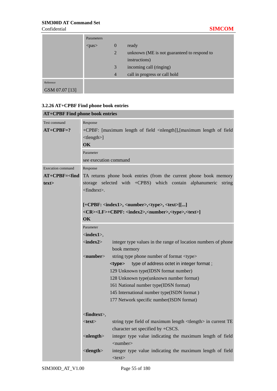|                | Parameters  |                |                                             |
|----------------|-------------|----------------|---------------------------------------------|
|                | $<$ pas $>$ | $\overline{0}$ | ready                                       |
|                |             | $\overline{2}$ | unknown (ME is not guaranteed to respond to |
|                |             |                | instructions)                               |
|                |             | $\mathbf{3}$   | incoming call (ringing)                     |
|                |             | $\overline{4}$ | call in progress or call hold               |
| Reference      |             |                |                                             |
| GSM 07.07 [13] |             |                |                                             |

## **3.2.26 AT+CPBF Find phone book entries**

|                             | <b>AT+CPBF Find phone book entries</b> |                                                                                                             |  |  |  |
|-----------------------------|----------------------------------------|-------------------------------------------------------------------------------------------------------------|--|--|--|
| Test command<br>$AT+CPBF=?$ | Response<br>ltlength><br>OK            | +CPBF: [maximum length of field <nlength]], [maximum="" field<="" length="" of="" th=""></nlength]],>       |  |  |  |
|                             | Parameter                              |                                                                                                             |  |  |  |
|                             | see execution command                  |                                                                                                             |  |  |  |
| <b>Execution command</b>    | Response                               |                                                                                                             |  |  |  |
| $AT+CPBF=<$ find            |                                        | TA returns phone book entries (from the current phone book memory                                           |  |  |  |
| textz                       | $<$ findtext $>$ .                     | storage selected with +CPBS) which contain alphanumeric<br>string                                           |  |  |  |
|                             |                                        |                                                                                                             |  |  |  |
|                             |                                        | [+CPBF: <index1>, <number>,<type>, <text>[[]</text></type></number></index1>                                |  |  |  |
|                             |                                        | <cr><lf>+CBPF: <index2>,<number>,<type>,<text>]</text></type></number></index2></lf></cr>                   |  |  |  |
|                             | <b>OK</b>                              |                                                                                                             |  |  |  |
|                             | Parameter                              |                                                                                                             |  |  |  |
|                             | $\langle index1 \rangle$ ,             |                                                                                                             |  |  |  |
|                             | $\langle index2 \rangle$               | integer type values in the range of location numbers of phone<br>book memory                                |  |  |  |
|                             | $\langle$ number $\rangle$             | string type phone number of format <type></type>                                                            |  |  |  |
|                             |                                        | type of address octet in integer format;<br><type></type>                                                   |  |  |  |
|                             |                                        | 129 Unknown type(IDSN format number)                                                                        |  |  |  |
|                             |                                        | 128 Unknown type(unknown number format)                                                                     |  |  |  |
|                             |                                        | 161 National number type(IDSN format)                                                                       |  |  |  |
|                             |                                        | 145 International number type(ISDN format)                                                                  |  |  |  |
|                             |                                        | 177 Network specific number(ISDN format)                                                                    |  |  |  |
|                             | $\langle$ findtext>,                   |                                                                                                             |  |  |  |
|                             | $<$ text $>$                           | string type field of maximum length <tlength> in current TE<br/>character set specified by +CSCS.</tlength> |  |  |  |
|                             | $\langle$ nlength $\rangle$            | integer type value indicating the maximum length of field<br>$\langle$ number $\rangle$                     |  |  |  |
|                             | ltlength                               | integer type value indicating the maximum length of field<br>$<$ text $>$                                   |  |  |  |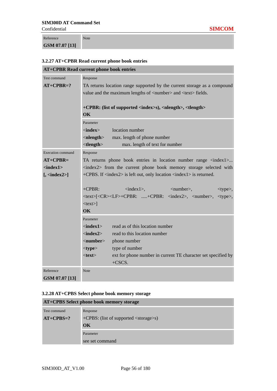Reference **GSM 07.07 [13]** Note

| <b>AT+CPBR Read current phone book entries</b> |                                                                                                                                                          |                                                                                       |  |  |  |  |  |
|------------------------------------------------|----------------------------------------------------------------------------------------------------------------------------------------------------------|---------------------------------------------------------------------------------------|--|--|--|--|--|
| Test command                                   | Response                                                                                                                                                 |                                                                                       |  |  |  |  |  |
| $AT+CPBR=?$                                    | TA returns location range supported by the current storage as a compound<br>value and the maximum lengths of <number> and <text> fields.</text></number> |                                                                                       |  |  |  |  |  |
|                                                |                                                                                                                                                          |                                                                                       |  |  |  |  |  |
|                                                |                                                                                                                                                          |                                                                                       |  |  |  |  |  |
|                                                |                                                                                                                                                          | +CPBR: (list of supported <index>s), <nlength>, <tlength></tlength></nlength></index> |  |  |  |  |  |
|                                                | OK                                                                                                                                                       |                                                                                       |  |  |  |  |  |
|                                                | Parameter                                                                                                                                                |                                                                                       |  |  |  |  |  |
|                                                | $<$ index $>$                                                                                                                                            | location number                                                                       |  |  |  |  |  |
|                                                | $\langle$ nlength $>$                                                                                                                                    | max. length of phone number                                                           |  |  |  |  |  |
|                                                | $lt$ length $gt$                                                                                                                                         | max. length of text for number                                                        |  |  |  |  |  |
| <b>Execution</b> command                       | Response                                                                                                                                                 |                                                                                       |  |  |  |  |  |
| $AT+CPBR=$                                     |                                                                                                                                                          | TA returns phone book entries in location number range $\langle$ index1>              |  |  |  |  |  |
| $<$ index $1>$                                 | <index2> from the current phone book memory storage selected with</index2>                                                                               |                                                                                       |  |  |  |  |  |
| [, <i>index2</i> >]                            | +CPBS. If <index2> is left out, only location <index1> is returned.</index1></index2>                                                                    |                                                                                       |  |  |  |  |  |
|                                                |                                                                                                                                                          |                                                                                       |  |  |  |  |  |
|                                                | $+CPBR$ :<br>$\langle index1 \rangle$ ,<br>$\langle$ number $\rangle$ ,<br><type>,</type>                                                                |                                                                                       |  |  |  |  |  |
|                                                | <text>[<cr><lf>+CPBR: +CPBR: <index2>, <number>,<br/><type>,</type></number></index2></lf></cr></text>                                                   |                                                                                       |  |  |  |  |  |
|                                                | $<$ text $>$ ]                                                                                                                                           |                                                                                       |  |  |  |  |  |
|                                                | <b>OK</b>                                                                                                                                                |                                                                                       |  |  |  |  |  |
|                                                | Parameter                                                                                                                                                |                                                                                       |  |  |  |  |  |
|                                                | $\langle index1 \rangle$                                                                                                                                 | read as of this location number                                                       |  |  |  |  |  |
|                                                | $\langle index2 \rangle$                                                                                                                                 | read to this location number                                                          |  |  |  |  |  |
|                                                | $\le$ number $>$                                                                                                                                         | phone number                                                                          |  |  |  |  |  |
|                                                | $<$ type $>$                                                                                                                                             | type of number                                                                        |  |  |  |  |  |
|                                                | $<$ text $>$                                                                                                                                             | ext for phone number in current TE character set specified by                         |  |  |  |  |  |
|                                                |                                                                                                                                                          | $+CSCS.$                                                                              |  |  |  |  |  |
| Reference                                      | <b>Note</b>                                                                                                                                              |                                                                                       |  |  |  |  |  |
| GSM 07.07 [13]                                 |                                                                                                                                                          |                                                                                       |  |  |  |  |  |

#### **3.2.28 AT+CPBS Select phone book memory storage**

| AT+CPBS Select phone book memory storage |                                                 |  |  |  |
|------------------------------------------|-------------------------------------------------|--|--|--|
| Test command                             | Response                                        |  |  |  |
| $AT+CPBS=?$                              | +CPBS: (list of supported <storage>s)</storage> |  |  |  |
|                                          | $\alpha$                                        |  |  |  |
| Parameter                                |                                                 |  |  |  |
|                                          | see set command                                 |  |  |  |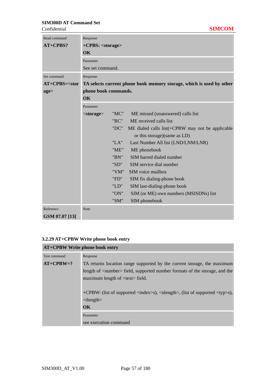#### **Confidential**

| Read command       | Response                   |      |                                                                      |  |  |
|--------------------|----------------------------|------|----------------------------------------------------------------------|--|--|
| AT+CPBS?           | +CPBS: <storage></storage> |      |                                                                      |  |  |
|                    | OK                         |      |                                                                      |  |  |
|                    | Parameter                  |      |                                                                      |  |  |
|                    | See set command.           |      |                                                                      |  |  |
| Set command        | Response                   |      |                                                                      |  |  |
| $AT+CPBS = <>stor$ |                            |      | TA selects current phone book memory storage, which is used by other |  |  |
| age>               | phone book commands.       |      |                                                                      |  |  |
|                    | $\overline{\text{OK}}$     |      |                                                                      |  |  |
|                    | Parameter                  |      |                                                                      |  |  |
|                    | $<$ storage $>$            | "MC" | ME missed (unanswered) calls list                                    |  |  |
|                    |                            | "RC" | ME received calls list                                               |  |  |
|                    |                            | "DC" | ME dialed calls list(+CPBW may not be applicable                     |  |  |
|                    |                            |      | or this storage)(same as LD)                                         |  |  |
|                    |                            | "LA" | Last Number All list (LND/LNM/LNR)                                   |  |  |
|                    |                            | "ME" | ME phonebook                                                         |  |  |
|                    |                            | "BN" | SIM barred dialed number                                             |  |  |
|                    |                            | "SD" | SIM service dial number                                              |  |  |
|                    |                            | "VM" | SIM voice mailbox                                                    |  |  |
|                    |                            | "FD" | SIM fix dialing-phone book                                           |  |  |
|                    |                            | "LD" | SIM last-dialing-phone book                                          |  |  |
|                    |                            | "ON" | SIM (or ME) own numbers (MSISDNs) list                               |  |  |
|                    |                            | "SM" | SIM phonebook                                                        |  |  |
| Reference          | <b>Note</b>                |      |                                                                      |  |  |
| GSM 07.07 [13]     |                            |      |                                                                      |  |  |

# **3.2.29 AT+CPBW Write phone book entry**

| <b>AT+CPBW Write phone book entry</b> |                                                                                                     |  |
|---------------------------------------|-----------------------------------------------------------------------------------------------------|--|
| Test command                          | Response                                                                                            |  |
| $AT+CPBW=?$                           | TA returns location range supported by the current storage, the maximum                             |  |
|                                       | length of <number> field, supported number formats of the storage, and the</number>                 |  |
|                                       | maximum length of <text>field.</text>                                                               |  |
|                                       |                                                                                                     |  |
|                                       | +CPBW: (list of supported <index>s), <nlength>, (list of supported <typ>s),</typ></nlength></index> |  |
|                                       | lt length                                                                                           |  |
|                                       | $\alpha$                                                                                            |  |
|                                       | Parameter                                                                                           |  |
|                                       | see execution command                                                                               |  |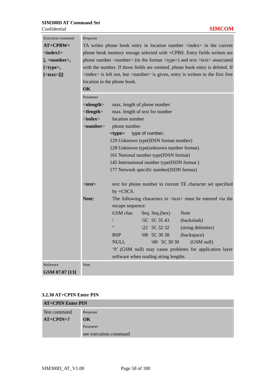| <b>Execution command</b> | Response                                                                                       |                             |                                         |                                                                                                 |  |  |
|--------------------------|------------------------------------------------------------------------------------------------|-----------------------------|-----------------------------------------|-------------------------------------------------------------------------------------------------|--|--|
| $AT+CPBW=$               | TA writes phone book entry in location number <index> in the current</index>                   |                             |                                         |                                                                                                 |  |  |
| <index1></index1>        | phone book memory storage selected with +CPBS. Entry fields written are                        |                             |                                         |                                                                                                 |  |  |
| $[$ , <number>,</number> | phone number <number> (in the format <type>) and text <text> associated</text></type></number> |                             |                                         |                                                                                                 |  |  |
| [ <type>,</type>         |                                                                                                |                             |                                         | with the number. If those fields are omitted, phone book entry is deleted. If                   |  |  |
| $[<\text{text}>]]$       |                                                                                                |                             |                                         | <index> is left out, but <number> is given, entry is written to the first free</number></index> |  |  |
|                          |                                                                                                | location in the phone book. |                                         |                                                                                                 |  |  |
|                          | OK                                                                                             |                             |                                         |                                                                                                 |  |  |
|                          | Parameter                                                                                      |                             |                                         |                                                                                                 |  |  |
|                          | $\langle$ nlength $>$                                                                          |                             | max. length of phone number             |                                                                                                 |  |  |
|                          | ltlength                                                                                       |                             | max. length of text for number          |                                                                                                 |  |  |
|                          | $\langle$ index $\rangle$                                                                      | location number             |                                         |                                                                                                 |  |  |
|                          | $\langle$ number $\rangle$                                                                     | phone number                |                                         |                                                                                                 |  |  |
|                          |                                                                                                | <type></type>               | type of number;                         |                                                                                                 |  |  |
|                          |                                                                                                |                             | 129 Unknown type(IDSN format number)    |                                                                                                 |  |  |
|                          |                                                                                                |                             | 128 Unknown type(unknown number format) |                                                                                                 |  |  |
|                          | 161 National number type(IDSN format)                                                          |                             |                                         |                                                                                                 |  |  |
|                          | 145 International number type(ISDN format)                                                     |                             |                                         |                                                                                                 |  |  |
|                          | 177 Network specific number(ISDN format)                                                       |                             |                                         |                                                                                                 |  |  |
|                          | $<$ text $>$<br>text for phone number in current TE character set specified<br>by $+CSCS$ .    |                             |                                         |                                                                                                 |  |  |
|                          | Note:                                                                                          |                             |                                         | The following characters in <text> must be entered via the</text>                               |  |  |
|                          |                                                                                                | escape sequence:            |                                         |                                                                                                 |  |  |
|                          |                                                                                                | GSM char.                   | Seq. Seq. (hex)                         | <b>Note</b>                                                                                     |  |  |
|                          |                                                                                                | $\backslash$                | \5C 5C 35 43                            | (backslash)                                                                                     |  |  |
|                          |                                                                                                | $\zeta$ $\zeta$             | \22 5C 32 32                            | (string delimiter)                                                                              |  |  |
|                          |                                                                                                | <b>BSP</b>                  | $\{08, 5C, 30, 38\}$                    | (backspace)                                                                                     |  |  |
|                          |                                                                                                | <b>NULL</b>                 | $\setminus 00$ 5C 30 30                 | (GSM null)                                                                                      |  |  |
|                          |                                                                                                |                             |                                         | '0' (GSM null) may cause problems for application layer                                         |  |  |
|                          |                                                                                                |                             | software when reading string lengths.   |                                                                                                 |  |  |
| Reference                | <b>Note</b>                                                                                    |                             |                                         |                                                                                                 |  |  |
| GSM 07.07 [13]           |                                                                                                |                             |                                         |                                                                                                 |  |  |

#### **3.2.30 AT+CPIN Enter PIN**

| <b>AT+CPIN Enter PIN</b> |                       |  |
|--------------------------|-----------------------|--|
| Test command             | Response              |  |
| $AT+CPIN=?$              | $\alpha$              |  |
|                          | Parameter             |  |
|                          | see execution command |  |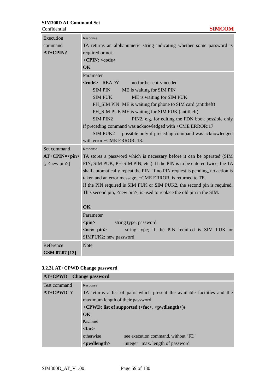| Execution<br>command               | Response<br>TA returns an alphanumeric string indicating whether some password is         |  |  |  |
|------------------------------------|-------------------------------------------------------------------------------------------|--|--|--|
| AT+CPIN?                           | required or not.                                                                          |  |  |  |
|                                    | +CPIN: <code></code>                                                                      |  |  |  |
|                                    | OK                                                                                        |  |  |  |
|                                    | Parameter                                                                                 |  |  |  |
|                                    | <code> READY<br/>no further entry needed</code>                                           |  |  |  |
|                                    | <b>SIMPIN</b><br>ME is waiting for SIM PIN                                                |  |  |  |
|                                    | <b>SIM PUK</b><br>ME is waiting for SIM PUK                                               |  |  |  |
|                                    | PH_SIM PIN ME is waiting for phone to SIM card (antitheft)                                |  |  |  |
|                                    | PH_SIM PUK ME is waiting for SIM PUK (antitheft)                                          |  |  |  |
|                                    | <b>SIM PIN2</b><br>PIN2, e.g. for editing the FDN book possible only                      |  |  |  |
|                                    | if preceding command was acknowledged with +CME ERROR:17                                  |  |  |  |
|                                    | <b>SIM PUK2</b><br>possible only if preceding command was acknowledged                    |  |  |  |
|                                    | with error +CME ERROR: 18.                                                                |  |  |  |
| Set command                        | Response                                                                                  |  |  |  |
| $AT+CPIN=$                         | TA stores a password which is necessary before it can be operated (SIM                    |  |  |  |
| $[$ , $\langle$ new pin $\rangle]$ | PIN, SIM PUK, PH-SIM PIN, etc.). If the PIN is to be entered twice, the TA                |  |  |  |
|                                    | shall automatically repeat the PIN. If no PIN request is pending, no action is            |  |  |  |
|                                    | taken and an error message, +CME ERROR, is returned to TE.                                |  |  |  |
|                                    | If the PIN required is SIM PUK or SIM PUK2, the second pin is required.                   |  |  |  |
|                                    | This second pin, $\langle$ new pin $\rangle$ , is used to replace the old pin in the SIM. |  |  |  |
|                                    |                                                                                           |  |  |  |
|                                    | <b>OK</b>                                                                                 |  |  |  |
|                                    | Parameter                                                                                 |  |  |  |
|                                    | $<$ pin $>$<br>string type; password                                                      |  |  |  |
|                                    | <new pin=""><br/>string type; If the PIN required is SIM PUK or</new>                     |  |  |  |
|                                    | SIMPUK2: new password                                                                     |  |  |  |
| Reference                          | <b>Note</b>                                                                               |  |  |  |
| GSM 07.07 [13]                     |                                                                                           |  |  |  |

# **3.2.31 AT+CPWD Change password**

| <b>AT+CPWD</b> Change password |                                                                           |                                     |  |  |  |
|--------------------------------|---------------------------------------------------------------------------|-------------------------------------|--|--|--|
| Test command                   | Response                                                                  |                                     |  |  |  |
| $AT+CPWD=?$                    | TA returns a list of pairs which present the available facilities and the |                                     |  |  |  |
|                                | maximum length of their password.                                         |                                     |  |  |  |
|                                | +CPWD: list of supported ( <fac>, <pwdlength>)s</pwdlength></fac>         |                                     |  |  |  |
|                                | $\overline{\text{OK}}$                                                    |                                     |  |  |  |
|                                | Parameter                                                                 |                                     |  |  |  |
|                                | $<$ fac $>$                                                               |                                     |  |  |  |
|                                | otherwise                                                                 | see execution command, without "FD" |  |  |  |
|                                | <pwdlength></pwdlength>                                                   | integer max. length of password     |  |  |  |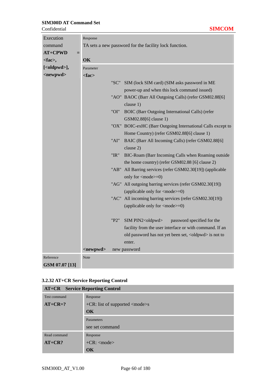| Confidential          |                                                        | <b>SIMCOM</b>                                                                                    |  |
|-----------------------|--------------------------------------------------------|--------------------------------------------------------------------------------------------------|--|
| Execution             | Response                                               |                                                                                                  |  |
| command               | TA sets a new password for the facility lock function. |                                                                                                  |  |
| <b>AT+CPWD</b><br>$=$ |                                                        |                                                                                                  |  |
| <fac>,</fac>          | OK                                                     |                                                                                                  |  |
| [ <oldpwd>],</oldpwd> | Parameter                                              |                                                                                                  |  |
| <newpwd></newpwd>     | <fac></fac>                                            |                                                                                                  |  |
|                       |                                                        | "SC"<br>SIM (lock SIM card) (SIM asks password in ME                                             |  |
|                       |                                                        | power-up and when this lock command issued)                                                      |  |
|                       |                                                        | "AO" BAOC (Barr All Outgoing Calls) (refer GSM02.88[6]                                           |  |
|                       |                                                        | clause 1)                                                                                        |  |
|                       |                                                        | "OI"<br>BOIC (Barr Outgoing International Calls) (refer                                          |  |
|                       |                                                        | GSM02.88[6] clause 1)                                                                            |  |
|                       |                                                        | "OX" BOIC-exHC (Barr Outgoing International Calls except to                                      |  |
|                       |                                                        | Home Country) (refer GSM02.88[6] clause 1)                                                       |  |
|                       |                                                        | "AI"<br>BAIC (Barr All Incoming Calls) (refer GSM02.88[6]                                        |  |
|                       |                                                        | clause 2)                                                                                        |  |
|                       |                                                        | "IR"<br>BIC-Roam (Barr Incoming Calls when Roaming outside                                       |  |
|                       |                                                        | the home country) (refer GSM02.88 [6] clause 2)                                                  |  |
|                       |                                                        | "AB" All Barring services (refer GSM02.30[19]) (applicable                                       |  |
|                       |                                                        | only for <mode>=0)</mode>                                                                        |  |
|                       |                                                        | "AG" All outgoing barring services (refer GSM02.30[19])                                          |  |
|                       |                                                        | (applicable only for <mode>=0)</mode>                                                            |  |
|                       |                                                        | "AC" All incoming barring services (refer GSM02.30[19])<br>(applicable only for <mode>=0)</mode> |  |
|                       |                                                        |                                                                                                  |  |
|                       |                                                        | SIM PIN2 <oldpwd><br/>"P2"<br/>password specified for the</oldpwd>                               |  |
|                       |                                                        | facility from the user interface or with command. If an                                          |  |
|                       |                                                        | old password has not yet been set, <oldpwd> is not to</oldpwd>                                   |  |
|                       |                                                        | enter.                                                                                           |  |
|                       | <newpwd></newpwd>                                      | new password                                                                                     |  |
| Reference             | Note                                                   |                                                                                                  |  |
| GSM 07.07 [13]        |                                                        |                                                                                                  |  |

# **3.2.32 AT+CR Service Reporting Control**

| <b>AT+CR</b> Service Reporting Control |                                                      |  |  |  |  |  |
|----------------------------------------|------------------------------------------------------|--|--|--|--|--|
| Test command                           | Response                                             |  |  |  |  |  |
| $AT+CR=?$                              | $+CR$ : list of supported $\langle$ mode $\rangle$ s |  |  |  |  |  |
|                                        | OK                                                   |  |  |  |  |  |
|                                        | Parameters                                           |  |  |  |  |  |
|                                        | see set command                                      |  |  |  |  |  |
| Read command                           | Response                                             |  |  |  |  |  |
| $AT+CR?$                               | $+CR$ : $<$ mode $>$                                 |  |  |  |  |  |
|                                        | OK                                                   |  |  |  |  |  |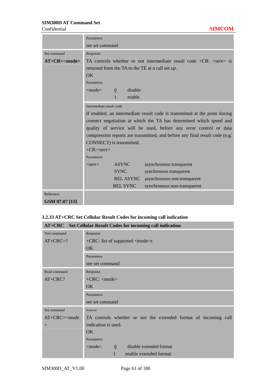Confidential **SIMCOM**

|                   | Parameters                                                                  |                |                  |                                                                                         |  |
|-------------------|-----------------------------------------------------------------------------|----------------|------------------|-----------------------------------------------------------------------------------------|--|
|                   | see set command                                                             |                |                  |                                                                                         |  |
| Set command       | Response                                                                    |                |                  |                                                                                         |  |
| $AT+CR = <$ mode> |                                                                             |                |                  | TA controls whether or not intermediate result code $+CR$ : $\langle$ serv $\rangle$ is |  |
|                   |                                                                             |                |                  | returned from the TA to the TE at a call set up.                                        |  |
|                   | $\overline{OK}$                                                             |                |                  |                                                                                         |  |
|                   | Parameters                                                                  |                |                  |                                                                                         |  |
|                   | $<$ mode $>$                                                                | $\overline{0}$ | disable          |                                                                                         |  |
|                   |                                                                             | $\mathbf{1}$   | enable           |                                                                                         |  |
|                   | Intermediate result code                                                    |                |                  |                                                                                         |  |
|                   | If enabled, an intermediate result code is transmitted at the point during  |                |                  |                                                                                         |  |
|                   | connect negotiation at which the TA has determined which speed and          |                |                  |                                                                                         |  |
|                   | quality of service will be used, before any error control or data           |                |                  |                                                                                         |  |
|                   | compression reports are transmitted, and before any final result code (e.g. |                |                  |                                                                                         |  |
|                   | CONNECT) is transmitted.                                                    |                |                  |                                                                                         |  |
|                   | $+CR$ : <serv></serv>                                                       |                |                  |                                                                                         |  |
|                   | Parameters                                                                  |                |                  |                                                                                         |  |
|                   | <b>ASYNC</b><br>asynchronous transparent<br>$<$ serv $>$                    |                |                  |                                                                                         |  |
|                   |                                                                             | <b>SYNC</b>    |                  | synchronous transparent                                                                 |  |
|                   |                                                                             |                | <b>REL ASYNC</b> | asynchronous non-transparent                                                            |  |
|                   | <b>REL SYNC</b><br>synchronous non-transparent                              |                |                  |                                                                                         |  |
| Reference         |                                                                             |                |                  |                                                                                         |  |
| GSM 07.07 [13]    |                                                                             |                |                  |                                                                                         |  |

#### **3.2.33 AT+CRC Set Cellular Result Codes for incoming call indication**

| AT+CRC Set Cellular Result Codes for incoming call indication |                                                                 |  |  |  |  |
|---------------------------------------------------------------|-----------------------------------------------------------------|--|--|--|--|
| Test command                                                  | Response                                                        |  |  |  |  |
| $AT+ CRC=?$                                                   | $+$ CRC: list of supported $\langle$ mode $\rangle$ s           |  |  |  |  |
|                                                               | OK.                                                             |  |  |  |  |
|                                                               | Parameters                                                      |  |  |  |  |
|                                                               | see set command                                                 |  |  |  |  |
| Read command                                                  | Response                                                        |  |  |  |  |
| $AT+CRC?$                                                     | $+$ CRC: $\langle$ mode $\rangle$                               |  |  |  |  |
|                                                               | OK.                                                             |  |  |  |  |
|                                                               | Parameters                                                      |  |  |  |  |
|                                                               | see set command                                                 |  |  |  |  |
| Set command                                                   | Response                                                        |  |  |  |  |
| $AT+CRC=<$ mode                                               | TA controls whether or not the extended format of incoming call |  |  |  |  |
| >                                                             | indication is used.                                             |  |  |  |  |
|                                                               | OK                                                              |  |  |  |  |
|                                                               | Parameters                                                      |  |  |  |  |
|                                                               | disable extended format<br>$<$ mode $>$<br>$\overline{0}$       |  |  |  |  |
|                                                               | enable extended format                                          |  |  |  |  |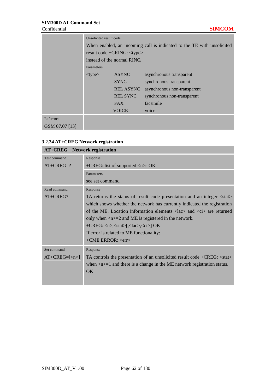|                | Unsolicited result code                                                |                  |                              |  |  |
|----------------|------------------------------------------------------------------------|------------------|------------------------------|--|--|
|                | When enabled, an incoming call is indicated to the TE with unsolicited |                  |                              |  |  |
|                | result code +CRING: <type></type>                                      |                  |                              |  |  |
|                | instead of the normal RING.                                            |                  |                              |  |  |
|                | Parameters                                                             |                  |                              |  |  |
|                | $<$ type $>$                                                           | <b>ASYNC</b>     | asynchronous transparent     |  |  |
|                |                                                                        | <b>SYNC</b>      | synchronous transparent      |  |  |
|                |                                                                        | <b>REL ASYNC</b> | asynchronous non-transparent |  |  |
|                | <b>REL SYNC</b>                                                        |                  | synchronous non-transparent  |  |  |
|                | <b>FAX</b>                                                             |                  | facsimile                    |  |  |
|                |                                                                        | voice            |                              |  |  |
| Reference      |                                                                        |                  |                              |  |  |
| GSM 07.07 [13] |                                                                        |                  |                              |  |  |

## **3.2.34 AT+CREG Network registration**

|                              | <b>AT+CREG</b> Network registration                                                                                    |  |  |  |  |  |
|------------------------------|------------------------------------------------------------------------------------------------------------------------|--|--|--|--|--|
| Test command                 | Response                                                                                                               |  |  |  |  |  |
| $AT+CREG=?$                  | +CREG: list of supported $\langle n \rangle$ s OK                                                                      |  |  |  |  |  |
|                              | Parameters                                                                                                             |  |  |  |  |  |
|                              | see set command                                                                                                        |  |  |  |  |  |
| Read command                 | Response                                                                                                               |  |  |  |  |  |
| $AT+CREG?$                   | TA returns the status of result code presentation and an integer <stat></stat>                                         |  |  |  |  |  |
|                              | which shows whether the network has currently indicated the registration                                               |  |  |  |  |  |
|                              | of the ME. Location information elements $\langle \text{lac} \rangle$ and $\langle \text{ci} \rangle$ are returned     |  |  |  |  |  |
|                              | only when $\langle n \rangle = 2$ and ME is registered in the network.                                                 |  |  |  |  |  |
|                              | $+{\rm CREG:}\langle n \rangle, \langle \text{stat} \rangle, \langle \text{lac} \rangle, \langle \text{ci} \rangle$ OK |  |  |  |  |  |
|                              | If error is related to ME functionality:                                                                               |  |  |  |  |  |
|                              | $+$ CME ERROR: $\langle$ err $\rangle$                                                                                 |  |  |  |  |  |
| Set command                  | Response                                                                                                               |  |  |  |  |  |
| $AT+CREG= \langle n\rangle $ | TA controls the presentation of an unsolicited result code +CREG: <stat></stat>                                        |  |  |  |  |  |
|                              | when $\langle n \rangle = 1$ and there is a change in the ME network registration status.                              |  |  |  |  |  |
|                              | OK                                                                                                                     |  |  |  |  |  |
|                              |                                                                                                                        |  |  |  |  |  |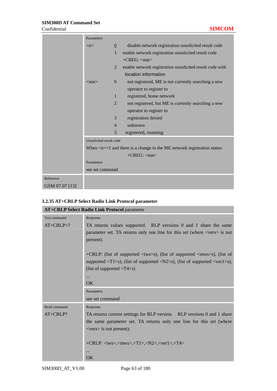|                | Parameters              |                 |                                                                                           |
|----------------|-------------------------|-----------------|-------------------------------------------------------------------------------------------|
|                | $\langle n \rangle$     | $\underline{0}$ | disable network registration unsolicited result code                                      |
|                |                         | $\mathbf{1}$    | enable network registration unsolicited result code                                       |
|                |                         |                 | $+CREG: \langle stat \rangle$                                                             |
|                |                         | $\overline{2}$  | enable network registration unsolicited result code with                                  |
|                |                         |                 | location information                                                                      |
|                | $<$ stat $>$            | $\Omega$        | not registered, ME is not currently searching a new                                       |
|                |                         |                 | operator to register to                                                                   |
|                |                         | $\mathbf{1}$    | registered, home network                                                                  |
|                |                         | $\overline{2}$  | not registered, but ME is currently searching a new                                       |
|                |                         |                 | operator to register to                                                                   |
|                |                         | 3               | registration denied                                                                       |
|                |                         | $\overline{4}$  | unknown                                                                                   |
|                |                         | 5               | registered, roaming                                                                       |
|                | Unsolicited result code |                 |                                                                                           |
|                |                         |                 | When $\langle n \rangle = 1$ and there is a change in the ME network registration status: |
|                |                         |                 | $+CREG: stat$                                                                             |
|                | Parameters              |                 |                                                                                           |
|                | see set command         |                 |                                                                                           |
| Reference      |                         |                 |                                                                                           |
| GSM 07.07 [13] |                         |                 |                                                                                           |

## **3.2.35 AT+CRLP Select Radio Link Protocol parameter**

|              | <b>AT+CRLP Select Radio Link Protocol parameter</b>                                                                          |  |  |  |  |  |
|--------------|------------------------------------------------------------------------------------------------------------------------------|--|--|--|--|--|
| Test command | Response                                                                                                                     |  |  |  |  |  |
| $AT+CRLP=?$  | TA returns values supported. RLP versions 0 and 1 share the same                                                             |  |  |  |  |  |
|              | parameter set. TA returns only one line for this set (where $\langle \text{verx} \rangle$ is not                             |  |  |  |  |  |
|              | present).                                                                                                                    |  |  |  |  |  |
|              |                                                                                                                              |  |  |  |  |  |
|              | +CRLP: (list of supported $\langle$ iws>s), (list of supported $\langle$ mws>s), (list of                                    |  |  |  |  |  |
|              | supported $\langle T1 \rangle$ s), (list of supported $\langle N2 \rangle$ s), (list of supported $\langle ver1 \rangle$ s), |  |  |  |  |  |
|              | (list of supported $\langle T4 \rangle$ s)                                                                                   |  |  |  |  |  |
|              |                                                                                                                              |  |  |  |  |  |
|              | OK                                                                                                                           |  |  |  |  |  |
|              | Parameters                                                                                                                   |  |  |  |  |  |
|              | see set command                                                                                                              |  |  |  |  |  |
| Read command | Response                                                                                                                     |  |  |  |  |  |
| AT+CRLP?     | TA returns current settings for RLP version. RLP versions 0 and 1 share                                                      |  |  |  |  |  |
|              | the same parameter set. TA returns only one line for this set (where                                                         |  |  |  |  |  |
|              | $\langle \text{verx} \rangle$ is not present).                                                                               |  |  |  |  |  |
|              |                                                                                                                              |  |  |  |  |  |
|              | +CRLP: $\langle$ iws>, $\langle$ mws>, $\langle$ T1>, $\langle$ N2>, $\langle$ ver1>, $\langle$ T4>                          |  |  |  |  |  |
|              |                                                                                                                              |  |  |  |  |  |
|              | <b>OK</b>                                                                                                                    |  |  |  |  |  |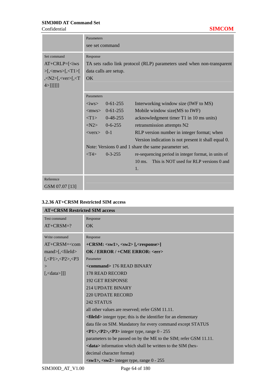Confidential **SIMCOM**

|                                                                                                                                                                                                                    | Parameters<br>see set command                                                                                                  |                                                                                                        |                                                                                                                                                                                                                                                                                                                                                                                                                            |  |
|--------------------------------------------------------------------------------------------------------------------------------------------------------------------------------------------------------------------|--------------------------------------------------------------------------------------------------------------------------------|--------------------------------------------------------------------------------------------------------|----------------------------------------------------------------------------------------------------------------------------------------------------------------------------------------------------------------------------------------------------------------------------------------------------------------------------------------------------------------------------------------------------------------------------|--|
| Set command<br>$AT+CRLP = \leq iws$<br>$>\left[ \langle \text{cmws} \rangle \right]$ , $\langle \text{T1} \rangle$<br>$,\langle N2 \rangle$ [ $,\langle \text{ver} \rangle$ [ $,\langle T \rangle$<br>$4>$ ]]]]]]] | Response<br>TA sets radio link protocol (RLP) parameters used when non-transparent<br>data calls are setup.<br>$\overline{OK}$ |                                                                                                        |                                                                                                                                                                                                                                                                                                                                                                                                                            |  |
|                                                                                                                                                                                                                    | Parameters<br>$\langle$ iws $>$<br>$<$ verx> 0-1<br>< T4                                                                       | $0-61-255$<br>$<$ mws> 0-61-255<br>$\langle T1 \rangle$ 0-48-255<br>$< N2 > 0$ -6-255<br>$0 - 3 - 255$ | Interworking window size (IWF to MS)<br>Mobile window size(MS to IWF)<br>acknowledgment timer T1 in 10 ms units)<br>retransmission attempts N2<br>RLP version number in integer format; when<br>Version indication is not present it shall equal 0.<br>Note: Versions 0 and 1 share the same parameter set.<br>re-sequencing period in integer format, in units of<br>10 ms. This is NOT used for RLP versions 0 and<br>1. |  |
| Reference<br>GSM 07.07 [13]                                                                                                                                                                                        |                                                                                                                                |                                                                                                        |                                                                                                                                                                                                                                                                                                                                                                                                                            |  |

## **3.2.36 AT+CRSM Restricted SIM access**

|  | <b>AT+CRSM Restricted SIM access</b>                                                                                                                                                                                             |                                                                                       |  |  |  |  |  |
|--|----------------------------------------------------------------------------------------------------------------------------------------------------------------------------------------------------------------------------------|---------------------------------------------------------------------------------------|--|--|--|--|--|
|  | Test command                                                                                                                                                                                                                     | Response                                                                              |  |  |  |  |  |
|  | $AT+CRSM=?$                                                                                                                                                                                                                      | OK.                                                                                   |  |  |  |  |  |
|  | Write command                                                                                                                                                                                                                    | Response                                                                              |  |  |  |  |  |
|  | $AT+CRSM = <$ com                                                                                                                                                                                                                | $+CRSM: \langle sw1 \rangle, \langle sw2 \rangle$ [, $\langle response \rangle$ ]     |  |  |  |  |  |
|  | $mand$ \[ \lefta \cdot \lefta \cdot \equal \equal \equal \equal \equal \equal \equal \equal \equal \equal \equal \equal \equal \equal \equal \equal \equal \equal \equal \equal \equal \equal \equal \equal \equal \equal \equal | OK / ERROR / +CME ERROR: <err></err>                                                  |  |  |  |  |  |
|  | $\left[ \langle P1 \rangle \langle P2 \rangle \langle P3 \right]$                                                                                                                                                                | Parameter                                                                             |  |  |  |  |  |
|  | >                                                                                                                                                                                                                                | <command/> 176 READ BINARY                                                            |  |  |  |  |  |
|  | $\left[ \frac{\text{d}}{\text{d}} \times \text{d}}\right]$                                                                                                                                                                       | 178 READ RECORD                                                                       |  |  |  |  |  |
|  |                                                                                                                                                                                                                                  | <b>192 GET RESPONSE</b>                                                               |  |  |  |  |  |
|  |                                                                                                                                                                                                                                  | <b>214 UPDATE BINARY</b>                                                              |  |  |  |  |  |
|  |                                                                                                                                                                                                                                  | <b>220 UPDATE RECORD</b>                                                              |  |  |  |  |  |
|  |                                                                                                                                                                                                                                  | 242 STATUS                                                                            |  |  |  |  |  |
|  |                                                                                                                                                                                                                                  | all other values are reserved; refer GSM 11.11.                                       |  |  |  |  |  |
|  |                                                                                                                                                                                                                                  | <fileid> integer type; this is the identifier for an elementary</fileid>              |  |  |  |  |  |
|  |                                                                                                                                                                                                                                  | data file on SIM. Mandatory for every command except STATUS                           |  |  |  |  |  |
|  |                                                                                                                                                                                                                                  | $\langle P1\rangle, \langle P2\rangle, \langle P3\rangle$ integer type, range 0 - 255 |  |  |  |  |  |
|  |                                                                                                                                                                                                                                  | parameters to be passed on by the ME to the SIM; refer GSM 11.11.                     |  |  |  |  |  |
|  |                                                                                                                                                                                                                                  | <data> information which shall be written to the SIM (hex-</data>                     |  |  |  |  |  |
|  |                                                                                                                                                                                                                                  | decimal character format)                                                             |  |  |  |  |  |
|  |                                                                                                                                                                                                                                  | $\langle sw1\rangle$ , $\langle sw2\rangle$ integer type, range 0 - 255               |  |  |  |  |  |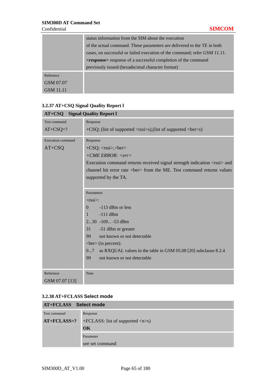|                                                                                 |           | status information from the SIM about the execution                     |  |  |  |
|---------------------------------------------------------------------------------|-----------|-------------------------------------------------------------------------|--|--|--|
|                                                                                 |           | of the actual command. These parameters are delivered to the TE in both |  |  |  |
| cases, on successful or failed execution of the command; refer GSM 11.11.       |           |                                                                         |  |  |  |
| <b><response></response></b> response of a successful completion of the command |           |                                                                         |  |  |  |
|                                                                                 |           | previously issued (hexadecimal character format)                        |  |  |  |
|                                                                                 | Reference |                                                                         |  |  |  |
|                                                                                 | GSM 07.07 |                                                                         |  |  |  |
|                                                                                 | GSM 11.11 |                                                                         |  |  |  |

## **3.2.37 AT+CSQ Signal Quality Report l**

| <b>AT+CSQ</b> Signal Quality Report I |                                                                                                                                                                                                                                                                                                                                                                                                                                                                                                                                                                                                                                                                                                                                                |
|---------------------------------------|------------------------------------------------------------------------------------------------------------------------------------------------------------------------------------------------------------------------------------------------------------------------------------------------------------------------------------------------------------------------------------------------------------------------------------------------------------------------------------------------------------------------------------------------------------------------------------------------------------------------------------------------------------------------------------------------------------------------------------------------|
| <b>Test command</b>                   | Response                                                                                                                                                                                                                                                                                                                                                                                                                                                                                                                                                                                                                                                                                                                                       |
| $AT+CSQ=?$                            | $+CSQ$ : (list of supported $\langle$ rssi>s),(list of supported $\langle$ ber>s)                                                                                                                                                                                                                                                                                                                                                                                                                                                                                                                                                                                                                                                              |
| <b>Execution</b> command<br>$AT+CSQ$  | Response<br>$+CSQ: \langle\text{rss}\rangle, \langle\text{ber}\rangle$<br>$+ CME$ ERROR: $\langle err \rangle$<br>Execution command returns received signal strength indication <rssi> and<br/>channel bit error rate <ber> from the ME. Test command returns values<br/>supported by the TA.<br/>Parameters<br/><math>\langle</math>rssi<math>&gt;\rangle</math>:<br/><math>-113</math> dBm or less<br/><math>\Omega</math><br/><math>-111</math> dBm<br/>1<br/>230 -109 -53 dBm<br/>-51 dBm or greater<br/>31<br/>not known or not detectable<br/>99<br/><math>\text{&lt;}ber\text{&gt;}</math> (in percent):<br/>as RXQUAL values in the table in GSM 05.08 [20] subclause 8.2.4<br/>07<br/>99<br/>not known or not detectable</ber></rssi> |
| Reference                             | <b>Note</b>                                                                                                                                                                                                                                                                                                                                                                                                                                                                                                                                                                                                                                                                                                                                    |
| GSM 07.07 [13]                        |                                                                                                                                                                                                                                                                                                                                                                                                                                                                                                                                                                                                                                                                                                                                                |

#### **3.2.38 AT+FCLASS Select mode**

| AT+FCLASS Select mode |                                                     |  |  |
|-----------------------|-----------------------------------------------------|--|--|
| Test command          | Response                                            |  |  |
| $AT+FCLAS = ?$        | $+FCLASS:$ list of supported $\langle n \rangle$ s) |  |  |
|                       | $\overline{\text{OK}}$                              |  |  |
|                       | Parameter                                           |  |  |
|                       | see set command                                     |  |  |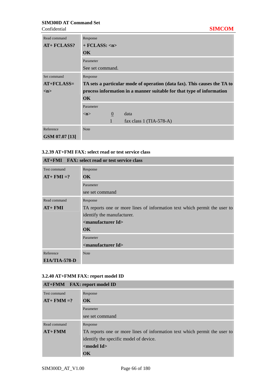| Read command<br><b>AT+ FCLASS?</b> | Response<br>$+$ FCLASS: $\langle n \rangle$<br>$\alpha$<br>Parameter<br>See set command. |              |                                                                          |
|------------------------------------|------------------------------------------------------------------------------------------|--------------|--------------------------------------------------------------------------|
| Set command                        | Response                                                                                 |              |                                                                          |
| $AT + FCLASS =$                    |                                                                                          |              | TA sets a particular mode of operation (data fax). This causes the TA to |
| m                                  | process information in a manner suitable for that type of information                    |              |                                                                          |
|                                    | $\alpha$                                                                                 |              |                                                                          |
|                                    | Parameter                                                                                |              |                                                                          |
|                                    | m                                                                                        | $\mathbf{0}$ | data                                                                     |
|                                    |                                                                                          | $\mathbf{1}$ | fax class 1 $(TIA-578-A)$                                                |
| Reference                          | <b>Note</b>                                                                              |              |                                                                          |
| GSM 07.07 [13]                     |                                                                                          |              |                                                                          |

## **3.2.39 AT+FMI FAX: select read or test service class**

| AT+FMI FAX: select read or test service class |                                                                           |  |  |
|-----------------------------------------------|---------------------------------------------------------------------------|--|--|
| Test command                                  | Response                                                                  |  |  |
| $AT+ FMI = ?$                                 | OK.                                                                       |  |  |
|                                               | Parameter                                                                 |  |  |
|                                               | see set command                                                           |  |  |
| Read command                                  | Response                                                                  |  |  |
| $AT+FMI$                                      | TA reports one or more lines of information text which permit the user to |  |  |
|                                               | identify the manufacturer.                                                |  |  |
|                                               | <manufacturer id=""></manufacturer>                                       |  |  |
|                                               | $\overline{\text{OK}}$                                                    |  |  |
|                                               | Parameter                                                                 |  |  |
|                                               | <manufacturer id=""></manufacturer>                                       |  |  |
| Reference                                     | <b>Note</b>                                                               |  |  |
| EIA/TIA-578-D                                 |                                                                           |  |  |

## **3.2.40 AT+FMM FAX: report model ID**

| AT+FMM FAX: report model ID |                                                                           |  |  |  |
|-----------------------------|---------------------------------------------------------------------------|--|--|--|
| Test command                | Response                                                                  |  |  |  |
| $AT+ FMM = ?$               | OK.                                                                       |  |  |  |
|                             | Parameter                                                                 |  |  |  |
|                             | see set command                                                           |  |  |  |
| Read command                | Response                                                                  |  |  |  |
| $AT + FMM$                  | TA reports one or more lines of information text which permit the user to |  |  |  |
|                             | identify the specific model of device.                                    |  |  |  |
|                             | $<$ model Id $>$                                                          |  |  |  |
|                             | $\alpha$                                                                  |  |  |  |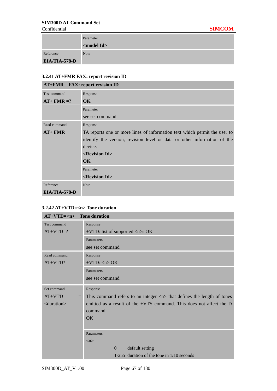|                      | Parameter             |
|----------------------|-----------------------|
|                      | <model id=""></model> |
| Reference            | <b>Note</b>           |
| <b>EIA/TIA-578-D</b> |                       |

## **3.2.41 AT+FMR FAX: report revision ID**

| <b>AT+FMR</b> FAX: report revision ID |                                                                           |  |  |
|---------------------------------------|---------------------------------------------------------------------------|--|--|
| Test command                          | Response                                                                  |  |  |
| $AT+ FMR = ?$                         | OK.                                                                       |  |  |
|                                       | Parameter                                                                 |  |  |
|                                       | see set command                                                           |  |  |
| Read command                          | Response                                                                  |  |  |
| $AT + FMR$                            | TA reports one or more lines of information text which permit the user to |  |  |
|                                       | identify the version, revision level or data or other information of the  |  |  |
|                                       | device.<br>$\leq$ Revision Id $>$                                         |  |  |
|                                       |                                                                           |  |  |
|                                       | OK.                                                                       |  |  |
|                                       | Parameter                                                                 |  |  |
|                                       | <revision id=""></revision>                                               |  |  |
| Reference                             | Note                                                                      |  |  |
| EIA/TIA-578-D                         |                                                                           |  |  |

## **3.2.42 AT+VTD=<n> Tone duration**

| $AT+VTD=$ Tone duration |                                                                                               |
|-------------------------|-----------------------------------------------------------------------------------------------|
| Test command            | Response                                                                                      |
| $AT+VTD=?$              | +VTD: list of supported $\langle n \rangle$ s OK                                              |
|                         | Parameters                                                                                    |
|                         | see set command                                                                               |
| Read command            | Response                                                                                      |
| $AT+VTD?$               | $+VTD:$ <n> OK</n>                                                                            |
|                         | Parameters                                                                                    |
|                         | see set command                                                                               |
|                         |                                                                                               |
| Set command             | Response                                                                                      |
| $AT+VTD$                | This command refers to an integer $\langle n \rangle$ that defines the length of tones<br>$=$ |
| $\alpha$ < duration >   | emitted as a result of the +VTS command. This does not affect the $D$                         |
|                         | command.                                                                                      |
|                         | OK                                                                                            |
|                         |                                                                                               |
|                         | Parameters                                                                                    |
|                         | $\langle n \rangle$                                                                           |
|                         | default setting<br>$\Omega$                                                                   |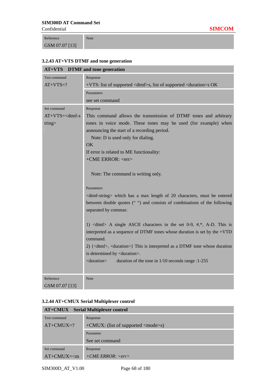Reference GSM 07.07 [13]

## **3.2.43 AT+VTS DTMF and tone generation**

Note

| <b>AT+VTS</b> DTMF and tone generation |                                                                                              |  |  |
|----------------------------------------|----------------------------------------------------------------------------------------------|--|--|
| Test command                           | Response                                                                                     |  |  |
| $AT+VTS=?$                             | +VTS: list of supported <dtmf>s, list of supported <duration>s OK</duration></dtmf>          |  |  |
|                                        | Parameters                                                                                   |  |  |
|                                        | see set command                                                                              |  |  |
| Set command                            | Response                                                                                     |  |  |
| $AT+VTS=$                              | This command allows the transmission of DTMF tones and arbitrary                             |  |  |
| tring                                  | tones in voice mode. These tones may be used (for example) when                              |  |  |
|                                        | announcing the start of a recording period.                                                  |  |  |
|                                        | Note: D is used only for dialing.                                                            |  |  |
|                                        | <b>OK</b>                                                                                    |  |  |
|                                        | If error is related to ME functionality:                                                     |  |  |
|                                        | +CME ERROR: <err></err>                                                                      |  |  |
|                                        | Note: The command is writing only.                                                           |  |  |
|                                        | Parameters                                                                                   |  |  |
|                                        | <dtmf-string> which has a max length of 20 characters, must be entered</dtmf-string>         |  |  |
|                                        | between double quotes ("") and consists of combinations of the following                     |  |  |
|                                        | separated by commas:                                                                         |  |  |
|                                        | 1) $\langle \text{dtmf} \rangle$ A single ASCII characters in the set 0-9, #,*, A-D. This is |  |  |
|                                        | interpreted as a sequence of DTMF tones whose duration is set by the +VTD                    |  |  |
|                                        | command.                                                                                     |  |  |
|                                        | 2) { <dtmf>, <duration>} This is interpreted as a DTMF tone whose duration</duration></dtmf> |  |  |
|                                        | is determined by <duration>.</duration>                                                      |  |  |
|                                        | <duration><br/>duration of the tone in <math>1/10</math> seconds range :1-255</duration>     |  |  |
|                                        |                                                                                              |  |  |
| Reference                              | <b>Note</b>                                                                                  |  |  |
| GSM 07.07 [13]                         |                                                                                              |  |  |

## **3.2.44 AT+CMUX Serial Multiplexer control**

| <b>AT+CMUX</b> Serial Multiplexer control |                                                          |  |  |  |
|-------------------------------------------|----------------------------------------------------------|--|--|--|
| Test command                              | Response                                                 |  |  |  |
| $AT+CMUX=?$                               | $+CMUX$ : (list of supported $\langle$ mode $\rangle$ s) |  |  |  |
|                                           | Parameter                                                |  |  |  |
|                                           | See set command                                          |  |  |  |
| Set command                               | Response                                                 |  |  |  |
| $AT+CMUX=m$                               | $+ CME$ ERROR: $\langle err \rangle$                     |  |  |  |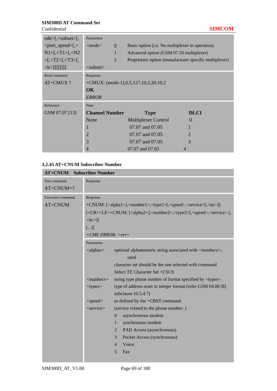### **SIM300D AT Command Set**  Confidential **SIMCOM**

| $ode>[$ , $\lt$ subset $>[$ ,   | Parameters                      |                                                 |                                                        |
|---------------------------------|---------------------------------|-------------------------------------------------|--------------------------------------------------------|
| <port_speed>[,&lt;</port_speed> | $<$ mode $>$<br>$\underline{0}$ | Basic option (i.e. No multiplexer in operation) |                                                        |
| $N1 > [-T1 > [-N2]$             |                                 | Advanced option (GSM 07.10 multiplexer)         |                                                        |
| $>[-725]$ , $<$ T3 $>$ [,       | 2                               |                                                 | Proprietary option (manufacturer specific multiplexer) |
| $\langle k \rangle$ [[[[[[]]]]] | $subset$                        |                                                 |                                                        |
| Read command                    | Response:                       |                                                 |                                                        |
| AT+CMUX?                        |                                 | $+CMUX$ : (mode-1),0,5,127,10,3,30,10,2         |                                                        |
|                                 | $\alpha$                        |                                                 |                                                        |
|                                 |                                 |                                                 |                                                        |
|                                 | <b>ERROR</b>                    |                                                 |                                                        |
| Reference                       | <b>Note</b>                     |                                                 |                                                        |
| GSM 07.07 [13]                  | <b>Channel Number</b>           | <b>Type</b>                                     | <b>DLCI</b>                                            |
|                                 | None                            | <b>Multiplexer Control</b>                      | $\Omega$                                               |
|                                 |                                 | 07.07 and 07.05                                 |                                                        |
|                                 | $\overline{2}$                  | 07.07 and 07.05                                 | $\mathcal{D}_{\cdot}$                                  |
|                                 | 3                               | 07.07 and 07.05                                 | 3                                                      |

#### **3.2.45 AT+CNUM Subscriber Number**

| <b>AT+CNUM</b> Subscriber Number |                                                                                                                            |                                                                   |  |
|----------------------------------|----------------------------------------------------------------------------------------------------------------------------|-------------------------------------------------------------------|--|
| <b>Test command</b>              | Response                                                                                                                   |                                                                   |  |
| $AT+CNUM=?$                      |                                                                                                                            |                                                                   |  |
| <b>Execution</b> command         | Response                                                                                                                   |                                                                   |  |
| AT+CNUM                          | +CNUM: [ <alpha1>],<number1>,<type1>[,<speed>,<service>[,<itc>]]</itc></service></speed></type1></number1></alpha1>        |                                                                   |  |
|                                  | [ <cr><lf>+CNUM: [<alpha2>],<number2>,<type2>[,<speed>,<service> [,</service></speed></type2></number2></alpha2></lf></cr> |                                                                   |  |
|                                  | $\langle$ itc>]]                                                                                                           |                                                                   |  |
|                                  | []                                                                                                                         |                                                                   |  |
|                                  | $+ CME$ ERROR: $\langle err \rangle$                                                                                       |                                                                   |  |
|                                  | Parameters                                                                                                                 |                                                                   |  |
|                                  | $\langle \text{alpha} \rangle$                                                                                             | optional alphanumeric string associated with <numberx>;</numberx> |  |
|                                  |                                                                                                                            | used                                                              |  |
|                                  |                                                                                                                            | character set should be the one selected with command             |  |
|                                  |                                                                                                                            | Select TE Character Set +CSCS                                     |  |
|                                  | $\langle$ numberx $\rangle$                                                                                                | string type phone number of format specified by <typex></typex>   |  |
|                                  | $<$ type $x>$                                                                                                              | type of address octet in integer format (refer GSM 04.08 [8]      |  |
|                                  |                                                                                                                            | subclause 10.5.4.7)                                               |  |
|                                  | $<$ speed $>$                                                                                                              | as defined by the +CBST command                                   |  |
|                                  | <service></service>                                                                                                        | (service related to the phone number: )                           |  |
|                                  |                                                                                                                            | asynchronous modem<br>$\theta$                                    |  |
|                                  |                                                                                                                            | synchronous modem<br>1                                            |  |
|                                  |                                                                                                                            | PAD Access (asynchronous)<br>$\overline{2}$                       |  |
|                                  |                                                                                                                            | 3<br>Packet Access (synchronous)                                  |  |
|                                  |                                                                                                                            | Voice<br>$\overline{4}$                                           |  |
|                                  |                                                                                                                            | 5<br>Fax                                                          |  |
|                                  |                                                                                                                            |                                                                   |  |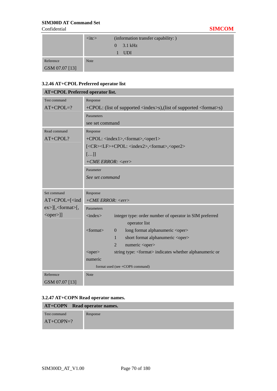|                | $\langle$ itc $>$ | (information transfer capability: ) |
|----------------|-------------------|-------------------------------------|
|                |                   | $0 \quad 3.1 \text{ kHz}$           |
|                |                   | $1$ UDI                             |
| Reference      | <b>Note</b>       |                                     |
| GSM 07.07 [13] |                   |                                     |

#### **3.2.46 AT+CPOL Preferred operator list**

| AT+CPOL Preferred operator list.   |                                                                                                             |  |
|------------------------------------|-------------------------------------------------------------------------------------------------------------|--|
| <b>Test command</b>                | Response                                                                                                    |  |
| $AT+CPOL=?$                        | +CPOL: (list of supported <index>s),(list of supported <format>s)</format></index>                          |  |
|                                    | Parameters                                                                                                  |  |
|                                    | see set command                                                                                             |  |
| Read command                       | Response                                                                                                    |  |
| AT+CPOL?                           | +CPOL: <index1>,<format>,<oper1></oper1></format></index1>                                                  |  |
|                                    | [ <cr><lf>+CPOL: <index2>,<format>,<oper2></oper2></format></index2></lf></cr>                              |  |
|                                    | []                                                                                                          |  |
|                                    | $+ CME$ ERROR: $\langle err \rangle$                                                                        |  |
|                                    | Parameter                                                                                                   |  |
|                                    | See set command                                                                                             |  |
|                                    |                                                                                                             |  |
| Set command                        | Response                                                                                                    |  |
| $AT+CPOL=[ind]$                    | $+ CME$ ERROR: <err></err>                                                                                  |  |
| $ex>\right $ , <format>[,</format> | Parameters                                                                                                  |  |
| $\le$ oper $>$ ]]                  | $\langle$ index $\rangle$<br>integer type: order number of operator in SIM preferred                        |  |
|                                    | operator list                                                                                               |  |
|                                    | <format><br/>long format alphanumeric <oper><br/><math>\theta</math></oper></format>                        |  |
|                                    | short format alphanumeric <oper><br/>1</oper>                                                               |  |
|                                    | numeric <oper><br/><math>\overline{2}</math></oper>                                                         |  |
|                                    | string type: <format> indicates whether alphanumeric or<br/><math>&lt;</math>oper<math>&gt;</math></format> |  |
|                                    | numeric                                                                                                     |  |
|                                    | format used (see +COPS command)                                                                             |  |
| Reference                          | <b>Note</b>                                                                                                 |  |
| GSM 07.07 [13]                     |                                                                                                             |  |

## **3.2.47 AT+COPN Read operator names.**

| <b>AT+COPN</b> Read operator names. |          |  |
|-------------------------------------|----------|--|
| Test command                        | Response |  |
| $AT+COPN=?$                         |          |  |
|                                     |          |  |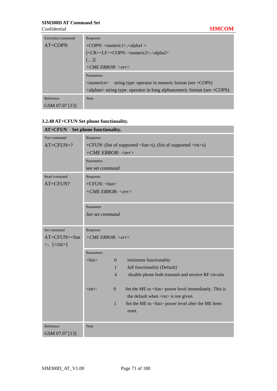| Execution command | Response                                                                                     |  |
|-------------------|----------------------------------------------------------------------------------------------|--|
| $AT+COPN$         | $+$ COPN: $\langle$ numeric1>, $\langle$ alpha1 >                                            |  |
|                   | [ <cr><lf>+COPN: <numeric2>,<alpha2></alpha2></numeric2></lf></cr>                           |  |
|                   | []                                                                                           |  |
|                   | $+ CME$ ERROR: $\langle err \rangle$                                                         |  |
|                   | Parameters                                                                                   |  |
|                   | string type: operator in numeric format (see $+COPS$ )<br>$\leq$ numeric $n$                 |  |
|                   | $\langle \text{alpha} \rangle$ string type: operator in long alphanumeric format (see +COPS) |  |
| Reference         | <b>Note</b>                                                                                  |  |
| GSM 07.07 [13]    |                                                                                              |  |

# **3.2.48 AT+CFUN Set phone functionality.**

| Set phone functionality.<br><b>AT+CFUN</b>    |                                                                           |                                                                                          |  |
|-----------------------------------------------|---------------------------------------------------------------------------|------------------------------------------------------------------------------------------|--|
| <b>Test command</b>                           | Response                                                                  |                                                                                          |  |
| $AT+CFUN=?$                                   | +CFUN: (list of supported <fun>s), (list of supported <rst>s)</rst></fun> |                                                                                          |  |
|                                               | $+ CME$ ERROR: $\langle err \rangle$                                      |                                                                                          |  |
|                                               | Parameters                                                                |                                                                                          |  |
|                                               | see set command                                                           |                                                                                          |  |
| Read command                                  | Response                                                                  |                                                                                          |  |
| AT+CFUN?                                      | $+CFUN:$ <fun></fun>                                                      |                                                                                          |  |
|                                               |                                                                           | $+ CME$ ERROR: $\langle err \rangle$                                                     |  |
|                                               |                                                                           |                                                                                          |  |
|                                               | Parameter                                                                 |                                                                                          |  |
|                                               | See set command                                                           |                                                                                          |  |
|                                               |                                                                           |                                                                                          |  |
| Set command                                   | Response                                                                  |                                                                                          |  |
| $AT+CFUN=<$ fun                               | $+ CME$ ERROR: $\langle err \rangle$                                      |                                                                                          |  |
| $\Rightarrow$ , $\left[ <\text{rst}\right>$ ] |                                                                           |                                                                                          |  |
|                                               | Parameters                                                                |                                                                                          |  |
|                                               | $<$ fun $>$                                                               | minimum functionality<br>$\overline{0}$                                                  |  |
|                                               |                                                                           | full functionality (Default)<br>$\mathbf{1}$                                             |  |
|                                               |                                                                           | disable phone both transmit and receive RF circuits<br>$\overline{4}$                    |  |
|                                               |                                                                           |                                                                                          |  |
|                                               | $<$ rst $>$ :                                                             | Set the ME to <fun> power level immediately. This is<br/><math>\overline{0}</math></fun> |  |
|                                               |                                                                           | the default when $\langle$ rst $\rangle$ is not given.                                   |  |
|                                               |                                                                           | Set the ME to <fun> power level after the ME been<br/>1</fun>                            |  |
|                                               |                                                                           | reset.                                                                                   |  |
|                                               |                                                                           |                                                                                          |  |
| Reference                                     | <b>Note</b>                                                               |                                                                                          |  |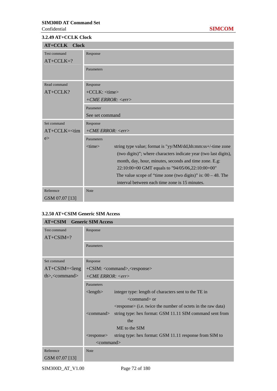#### **3.2.49 AT+CCLK Clock**

| $AT+CCLK$<br><b>Clock</b> |                                                                             |  |
|---------------------------|-----------------------------------------------------------------------------|--|
| Test command              | Response                                                                    |  |
| $AT+CCLK=?$               |                                                                             |  |
|                           | Parameters                                                                  |  |
|                           |                                                                             |  |
| Read command              | Response                                                                    |  |
| AT+CCLK?                  | $+CCLK$ : $<$ time>                                                         |  |
|                           | $+ CME$ ERROR: $\langle err \rangle$                                        |  |
|                           | Parameter                                                                   |  |
|                           | See set command                                                             |  |
| Set command               | Response                                                                    |  |
| $AT+CCLK=<$ tim           | $+ CME$ ERROR: $\langle err \rangle$                                        |  |
| e                         | Parameters                                                                  |  |
|                           | $<$ time $>$<br>string type value; format is "yy/MM/dd,hh:mm:ss+/-time zone |  |
|                           | (two digits)"; where characters indicate year (two last digits),            |  |
|                           | month, day, hour, minutes, seconds and time zone. E.g:                      |  |
|                           | 22:10:00+00 GMT equals to "94/05/06,22:10:00+00"                            |  |
|                           | The value scope of "time zone (two digits)" is: $00 - 48$ . The             |  |
|                           | interval between each time zone is 15 minutes.                              |  |
| Reference                 | Note                                                                        |  |
| GSM 07.07 [13]            |                                                                             |  |

## **3.2.50 AT+CSIM Generic SIM Access**

| <b>AT+CSIM</b> Generic SIM Access |                                                                                    |  |
|-----------------------------------|------------------------------------------------------------------------------------|--|
| Test command                      | Response                                                                           |  |
| $AT+CSIM=?$                       |                                                                                    |  |
|                                   | Parameters                                                                         |  |
|                                   |                                                                                    |  |
| Set command                       | Response                                                                           |  |
| $AT+CSIM=<$ leng                  | +CSIM: <command/> , <response></response>                                          |  |
| $th$ , < command>                 | $+ CME$ ERROR: $\langle err \rangle$                                               |  |
|                                   | Parameters                                                                         |  |
|                                   | integer type: length of characters sent to the TE in<br>$\langle$ length $\rangle$ |  |
|                                   | $<$ command $>$ or                                                                 |  |
|                                   | $\langle$ response $\rangle$ (i.e. twice the number of octets in the raw data)     |  |
|                                   | string type: hex format: GSM 11.11 SIM command sent from<br>$\leq$ command $>$     |  |
|                                   | the                                                                                |  |
|                                   | ME to the SIM                                                                      |  |
|                                   | string type: hex format: GSM 11.11 response from SIM to<br>$<$ response $>$        |  |
|                                   | $\leq$ command $>$                                                                 |  |
| Reference                         | <b>Note</b>                                                                        |  |
| GSM 07.07 [13]                    |                                                                                    |  |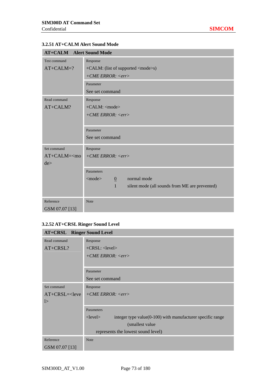# **3.2.51 AT+CALM Alert Sound Mode**

| <b>AT+CALM</b> Alert Sound Mode |                                                                |  |  |
|---------------------------------|----------------------------------------------------------------|--|--|
| Test command                    | Response                                                       |  |  |
| $AT+CALM=?$                     | +CALM: (list of supported <mode>s)</mode>                      |  |  |
|                                 | $+ CME$ ERROR: $\langle err \rangle$                           |  |  |
|                                 | Parameter                                                      |  |  |
|                                 | See set command                                                |  |  |
| Read command                    | Response                                                       |  |  |
| AT+CALM?                        | $+CALM$ : <mode></mode>                                        |  |  |
|                                 | $+ CME$ ERROR: $\langle err \rangle$                           |  |  |
|                                 |                                                                |  |  |
|                                 | Parameter                                                      |  |  |
|                                 | See set command                                                |  |  |
| Set command                     | Response                                                       |  |  |
| $AT+CALM=\lt{mo}$               | $+ CME$ ERROR: $\langle err \rangle$                           |  |  |
| de                              |                                                                |  |  |
|                                 | Parameters                                                     |  |  |
|                                 | normal mode<br>$<$ mode $>$<br>$\underline{0}$                 |  |  |
|                                 | $\mathbf{1}$<br>silent mode (all sounds from ME are prevented) |  |  |
|                                 |                                                                |  |  |
| Reference                       | <b>Note</b>                                                    |  |  |
| GSM 07.07 [13]                  |                                                                |  |  |

# **3.2.52 AT+CRSL Ringer Sound Level**

| <b>AT+CRSL</b> Ringer Sound Level |                                                                                |  |
|-----------------------------------|--------------------------------------------------------------------------------|--|
| Read command                      | Response                                                                       |  |
| AT+CRSL?                          | $+CRSL:$ < level >                                                             |  |
|                                   | $+ CME$ ERROR: $\langle err \rangle$                                           |  |
|                                   |                                                                                |  |
|                                   | Parameter                                                                      |  |
|                                   | See set command                                                                |  |
| Set command                       | Response                                                                       |  |
| $AT+CRSL=2$                       | $+ CME$ ERROR: $\langle err \rangle$                                           |  |
| $\geq$                            |                                                                                |  |
|                                   | Parameters                                                                     |  |
|                                   | integer type value $(0-100)$ with manufacturer specific range<br>$<$ level $>$ |  |
|                                   | (smallest value)                                                               |  |
|                                   | represents the lowest sound level)                                             |  |
| Reference                         | <b>Note</b>                                                                    |  |
| GSM 07.07 [13]                    |                                                                                |  |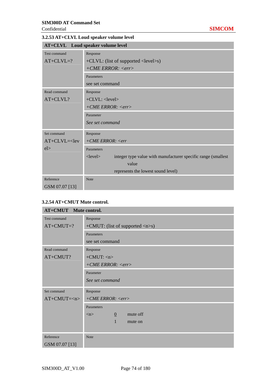#### Confidential **SIMCOM**

**3.2.53 AT+CLVL Loud speaker volume level** 

| AT+CLVL Loud speaker volume level |                                                                                 |  |  |
|-----------------------------------|---------------------------------------------------------------------------------|--|--|
| Test command                      | Response                                                                        |  |  |
| $AT+CLVL=?$                       | $+CLVL$ : (list of supported $\langle level \rangle$ s)                         |  |  |
|                                   | $+ CME$ ERROR: $\langle err \rangle$                                            |  |  |
|                                   | Parameters                                                                      |  |  |
|                                   | see set command                                                                 |  |  |
| Read command                      | Response                                                                        |  |  |
| AT+CLVL?                          | $+CLVL: <$ level>                                                               |  |  |
|                                   | $+ CME$ ERROR: $\langle err \rangle$                                            |  |  |
|                                   | Parameter                                                                       |  |  |
|                                   | See set command                                                                 |  |  |
| Set command                       | Response                                                                        |  |  |
| $AT+CLVL=$                        | $+ CME$ ERROR: $\leq$ err                                                       |  |  |
| el >                              | Parameters                                                                      |  |  |
|                                   | $<$ level $>$<br>integer type value with manufacturer specific range (smallest) |  |  |
|                                   | value                                                                           |  |  |
|                                   | represents the lowest sound level)                                              |  |  |
| Reference                         | Note                                                                            |  |  |
| GSM 07.07 [13]                    |                                                                                 |  |  |

#### **3.2.54 AT+CMUT Mute control.**

| <b>AT+CMUT</b> Mute control. |                                                  |  |  |  |
|------------------------------|--------------------------------------------------|--|--|--|
| Test command                 | Response                                         |  |  |  |
| $AT+CMUT=?$                  | +CMUT: (list of supported $\langle n \rangle$ s) |  |  |  |
|                              | Parameters                                       |  |  |  |
|                              | see set command                                  |  |  |  |
| Read command                 | Response                                         |  |  |  |
| AT+CMUT?                     | $+CMUT:$ $\langle n \rangle$                     |  |  |  |
|                              | $+ CME$ ERROR: $\langle err \rangle$             |  |  |  |
|                              | Parameter                                        |  |  |  |
|                              | See set command                                  |  |  |  |
| Set command                  | Response                                         |  |  |  |
| $AT+CMUT=$                   | $+ CME$ ERROR: <err></err>                       |  |  |  |
|                              | Parameters                                       |  |  |  |
|                              | mute off<br>$\mathbf{0}$<br>$\langle n \rangle$  |  |  |  |
|                              | $\mathbf{1}$<br>mute on                          |  |  |  |
|                              |                                                  |  |  |  |
| Reference                    | <b>Note</b>                                      |  |  |  |
| GSM 07.07 [13]               |                                                  |  |  |  |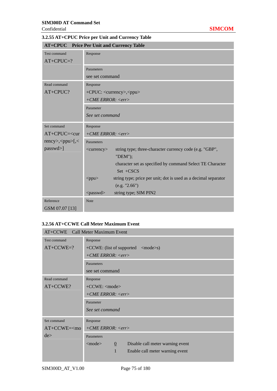# **3.2.55 AT+CPUC Price per Unit and Currency Table**

| <b>AT+CPUC</b> Price Per Unit and Currency Table                                                            |                                                                                         |  |  |
|-------------------------------------------------------------------------------------------------------------|-----------------------------------------------------------------------------------------|--|--|
| <b>Test command</b>                                                                                         | Response                                                                                |  |  |
| $AT+CPUC=?$                                                                                                 |                                                                                         |  |  |
|                                                                                                             | Parameters                                                                              |  |  |
|                                                                                                             | see set command                                                                         |  |  |
| Read command                                                                                                | Response                                                                                |  |  |
| AT+CPUC?                                                                                                    | +CPUC: <currency>,<ppu></ppu></currency>                                                |  |  |
|                                                                                                             | $+ CME$ ERROR: $\langle err \rangle$                                                    |  |  |
|                                                                                                             | Parameter                                                                               |  |  |
|                                                                                                             | See set command                                                                         |  |  |
| Set command                                                                                                 | Response                                                                                |  |  |
| AT+CPUC= <cur< td=""><td colspan="3"><math>+ CME</math> ERROR: <math>\langle err \rangle</math></td></cur<> | $+ CME$ ERROR: $\langle err \rangle$                                                    |  |  |
| $rency\ge$ , $<$ ppu $>$ [, $<$                                                                             | Parameters                                                                              |  |  |
| passwd>]                                                                                                    | string type; three-character currency code (e.g. "GBP",<br>$\langle$ currency $\rangle$ |  |  |
|                                                                                                             | "DEM");                                                                                 |  |  |
|                                                                                                             | character set as specified by command Select TE Character                               |  |  |
|                                                                                                             | $Set + CSCS$                                                                            |  |  |
|                                                                                                             | string type; price per unit; dot is used as a decimal separator<br>$<$ ppu $>$          |  |  |
|                                                                                                             | (e.g. "2.66")                                                                           |  |  |
|                                                                                                             | string type; SIM PIN2<br><passwd></passwd>                                              |  |  |
| Reference                                                                                                   | <b>Note</b>                                                                             |  |  |
| GSM 07.07 [13]                                                                                              |                                                                                         |  |  |

### **3.2.56 AT+CCWE Call Meter Maximum Event**

| AT+CCWE Call Meter Maximum Event |                                                                    |  |  |  |
|----------------------------------|--------------------------------------------------------------------|--|--|--|
| Test command                     | Response                                                           |  |  |  |
| $AT+CCWE=?$                      | +CCWE: (list of supported <mode>s)</mode>                          |  |  |  |
|                                  | $+ CME$ ERROR: $\langle err \rangle$                               |  |  |  |
|                                  | Parameters                                                         |  |  |  |
|                                  | see set command                                                    |  |  |  |
| Read command                     | Response                                                           |  |  |  |
| AT+CCWE?                         | $+CCWE$ : <mode></mode>                                            |  |  |  |
|                                  | $+ CME$ ERROR: $\langle err \rangle$                               |  |  |  |
|                                  | Parameter                                                          |  |  |  |
|                                  | See set command                                                    |  |  |  |
| Set command                      | Response                                                           |  |  |  |
| $AT+CCWE=mo$                     | $+ CME$ ERROR: $\langle err \rangle$                               |  |  |  |
| de                               | Parameters                                                         |  |  |  |
|                                  | Disable call meter warning event<br>$<$ mode $>$<br>$\overline{0}$ |  |  |  |
|                                  | $\mathbf{1}$<br>Enable call meter warning event                    |  |  |  |
|                                  |                                                                    |  |  |  |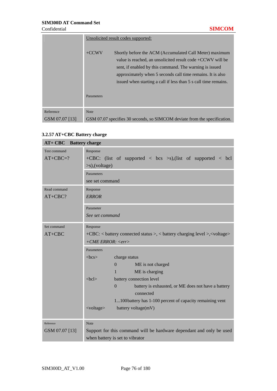|                | Unsolicited result codes supported:                                                                                                                                                                                                                                                                                            |
|----------------|--------------------------------------------------------------------------------------------------------------------------------------------------------------------------------------------------------------------------------------------------------------------------------------------------------------------------------|
|                | $+CCWV$<br>Shortly before the ACM (Accumulated Call Meter) maximum<br>value is reached, an unsolicited result code $+CCWV$ will be<br>sent, if enabled by this command. The warning is issued<br>approximately when 5 seconds call time remains. It is also<br>issued when starting a call if less than 5 s call time remains. |
|                | Parameters                                                                                                                                                                                                                                                                                                                     |
| Reference      | <b>Note</b>                                                                                                                                                                                                                                                                                                                    |
| GSM 07.07 [13] | GSM 07.07 specifies 30 seconds, so SIMCOM deviate from the specification.                                                                                                                                                                                                                                                      |

### **3.2.57 AT+CBC Battery charge**

| AT+ CBC Battery charge |                                                                                      |  |  |
|------------------------|--------------------------------------------------------------------------------------|--|--|
| Test command           | Response                                                                             |  |  |
| $AT+CBC=?$             | +CBC: (list of supported $\langle$ bcs $\rangle$ s),(list of supported $\langle$ bcl |  |  |
|                        | $\gg$ ),(voltage)                                                                    |  |  |
|                        | Parameters                                                                           |  |  |
|                        | see set command                                                                      |  |  |
| Read command           | Response                                                                             |  |  |
| AT+CBC?                | <b>ERROR</b>                                                                         |  |  |
|                        | Parameter                                                                            |  |  |
|                        | See set command                                                                      |  |  |
|                        |                                                                                      |  |  |
| Set command            | Response                                                                             |  |  |
| $AT+CBC$               | +CBC: < battery connected status >, < battery charging level >, < voltage>           |  |  |
|                        | $+ CME$ ERROR: $\langle err \rangle$                                                 |  |  |
|                        | Parameters                                                                           |  |  |
|                        | <b></b><br>charge status                                                             |  |  |
|                        | ME is not charged<br>$\Omega$                                                        |  |  |
|                        | ME is charging<br>1                                                                  |  |  |
|                        | $<$ bcl $>$<br>battery connection level                                              |  |  |
|                        | $\theta$<br>battery is exhausted, or ME does not have a battery                      |  |  |
|                        | connected                                                                            |  |  |
|                        | 1100battery has 1-100 percent of capacity remaining vent                             |  |  |
|                        | <voltage><br/>battery voltage(mV)</voltage>                                          |  |  |
|                        |                                                                                      |  |  |
| Reference              | <b>Note</b>                                                                          |  |  |
| GSM 07.07 [13]         | Support for this command will be hardware dependant and only be used                 |  |  |
|                        | when battery is set to vibrator                                                      |  |  |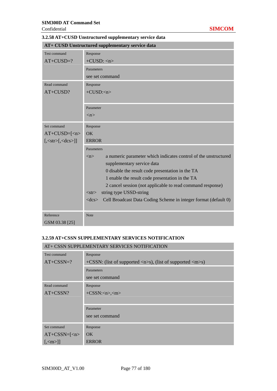|                            | AT+ CUSD Unstructured supplementary service data                                       |  |  |
|----------------------------|----------------------------------------------------------------------------------------|--|--|
| <b>Test command</b>        | Response                                                                               |  |  |
| $AT+CUSD=?$                | $+CUSD: n$                                                                             |  |  |
|                            | Parameters                                                                             |  |  |
|                            | see set command                                                                        |  |  |
| Read command               | Response                                                                               |  |  |
| AT+CUSD?                   | $+CUSD:n$                                                                              |  |  |
|                            |                                                                                        |  |  |
|                            | Parameter                                                                              |  |  |
|                            | $\langle n \rangle$                                                                    |  |  |
| Set command                | Response                                                                               |  |  |
| $AT+CUSD=[n$               | OK                                                                                     |  |  |
| $[,\leq str>[,\leq dcs>]]$ | <b>ERROR</b>                                                                           |  |  |
|                            | Parameters                                                                             |  |  |
|                            | a numeric parameter which indicates control of the unstructured<br>$\langle n \rangle$ |  |  |
|                            | supplementary service data                                                             |  |  |
|                            | 0 disable the result code presentation in the TA                                       |  |  |
|                            | 1 enable the result code presentation in the TA                                        |  |  |
|                            | 2 cancel session (not applicable to read command response)                             |  |  |
|                            | string type USSD-string<br>$<$ str $>$                                                 |  |  |
|                            | Cell Broadcast Data Coding Scheme in integer format (default 0)<br>$<$ dcs $>$         |  |  |
| Reference                  | Note                                                                                   |  |  |

# **3.2.58 AT+CUSD Unstructured supplementary service data**

#### **3.2.59 AT+CSSN SUPPLEMENTARY SERVICES NOTIFICATION**

| AT+ CSSN SUPPLEMENTARY SERVICES NOTIFICATION |                                                                                             |  |  |
|----------------------------------------------|---------------------------------------------------------------------------------------------|--|--|
| Test command                                 | Response                                                                                    |  |  |
| $AT+CSSN=?$                                  | +CSSN: (list of supported $\langle n \rangle$ s), (list of supported $\langle m \rangle$ s) |  |  |
|                                              | Parameters                                                                                  |  |  |
|                                              | see set command                                                                             |  |  |
| Read command                                 | Response                                                                                    |  |  |
| AT+CSSN?                                     | $+CSSN:m$                                                                                   |  |  |
|                                              |                                                                                             |  |  |
|                                              | Parameter                                                                                   |  |  |
|                                              | see set command                                                                             |  |  |
| Set command                                  |                                                                                             |  |  |
|                                              | Response                                                                                    |  |  |
| $AT+CSSN=[n$                                 | OK.                                                                                         |  |  |
| $\left[\left\langle m \right\rangle\right]$  | <b>ERROR</b>                                                                                |  |  |

GSM 03.38 [25]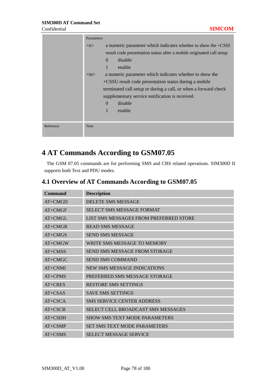|           | Parameters          |                                                                 |                                                                      |
|-----------|---------------------|-----------------------------------------------------------------|----------------------------------------------------------------------|
|           | $\langle n \rangle$ | a numeric parameter which indicates whether to show the $+CSSI$ |                                                                      |
|           |                     |                                                                 | result code presentation status after a mobile originated call setup |
|           |                     | disable                                                         |                                                                      |
|           |                     | enable                                                          |                                                                      |
|           | $\rm <$ m $>$       |                                                                 | a numeric parameter which indicates whether to show the              |
|           |                     |                                                                 | +CSSU result code presentation status during a mobile                |
|           |                     |                                                                 | terminated call setup or during a call, or when a forward check      |
|           |                     | supplementary service notification is received.                 |                                                                      |
|           |                     | disable                                                         |                                                                      |
|           |                     | enable                                                          |                                                                      |
|           |                     |                                                                 |                                                                      |
| Reference | <b>Note</b>         |                                                                 |                                                                      |
|           |                     |                                                                 |                                                                      |

# **4 AT Commands According to GSM07.05**

The GSM 07.05 commands are for performing SMS and CBS related operations. SIM300D II supports both Text and PDU modes.

| Command   | <b>Description</b>                        |
|-----------|-------------------------------------------|
| $AT+CMGD$ | <b>DELETE SMS MESSAGE</b>                 |
| $AT+CMGF$ | <b>SELECT SMS MESSAGE FORMAT</b>          |
| $AT+CMGL$ | LIST SMS MESSAGES FROM PREFERRED STORE    |
| $AT+CMGR$ | <b>READ SMS MESSAGE</b>                   |
| $AT+CMGS$ | <b>SEND SMS MESSAGE</b>                   |
| $AT+CMGW$ | WRITE SMS MESSAGE TO MEMORY               |
| $AT+CMS$  | <b>SEND SMS MESSAGE FROM STORAGE</b>      |
| $AT+CMGC$ | <b>SEND SMS COMMAND</b>                   |
| $AT+CNMI$ | <b>NEW SMS MESSAGE INDICATIONS</b>        |
| $AT+CPMS$ | PREFERRED SMS MESSAGE STORAGE             |
| $AT+CRES$ | <b>RESTORE SMS SETTINGS</b>               |
| $AT+CSAS$ | <b>SAVE SMS SETTINGS</b>                  |
| $AT+CSCA$ | <b>SMS SERVICE CENTER ADDRESS</b>         |
| $AT+CSCB$ | <b>SELECT CELL BROADCAST SMS MESSAGES</b> |
| $AT+CSDH$ | <b>SHOW SMS TEXT MODE PARAMETERS</b>      |
| $AT+CSMP$ | <b>SET SMS TEXT MODE PARAMETERS</b>       |
| $AT+CSMS$ | <b>SELECT MESSAGE SERVICE</b>             |

# **4.1 Overview of AT Commands According to GSM07.05**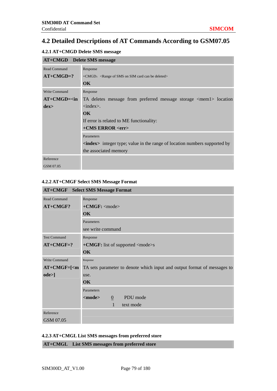# **4.2 Detailed Descriptions of AT Commands According to GSM07.05**

#### **4.2.1 AT+CMGD Delete SMS message**

| <b>AT+CMGD</b> Delete SMS message |                                                                                     |
|-----------------------------------|-------------------------------------------------------------------------------------|
| <b>Read Command</b>               | Response                                                                            |
| $AT+CMGD=?$                       | $+CMGD$ : <range be="" can="" card="" deleted="" of="" on="" sim="" sms=""></range> |
|                                   | $\alpha$                                                                            |
| <b>Write Command</b>              | Response                                                                            |
| $AT+CMGD=in$                      | TA deletes message from preferred message storage <mem1> location</mem1>            |
| $_{\rm dex>}$                     | $\langle$ index $\rangle$ .                                                         |
|                                   | $\alpha$                                                                            |
|                                   | If error is related to ME functionality:                                            |
|                                   | $+CMS$ ERROR $\langle$ err $>$                                                      |
|                                   | Parameters                                                                          |
|                                   | <b>index</b> integer type; value in the range of location numbers supported by      |
|                                   | the associated memory                                                               |
| Reference                         |                                                                                     |
| GSM 07.05                         |                                                                                     |

#### **4.2.2 AT+CMGF Select SMS Message Format**

|                      | <b>AT+CMGF</b> Select SMS Message Format                                 |
|----------------------|--------------------------------------------------------------------------|
| <b>Read Command</b>  | Response                                                                 |
| AT+CMGF?             | $+CMGF: mode$                                                            |
|                      | <b>OK</b>                                                                |
|                      | Parameters                                                               |
|                      | see write command                                                        |
| <b>Test Command</b>  | Response                                                                 |
| $AT+CMGF=?$          | +CMGF: list of supported <mode>s</mode>                                  |
|                      | OK                                                                       |
| <b>Write Command</b> | Response                                                                 |
| $AT+CMGF=[m]$        | TA sets parameter to denote which input and output format of messages to |
| ode>]                | use.                                                                     |
|                      | OK                                                                       |
|                      | Parameters                                                               |
|                      | PDU mode<br><mode><br/><math>\mathbf{0}</math></mode>                    |
|                      | $\mathbf{1}$<br>text mode                                                |
| Reference            |                                                                          |
| GSM 07.05            |                                                                          |

#### **4.2.3 AT+CMGL List SMS messages from preferred store**

**AT+CMGL List SMS messages from preferred store**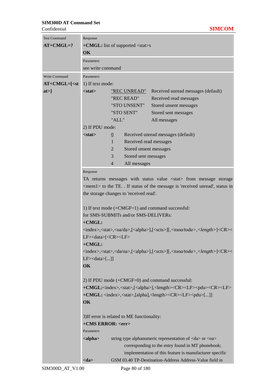| <b>Test Command</b> | Response                                                                                                                                                                                                                                        |                |                                             |                                                                                                                                        |  |
|---------------------|-------------------------------------------------------------------------------------------------------------------------------------------------------------------------------------------------------------------------------------------------|----------------|---------------------------------------------|----------------------------------------------------------------------------------------------------------------------------------------|--|
| $AT+CMGL=?$         | $+CMGL:$ list of supported $\lt$ stat>s                                                                                                                                                                                                         |                |                                             |                                                                                                                                        |  |
|                     | OK                                                                                                                                                                                                                                              |                |                                             |                                                                                                                                        |  |
|                     | Parameters                                                                                                                                                                                                                                      |                |                                             |                                                                                                                                        |  |
|                     | see write command                                                                                                                                                                                                                               |                |                                             |                                                                                                                                        |  |
| Write Command       | Parameters                                                                                                                                                                                                                                      |                |                                             |                                                                                                                                        |  |
| $AT+CMGL=[<$ st     | 1) If text mode:                                                                                                                                                                                                                                |                |                                             |                                                                                                                                        |  |
| at > 1              | $<$ stat $>$                                                                                                                                                                                                                                    |                | <u>"REC UNREAD"</u>                         | Received unread messages (default)                                                                                                     |  |
|                     |                                                                                                                                                                                                                                                 |                | "REC READ"                                  | Received read messages                                                                                                                 |  |
|                     |                                                                                                                                                                                                                                                 |                | "STO UNSENT"                                | Stored unsent messages                                                                                                                 |  |
|                     |                                                                                                                                                                                                                                                 |                | "STO SENT"                                  | Stored sent messages                                                                                                                   |  |
|                     |                                                                                                                                                                                                                                                 | "ALL"          |                                             | All messages                                                                                                                           |  |
|                     | 2) If PDU mode:                                                                                                                                                                                                                                 |                |                                             |                                                                                                                                        |  |
|                     | $<$ stat $>$                                                                                                                                                                                                                                    | $\overline{0}$ |                                             | Received unread messages (default)                                                                                                     |  |
|                     |                                                                                                                                                                                                                                                 | $\mathbf{1}$   | Received read messages                      |                                                                                                                                        |  |
|                     |                                                                                                                                                                                                                                                 | $\overline{2}$ | Stored unsent messages                      |                                                                                                                                        |  |
|                     |                                                                                                                                                                                                                                                 | 3              | Stored sent messages                        |                                                                                                                                        |  |
|                     |                                                                                                                                                                                                                                                 | $\overline{4}$ | All messages                                |                                                                                                                                        |  |
|                     | Response                                                                                                                                                                                                                                        |                |                                             |                                                                                                                                        |  |
|                     |                                                                                                                                                                                                                                                 |                |                                             | TA returns messages with status value <stat> from message storage</stat>                                                               |  |
|                     |                                                                                                                                                                                                                                                 |                |                                             | <mem1> to the TE. . If status of the message is 'received unread', status in</mem1>                                                    |  |
|                     |                                                                                                                                                                                                                                                 |                | the storage changes to 'received read'.     |                                                                                                                                        |  |
|                     |                                                                                                                                                                                                                                                 |                |                                             |                                                                                                                                        |  |
|                     | 1) If text mode (+CMGF=1) and command successful:<br>for SMS-SUBMITs and/or SMS-DELIVERs:<br>$+CMGL:$<br><index>,<stat>,<oa da="">,[<alpha>],[<scts>][,<tooa toda="">,<length>]<cr>&lt;</cr></length></tooa></scts></alpha></oa></stat></index> |                |                                             |                                                                                                                                        |  |
|                     |                                                                                                                                                                                                                                                 |                |                                             |                                                                                                                                        |  |
|                     |                                                                                                                                                                                                                                                 |                |                                             |                                                                                                                                        |  |
|                     |                                                                                                                                                                                                                                                 |                |                                             |                                                                                                                                        |  |
|                     | LF> <data>[<cr><lf></lf></cr></data>                                                                                                                                                                                                            |                |                                             |                                                                                                                                        |  |
|                     | +CMGL:                                                                                                                                                                                                                                          |                |                                             |                                                                                                                                        |  |
|                     |                                                                                                                                                                                                                                                 |                |                                             | <index>,<stat>,<da oa="">,[<alpha>],[<scts>][,<tooa toda="">,<length>]<cr>&lt;</cr></length></tooa></scts></alpha></da></stat></index> |  |
|                     | $LF > <$ data>[]]<br>OK                                                                                                                                                                                                                         |                |                                             |                                                                                                                                        |  |
|                     |                                                                                                                                                                                                                                                 |                |                                             |                                                                                                                                        |  |
|                     |                                                                                                                                                                                                                                                 |                |                                             |                                                                                                                                        |  |
|                     | 2) If PDU mode $(+CMGF=0)$ and command successful:                                                                                                                                                                                              |                |                                             |                                                                                                                                        |  |
|                     |                                                                                                                                                                                                                                                 |                |                                             | +CMGL: <index>,<stat>,[<alpha>],<length><cr><lf><pdu><cr><lf></lf></cr></pdu></lf></cr></length></alpha></stat></index>                |  |
|                     |                                                                                                                                                                                                                                                 |                |                                             | +CMGL: <index>,<stat>,[alpha],<length><cr><lf><pdu>[]]</pdu></lf></cr></length></stat></index>                                         |  |
|                     | OK                                                                                                                                                                                                                                              |                |                                             |                                                                                                                                        |  |
|                     |                                                                                                                                                                                                                                                 |                |                                             |                                                                                                                                        |  |
|                     |                                                                                                                                                                                                                                                 |                | 3) If error is related to ME functionality: |                                                                                                                                        |  |
|                     | +CMS ERROR: <err></err>                                                                                                                                                                                                                         |                |                                             |                                                                                                                                        |  |
|                     | Parameters                                                                                                                                                                                                                                      |                |                                             |                                                                                                                                        |  |
|                     | <alpha></alpha>                                                                                                                                                                                                                                 |                |                                             | string type alphanumeric representation of <da> or <oa></oa></da>                                                                      |  |
|                     |                                                                                                                                                                                                                                                 |                |                                             | corresponding to the entry found in MT phonebook;                                                                                      |  |
|                     |                                                                                                                                                                                                                                                 |                |                                             | implementation of this feature is manufacturer specific                                                                                |  |
|                     | $<$ da>                                                                                                                                                                                                                                         |                |                                             | GSM 03.40 TP-Destination-Address Address-Value field in                                                                                |  |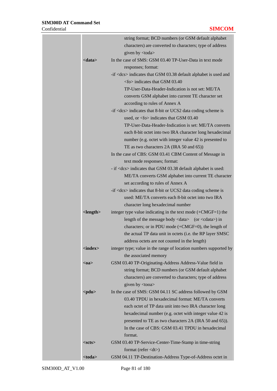|                         | string format; BCD numbers (or GSM default alphabet                                        |
|-------------------------|--------------------------------------------------------------------------------------------|
|                         | characters) are converted to characters; type of address                                   |
|                         | given by <toda></toda>                                                                     |
| $<$ data $>$            | In the case of SMS: GSM 03.40 TP-User-Data in text mode                                    |
|                         | responses; format:                                                                         |
|                         | -if <dcs> indicates that GSM 03.38 default alphabet is used and</dcs>                      |
|                         | $<$ fo $>$ indicates that GSM 03.40                                                        |
|                         | TP-User-Data-Header-Indication is not set: ME/TA                                           |
|                         | converts GSM alphabet into current TE character set                                        |
|                         | according to rules of Annex A                                                              |
|                         | $-i$ f <dcs> indicates that 8-bit or UCS2 data coding scheme is</dcs>                      |
|                         | used, or $\langle$ fo $>$ indicates that GSM 03.40                                         |
|                         | TP-User-Data-Header-Indication is set: ME/TA converts                                      |
|                         | each 8-bit octet into two IRA character long hexadecimal                                   |
|                         | number (e.g. octet with integer value 42 is presented to                                   |
|                         | TE as two characters 2A (IRA 50 and 65))                                                   |
|                         | In the case of CBS: GSM 03.41 CBM Content of Message in                                    |
|                         | text mode responses; format:                                                               |
|                         | - if <dcs> indicates that GSM 03.38 default alphabet is used:</dcs>                        |
|                         | ME/TA converts GSM alphabet into current TE character                                      |
|                         | set according to rules of Annex A                                                          |
|                         | $-i$ f <dcs> indicates that 8-bit or UCS2 data coding scheme is</dcs>                      |
|                         | used: ME/TA converts each 8-bit octet into two IRA                                         |
|                         | character long hexadecimal number                                                          |
| <length></length>       | integer type value indicating in the text mode $(+CMGF=1)$ the                             |
|                         | length of the message body <data> (or <cdata>) in</cdata></data>                           |
|                         | characters; or in PDU mode (+CMGF=0), the length of                                        |
|                         | the actual TP data unit in octets (i.e. the RP layer SMSC                                  |
|                         | address octets are not counted in the length)                                              |
| $\langle index \rangle$ | integer type; value in the range of location numbers supported by<br>the associated memory |
| $0a$                    | GSM 03.40 TP-Originating-Address Address-Value field in                                    |
|                         | string format; BCD numbers (or GSM default alphabet                                        |
|                         | characters) are converted to characters; type of address<br>given by <tooa></tooa>         |
| $<$ pdu $>$             | In the case of SMS: GSM 04.11 SC address followed by GSM                                   |
|                         | 03.40 TPDU in hexadecimal format: ME/TA converts                                           |
|                         | each octet of TP data unit into two IRA character long                                     |
|                         | hexadecimal number (e.g. octet with integer value 42 is                                    |
|                         | presented to TE as two characters 2A (IRA 50 and 65)).                                     |
|                         | In the case of CBS: GSM 03.41 TPDU in hexadecimal                                          |
|                         | format.                                                                                    |
| $<$ scts $>$            | GSM 03.40 TP-Service-Center-Time-Stamp in time-string                                      |
|                         | format (refer $\langle dt \rangle$ )                                                       |
| <toda></toda>           | GSM 04.11 TP-Destination-Address Type-of-Address octet in                                  |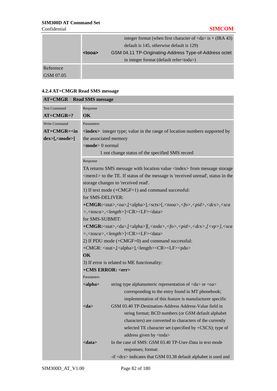|           |               | integer format (when first character of $\langle da \rangle$ is + (IRA 43) |
|-----------|---------------|----------------------------------------------------------------------------|
|           |               | default is 145, otherwise default is 129)                                  |
|           | <tooa></tooa> | GSM 04.11 TP-Originating-Address Type-of-Address octet                     |
|           |               | in integer format (default refer <toda>)</toda>                            |
| Reference |               |                                                                            |
| GSM 07.05 |               |                                                                            |

# **4.2.4 AT+CMGR Read SMS message**

| <b>AT+CMGR</b> Read SMS message |                                                                                                                                   |                                                                                                                                     |  |  |
|---------------------------------|-----------------------------------------------------------------------------------------------------------------------------------|-------------------------------------------------------------------------------------------------------------------------------------|--|--|
| <b>Test Command</b>             | Response                                                                                                                          |                                                                                                                                     |  |  |
| $AT+CMGR=?$                     | OK                                                                                                                                |                                                                                                                                     |  |  |
| Write Command                   | Parameters                                                                                                                        |                                                                                                                                     |  |  |
| $AT+CMGR=n$                     |                                                                                                                                   | <index> integer type; value in the range of location numbers supported by</index>                                                   |  |  |
| $dex>[$ , <mode>]</mode>        | the associated memory                                                                                                             |                                                                                                                                     |  |  |
|                                 | $\leq$ <b>mode</b> $> 0$ normal                                                                                                   |                                                                                                                                     |  |  |
|                                 |                                                                                                                                   | 1 not change status of the specified SMS record                                                                                     |  |  |
|                                 | Response                                                                                                                          |                                                                                                                                     |  |  |
|                                 |                                                                                                                                   | TA returns SMS message with location value <index> from message storage</index>                                                     |  |  |
|                                 |                                                                                                                                   | <mem1> to the TE. If status of the message is 'received unread', status in the</mem1>                                               |  |  |
|                                 |                                                                                                                                   | storage changes to 'received read'.                                                                                                 |  |  |
|                                 |                                                                                                                                   | 1) If text mode (+CMGF=1) and command successful:                                                                                   |  |  |
|                                 | for SMS-DELIVER:                                                                                                                  |                                                                                                                                     |  |  |
|                                 |                                                                                                                                   | +CMGR: <stat>,<oa>,[<alpha>],<scts>[,<tooa>,<fo>,<pid>,<dcs>,<sca< th=""></sca<></dcs></pid></fo></tooa></scts></alpha></oa></stat> |  |  |
|                                 | >, <tosca>,<length>]<cr><lf><data></data></lf></cr></length></tosca>                                                              |                                                                                                                                     |  |  |
|                                 | for SMS-SUBMIT:                                                                                                                   |                                                                                                                                     |  |  |
|                                 | +CMGR: <stat>,<da>,[<alpha>][,<toda>,<fo>,<pid>,<dcs>,[<vp>],<sca< th=""></sca<></vp></dcs></pid></fo></toda></alpha></da></stat> |                                                                                                                                     |  |  |
|                                 | >, <tosca>,<length>]<cr><lf><data></data></lf></cr></length></tosca>                                                              |                                                                                                                                     |  |  |
|                                 | 2) If PDU mode (+CMGF=0) and command successful:                                                                                  |                                                                                                                                     |  |  |
|                                 | +CMGR: <stat>,[<alpha>],<length><cr><lf><pdu></pdu></lf></cr></length></alpha></stat>                                             |                                                                                                                                     |  |  |
|                                 | $\overline{\text{OK}}$                                                                                                            |                                                                                                                                     |  |  |
|                                 | 3) If error is related to ME functionality:                                                                                       |                                                                                                                                     |  |  |
|                                 | +CMS ERROR: <err></err>                                                                                                           |                                                                                                                                     |  |  |
|                                 | Parameters                                                                                                                        |                                                                                                                                     |  |  |
|                                 | <alpha></alpha>                                                                                                                   | string type alphanumeric representation of <da> or <oa></oa></da>                                                                   |  |  |
|                                 |                                                                                                                                   | corresponding to the entry found in MT phonebook;                                                                                   |  |  |
|                                 |                                                                                                                                   | implementation of this feature is manufacturer specific<br>GSM 03.40 TP-Destination-Address Address-Value field in                  |  |  |
|                                 | <da></da>                                                                                                                         |                                                                                                                                     |  |  |
|                                 |                                                                                                                                   | string format; BCD numbers (or GSM default alphabet<br>characters) are converted to characters of the currently                     |  |  |
|                                 |                                                                                                                                   | selected TE character set (specified by +CSCS); type of                                                                             |  |  |
|                                 |                                                                                                                                   | address given by <toda></toda>                                                                                                      |  |  |
|                                 | <data></data>                                                                                                                     | In the case of SMS: GSM 03.40 TP-User-Data in text mode                                                                             |  |  |
|                                 |                                                                                                                                   | responses; format:                                                                                                                  |  |  |
|                                 |                                                                                                                                   | -if <dcs> indicates that GSM 03.38 default alphabet is used and</dcs>                                                               |  |  |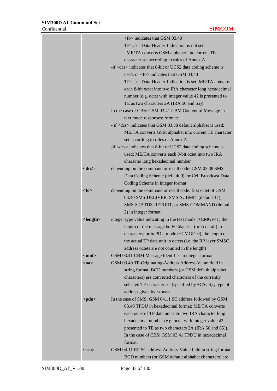|                | <fo> indicates that GSM 03.40</fo>                                    |
|----------------|-----------------------------------------------------------------------|
|                | TP-User-Data-Header-Indication is not set:                            |
|                | ME/TA converts GSM alphabet into current TE                           |
|                | character set according to rules of Annex A                           |
|                | $-i$ f <dcs> indicates that 8-bit or UCS2 data coding scheme is</dcs> |
|                | used, or $<$ fo $>$ indicates that GSM 03.40                          |
|                | TP-User-Data-Header-Indication is set: ME/TA converts                 |
|                | each 8-bit octet into two IRA character long hexadecimal              |
|                | number (e.g. octet with integer value 42 is presented to              |
|                | TE as two characters 2A (IRA 50 and 65))                              |
|                | In the case of CBS: GSM 03.41 CBM Content of Message in               |
|                | text mode responses; format:                                          |
|                | - if <dcs> indicates that GSM 03.38 default alphabet is used:</dcs>   |
|                | ME/TA converts GSM alphabet into current TE character                 |
|                | set according to rules of Annex A                                     |
|                | $-i$ f <dcs> indicates that 8-bit or UCS2 data coding scheme is</dcs> |
|                | used: ME/TA converts each 8-bit octet into two IRA                    |
|                | character long hexadecimal number                                     |
| $<$ d $cs$ >   | depending on the command or result code: GSM 03.38 SMS                |
|                | Data Coding Scheme (default 0), or Cell Broadcast Data                |
|                | Coding Scheme in integer format                                       |
| $<$ fo $>$     | depending on the command or result code: first octet of GSM           |
|                | 03.40 SMS-DELIVER, SMS-SUBMIT (default 17),                           |
|                | SMS-STATUS-REPORT, or SMS-COMMAND (default                            |
|                | 2) in integer format                                                  |
| $<$ length $>$ | integer type value indicating in the text mode $(+CMGF=1)$ the        |
|                | length of the message body <data> (or <cdata>) in</cdata></data>      |
|                | characters; or in PDU mode (+CMGF=0), the length of                   |
|                | the actual TP data unit in octets (i.e. the RP layer SMSC             |
|                | address octets are not counted in the length)                         |
| $<$ mid $>$    | GSM 03.41 CBM Message Identifier in integer format                    |
| $0a$           | GSM 03.40 TP-Originating-Address Address-Value field in               |
|                | string format; BCD numbers (or GSM default alphabet                   |
|                | characters) are converted characters of the currently                 |
|                | selected TE character set (specified by +CSCS);; type of              |
|                | address given by <tooa></tooa>                                        |
| $<$ pdu $>$    | In the case of SMS: GSM 04.11 SC address followed by GSM              |
|                | 03.40 TPDU in hexadecimal format: ME/TA converts                      |
|                | each octet of TP data unit into two IRA character long                |
|                | hexadecimal number (e.g. octet with integer value 42 is               |
|                | presented to TE as two characters 2A (IRA 50 and 65)).                |
|                | In the case of CBS: GSM 03.41 TPDU in hexadecimal                     |
|                | format.                                                               |
| $<$ sca $>$    | GSM 04.11 RP SC address Address-Value field in string format;         |
|                | BCD numbers (or GSM default alphabet characters) are                  |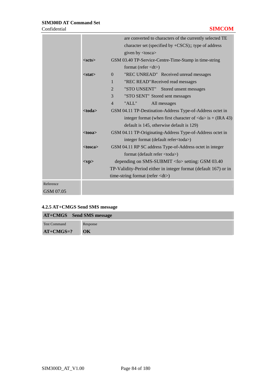|           |               | are converted to characters of the currently selected TE                   |  |  |
|-----------|---------------|----------------------------------------------------------------------------|--|--|
|           |               | character set (specified by $+CSCS$ );; type of address                    |  |  |
|           |               | given by <tosca></tosca>                                                   |  |  |
|           | $<$ scts $>$  | GSM 03.40 TP-Service-Centre-Time-Stamp in time-string                      |  |  |
|           |               | format (refer $\langle dt \rangle$ )                                       |  |  |
|           | $<$ stat $>$  | "REC UNREAD" Received unread messages<br>$\Omega$                          |  |  |
|           |               | "REC READ" Received read messages<br>1                                     |  |  |
|           |               | "STO UNSENT" Stored unsent messages<br>2                                   |  |  |
|           |               | 3<br>"STO SENT" Stored sent messages                                       |  |  |
|           |               | "ALL"<br>All messages<br>$\overline{4}$                                    |  |  |
|           | $<$ toda $>$  | GSM 04.11 TP-Destination-Address Type-of-Address octet in                  |  |  |
|           |               | integer format (when first character of $\langle da \rangle$ is + (IRA 43) |  |  |
|           |               | default is 145, otherwise default is 129)                                  |  |  |
|           | $<$ tooa $>$  | GSM 04.11 TP-Originating-Address Type-of-Address octet in                  |  |  |
|           |               | integer format (default refer <toda>)</toda>                               |  |  |
|           | $<$ tosca $>$ | GSM 04.11 RP SC address Type-of-Address octet in integer                   |  |  |
|           |               | format (default refer <toda>)</toda>                                       |  |  |
|           | $<$ vp $>$    | depending on SMS-SUBMIT <fo> setting: GSM 03.40</fo>                       |  |  |
|           |               | TP-Validity-Period either in integer format (default 167) or in            |  |  |
|           |               | time-string format (refer <dt>)</dt>                                       |  |  |
| Reference |               |                                                                            |  |  |
| GSM 07.05 |               |                                                                            |  |  |

| 4.2.5 AT+CMGS Send SMS message |  |  |  |
|--------------------------------|--|--|--|
|--------------------------------|--|--|--|

| AT+CMGS Send SMS message |                          |
|--------------------------|--------------------------|
| <b>Test Command</b>      | Response                 |
| $AT+CMGS=?$              | $\overline{\textbf{OK}}$ |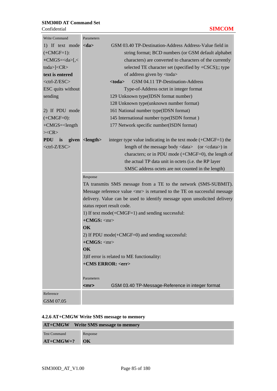| Write Command            | Parameters                                                                                            |
|--------------------------|-------------------------------------------------------------------------------------------------------|
| 1) If text mode          | GSM 03.40 TP-Destination-Address Address-Value field in<br>$<$ da>                                    |
| $(+CMGF=1):$             | string format; BCD numbers (or GSM default alphabet                                                   |
| $+CMGS = < da>$ [ $\lt$  | characters) are converted to characters of the currently                                              |
| toda> $\leq$ CR>         | selected TE character set (specified by +CSCS);; type                                                 |
| text is entered          | of address given by <toda></toda>                                                                     |
| <ctrl-z esc=""></ctrl-z> | GSM 04.11 TP-Destination-Address<br>$<$ toda $>$                                                      |
| ESC quits without        | Type-of-Address octet in integer format                                                               |
| sending                  | 129 Unknown type(IDSN format number)                                                                  |
|                          | 128 Unknown type(unknown number format)                                                               |
| 2) If PDU mode           | 161 National number type(IDSN format)                                                                 |
| $(+CMGF=0)$ :            | 145 International number type(ISDN format)                                                            |
| $+CMGS = < length$       | 177 Network specific number(ISDN format)                                                              |
| $><$ CR $>$              |                                                                                                       |
| PDU is                   | given <length><br/>integer type value indicating in the text mode <math>(+CMGF=1)</math> the</length> |
| <ctrl-z esc=""></ctrl-z> | length of the message body <data> (or <cdata>) in</cdata></data>                                      |
|                          | characters; or in PDU mode $(+CMGF=0)$ , the length of                                                |
|                          | the actual TP data unit in octets (i.e. the RP layer                                                  |
|                          | SMSC address octets are not counted in the length)                                                    |
|                          | Response                                                                                              |
|                          | TA transmits SMS message from a TE to the network (SMS-SUBMIT).                                       |
|                          | Message reference value <mr> is returned to the TE on successful message</mr>                         |
|                          | delivery. Value can be used to identify message upon unsolicited delivery                             |
|                          | status report result code.                                                                            |
|                          | 1) If text mode(+CMGF=1) and sending successful:                                                      |
|                          | $+$ CMGS: $\langle mr \rangle$                                                                        |
|                          | OK                                                                                                    |
|                          | 2) If PDU mode(+CMGF=0) and sending successful:                                                       |
|                          | $+$ CMGS: $<$ mr $>$                                                                                  |
|                          | OK                                                                                                    |
|                          | 3) If error is related to ME functionality:                                                           |
|                          | +CMS ERROR: <err></err>                                                                               |
|                          | Parameters                                                                                            |
|                          | GSM 03.40 TP-Message-Reference in integer format<br><mr></mr>                                         |
| Reference                |                                                                                                       |
| GSM 07.05                |                                                                                                       |

### **4.2.6 AT+CMGW Write SMS message to memory**

|                     | <b>AT+CMGW</b> Write SMS message to memory |
|---------------------|--------------------------------------------|
| <b>Test Command</b> | Response                                   |
| $AT+CMGW=?$ OK      |                                            |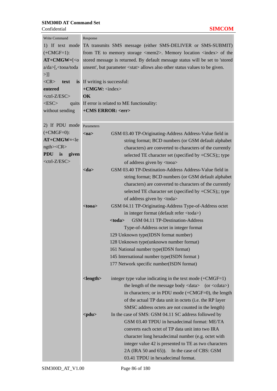| <b>Write Command</b>                                                                                                                       | Response                                                                                                      |  |  |  |  |  |
|--------------------------------------------------------------------------------------------------------------------------------------------|---------------------------------------------------------------------------------------------------------------|--|--|--|--|--|
| 1) If text mode                                                                                                                            | TA transmits SMS message (either SMS-DELIVER or SMS-SUBMIT)                                                   |  |  |  |  |  |
| $(+CMGF=1):$                                                                                                                               | from TE to memory storage $\langle \text{mem2}\rangle$ . Memory location $\langle \text{index}\rangle$ of the |  |  |  |  |  |
| $AT+CMGW=$ [ <o< th=""><th colspan="5">stored message is returned. By default message status will be set to 'stored</th></o<>              | stored message is returned. By default message status will be set to 'stored                                  |  |  |  |  |  |
| a/da>[, <tooa th="" toda<=""><th colspan="5">unsent', but parameter <stat> allows also other status values to be given.</stat></th></tooa> | unsent', but parameter <stat> allows also other status values to be given.</stat>                             |  |  |  |  |  |
| $>$ ]]                                                                                                                                     |                                                                                                               |  |  |  |  |  |
| $<$ CR $>$<br>text                                                                                                                         |                                                                                                               |  |  |  |  |  |
| entered                                                                                                                                    | is If writing is successful:<br>$+CMGW:$ <index></index>                                                      |  |  |  |  |  |
|                                                                                                                                            |                                                                                                               |  |  |  |  |  |
| $<$ ctrl-Z/ESC $>$                                                                                                                         | OK                                                                                                            |  |  |  |  |  |
| $<$ ESC $>$<br>quits                                                                                                                       | If error is related to ME functionality:                                                                      |  |  |  |  |  |
| without sending                                                                                                                            | +CMS ERROR: <err></err>                                                                                       |  |  |  |  |  |
|                                                                                                                                            |                                                                                                               |  |  |  |  |  |
| 2) If PDU mode                                                                                                                             | Parameters                                                                                                    |  |  |  |  |  |
| $(+CMGF=0)$ :                                                                                                                              | GSM 03.40 TP-Originating-Address Address-Value field in<br>$0a$                                               |  |  |  |  |  |
| $AT+CMGW=le$                                                                                                                               | string format; BCD numbers (or GSM default alphabet                                                           |  |  |  |  |  |
| $ngth$ >< $CR$ >                                                                                                                           | characters) are converted to characters of the currently                                                      |  |  |  |  |  |
| <b>PDU</b><br>is<br>given                                                                                                                  | selected TE character set (specified by +CSCS);; type                                                         |  |  |  |  |  |
| <ctrl-z esc=""></ctrl-z>                                                                                                                   | of address given by <tooa></tooa>                                                                             |  |  |  |  |  |
|                                                                                                                                            | GSM 03.40 TP-Destination-Address Address-Value field in<br>$<$ da $>$                                         |  |  |  |  |  |
|                                                                                                                                            | string format; BCD numbers (or GSM default alphabet                                                           |  |  |  |  |  |
|                                                                                                                                            | characters) are converted to characters of the currently                                                      |  |  |  |  |  |
|                                                                                                                                            |                                                                                                               |  |  |  |  |  |
|                                                                                                                                            | selected TE character set (specified by +CSCS);; type                                                         |  |  |  |  |  |
|                                                                                                                                            | of address given by <toda></toda>                                                                             |  |  |  |  |  |
|                                                                                                                                            | GSM 04.11 TP-Originating-Address Type-of-Address octet<br>$<$ tooa>                                           |  |  |  |  |  |
|                                                                                                                                            | in integer format (default refer <toda>)</toda>                                                               |  |  |  |  |  |
|                                                                                                                                            | $<$ toda $>$<br>GSM 04.11 TP-Destination-Address                                                              |  |  |  |  |  |
|                                                                                                                                            | Type-of-Address octet in integer format                                                                       |  |  |  |  |  |
|                                                                                                                                            | 129 Unknown type(IDSN format number)                                                                          |  |  |  |  |  |
|                                                                                                                                            | 128 Unknown type(unknown number format)                                                                       |  |  |  |  |  |
|                                                                                                                                            | 161 National number type(IDSN format)                                                                         |  |  |  |  |  |
|                                                                                                                                            | 145 International number type(ISDN format)                                                                    |  |  |  |  |  |
|                                                                                                                                            | 177 Network specific number(ISDN format)                                                                      |  |  |  |  |  |
|                                                                                                                                            |                                                                                                               |  |  |  |  |  |
|                                                                                                                                            | $<$ length $>$<br>integer type value indicating in the text mode $(+CMGF=1)$                                  |  |  |  |  |  |
|                                                                                                                                            | the length of the message body $\langle data \rangle$ (or $\langle data \rangle$ )                            |  |  |  |  |  |
|                                                                                                                                            | in characters; or in PDU mode $(+CMGF=0)$ , the length                                                        |  |  |  |  |  |
|                                                                                                                                            | of the actual TP data unit in octets (i.e. the RP layer                                                       |  |  |  |  |  |
|                                                                                                                                            | SMSC address octets are not counted in the length)                                                            |  |  |  |  |  |
|                                                                                                                                            |                                                                                                               |  |  |  |  |  |
|                                                                                                                                            | $<$ pdu $>$<br>In the case of SMS: GSM 04.11 SC address followed by                                           |  |  |  |  |  |
|                                                                                                                                            | GSM 03.40 TPDU in hexadecimal format: ME/TA                                                                   |  |  |  |  |  |
|                                                                                                                                            | converts each octet of TP data unit into two IRA                                                              |  |  |  |  |  |
|                                                                                                                                            | character long hexadecimal number (e.g. octet with                                                            |  |  |  |  |  |
|                                                                                                                                            | integer value 42 is presented to TE as two characters                                                         |  |  |  |  |  |
|                                                                                                                                            | 2A (IRA 50 and 65)). In the case of CBS: GSM                                                                  |  |  |  |  |  |
|                                                                                                                                            | 03.41 TPDU in hexadecimal format.                                                                             |  |  |  |  |  |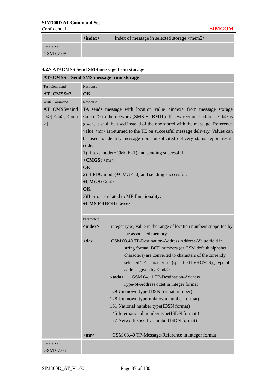|           | $\langle$ index $\rangle$ | Index of message in selected storage <mem2></mem2> |
|-----------|---------------------------|----------------------------------------------------|
| Reference |                           |                                                    |
| GSM 07.05 |                           |                                                    |

# **4.2.7 AT+CMSS Send SMS message from storage**

| <b>AT+CMSS</b>                                                                                                                                                            | Send SMS message from storage                                                                                           |  |  |  |  |
|---------------------------------------------------------------------------------------------------------------------------------------------------------------------------|-------------------------------------------------------------------------------------------------------------------------|--|--|--|--|
| <b>Test Command</b>                                                                                                                                                       | Response                                                                                                                |  |  |  |  |
| $AT+CMS = ?$                                                                                                                                                              | OK                                                                                                                      |  |  |  |  |
| Write Command                                                                                                                                                             | Response                                                                                                                |  |  |  |  |
| $AT+CMSs=$ <ind< th=""><th colspan="4">TA sends message with location value <index> from message storage</index></th></ind<>                                              | TA sends message with location value <index> from message storage</index>                                               |  |  |  |  |
| ex>[ <da>[<tda]< td=""><td colspan="4"><math>\langle</math>mem2&gt; to the network (SMS-SUBMIT). If new recipient address <math>\langle</math>da&gt; is</td></tda]<></da> | $\langle$ mem2> to the network (SMS-SUBMIT). If new recipient address $\langle$ da> is                                  |  |  |  |  |
| $>$ ]]                                                                                                                                                                    | given, it shall be used instead of the one stored with the message. Reference                                           |  |  |  |  |
|                                                                                                                                                                           | value <mr> is returned to the TE on successful message delivery. Values can</mr>                                        |  |  |  |  |
|                                                                                                                                                                           | be used to identify message upon unsolicited delivery status report result                                              |  |  |  |  |
|                                                                                                                                                                           | code.                                                                                                                   |  |  |  |  |
|                                                                                                                                                                           | 1) If text mode $(+CMGF=1)$ and sending successful:                                                                     |  |  |  |  |
|                                                                                                                                                                           | $+$ CMGS: $\langle mr \rangle$                                                                                          |  |  |  |  |
|                                                                                                                                                                           | OK                                                                                                                      |  |  |  |  |
|                                                                                                                                                                           | 2) If PDU mode $(+CMGF=0)$ and sending successful:                                                                      |  |  |  |  |
|                                                                                                                                                                           | $+$ CMGS: $\langle mr \rangle$<br>OK                                                                                    |  |  |  |  |
|                                                                                                                                                                           | 3) If error is related to ME functionality:                                                                             |  |  |  |  |
|                                                                                                                                                                           | +CMS ERROR: <err></err>                                                                                                 |  |  |  |  |
|                                                                                                                                                                           |                                                                                                                         |  |  |  |  |
|                                                                                                                                                                           | Parameters                                                                                                              |  |  |  |  |
|                                                                                                                                                                           | $\langle$ index $\rangle$<br>integer type; value in the range of location numbers supported by<br>the associated memory |  |  |  |  |
|                                                                                                                                                                           | GSM 03.40 TP-Destination-Address Address-Value field in<br>$<$ da $>$                                                   |  |  |  |  |
|                                                                                                                                                                           | string format; BCD numbers (or GSM default alphabet                                                                     |  |  |  |  |
|                                                                                                                                                                           | characters) are converted to characters of the currently                                                                |  |  |  |  |
|                                                                                                                                                                           | selected TE character set (specified by +CSCS);; type of                                                                |  |  |  |  |
|                                                                                                                                                                           | address given by <toda></toda>                                                                                          |  |  |  |  |
|                                                                                                                                                                           | GSM 04.11 TP-Destination-Address<br><toda></toda>                                                                       |  |  |  |  |
|                                                                                                                                                                           | Type-of-Address octet in integer format                                                                                 |  |  |  |  |
|                                                                                                                                                                           | 129 Unknown type(IDSN format number)                                                                                    |  |  |  |  |
|                                                                                                                                                                           | 128 Unknown type(unknown number format)                                                                                 |  |  |  |  |
|                                                                                                                                                                           | 161 National number type(IDSN format)                                                                                   |  |  |  |  |
|                                                                                                                                                                           | 145 International number type(ISDN format)                                                                              |  |  |  |  |
|                                                                                                                                                                           | 177 Network specific number(ISDN format)                                                                                |  |  |  |  |
|                                                                                                                                                                           | GSM 03.40 TP-Message-Reference in integer format<br>$<$ mr $>$                                                          |  |  |  |  |
| Reference                                                                                                                                                                 |                                                                                                                         |  |  |  |  |
| GSM 07.05                                                                                                                                                                 |                                                                                                                         |  |  |  |  |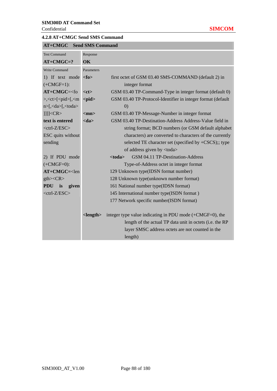## **4.2.8 AT+CMGC Send SMS Command**

| <b>Test Command</b>                                                                  | Response                                                 |                                                             |  |  |
|--------------------------------------------------------------------------------------|----------------------------------------------------------|-------------------------------------------------------------|--|--|
| $AT+CMGC=?$                                                                          | OK                                                       |                                                             |  |  |
| <b>Write Command</b>                                                                 | Parameters                                               |                                                             |  |  |
| 1) If text mode $\langle$ fo $>$                                                     |                                                          | first octet of GSM 03.40 SMS-COMMAND (default 2) in         |  |  |
| $(+CMGF=1):$                                                                         |                                                          | integer format                                              |  |  |
| $AT+CMGC=<$ fo                                                                       | $<$ ct $>$                                               | GSM 03.40 TP-Command-Type in integer format (default 0)     |  |  |
| $\geq,\lt c \lt t \geq [\lt p id \geq [\lt m$                                        | $<$ pid $>$                                              | GSM 03.40 TP-Protocol-Identifier in integer format (default |  |  |
| n>[, <da>[,<toda></toda></da>                                                        |                                                          | $\left( 0\right)$                                           |  |  |
| $ 1 $ $ <$ $CR$ $>$                                                                  | $<$ mn $>$                                               | GSM 03.40 TP-Message-Number in integer format               |  |  |
| text is entered                                                                      | $<$ da $>$                                               | GSM 03.40 TP-Destination-Address Address-Value field in     |  |  |
| $<$ ctrl-Z/ESC $>$                                                                   |                                                          | string format; BCD numbers (or GSM default alphabet         |  |  |
| ESC quits without                                                                    | characters) are converted to characters of the currently |                                                             |  |  |
| sending                                                                              |                                                          | selected TE character set (specified by +CSCS);; type       |  |  |
|                                                                                      |                                                          | of address given by <toda></toda>                           |  |  |
| 2) If PDU mode                                                                       |                                                          | GSM 04.11 TP-Destination-Address<br>$<$ toda $>$            |  |  |
| $(+CMGF=0)$ :                                                                        |                                                          | Type-of-Address octet in integer format                     |  |  |
| $AT+CMGC=$ <len< td=""><td></td><td>129 Unknown type(IDSN format number)</td></len<> |                                                          | 129 Unknown type(IDSN format number)                        |  |  |
| $gth > <$ CR $>$                                                                     |                                                          | 128 Unknown type(unknown number format)                     |  |  |
| <b>PDU</b><br>is<br>given                                                            |                                                          | 161 National number type(IDSN format)                       |  |  |
| $<$ ctrl-Z/ESC $>$                                                                   |                                                          | 145 International number type(ISDN format)                  |  |  |
|                                                                                      |                                                          | 177 Network specific number(ISDN format)                    |  |  |
|                                                                                      |                                                          |                                                             |  |  |
|                                                                                      | $<$ length $>$                                           | integer type value indicating in PDU mode $(+CMGF=0)$ , the |  |  |
|                                                                                      |                                                          | length of the actual TP data unit in octets (i.e. the RP    |  |  |
|                                                                                      |                                                          | layer SMSC address octets are not counted in the            |  |  |
|                                                                                      |                                                          | length)                                                     |  |  |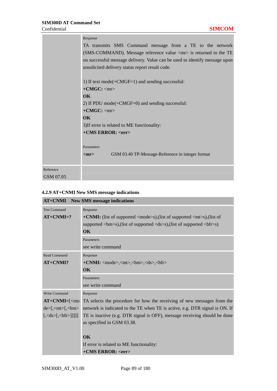m.

|           | Response                                                                          |  |  |  |  |  |
|-----------|-----------------------------------------------------------------------------------|--|--|--|--|--|
|           | TA transmits SMS Command message from a TE to the network                         |  |  |  |  |  |
|           | (SMS-COMMAND). Message reference value $\langle mr \rangle$ is returned to the TE |  |  |  |  |  |
|           | on successful message delivery. Value can be used to identify message upon        |  |  |  |  |  |
|           | unsolicited delivery status report result code.                                   |  |  |  |  |  |
|           |                                                                                   |  |  |  |  |  |
|           | 1) If text mode( $+CMGF=1$ ) and sending successful:                              |  |  |  |  |  |
|           | $+CMGC:$ <mr></mr>                                                                |  |  |  |  |  |
|           | $\overline{\text{OK}}$                                                            |  |  |  |  |  |
|           | 2) If PDU mode $(+CMGF=0)$ and sending successful:                                |  |  |  |  |  |
|           | $+CMGC:$ <mr></mr>                                                                |  |  |  |  |  |
|           | $\alpha$                                                                          |  |  |  |  |  |
|           | 3) If error is related to ME functionality:                                       |  |  |  |  |  |
|           | +CMS ERROR: <err></err>                                                           |  |  |  |  |  |
|           |                                                                                   |  |  |  |  |  |
|           | Parameters                                                                        |  |  |  |  |  |
|           | GSM 03.40 TP-Message-Reference in integer format<br>$<$ mr $>$                    |  |  |  |  |  |
|           |                                                                                   |  |  |  |  |  |
| Reference |                                                                                   |  |  |  |  |  |
| GSM 07.05 |                                                                                   |  |  |  |  |  |

# **4.2.9 AT+CNMI New SMS message indications**

| <b>AT+CNMI</b> New SMS message indications                               |                                                                                                                    |  |  |
|--------------------------------------------------------------------------|--------------------------------------------------------------------------------------------------------------------|--|--|
| <b>Test Command</b>                                                      | Response                                                                                                           |  |  |
| $AT+CNMI=?$                                                              | + <b>CNMI:</b> (list of supported $\langle$ mode>s),(list of supported $\langle$ mt>s),(list of                    |  |  |
|                                                                          | supported $\langle b$ m $>$ s),(list of supported $\langle ds \rangle$ s),(list of supported $\langle b$ fr $>$ s) |  |  |
|                                                                          | $\alpha$                                                                                                           |  |  |
|                                                                          | Parameters                                                                                                         |  |  |
|                                                                          | see write command                                                                                                  |  |  |
| <b>Read Command</b>                                                      | Response                                                                                                           |  |  |
| $AT+CNMI?$                                                               | $+$ CNMI: <mode>,<mt>,<br/>\, <br/> <br/>hm&gt;,<ds>,<br/>&gt;bfr&gt;</ds></mt></mode>                             |  |  |
|                                                                          | $\overline{\text{OK}}$                                                                                             |  |  |
|                                                                          | Parameters                                                                                                         |  |  |
|                                                                          | see write command                                                                                                  |  |  |
| Write Command                                                            | Response                                                                                                           |  |  |
| $AT+CNMI=[3]$                                                            | TA selects the procedure for how the receiving of new messages from the                                            |  |  |
| de>[ <sub>5</sub> , <sub>5</sub> ]                                       | network is indicated to the TE when TE is active, e.g. DTR signal is ON. If                                        |  |  |
| $\left[ \frac{\text{ds}}{\text{ds}} \frac{\text{ds}}{\text{ds}} \right]$ | TE is inactive (e.g. DTR signal is OFF), message receiving should be done                                          |  |  |
|                                                                          | as specified in GSM 03.38.                                                                                         |  |  |
|                                                                          |                                                                                                                    |  |  |
|                                                                          | $\alpha$                                                                                                           |  |  |
|                                                                          | If error is related to ME functionality:                                                                           |  |  |
|                                                                          | +CMS ERROR: <err></err>                                                                                            |  |  |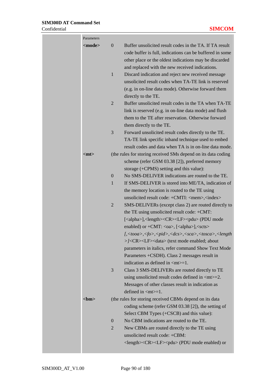| Parameters    |                                                                                                                                                                                                                                                      |
|---------------|------------------------------------------------------------------------------------------------------------------------------------------------------------------------------------------------------------------------------------------------------|
| <mode></mode> | $\boldsymbol{0}$<br>Buffer unsolicited result codes in the TA. If TA result<br>code buffer is full, indications can be buffered in some<br>other place or the oldest indications may be discarded<br>and replaced with the new received indications. |
|               | $\mathbf{1}$<br>Discard indication and reject new received message<br>unsolicited result codes when TA-TE link is reserved<br>(e.g. in on-line data mode). Otherwise forward them<br>directly to the TE.                                             |
|               | Buffer unsolicited result codes in the TA when TA-TE<br>$\overline{2}$<br>link is reserved (e.g. in on-line data mode) and flush<br>them to the TE after reservation. Otherwise forward<br>them directly to the TE.                                  |
|               | 3<br>Forward unsolicited result codes directly to the TE.<br>TA-TE link specific inband technique used to embed<br>result codes and data when TA is in on-line data mode.                                                                            |
| $<$ mt $>$    | (the rules for storing received SMs depend on its data coding<br>scheme (refer GSM 03.38 [2]), preferred memory<br>storage (+CPMS) setting and this value):                                                                                          |
|               | No SMS-DELIVER indications are routed to the TE.<br>$\boldsymbol{0}$                                                                                                                                                                                 |
|               | 1<br>If SMS-DELIVER is stored into ME/TA, indication of                                                                                                                                                                                              |
|               | the memory location is routed to the TE using<br>unsolicited result code: +CMTI: <mem>,<index></index></mem>                                                                                                                                         |
|               | $\overline{2}$<br>SMS-DELIVERs (except class 2) are routed directly to                                                                                                                                                                               |
|               | the TE using unsolicited result code: +CMT:                                                                                                                                                                                                          |
|               | [ <alpha>],<length><cr><lf><pdu> (PDU mode</pdu></lf></cr></length></alpha>                                                                                                                                                                          |
|               | enabled) or +CMT: <oa>, [<alpha>],<scts></scts></alpha></oa>                                                                                                                                                                                         |
|               | $[, <\text{tooa}>, <\text{fo}>, <\text{pid}>, <\text{dcs}>, <\text{sca}>, <\text{tosca}>, <\text{length}$<br>>/ <cr><lf><data> (text mode enabled; about</data></lf></cr>                                                                            |
|               | parameters in italics, refer command Show Text Mode                                                                                                                                                                                                  |
|               | Parameters +CSDH). Class 2 messages result in                                                                                                                                                                                                        |
|               | indication as defined in $\langle mt \rangle = 1$ .                                                                                                                                                                                                  |
|               | 3<br>Class 3 SMS-DELIVERs are routed directly to TE<br>using unsolicited result codes defined in $\langle mt \rangle = 2$ .                                                                                                                          |
|               | Messages of other classes result in indication as<br>defined in $m=1$ .                                                                                                                                                                              |
| <br>cm>       | (the rules for storing received CBMs depend on its data)                                                                                                                                                                                             |
|               | coding scheme (refer GSM 03.38 [2]), the setting of<br>Select CBM Types (+CSCB) and this value):                                                                                                                                                     |
|               | No CBM indications are routed to the TE.<br>$\theta$                                                                                                                                                                                                 |
|               | 2<br>New CBMs are routed directly to the TE using                                                                                                                                                                                                    |
|               | unsolicited result code: +CBM:<br><length><cr><lf><pdu> (PDU mode enabled) or</pdu></lf></cr></length>                                                                                                                                               |
|               |                                                                                                                                                                                                                                                      |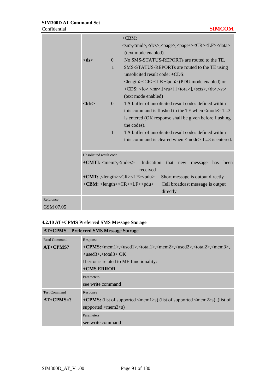|           |                                              |              | $+CBM$ :                                                                                       |
|-----------|----------------------------------------------|--------------|------------------------------------------------------------------------------------------------|
|           |                                              |              | <sn>,<mid>,<dcs>,<page>,<pages><cr><lf><data></data></lf></cr></pages></page></dcs></mid></sn> |
|           |                                              |              | (text mode enabled).                                                                           |
|           | $<$ ds $>$                                   | $\Omega$     | No SMS-STATUS-REPORTs are routed to the TE.                                                    |
|           |                                              | $\mathbf{1}$ | SMS-STATUS-REPORTs are routed to the TE using                                                  |
|           |                                              |              | unsolicited result code: +CDS:                                                                 |
|           |                                              |              | <length><cr><lf><pdu> (PDU mode enabled) or</pdu></lf></cr></length>                           |
|           |                                              |              | +CDS: <fo>,<mr>,[<ra>],[<tora>],<scts>,<dt>,<st></st></dt></scts></tora></ra></mr></fo>        |
|           |                                              |              | (text mode enabled)                                                                            |
|           | chfr                                         | $\Omega$     | TA buffer of unsolicited result codes defined within                                           |
|           |                                              |              | this command is flushed to the TE when $\langle$ mode $> 13$                                   |
|           |                                              |              | is entered (OK response shall be given before flushing)<br>the codes).                         |
|           |                                              | $\mathbf{1}$ | TA buffer of unsolicited result codes defined within                                           |
|           |                                              |              | this command is cleared when $\langle$ mode $> 13$ is entered.                                 |
|           |                                              |              |                                                                                                |
|           | Unsolicited result code                      |              |                                                                                                |
|           | $+$ <b>CMTI:</b> <mem>,<index></index></mem> |              | Indication<br>that<br>new<br>been<br>message<br>has                                            |
|           |                                              |              | received                                                                                       |
|           |                                              |              | $+CMT$ : , < length > < CR > < LF > < pdu ><br>Short message is output directly                |
|           |                                              |              | +CBM: <length><cr><lf><pdu><br/>Cell broadcast message is output</pdu></lf></cr></length>      |
|           |                                              |              | directly                                                                                       |
| Reference |                                              |              |                                                                                                |
| GSM 07.05 |                                              |              |                                                                                                |

# **4.2.10 AT+CPMS Preferred SMS Message Storage**

|                     | <b>AT+CPMS</b> Preferred SMS Message Storage                                                                          |  |  |  |
|---------------------|-----------------------------------------------------------------------------------------------------------------------|--|--|--|
| <b>Read Command</b> | Response                                                                                                              |  |  |  |
| $AT+CPMS?$          | +CPMS: <mem1>,<used1>,<total1>,<mem2>,<used2>,<total2>,<mem3>,</mem3></total2></used2></mem2></total1></used1></mem1> |  |  |  |
|                     | $\langle used3\rangle$ , $\langle total3\rangle$ OK                                                                   |  |  |  |
|                     | If error is related to ME functionality:                                                                              |  |  |  |
|                     | +CMS ERROR                                                                                                            |  |  |  |
|                     | Parameters                                                                                                            |  |  |  |
|                     | see write command                                                                                                     |  |  |  |
| <b>Test Command</b> | Response                                                                                                              |  |  |  |
| $AT+CPMS=?$         | + <b>CPMS:</b> (list of supported $\langle$ mem1>s),(list of supported $\langle$ mem2>s),(list of                     |  |  |  |
|                     | supported $\langle mem3\rangle s$                                                                                     |  |  |  |
|                     | Parameters                                                                                                            |  |  |  |
|                     | see write command                                                                                                     |  |  |  |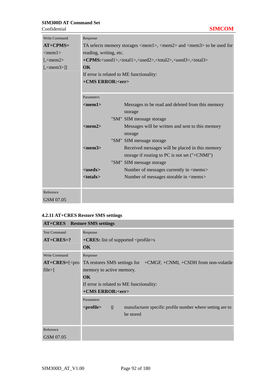| <b>Write Command</b>      | Response                                                                                                                               |                                                                                                              |  |
|---------------------------|----------------------------------------------------------------------------------------------------------------------------------------|--------------------------------------------------------------------------------------------------------------|--|
| $AT+CPMS=$                | TA selects memory storages $\langle \text{mem1}\rangle$ , $\langle \text{mem2}\rangle$ and $\langle \text{mem3}\rangle$ to be used for |                                                                                                              |  |
| $<$ mem $1>$              | reading, writing, etc.                                                                                                                 |                                                                                                              |  |
| $\sqrt{5}$ /mem2>         |                                                                                                                                        | +CPMS: <used1>,<total1>,<used2>,<total2>,<used3>,<total3></total3></used3></total2></used2></total1></used1> |  |
| $\left[$ , <mem3>]</mem3> | $\alpha$                                                                                                                               |                                                                                                              |  |
|                           | If error is related to ME functionality:                                                                                               |                                                                                                              |  |
|                           | +CMS ERROR: <err></err>                                                                                                                |                                                                                                              |  |
|                           |                                                                                                                                        |                                                                                                              |  |
|                           | Parameters                                                                                                                             |                                                                                                              |  |
|                           | $<$ mem $1>$                                                                                                                           | Messages to be read and deleted from this memory                                                             |  |
|                           |                                                                                                                                        | storage                                                                                                      |  |
|                           |                                                                                                                                        | "SM" SIM message storage                                                                                     |  |
|                           | $<$ mem2>                                                                                                                              | Messages will be written and sent to this memory                                                             |  |
|                           |                                                                                                                                        | storage                                                                                                      |  |
|                           |                                                                                                                                        | "SM" SIM message storage                                                                                     |  |
|                           | $<$ mem $3>$                                                                                                                           | Received messages will be placed in this memory                                                              |  |
|                           |                                                                                                                                        | storage if routing to PC is not set ("+CNMI")                                                                |  |
|                           |                                                                                                                                        | "SM" SIM message storage                                                                                     |  |
|                           | $<$ usedx $>$                                                                                                                          | Number of messages currently in <memx></memx>                                                                |  |
|                           | $<$ totalx $>$                                                                                                                         | Number of messages storable in <memx></memx>                                                                 |  |
|                           |                                                                                                                                        |                                                                                                              |  |
| Reference                 |                                                                                                                                        |                                                                                                              |  |
| GSM 07.05                 |                                                                                                                                        |                                                                                                              |  |

# **4.2.11 AT+CRES Restore SMS settings**

| <b>AT+CRES</b> Restore SMS settings |                                                                                                                 |  |  |
|-------------------------------------|-----------------------------------------------------------------------------------------------------------------|--|--|
| <b>Test Command</b>                 | Response                                                                                                        |  |  |
| $AT+CRES=?$                         | $+CRES$ : list of supported $\langle$ profile $\rangle$ s                                                       |  |  |
|                                     | <b>OK</b>                                                                                                       |  |  |
| <b>Write Command</b>                | Response                                                                                                        |  |  |
| $AT+CRES = [\text{cpro}$            | TA restores SMS settings for $+CMGF$ , $+CNMI$ , $+CSDH$ from non-volatile                                      |  |  |
| file>                               | memory to active memory.                                                                                        |  |  |
|                                     | $\alpha$                                                                                                        |  |  |
|                                     | If error is related to ME functionality:                                                                        |  |  |
|                                     | +CMS ERROR: <err></err>                                                                                         |  |  |
|                                     | Parameters                                                                                                      |  |  |
|                                     | <profile><br/>manufacturer specific profile number where setting are to<br/><math>\overline{0}</math></profile> |  |  |
|                                     | be stored                                                                                                       |  |  |
|                                     |                                                                                                                 |  |  |
| Reference                           |                                                                                                                 |  |  |
| GSM 07.05                           |                                                                                                                 |  |  |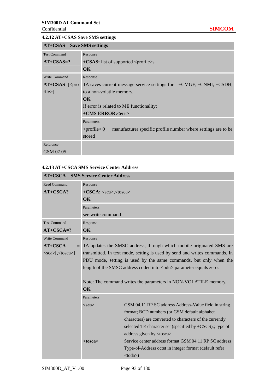#### **4.2.12 AT+CSAS Save SMS settings**

| AT+CSAS Save SMS settings |                                                                                    |  |  |
|---------------------------|------------------------------------------------------------------------------------|--|--|
| <b>Test Command</b>       | Response                                                                           |  |  |
| $AT+CSAS=?$               | $+$ <b>CSAS:</b> list of supported $\le$ profile $\ge$ s                           |  |  |
|                           | <b>OK</b>                                                                          |  |  |
| <b>Write Command</b>      | Response                                                                           |  |  |
| $AT+CSAS=[<$ pro          | TA saves current message service settings for $+CMGF$ , $+CNMI$ , $+CSDH$ ,        |  |  |
| file>                     | to a non-volatile memory.                                                          |  |  |
|                           | <b>OK</b>                                                                          |  |  |
|                           | If error is related to ME functionality:                                           |  |  |
|                           | +CMS ERROR: <err></err>                                                            |  |  |
|                           | Parameters                                                                         |  |  |
|                           | manufacturer specific profile number where settings are to be<br>$<$ profile $> 0$ |  |  |
|                           | stored                                                                             |  |  |
| Reference                 |                                                                                    |  |  |
| GSM 07.05                 |                                                                                    |  |  |

### **4.2.13 AT+CSCA SMS Service Center Address**

|                        | <b>AT+CSCA</b> SMS Service Center Address                                  |                                                                          |
|------------------------|----------------------------------------------------------------------------|--------------------------------------------------------------------------|
| Read Command           | Response                                                                   |                                                                          |
| $AT+CSCA?$             | $+{\text{CSCA}:} <$ sca>, $<$ tosca>                                       |                                                                          |
|                        | OK                                                                         |                                                                          |
|                        | Parameters                                                                 |                                                                          |
|                        | see write command                                                          |                                                                          |
| <b>Test Command</b>    | Response                                                                   |                                                                          |
| $AT+CSCA=?$            | $\alpha$                                                                   |                                                                          |
| <b>Write Command</b>   | Response                                                                   |                                                                          |
| $AT+CSCA$              |                                                                            | = TA updates the SMSC address, through which mobile originated SMS are   |
| $<$ sca>[, $<$ tosca>] | transmitted. In text mode, setting is used by send and writes commands. In |                                                                          |
|                        |                                                                            | PDU mode, setting is used by the same commands, but only when the        |
|                        |                                                                            | length of the SMSC address coded into <pdu> parameter equals zero.</pdu> |
|                        |                                                                            |                                                                          |
|                        |                                                                            | Note: The command writes the parameters in NON-VOLATILE memory.          |
|                        | <b>OK</b>                                                                  |                                                                          |
|                        | Parameters                                                                 |                                                                          |
|                        | $<$ sca $>$                                                                | GSM 04.11 RP SC address Address-Value field in string                    |
|                        |                                                                            | format; BCD numbers (or GSM default alphabet                             |
|                        |                                                                            | characters) are converted to characters of the currently                 |
|                        |                                                                            | selected TE character set (specified by +CSCS);; type of                 |
|                        |                                                                            | address given by <tosca></tosca>                                         |
|                        | $<$ tosca $>$                                                              | Service center address format GSM 04.11 RP SC address                    |
|                        |                                                                            | Type-of-Address octet in integer format (default refer                   |
|                        |                                                                            | $<$ toda $>$ )                                                           |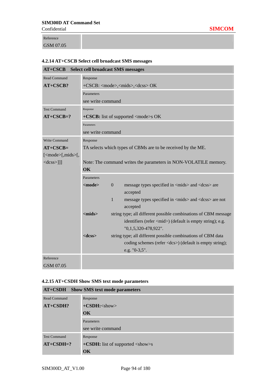Reference GSM 07.05

# **4.2.14 AT+CSCB Select cell broadcast SMS messages**

| $AT+CSCB$                                      | <b>Select cell broadcast SMS messages</b>                       |                |                                                                    |  |  |  |
|------------------------------------------------|-----------------------------------------------------------------|----------------|--------------------------------------------------------------------|--|--|--|
| Read Command                                   | Response                                                        |                |                                                                    |  |  |  |
| $AT+CSCB?$                                     | +CSCB: <mode>,<mids>,<dcss> OK</dcss></mids></mode>             |                |                                                                    |  |  |  |
|                                                | Parameters                                                      |                |                                                                    |  |  |  |
|                                                | see write command                                               |                |                                                                    |  |  |  |
| <b>Test Command</b>                            | Response                                                        |                |                                                                    |  |  |  |
| $AT+CSCB=?$                                    |                                                                 |                | $+CSCB$ : list of supported $\langle$ mode $\rangle$ s OK          |  |  |  |
|                                                | Parameters                                                      |                |                                                                    |  |  |  |
|                                                | see write command                                               |                |                                                                    |  |  |  |
| <b>Write Command</b>                           | Response                                                        |                |                                                                    |  |  |  |
| $AT+CSCB=$                                     |                                                                 |                | TA selects which types of CBMs are to be received by the ME.       |  |  |  |
| $[\langle$ mode $\rangle$ [, mids $\langle$ [, |                                                                 |                |                                                                    |  |  |  |
| $<$ dcss>]]]                                   | Note: The command writes the parameters in NON-VOLATILE memory. |                |                                                                    |  |  |  |
|                                                | OK                                                              |                |                                                                    |  |  |  |
|                                                | Parameters                                                      |                |                                                                    |  |  |  |
|                                                | $mode$                                                          | $\overline{0}$ | message types specified in <mids> and <dcss> are</dcss></mids>     |  |  |  |
|                                                |                                                                 |                | accepted                                                           |  |  |  |
|                                                |                                                                 | 1              | message types specified in <mids> and <dcss> are not</dcss></mids> |  |  |  |
|                                                |                                                                 |                | accepted                                                           |  |  |  |
|                                                | $<$ mids $>$                                                    |                | string type; all different possible combinations of CBM message    |  |  |  |
|                                                |                                                                 |                | identifiers (refer <mid>) (default is empty string); e.g.</mid>    |  |  |  |
|                                                |                                                                 |                | "0,1,5,320-478,922".                                               |  |  |  |
|                                                | $<$ dcss $>$                                                    |                | string type; all different possible combinations of CBM data       |  |  |  |
|                                                |                                                                 |                | coding schemes (refer <dcs>) (default is empty string);</dcs>      |  |  |  |
|                                                |                                                                 |                | e.g. "0-3,5".                                                      |  |  |  |
| Reference                                      |                                                                 |                |                                                                    |  |  |  |
| GSM 07.05                                      |                                                                 |                |                                                                    |  |  |  |

### **4.2.15 AT+CSDH Show SMS text mode parameters**

|                     | AT+CSDH Show SMS text mode parameters                         |
|---------------------|---------------------------------------------------------------|
| Read Command        | Response                                                      |
| AT+CSDH?            | $+CSDH$ : $<$ show $>$                                        |
|                     | OK                                                            |
|                     | Parameters                                                    |
|                     | see write command                                             |
| <b>Test Command</b> | Response                                                      |
| $AT+CSDH=?$         | $+$ <b>CSDH:</b> list of supported $\langle$ show $\rangle$ s |
|                     | OK                                                            |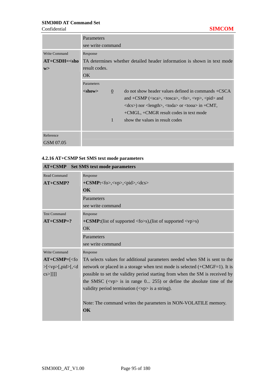٦

|                      | Parameters        |                 |                                                                                                                                                                        |
|----------------------|-------------------|-----------------|------------------------------------------------------------------------------------------------------------------------------------------------------------------------|
|                      | see write command |                 |                                                                                                                                                                        |
| <b>Write Command</b> | Response          |                 |                                                                                                                                                                        |
| $AT+CSDH=<$ sho      |                   |                 | TA determines whether detailed header information is shown in text mode                                                                                                |
| W>                   | result codes.     |                 |                                                                                                                                                                        |
|                      | OK.               |                 |                                                                                                                                                                        |
|                      | Parameters        |                 |                                                                                                                                                                        |
|                      | $<$ show $>$      | $\underline{0}$ | $\alpha$ do not show header values defined in commands +CSCA                                                                                                           |
|                      |                   |                 | and +CSMP ( $\langle$ sca $\rangle$ , $\langle$ tosca $\rangle$ , $\langle$ fo $\rangle$ , $\langle \langle \rangle$ p $\rangle$ , $\langle \rangle$ pid $\rangle$ and |
|                      |                   |                 | $\langle dcs \rangle$ nor $\langle \text{length} \rangle$ , $\langle \text{total} \rangle$ or $\langle \text{total} \rangle$ in $\langle \text{CMT} \rangle$           |
|                      |                   |                 | +CMGL, +CMGR result codes in text mode                                                                                                                                 |
|                      |                   | 1               | show the values in result codes                                                                                                                                        |
|                      |                   |                 |                                                                                                                                                                        |
| Reference            |                   |                 |                                                                                                                                                                        |
| GSM 07.05            |                   |                 |                                                                                                                                                                        |

#### **4.2.16 AT+CSMP Set SMS text mode parameters**

| A1+C9MI                                                         | <b>SU SIVIS ICAL HIGHE PATAMENTS</b>                                                  |
|-----------------------------------------------------------------|---------------------------------------------------------------------------------------|
| <b>Read Command</b>                                             | Response                                                                              |
| $AT+CSMP?$                                                      | $+CSMP: 0>, 0, 0$                                                                     |
|                                                                 | $\alpha$                                                                              |
|                                                                 | Parameters                                                                            |
|                                                                 | see write command                                                                     |
| <b>Test Command</b>                                             | Response                                                                              |
| $AT+CSMP=?$                                                     | +CSMP:(list of supported $\langle$ fo>s),(list of supported $\langle$ vp>s)           |
|                                                                 | <b>OK</b>                                                                             |
|                                                                 | Parameters                                                                            |
|                                                                 | see write command                                                                     |
| <b>Write Command</b>                                            | Response                                                                              |
| $AT+CSMP = \leq f_0$                                            | TA selects values for additional parameters needed when SM is sent to the             |
| $>\left[ <\text{vp}\right[ ,\text{pid}\left[ ,<\text{d}\right]$ | network or placed in a storage when text mode is selected (+CMGF=1). It is            |
| $\cos\left[\frac{1}{2}\right]$                                  | possible to set the validity period starting from when the SM is received by          |
|                                                                 | the SMSC $(\langle vp \rangle)$ is in range 0 255) or define the absolute time of the |
|                                                                 | validity period termination $(<\np>)$ is a string).                                   |
|                                                                 |                                                                                       |
|                                                                 | Note: The command writes the parameters in NON-VOLATILE memory.                       |
|                                                                 | OK                                                                                    |
|                                                                 |                                                                                       |

# **AT+CSMP Set SMS text mode parameters**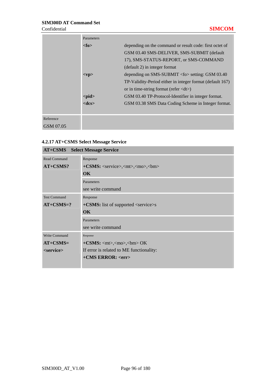|           | Parameters  |                                                             |
|-----------|-------------|-------------------------------------------------------------|
|           | <fo></fo>   | depending on the command or result code: first octet of     |
|           |             | GSM 03.40 SMS-DELIVER, SMS-SUBMIT (default)                 |
|           |             | 17), SMS-STATUS-REPORT, or SMS-COMMAND                      |
|           |             | (default 2) in integer format                               |
|           | $<$ vp>     | depending on SMS-SUBMIT $\langle$ fo $>$ setting: GSM 03.40 |
|           |             | TP-Validity-Period either in integer format (default 167)   |
|           |             | or in time-string format (refer $\langle dt \rangle$ )      |
|           | $<$ pid $>$ | GSM 03.40 TP-Protocol-Identifier in integer format.         |
|           | $<$ dcs $>$ | GSM 03.38 SMS Data Coding Scheme in Integer format.         |
|           |             |                                                             |
| Reference |             |                                                             |
| GSM 07.05 |             |                                                             |

# **4.2.17 AT+CSMS Select Message Service**

| $AT+CSMS$            | <b>Select Message Service</b>                                |
|----------------------|--------------------------------------------------------------|
| <b>Read Command</b>  | Response                                                     |
| AT+CSMS?             | $+CSMS:$ <service>,<mt>,<mo>,<br/>bm&gt;</mo></mt></service> |
|                      | OK                                                           |
|                      | Parameters                                                   |
|                      | see write command                                            |
| <b>Test Command</b>  | Response                                                     |
| $AT+CSMS=?$          | $+$ <b>CSMS:</b> list of supported $\le$ service $>$ s       |
|                      | <b>OK</b>                                                    |
|                      | Parameters                                                   |
|                      | see write command                                            |
| <b>Write Command</b> | Response                                                     |
| $AT+CSMS=$           | $+CSMS:$ <mt>,<mo>,<br/>,<m> OK</m></mo></mt>                |
| <service></service>  | If error is related to ME functionality:                     |
|                      | $+CMS$ ERROR: $<$ err $>$                                    |
|                      |                                                              |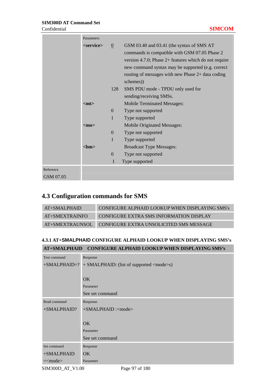|                        | Parameters          |                                                         |                                                                                                                                                                                                                                                                                                                                              |
|------------------------|---------------------|---------------------------------------------------------|----------------------------------------------------------------------------------------------------------------------------------------------------------------------------------------------------------------------------------------------------------------------------------------------------------------------------------------------|
|                        | <service></service> | $\overline{0}$<br>128                                   | GSM 03.40 and 03.41 (the syntax of SMS AT<br>commands is compatible with GSM 07.05 Phase 2<br>version 4.7.0; Phase $2+$ features which do not require<br>new command syntax may be supported (e.g. correct<br>routing of messages with new Phase 2+ data coding<br>schemes))<br>SMS PDU mode - TPDU only used for<br>sending/receiving SMSs. |
|                        | $<$ mt $>$          | $\overline{0}$<br>$\mathbf{1}$                          | <b>Mobile Terminated Messages:</b><br>Type not supported<br>Type supported                                                                                                                                                                                                                                                                   |
|                        | $mpo$<br><br>bm>    | $\boldsymbol{0}$<br>$\mathbf{1}$<br>$\overline{0}$<br>1 | Mobile Originated Messages:<br>Type not supported<br>Type supported<br><b>Broadcast Type Messages:</b><br>Type not supported<br>Type supported                                                                                                                                                                                               |
| Reference<br>GSM 07.05 |                     |                                                         |                                                                                                                                                                                                                                                                                                                                              |
|                        |                     |                                                         |                                                                                                                                                                                                                                                                                                                                              |

# **4.3 Configuration commands for SMS**

| $AT+SMALPHAID$  | CONFIGURE ALPHAID LOOKUP WHEN DISPLAYING SMS's |
|-----------------|------------------------------------------------|
| AT+SMEXTRAINFO  | <b>CONFIGURE EXTRA SMS INFORMATION DISPLAY</b> |
| AT+SMEXTRAUNSOL | CONFIGURE EXTRA UNSOLICITED SMS MESSAGE        |

# **4.3.1 AT+SMALPHAID CONFIGURE ALPHAID LOOKUP WHEN DISPLAYING SMS's**

| AT+SMALPHAID CONFIGURE ALPHAID LOOKUP WHEN DISPLAYING SMS's |
|-------------------------------------------------------------|
|                                                             |

| Test command   | Response                                        |
|----------------|-------------------------------------------------|
| $+SMALPHAID=?$ | + SMALPHAID: (list of supported <mode>s)</mode> |
|                |                                                 |
|                | OK                                              |
|                | Parameter                                       |
|                | See set command                                 |
| Read command   | Response                                        |
| +SMALPHAID?    | +SMALPHAID : <mode></mode>                      |
|                |                                                 |
|                | OK                                              |
|                | Parameter                                       |
|                | See set command                                 |
| Set command    | Response                                        |
| +SMALPHAID     | OK.                                             |
| $=\text{6}$    | Parameter                                       |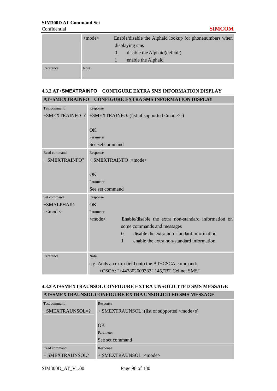|           | $<$ mode $>$ | Enable/disable the Alphaid lookup for phonenumbers when<br>displaying sms |
|-----------|--------------|---------------------------------------------------------------------------|
|           |              | disable the Alphaid (default)<br>$\theta$                                 |
|           |              | enable the Alphaid                                                        |
| Reference | <b>Note</b>  |                                                                           |
|           |              |                                                                           |

# **4.3.2 AT+SMEXTRAINFO CONFIGURE EXTRA SMS INFORMATION DISPLAY AT+SMEXTRAINFO CONFIGURE EXTRA SMS INFORMATION DISPLAY**

| <b>Test command</b>  | Response                                                             |  |
|----------------------|----------------------------------------------------------------------|--|
| $+$ SMEXTRAINFO=?    | +SMEXTRAINFO: (list of supported <mode>s)</mode>                     |  |
|                      |                                                                      |  |
|                      | OK                                                                   |  |
|                      | Parameter                                                            |  |
|                      | See set command                                                      |  |
| Read command         | Response                                                             |  |
| + SMEXTRAINFO?       | + SMEXTRAINFO : <mode></mode>                                        |  |
|                      |                                                                      |  |
|                      | OK                                                                   |  |
|                      | Parameter                                                            |  |
|                      | See set command                                                      |  |
| Set command          | Response                                                             |  |
| +SMALPHAID           | <b>OK</b>                                                            |  |
| $=\text{<}$ mode $>$ | Parameter                                                            |  |
|                      | Enable/disable the extra non-standard information on<br>$<$ mode $>$ |  |
|                      | some commands and messages                                           |  |
|                      | disable the extra non-standard information<br>$\overline{0}$         |  |
|                      | $\mathbf{1}$<br>enable the extra non-standard information            |  |
|                      |                                                                      |  |
| Reference            | Note                                                                 |  |
|                      | e.g. Adds an extra field onto the AT+CSCA command:                   |  |
|                      | +CSCA: "+447802000332",145, "BT Cellnet SMS"                         |  |

# **4.3.3 AT+SMEXTRAUNSOL CONFIGURE EXTRA UNSOLICITED SMS MESSAGE AT+SMEXTRAUNSOL CONFIGURE EXTRA UNSOLICITED SMS MESSAGE**

| Test command       | Response                                           |  |
|--------------------|----------------------------------------------------|--|
| $+$ SMEXTRAUNSOL=? | + SMEXTRAUNSOL: (list of supported <mode>s)</mode> |  |
|                    |                                                    |  |
|                    | OK                                                 |  |
|                    | Parameter                                          |  |
|                    | See set command                                    |  |
| Read command       | Response                                           |  |
| + SMEXTRAUNSOL?    | + SMEXTRAUNSOL : <mode></mode>                     |  |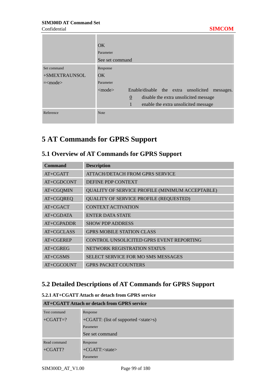|                      | OK                                                                |
|----------------------|-------------------------------------------------------------------|
|                      | Parameter                                                         |
|                      | See set command                                                   |
| Set command          | Response                                                          |
| +SMEXTRAUNSOL        | OK                                                                |
| $=\text{<}$ mode $>$ | Parameter                                                         |
|                      | $<$ mode $>$<br>Enable/disable the extra unsolicited<br>messages. |
|                      | $\overline{0}$<br>disable the extra unsolicited message           |
|                      | 1<br>enable the extra unsolicited message                         |
| Reference            | <b>Note</b>                                                       |

# **5 AT Commands for GPRS Support**

# **5.1 Overview of AT Commands for GPRS Support**

| <b>Command</b> | <b>Description</b>                              |
|----------------|-------------------------------------------------|
| $AT+CGATT$     | ATTACH/DETACH FROM GPRS SERVICE                 |
| $AT+CGDCONT$   | <b>DEFINE PDP CONTEXT</b>                       |
| AT+CGQMIN      | QUALITY OF SERVICE PROFILE (MINIMUM ACCEPTABLE) |
| AT+CGQREQ      | <b>QUALITY OF SERVICE PROFILE (REQUESTED)</b>   |
| $AT+CGACT$     | <b>CONTEXT ACTIVATION</b>                       |
| $AT+CGDATA$    | <b>ENTER DATA STATE</b>                         |
| $AT+CGPADDR$   | <b>SHOW PDP ADDRESS</b>                         |
| $AT+CGCLASS$   | <b>GPRS MOBILE STATION CLASS</b>                |
| $AT+CGEREP$    | CONTROL UNSOLICITED GPRS EVENT REPORTING        |
| $AT+CGREG$     | NETWORK REGISTRATION STATUS                     |
| $AT+CGSMS$     | <b>SELECT SERVICE FOR MO SMS MESSAGES</b>       |
| AT+CGCOUNT     | <b>GPRS PACKET COUNTERS</b>                     |

# **5.2 Detailed Descriptions of AT Commands for GPRS Support**

#### **5.2.1 AT+CGATT Attach or detach from GPRS service**

| AT+CGATT Attach or detach from GPRS service |                                              |  |
|---------------------------------------------|----------------------------------------------|--|
| Test command                                | Response                                     |  |
| $+CGATT=?$                                  | +CGATT: (list of supported <state>s)</state> |  |
|                                             | Parameter                                    |  |
|                                             | See set command                              |  |
| Read command                                | Response                                     |  |
| $+CGATT?$                                   | $+CGATT: < state>$                           |  |
|                                             | Parameter                                    |  |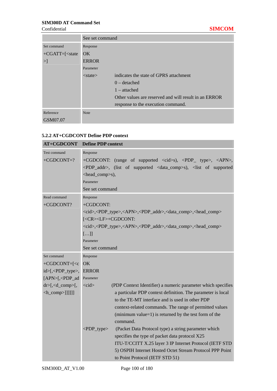|                        | See set command |                                                       |
|------------------------|-----------------|-------------------------------------------------------|
| Set command            | Response        |                                                       |
| $+ CGATT = \leq state$ | OK              |                                                       |
| >                      | <b>ERROR</b>    |                                                       |
|                        | Parameter       |                                                       |
|                        | $<$ state $>$   | indicates the state of GPRS attachment                |
|                        |                 | $0$ – detached                                        |
|                        |                 | $1$ – attached                                        |
|                        |                 | Other values are reserved and will result in an ERROR |
|                        |                 | response to the execution command.                    |
| Reference              | <b>Note</b>     |                                                       |
| GSM07.07               |                 |                                                       |

### **5.2.2 AT+CGDCONT Define PDP context**

| <b>AT+CGDCONT</b>                                      | <b>Define PDP context</b>                                                                                           |
|--------------------------------------------------------|---------------------------------------------------------------------------------------------------------------------|
| <b>Test command</b>                                    | Response                                                                                                            |
| $+CGDCONT=?$                                           | +CGDCONT: (range of supported <cid>s), <pdp_ type="">, <apn>,</apn></pdp_></cid>                                    |
|                                                        | <pdp_addr>, (list of supported <data_comp>s), <list of="" supported<="" td=""></list></data_comp></pdp_addr>        |
|                                                        | <head_comp>s),</head_comp>                                                                                          |
|                                                        | Parameter                                                                                                           |
|                                                        | See set command                                                                                                     |
| Read command                                           | Response                                                                                                            |
| +CGDCONT?                                              | +CGDCONT:                                                                                                           |
|                                                        | <cid>,<pdp_type>,<apn>,<pdp_addr>,<data_comp>,<head_comp></head_comp></data_comp></pdp_addr></apn></pdp_type></cid> |
|                                                        | [ <cr><lf>+CGDCONT:</lf></cr>                                                                                       |
|                                                        | <cid>,<pdp_type>,<apn>,<pdp_addr>,<data_comp>,<head_comp></head_comp></data_comp></pdp_addr></apn></pdp_type></cid> |
|                                                        | []                                                                                                                  |
|                                                        | Parameter                                                                                                           |
|                                                        | See set command                                                                                                     |
| Set command                                            | Response                                                                                                            |
| $+CGDCONT=[c]$                                         | OK                                                                                                                  |
| id>[, <pdp_type>,</pdp_type>                           | <b>ERROR</b>                                                                                                        |
| $[APN>[$ , <pdp_ad< td=""><td>Parameter</td></pdp_ad<> | Parameter                                                                                                           |
| $dr>[, _comp>[,$                                       | (PDP Context Identifier) a numeric parameter which specifies<br>$<$ cid $>$                                         |
| $\langle h_{\text{comp}} \rangle$ ]]]]]]               | a particular PDP context definition. The parameter is local                                                         |
|                                                        | to the TE-MT interface and is used in other PDP                                                                     |
|                                                        | context-related commands. The range of permitted values                                                             |
|                                                        | (minimum value= $1$ ) is returned by the test form of the                                                           |
|                                                        | command.                                                                                                            |
|                                                        | $\langle$ PDP_type><br>(Packet Data Protocol type) a string parameter which                                         |
|                                                        | specifies the type of packet data protocol X25                                                                      |
|                                                        | ITU-T/CCITT X.25 layer 3 IP Internet Protocol (IETF STD                                                             |
|                                                        | 5) OSPIH Internet Hosted Octet Stream Protocol PPP Point                                                            |
|                                                        | to Point Protocol (IETF STD 51)                                                                                     |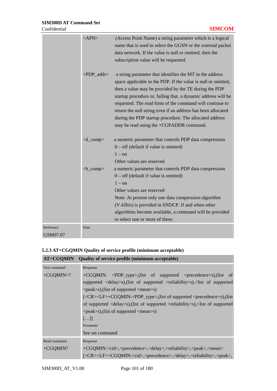|           | <apn></apn>                                | (Access Point Name) a string parameter which is a logical<br>name that is used to select the GGSN or the external packet<br>data network. If the value is null or omitted, then the<br>subscription value will be requested.                                                                                                                                                                                                                                                          |
|-----------|--------------------------------------------|---------------------------------------------------------------------------------------------------------------------------------------------------------------------------------------------------------------------------------------------------------------------------------------------------------------------------------------------------------------------------------------------------------------------------------------------------------------------------------------|
|           | $\langle$ PDP_addr>                        | a string parameter that identifies the MT in the address<br>space applicable to the PDP. If the value is null or omitted,<br>then a value may be provided by the TE during the PDP<br>startup procedure or, failing that, a dynamic address will be<br>requested. The read form of the command will continue to<br>return the null string even if an address has been allocated<br>during the PDP startup procedure. The allocated address<br>may be read using the +CGPADDR command. |
|           | $<$ d_comp $>$                             | a numeric parameter that controls PDP data compression<br>$0$ – off (default if value is omitted)<br>$1 - \text{on}$<br>Other values are reserved                                                                                                                                                                                                                                                                                                                                     |
|           | $\langle h_{\text{1}} \text{comp} \rangle$ | a numeric parameter that controls PDP data compression<br>$0$ – off (default if value is omitted)<br>$1 - \alpha n$<br>Other values are reserved<br>Note: At present only one data compression algorithm<br>(V.42bis) is provided in SNDCP. If and when other<br>algorithms become available, a command will be provided<br>to select one or more of these.                                                                                                                           |
| Reference | Note                                       |                                                                                                                                                                                                                                                                                                                                                                                                                                                                                       |
| GSM07.07  |                                            |                                                                                                                                                                                                                                                                                                                                                                                                                                                                                       |

# **5.2.3 AT+CGQMIN Quality of service profile (minimum acceptable)**

|                     | $AT+CGQMIN$ Quality of service profile (minimum acceptable)                                                                  |  |  |  |
|---------------------|------------------------------------------------------------------------------------------------------------------------------|--|--|--|
| <b>Test command</b> | Response                                                                                                                     |  |  |  |
| $+CGQMIN=?$         | +CGQMIN: <pdp_type>,(list of supported <precedence>s),(list of</precedence></pdp_type>                                       |  |  |  |
|                     | supported <delay>s),(list of supported <reliability>s),<list of="" supported<="" td=""></list></reliability></delay>         |  |  |  |
|                     | $\langle peak\rangle$ s), (list of supported $\langle mean\rangle$ s)                                                        |  |  |  |
|                     | [ <cr><lf>+CGQMIN:<pdp_type>,(list of supported <precedence>s),(list</precedence></pdp_type></lf></cr>                       |  |  |  |
|                     | of supported <delay>s),(list of supported <reliability>s),<list of="" supported<="" td=""></list></reliability></delay>      |  |  |  |
|                     | $\langle peak\rangle$ s), (list of supported $\langle mean\rangle$ s)                                                        |  |  |  |
|                     | $[\ldots]$                                                                                                                   |  |  |  |
|                     | Parameter                                                                                                                    |  |  |  |
|                     | See set command                                                                                                              |  |  |  |
| Read command        | Response                                                                                                                     |  |  |  |
| $+CGOMIN?$          | +CGQMIN: <cid>,<precedence>,<delay>,&gt;reliability&gt;,<peak>,<mean></mean></peak></delay></precedence></cid>               |  |  |  |
|                     | [ <cr><lf>+CGQMIN:<cid>,<precedence>,<delay>,<reliability>,<peak>,</peak></reliability></delay></precedence></cid></lf></cr> |  |  |  |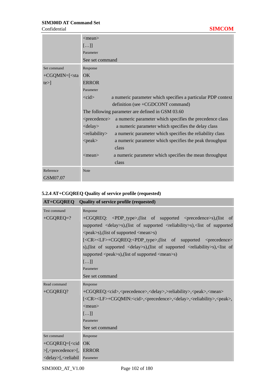|                                                                                  | $<$ mean $>$<br>[]<br>Parameter<br>See set command                                                    |                                                              |  |
|----------------------------------------------------------------------------------|-------------------------------------------------------------------------------------------------------|--------------------------------------------------------------|--|
| Set command                                                                      | Response                                                                                              |                                                              |  |
| +CGQMIN=[ <sta< th=""><th><math>\overline{\text{OK}}</math></th><th></th></sta<> | $\overline{\text{OK}}$                                                                                |                                                              |  |
| $te >$ ]                                                                         | <b>ERROR</b>                                                                                          |                                                              |  |
|                                                                                  | Parameter                                                                                             |                                                              |  |
|                                                                                  | $<$ cid $>$                                                                                           | a numeric parameter which specifies a particular PDP context |  |
|                                                                                  |                                                                                                       | definition (see $+CGDCONT$ command)                          |  |
|                                                                                  | The following parameter are defined in GSM 03.60                                                      |                                                              |  |
|                                                                                  | <precedence></precedence>                                                                             | a numeric parameter which specifies the precedence class     |  |
|                                                                                  | $\langle$ delay $\rangle$                                                                             | a numeric parameter which specifies the delay class          |  |
|                                                                                  | <reliability< th=""><th>a numeric parameter which specifies the reliability class</th></reliability<> | a numeric parameter which specifies the reliability class    |  |
|                                                                                  | $<$ peak $>$                                                                                          | a numeric parameter which specifies the peak throughput      |  |
|                                                                                  |                                                                                                       | class                                                        |  |
|                                                                                  | $<$ mean $>$                                                                                          | a numeric parameter which specifies the mean throughput      |  |
|                                                                                  |                                                                                                       | class                                                        |  |
| Reference                                                                        | <b>Note</b>                                                                                           |                                                              |  |
| GSM07.07                                                                         |                                                                                                       |                                                              |  |

# **5.2.4 AT+CGQREQ Quality of service profile (requested)**

| AT+CGQREQ                                                        | <b>Quality of service profile (requested)</b>                                                                                |
|------------------------------------------------------------------|------------------------------------------------------------------------------------------------------------------------------|
| Test command                                                     | Response                                                                                                                     |
| $+ CGQREQ=?$                                                     | +CGQREQ: <pdp_type>,(list of supported <precedence>s),(list<br/>of</precedence></pdp_type>                                   |
|                                                                  | supported <delay>s),(list of supported <reliability>s),<list of="" supported<="" td=""></list></reliability></delay>         |
|                                                                  | <peak>s), (list of supported <mean>s)</mean></peak>                                                                          |
|                                                                  | [ <cr><lf>+CGQREQ:<pdp_type>,(list of supported <precedence></precedence></pdp_type></lf></cr>                               |
|                                                                  | s), (list of supported <delay>s), (list of supported <reliability>s), <list of<="" td=""></list></reliability></delay>       |
|                                                                  | supported <peak>s),(list of supported <mean>s)</mean></peak>                                                                 |
|                                                                  | []                                                                                                                           |
|                                                                  | Parameter                                                                                                                    |
|                                                                  | See set command                                                                                                              |
| Read command                                                     | Response                                                                                                                     |
| +CGQREQ?                                                         | +CGQREQ: <cid>,<precedence>,<delay>,&gt;reliability&gt;,<peak>,<mean></mean></peak></delay></precedence></cid>               |
|                                                                  | [ <cr><lf>+CGQMIN:<cid>,<precedence>,<delay>,<reliability>,<peak>,</peak></reliability></delay></precedence></cid></lf></cr> |
|                                                                  | $<$ mean $>$                                                                                                                 |
|                                                                  | []                                                                                                                           |
|                                                                  | Parameter                                                                                                                    |
|                                                                  | See set command                                                                                                              |
| Set command                                                      | Response                                                                                                                     |
| +CGQREQ=[ <cid ok<="" td=""><td></td></cid>                      |                                                                                                                              |
| $>$ [, <precedence<math>&gt;[,</precedence<math>                 | <b>ERROR</b>                                                                                                                 |
| <delay>[,<reliabil< td=""><td>Parameter</td></reliabil<></delay> | Parameter                                                                                                                    |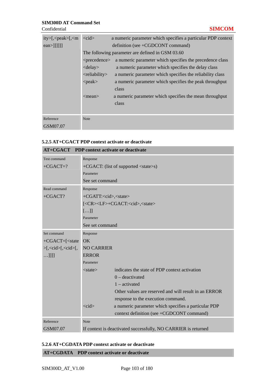| ity>[, <peak>[,<m<br><math>\text{ean} &gt;</math>]]]]]]</m<br></peak> | $<$ cid $>$<br>a numeric parameter which specifies a particular PDP context<br>definition (see $+CGDCONT$ command) |                                                           |  |
|-----------------------------------------------------------------------|--------------------------------------------------------------------------------------------------------------------|-----------------------------------------------------------|--|
|                                                                       | The following parameter are defined in GSM 03.60                                                                   |                                                           |  |
|                                                                       | a numeric parameter which specifies the precedence class<br>$<$ precedence $>$                                     |                                                           |  |
|                                                                       | $\langle$ delay $\rangle$                                                                                          | a numeric parameter which specifies the delay class       |  |
|                                                                       | <reliability< td=""><td>a numeric parameter which specifies the reliability class</td></reliability<>              | a numeric parameter which specifies the reliability class |  |
|                                                                       | $<$ peak $>$                                                                                                       | a numeric parameter which specifies the peak throughput   |  |
|                                                                       |                                                                                                                    | class                                                     |  |
|                                                                       | $\langle$ mean $\rangle$                                                                                           | a numeric parameter which specifies the mean throughput   |  |
|                                                                       |                                                                                                                    | class                                                     |  |
|                                                                       |                                                                                                                    |                                                           |  |
| Reference                                                             | <b>Note</b>                                                                                                        |                                                           |  |
| GSM07.07                                                              |                                                                                                                    |                                                           |  |

# **5.2.5 AT+CGACT PDP context activate or deactivate**

| AT+CGACT PDP context activate or deactivate                    |                                              |                                                                |  |
|----------------------------------------------------------------|----------------------------------------------|----------------------------------------------------------------|--|
| Test command                                                   | Response                                     |                                                                |  |
| $+CGACT=?$                                                     | +CGACT: (list of supported <state>s)</state> |                                                                |  |
|                                                                | Parameter                                    |                                                                |  |
|                                                                | See set command                              |                                                                |  |
| Read command                                                   | Response                                     |                                                                |  |
| $+CGACT?$                                                      | +CGATT: <cid>,<state></state></cid>          |                                                                |  |
|                                                                |                                              | [ <cr><lf>+CGACT:<cid>,<state></state></cid></lf></cr>         |  |
|                                                                | []                                           |                                                                |  |
|                                                                | Parameter                                    |                                                                |  |
|                                                                | See set command                              |                                                                |  |
| Set command                                                    | Response                                     |                                                                |  |
| $+CGACT=[< state$                                              | OK.                                          |                                                                |  |
| $>$ [, <cid<math>&gt;[, <cid<math>&gt;[,</cid<math></cid<math> | <b>NO CARRIER</b>                            |                                                                |  |
| $$ ]]]]                                                        | <b>ERROR</b>                                 |                                                                |  |
|                                                                | Parameter                                    |                                                                |  |
|                                                                | $<$ state $>$                                | indicates the state of PDP context activation                  |  |
|                                                                |                                              | $0$ – deactivated                                              |  |
|                                                                |                                              | $1 -$ activated                                                |  |
|                                                                |                                              | Other values are reserved and will result in an ERROR          |  |
|                                                                |                                              | response to the execution command.                             |  |
|                                                                | $<$ cid $>$                                  | a numeric parameter which specifies a particular PDP           |  |
|                                                                |                                              | context definition (see +CGDCONT command)                      |  |
| Reference                                                      | <b>Note</b>                                  |                                                                |  |
| GSM07.07                                                       |                                              | If context is deactivated successfully, NO CARRIER is returned |  |

## **5.2.6 AT+CGDATA PDP context activate or deactivate**

**AT+CGDATA PDP context activate or deactivate**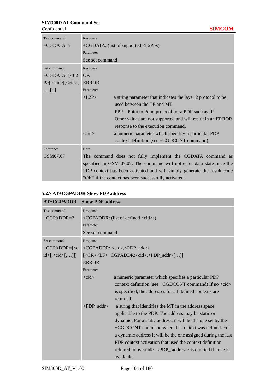| Test command                                                                   | Response                                  |                                                                         |  |
|--------------------------------------------------------------------------------|-------------------------------------------|-------------------------------------------------------------------------|--|
| $+CGDATA=?$                                                                    | +CGDATA: (list of supported <l2p>s)</l2p> |                                                                         |  |
|                                                                                | Parameter                                 |                                                                         |  |
|                                                                                | See set command                           |                                                                         |  |
| Set command                                                                    | Response                                  |                                                                         |  |
| +CGDATA=[ <l2< td=""><td><math>\overline{\text{OK}}</math></td><td></td></l2<> | $\overline{\text{OK}}$                    |                                                                         |  |
| $P>[,\text{ccid}>[,\text{ccid}^{\circ}]$                                       | <b>ERROR</b>                              |                                                                         |  |
| ,]]                                                                            | Parameter                                 |                                                                         |  |
|                                                                                | < L2P                                     | a string parameter that indicates the layer 2 protocol to be            |  |
|                                                                                |                                           | used between the TE and MT:                                             |  |
|                                                                                |                                           | PPP – Point to Point protocol for a PDP such as IP                      |  |
|                                                                                |                                           | Other values are not supported and will result in an ERROR              |  |
|                                                                                |                                           | response to the execution command.                                      |  |
|                                                                                | $\langle \text{cid}\rangle$               | a numeric parameter which specifies a particular PDP                    |  |
|                                                                                |                                           | context definition (see +CGDCONT command)                               |  |
| Reference                                                                      | <b>Note</b>                               |                                                                         |  |
| GSM07.07                                                                       |                                           | The command does not fully implement the CGDATA command as              |  |
|                                                                                |                                           | specified in GSM 07.07. The command will not enter data state once the  |  |
|                                                                                |                                           | PDP context has been activated and will simply generate the result code |  |
|                                                                                |                                           | "OK" if the context has been successfully activated.                    |  |

# **5.2.7 AT+CGPADDR Show PDP address**

| <b>AT+CGPADDR</b> Show PDP address  |                     |                                                                                                          |  |
|-------------------------------------|---------------------|----------------------------------------------------------------------------------------------------------|--|
| <b>Test command</b>                 | Response            |                                                                                                          |  |
| $+ CGPADDR=?$                       |                     | +CGPADDR: (list of defined <cid>s)</cid>                                                                 |  |
|                                     | Parameter           |                                                                                                          |  |
|                                     | See set command     |                                                                                                          |  |
| Set command                         | Response            |                                                                                                          |  |
| $+ CGPADDR = [ c$                   |                     | +CGPADDR: <cid>,<pdp_addr></pdp_addr></cid>                                                              |  |
| $id$ $\ge$ [, $\lt$ cid $\ge$ [,]]] |                     | [ <cr><lf>+CGPADDR:<cid>,<pdp_addr>[]]</pdp_addr></cid></lf></cr>                                        |  |
|                                     | <b>ERROR</b>        |                                                                                                          |  |
|                                     | Parameter           |                                                                                                          |  |
|                                     | $<$ cid $>$         | a numeric parameter which specifies a particular PDP                                                     |  |
|                                     |                     | context definition (see +CGDCONT command) If no <cid></cid>                                              |  |
|                                     |                     | is specified, the addresses for all defined contexts are                                                 |  |
|                                     |                     | returned.                                                                                                |  |
|                                     | $\langle$ PDP addr> | a string that identifies the MT in the address space                                                     |  |
|                                     |                     | applicable to the PDP. The address may be static or                                                      |  |
|                                     |                     | dynamic. For a static address, it will be the one set by the                                             |  |
|                                     |                     | +CGDCONT command when the context was defined. For                                                       |  |
|                                     |                     | a dynamic address it will be the one assigned during the last                                            |  |
|                                     |                     | PDP context activation that used the context definition                                                  |  |
|                                     |                     | referred to by $\langle cid \rangle$ . $\langle PDP \rangle$ address is omitted if none is<br>available. |  |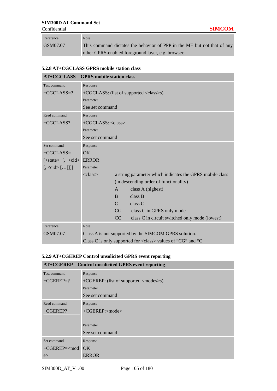Confidential **SIMCOM**

| Reference | Note                                                                    |
|-----------|-------------------------------------------------------------------------|
| GSM07.07  | This command dictates the behavior of PPP in the ME but not that of any |
|           | other GPRS-enabled foreground layer, e.g. browser.                      |

## **5.2.8 AT+CGCLASS GPRS mobile station class**

| <b>AT+CGCLASS</b>                                                  | <b>GPRS</b> mobile station class                      |               |                                                                                    |
|--------------------------------------------------------------------|-------------------------------------------------------|---------------|------------------------------------------------------------------------------------|
| Test command                                                       | Response                                              |               |                                                                                    |
| $+ CGCLASS=?$                                                      |                                                       |               | +CGCLASS: (list of supported <class>s)</class>                                     |
|                                                                    | Parameter                                             |               |                                                                                    |
|                                                                    | See set command                                       |               |                                                                                    |
| Read command                                                       | Response                                              |               |                                                                                    |
| $+ CGCLASS?$                                                       | $+CGCLASS: $                                          |               |                                                                                    |
|                                                                    | Parameter                                             |               |                                                                                    |
|                                                                    | See set command                                       |               |                                                                                    |
| Set command                                                        | Response                                              |               |                                                                                    |
| $+ CGCLASS=$                                                       | $\overline{OK}$                                       |               |                                                                                    |
| $\mathsf{Kstate}\mathsf{F}$ $\mathsf{F}$ , $\mathsf{C} \mathsf{S}$ | <b>ERROR</b>                                          |               |                                                                                    |
| $[,\langle \text{cid}\rangle [\ldots]]]$                           | Parameter                                             |               |                                                                                    |
|                                                                    | $\langle \text{class} \rangle$                        |               | a string parameter which indicates the GPRS mobile class                           |
|                                                                    |                                                       |               | (in descending order of functionality)                                             |
|                                                                    |                                                       | $\mathsf{A}$  | class A (highest)                                                                  |
|                                                                    |                                                       | $\mathbf{B}$  | class B                                                                            |
|                                                                    |                                                       | $\mathcal{C}$ | class C                                                                            |
|                                                                    |                                                       | CG            | class C in GPRS only mode                                                          |
|                                                                    |                                                       | CC            | class C in circuit switched only mode (lowest)                                     |
| Reference                                                          | <b>Note</b>                                           |               |                                                                                    |
| GSM07.07                                                           | Class A is not supported by the SIMCOM GPRS solution. |               |                                                                                    |
|                                                                    |                                                       |               | Class C is only supported for $\langle \text{class} \rangle$ values of "CG" and "C |

# **5.2.9 AT+CGEREP Control unsolicited GPRS event reporting**

|                                          | AT+CGEREP Control unsolicited GPRS event reporting |
|------------------------------------------|----------------------------------------------------|
| Test command                             | Response                                           |
| $+CGEREP=?$                              | +CGEREP: (list of supported <modes>s)</modes>      |
|                                          | Parameter                                          |
|                                          | See set command                                    |
| Read command                             | Response                                           |
| $+CGEREP?$                               | $+CGEREP: <$ mode>                                 |
|                                          |                                                    |
|                                          | Parameter                                          |
|                                          | See set command                                    |
| Set command                              | Response                                           |
| +CGEREP= <mod< td=""><td>OK.</td></mod<> | OK.                                                |
| e                                        | <b>ERROR</b>                                       |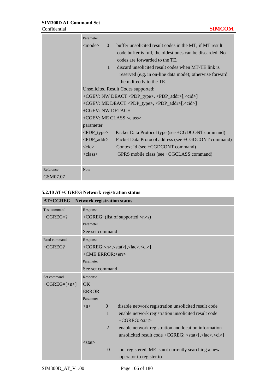|           | Parameter                                                                  |                                                                                                                      |  |
|-----------|----------------------------------------------------------------------------|----------------------------------------------------------------------------------------------------------------------|--|
|           | $<$ mode $>$<br>$\Omega$                                                   | buffer unsolicited result codes in the MT; if MT result<br>code buffer is full, the oldest ones can be discarded. No |  |
|           |                                                                            | codes are forwarded to the TE.                                                                                       |  |
|           | $\mathbf{1}$                                                               | discard unsolicited result codes when MT-TE link is                                                                  |  |
|           |                                                                            | reserved (e.g. in on-line data mode); otherwise forward                                                              |  |
|           |                                                                            | them directly to the TE                                                                                              |  |
|           |                                                                            | <b>Unsolicited Result Codes supported:</b>                                                                           |  |
|           |                                                                            | +CGEV: NW DEACT <pdp_type>, <pdp_addr>[,<cid>]</cid></pdp_addr></pdp_type>                                           |  |
|           | +CGEV: ME DEACT <pdp_type>, <pdp_addr>[,<cid>]</cid></pdp_addr></pdp_type> |                                                                                                                      |  |
|           | +CGEV: NW DETACH                                                           |                                                                                                                      |  |
|           | +CGEV: ME CLASS <class></class>                                            |                                                                                                                      |  |
|           | parameter                                                                  |                                                                                                                      |  |
|           | $\langle$ PDP_type>                                                        | Packet Data Protocol type (see +CGDCONT command)                                                                     |  |
|           | $\langle$ PDP_addr>                                                        | Packet Data Protocol address (see +CGDCONT command)                                                                  |  |
|           | $<$ cid $>$                                                                | Context Id (see +CGDCONT command)                                                                                    |  |
|           | $\langle \text{class} \rangle$                                             | GPRS mobile class (see +CGCLASS command)                                                                             |  |
|           |                                                                            |                                                                                                                      |  |
| Reference | <b>Note</b>                                                                |                                                                                                                      |  |
| GSM07.07  |                                                                            |                                                                                                                      |  |

# **5.2.10 AT+CGREG Network registration status**

| AT+CGREG          | <b>Network registration status</b>                                                      |  |  |
|-------------------|-----------------------------------------------------------------------------------------|--|--|
| Test command      | Response                                                                                |  |  |
| $+ CGREG = ?$     | +CGREG: (list of supported $\langle n \rangle$ s)                                       |  |  |
|                   | Parameter                                                                               |  |  |
|                   | See set command                                                                         |  |  |
| Read command      | Response                                                                                |  |  |
| $+ CGREG?$        | +CGREG: <n>,<stat>[,<lac>,<ci>]</ci></lac></stat></n>                                   |  |  |
|                   | +CME ERROR: <err></err>                                                                 |  |  |
|                   | Parameter                                                                               |  |  |
|                   | See set command                                                                         |  |  |
| Set command       | Response                                                                                |  |  |
| $+ CGREG=[< n>$ ] | OK.                                                                                     |  |  |
|                   | <b>ERROR</b>                                                                            |  |  |
|                   | Parameter                                                                               |  |  |
|                   | disable network registration unsolicited result code<br>$\Omega$<br>$\langle n \rangle$ |  |  |
|                   | enable network registration unsolicited result code<br>$\mathbf{1}$                     |  |  |
|                   | $+CGREG: $                                                                              |  |  |
|                   | $\overline{2}$<br>enable network registration and location information                  |  |  |
|                   | unsolicited result code +CGREG: <stat>[,<lac>,<ci>]</ci></lac></stat>                   |  |  |
|                   | $<$ stat $>$                                                                            |  |  |
|                   | $\boldsymbol{0}$<br>not registered, ME is not currently searching a new                 |  |  |
|                   | operator to register to                                                                 |  |  |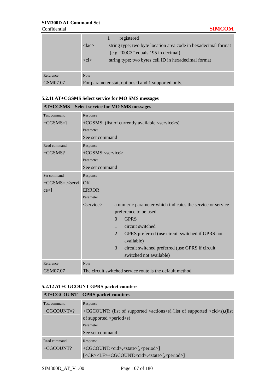|           | registered                                                                    |  |  |
|-----------|-------------------------------------------------------------------------------|--|--|
|           | string type; two byte location area code in hexadecimal format<br>$<$ lac $>$ |  |  |
|           | (e.g. "00C3" equals 195 in decimal)                                           |  |  |
|           | $\langle$ ci><br>string type; two bytes cell ID in hexadecimal format         |  |  |
|           |                                                                               |  |  |
| Reference | <b>Note</b>                                                                   |  |  |
| GSM07.07  | For parameter stat, options 0 and 1 supported only.                           |  |  |

### **5.2.11 AT+CGSMS Select service for MO SMS messages**

| AT+CGSMS Select service for MO SMS messages |                                                                                           |  |  |
|---------------------------------------------|-------------------------------------------------------------------------------------------|--|--|
| Test command                                | Response                                                                                  |  |  |
| $+CGSMS=?$                                  | +CGSMS: (list of currently available <service>s)</service>                                |  |  |
|                                             | Parameter                                                                                 |  |  |
|                                             | See set command                                                                           |  |  |
| Read command                                | Response                                                                                  |  |  |
| $+CGSMS?$                                   | $+CGSMS$ : $\langle$ service $\rangle$                                                    |  |  |
|                                             | Parameter                                                                                 |  |  |
|                                             | See set command                                                                           |  |  |
| Set command                                 | Response                                                                                  |  |  |
| $+CGSMS = [\le$ servi                       | OK                                                                                        |  |  |
| $ce >$ ]                                    | <b>ERROR</b>                                                                              |  |  |
|                                             | Parameter                                                                                 |  |  |
|                                             | a numeric parameter which indicates the service or service<br>$\langle$ service $\rangle$ |  |  |
|                                             | preference to be used                                                                     |  |  |
|                                             | <b>GPRS</b><br>$\Omega$                                                                   |  |  |
|                                             | circuit switched<br>1                                                                     |  |  |
|                                             | 2<br>GPRS preferred (use circuit switched if GPRS not<br>available)                       |  |  |
|                                             | 3                                                                                         |  |  |
|                                             | circuit switched preferred (use GPRS if circuit<br>switched not available)                |  |  |
| Reference                                   | <b>Note</b>                                                                               |  |  |
| GSM07.07                                    | The circuit switched service route is the default method                                  |  |  |

# **5.2.12 AT+CGCOUNT GPRS packet counters**

|              | AT+CGCOUNT GPRS packet counters                                                           |  |
|--------------|-------------------------------------------------------------------------------------------|--|
| Test command | Response                                                                                  |  |
| $+CGCOUNT=?$ | +CGCOUNT: (list of supported <actions>s),(list of supported <cid>s),(list</cid></actions> |  |
|              | of supported $\le$ period $\ge$ s)                                                        |  |
|              | Parameter                                                                                 |  |
|              | See set command                                                                           |  |
| Read command | Response                                                                                  |  |
| $+CGCOUNT?$  | +CGCOUNT: <cid>,<state>[,<period>]</period></state></cid>                                 |  |
|              | [ <cr><lf>+CGCOUNT:<cid>,<state>[,<period>]</period></state></cid></lf></cr>              |  |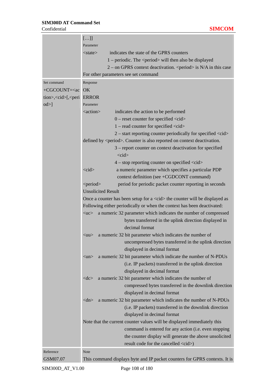|                                                            | $[]$                                                                                    |
|------------------------------------------------------------|-----------------------------------------------------------------------------------------|
|                                                            | Parameter                                                                               |
|                                                            | indicates the state of the GPRS counters<br>$<$ state $>$                               |
|                                                            | $1$ – periodic. The <period> will then also be displayed</period>                       |
|                                                            | $2$ – on GPRS context deactivation. <period> is N/A in this case</period>               |
|                                                            | For other parameters see set command                                                    |
| Set command                                                | Response                                                                                |
| $+CGCOUNT=$                                                | OK                                                                                      |
| tion>, <cid>[,<peri error<="" td=""><td></td></peri></cid> |                                                                                         |
| $\text{od}\geq$                                            | Parameter                                                                               |
|                                                            | <action><br/>indicates the action to be performed</action>                              |
|                                                            | $0$ – reset counter for specified $\langle c \cdot d \rangle$                           |
|                                                            | $1 - read counter for specified < <$                                                    |
|                                                            | $2$ – start reporting counter periodically for specified $\langle c \rangle$            |
|                                                            | defined by <period>. Counter is also reported on context deactivation.</period>         |
|                                                            | 3 – report counter on context deactivation for specified                                |
|                                                            | $<$ cid $>$                                                                             |
|                                                            | $4 - stop$ reporting counter on specified $\langle c d \rangle$                         |
|                                                            | $<$ cid $>$<br>a numeric parameter which specifies a particular PDP                     |
|                                                            | context definition (see +CGDCONT command)                                               |
|                                                            | <period><br/>period for periodic packet counter reporting in seconds</period>           |
|                                                            | <b>Unsolicited Result</b>                                                               |
|                                                            | Once a counter has been setup for a <cid> the counter will be displayed as</cid>        |
|                                                            | Following either periodically or when the context has been deactivated:                 |
|                                                            | a numeric 32 parameter which indicates the number of compressed<br>$<$ uc $>$           |
|                                                            | bytes transferred in the uplink direction displayed in                                  |
|                                                            | decimal format                                                                          |
|                                                            | a numeric 32 bit parameter which indicates the number of<br>$\langle \text{uu} \rangle$ |
|                                                            | uncompressed bytes transferred in the uplink direction                                  |
|                                                            | displayed in decimal format                                                             |
|                                                            | a numeric 32 bit parameter which indicate the number of N-PDUs<br>$<$ un $>$            |
|                                                            | (i.e. IP packets) transferred in the uplink direction                                   |
|                                                            | displayed in decimal format                                                             |
|                                                            | a numeric 32 bit parameter which indicates the number of<br>$<<$ d $<\ge$               |
|                                                            | compressed bytes transferred in the downlink direction                                  |
|                                                            | displayed in decimal format                                                             |
|                                                            | a numeric 32 bit parameter which indicates the number of N-PDUs<br>$<$ dn $>$           |
|                                                            | (i.e. IP packets) transferred in the downlink direction                                 |
|                                                            | displayed in decimal format                                                             |
|                                                            | Note that the current counter values will be displayed immediately this                 |
|                                                            | command is entered for any action (i.e. even stopping                                   |
|                                                            | the counter display will generate the above unsolicited                                 |
|                                                            | result code for the cancelled <cid>)</cid>                                              |
| Reference                                                  | Note                                                                                    |
| GSM07.07                                                   | This command displays byte and IP packet counters for GPRS contexts. It is              |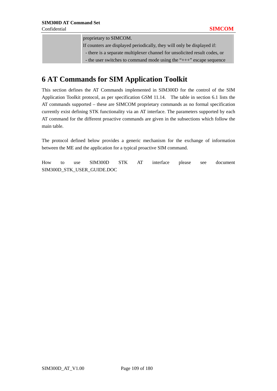proprietary to SIMCOM. If counters are displayed periodically, they will only be displayed if: - there is a separate multiplexer channel for unsolicited result codes, or - the user switches to command mode using the "+++" escape sequence

# **6 AT Commands for SIM Application Toolkit**

This section defines the AT Commands implemented in SIM300D for the control of the SIM Application Toolkit protocol, as per specification GSM 11.14. The table in section 6.1 lists the AT commands supported – these are SIMCOM proprietary commands as no formal specification currently exist defining STK functionality via an AT interface. The parameters supported by each AT command for the different proactive commands are given in the subsections which follow the main table.

The protocol defined below provides a generic mechanism for the exchange of information between the ME and the application for a typical proactive SIM command.

How to use SIM300D STK AT interface please see document SIM300D\_STK\_USER\_GUIDE.DOC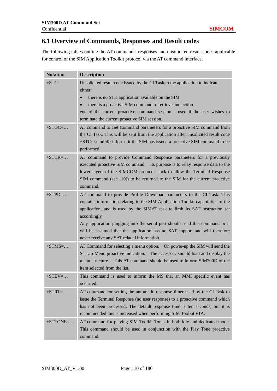# **6.1 Overview of Commands, Responses and Result codes**

The following tables outline the AT commands, responses and unsolicited result codes applicable for control of the SIM Application Toolkit protocol via the AT command interface.

| <b>Notation</b> | <b>Description</b>                                                                                                                                       |
|-----------------|----------------------------------------------------------------------------------------------------------------------------------------------------------|
| $+STC$ :        | Unsolicited result code issued by the CI Task to the application to indicate<br>either:                                                                  |
|                 | there is no STK application available on the SIM                                                                                                         |
|                 | there is a proactive SIM command to retrieve and action                                                                                                  |
|                 | end of the current proactive command session – used if the user wishes to<br>terminate the current proactive SIM session.                                |
| $+STGC = \dots$ | AT command to Get Command parameters for a proactive SIM command from                                                                                    |
|                 | the CI Task. This will be sent from the application after unsolicited result code                                                                        |
|                 | +STC: <cmdid> informs it the SIM has issued a proactive SIM command to be<br/>performed.</cmdid>                                                         |
| $+STCR = \dots$ | AT command to provide Command Response parameters for a previously                                                                                       |
|                 | executed proactive SIM command. Its purpose is to relay response data to the                                                                             |
|                 | lower layers of the SIMCOM protocol stack to allow the Terminal Response                                                                                 |
|                 | SIM command (see [10]) to be returned to the SIM for the current proactive<br>command.                                                                   |
| $+STPD=$        | AT command to provide Profile Download parameters to the CI Task. This                                                                                   |
|                 | contains information relating to the SIM Application Toolkit capabilities of the                                                                         |
|                 | application, and is used by the SIMAT task to limit its SAT instruction set                                                                              |
|                 | accordingly.                                                                                                                                             |
|                 | Any application plugging into the serial port should send this command or it                                                                             |
|                 | will be assumed that the application has no SAT support and will therefore                                                                               |
|                 | never receive any SAT related information.                                                                                                               |
| $+STMS = \dots$ | AT Command for selecting a menu option. On power-up the SIM will send the<br>Set-Up-Menu proactive indication. The accessory should load and display the |
|                 | This AT command should be used to inform SIM300D of the<br>menu structure.                                                                               |
|                 | item selected from the list.                                                                                                                             |
| $+STEV = \dots$ | This command is used to inform the MS that an MMI specific event has                                                                                     |
|                 | occurred.                                                                                                                                                |
| $+STRT = \dots$ | AT command for setting the automatic response timer used by the CI Task to                                                                               |
|                 | issue the Terminal Response (no user response) to a proactive command which                                                                              |
|                 | has not been processed. The default response time is ten seconds, but it is                                                                              |
|                 | recommended this is increased when performing SIM Toolkit FTA.                                                                                           |
| $+STTONE=$      | AT command for playing SIM Toolkit Tones in both idle and dedicated mode.                                                                                |
|                 | This command should be used in conjunction with the Play Tone proactive                                                                                  |
|                 | command.                                                                                                                                                 |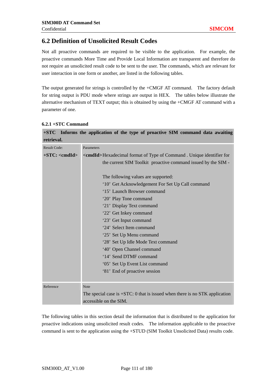# **6.2 Definition of Unsolicited Result Codes**

Not all proactive commands are required to be visible to the application. For example, the proactive commands More Time and Provide Local Information are transparent and therefore do not require an unsolicited result code to be sent to the user. The commands, which are relevant for user interaction in one form or another, are listed in the following tables.

The output generated for strings is controlled by the +CMGF AT command. The factory default for string output is PDU mode where strings are output in HEX. The tables below illustrate the alternative mechanism of TEXT output; this is obtained by using the +CMGF AT command with a parameter of one.

**+STC Informs the application of the type of proactive SIM command data awaiting** 

| retrieval.               |                                                                                |
|--------------------------|--------------------------------------------------------------------------------|
| <b>Result Code:</b>      | Parameters                                                                     |
| $+STC$ : <cmdid></cmdid> | <cmdid>Hexadecimal format of Type of Command. Unique identifier for</cmdid>    |
|                          | the current SIM Toolkit proactive command issued by the SIM -                  |
|                          |                                                                                |
|                          | The following values are supported:                                            |
|                          | '10' Get Acknowledgement For Set Up Call command                               |
|                          | '15' Launch Browser command                                                    |
|                          | '20' Play Tone command                                                         |
|                          | '21' Display Text command                                                      |
|                          | '22' Get Inkey command                                                         |
|                          | '23' Get Input command                                                         |
|                          | '24' Select Item command                                                       |
|                          | '25' Set Up Menu command                                                       |
|                          | '28' Set Up Idle Mode Text command                                             |
|                          | '40' Open Channel command                                                      |
|                          | '14' Send DTMF command                                                         |
|                          | '05' Set Up Event List command                                                 |
|                          | '81' End of proactive session                                                  |
|                          |                                                                                |
| Reference                | Note                                                                           |
|                          | The special case is $+STC$ : 0 that is issued when there is no STK application |
|                          | accessible on the SIM.                                                         |

#### **6.2.1 +STC Command**

The following tables in this section detail the information that is distributed to the application for proactive indications using unsolicited result codes. The information applicable to the proactive command is sent to the application using the +STUD (SIM Toolkit Unsolicited Data) results code.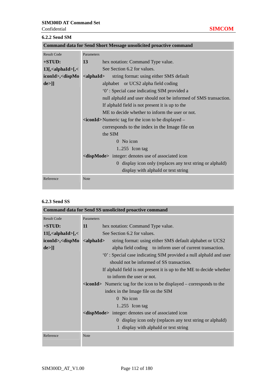### **6.2.2 Send SM**

|                                                                                                                                 | <b>Command data for Send Short Message unsolicited proactive command</b>  |
|---------------------------------------------------------------------------------------------------------------------------------|---------------------------------------------------------------------------|
| <b>Result Code</b>                                                                                                              | Parameters                                                                |
| $+STUD:$                                                                                                                        | 13<br>hex notation: Command Type value.                                   |
| $13$ [, <alphaid>[, &lt;</alphaid>                                                                                              | See Section 6.2 for values.                                               |
| iconId>, <dispmo< th=""><th><math>\alpha</math> <alphaid<br>string format: using either SMS default</alphaid<br></th></dispmo<> | $\alpha$ <alphaid<br>string format: using either SMS default</alphaid<br> |
| de>]]                                                                                                                           | alphabet or UCS2 alpha field coding                                       |
|                                                                                                                                 | '0': Special case indicating SIM provided a                               |
|                                                                                                                                 | null alphaId and user should not be informed of SMS transaction.          |
|                                                                                                                                 | If alphald field is not present it is up to the                           |
|                                                                                                                                 | ME to decide whether to inform the user or not.                           |
|                                                                                                                                 | $\alpha$ iconId > Numeric tag for the icon to be displayed –              |
|                                                                                                                                 | corresponds to the index in the Image file on                             |
|                                                                                                                                 | the SIM                                                                   |
|                                                                                                                                 | $0$ No icon                                                               |
|                                                                                                                                 | $1.255$ Icon tag                                                          |
|                                                                                                                                 | <dispmode> integer: denotes use of associated icon</dispmode>             |
|                                                                                                                                 | 0 display icon only (replaces any text string or alphaId)                 |
|                                                                                                                                 | display with alphaId or text string                                       |
| Reference                                                                                                                       | Note                                                                      |
|                                                                                                                                 |                                                                           |

## **6.2.3 Send SS**

| <b>Command data for Send SS unsolicited proactive command</b>                                                                             |                  |                                                                                         |
|-------------------------------------------------------------------------------------------------------------------------------------------|------------------|-----------------------------------------------------------------------------------------|
| <b>Result Code</b>                                                                                                                        | Parameters       |                                                                                         |
| $+STUD:$                                                                                                                                  | 11               | hex notation: Command Type value.                                                       |
| $11[$ , <alphaid>[, &lt;</alphaid>                                                                                                        |                  | See Section 6.2 for values.                                                             |
| iconId>, <dispmo< th=""><th><math>\alpha</math>lphaId&gt;</th><th>string format: using either SMS default alphabet or UCS2</th></dispmo<> | $\alpha$ lphaId> | string format: using either SMS default alphabet or UCS2                                |
| de>]]                                                                                                                                     |                  | alpha field coding to inform user of current transaction.                               |
|                                                                                                                                           |                  | "O': Special case indicating SIM provided a null alphald and user                       |
|                                                                                                                                           |                  | should not be informed of SS transaction.                                               |
|                                                                                                                                           |                  | If alphald field is not present it is up to the ME to decide whether                    |
|                                                                                                                                           |                  | to inform the user or not.                                                              |
|                                                                                                                                           |                  | $\langle$ <b>iconId</b> > Numeric tag for the icon to be displayed – corresponds to the |
|                                                                                                                                           |                  | index in the Image file on the SIM                                                      |
|                                                                                                                                           |                  | $0$ No icon                                                                             |
|                                                                                                                                           |                  | $1.255$ Icon tag                                                                        |
|                                                                                                                                           |                  | <dispmode> integer: denotes use of associated icon</dispmode>                           |
|                                                                                                                                           |                  | 0 display icon only (replaces any text string or alphald)                               |
|                                                                                                                                           |                  | 1 display with alphaId or text string                                                   |
| Reference                                                                                                                                 | <b>Note</b>      |                                                                                         |
|                                                                                                                                           |                  |                                                                                         |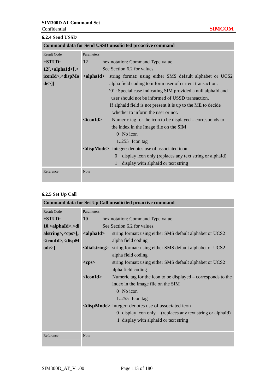**6.2.4 Send USSD** 

| Command data for Send USSD unsolicited proactive command                                                                        |                     |                                                                     |
|---------------------------------------------------------------------------------------------------------------------------------|---------------------|---------------------------------------------------------------------|
| <b>Result Code</b>                                                                                                              | Parameters          |                                                                     |
| $+STUD:$                                                                                                                        | 12                  | hex notation: Command Type value.                                   |
| $12$ [, <alphaid>[,&lt;</alphaid>                                                                                               |                     | See Section 6.2 for values.                                         |
| iconId>, <dispmo< th=""><th><alphaid></alphaid></th><th>string format: using either SMS default alphabet or UCS2</th></dispmo<> | <alphaid></alphaid> | string format: using either SMS default alphabet or UCS2            |
| $de>$ ]]                                                                                                                        |                     | alpha field coding to inform user of current transaction.           |
|                                                                                                                                 |                     | '0': Special case indicating SIM provided a null alphald and        |
|                                                                                                                                 |                     | user should not be informed of USSD transaction.                    |
|                                                                                                                                 |                     | If alphald field is not present it is up to the ME to decide        |
|                                                                                                                                 |                     | whether to inform the user or not.                                  |
|                                                                                                                                 | $<$ iconId $>$      | Numeric tag for the icon to be displayed – corresponds to           |
|                                                                                                                                 |                     | the index in the Image file on the SIM                              |
|                                                                                                                                 |                     | $0$ No icon                                                         |
|                                                                                                                                 |                     | $1.255$ Icon tag                                                    |
|                                                                                                                                 |                     | <dispmode> integer: denotes use of associated icon</dispmode>       |
|                                                                                                                                 |                     | display icon only (replaces any text string or alphald)<br>$\Omega$ |
|                                                                                                                                 |                     | display with alphaId or text string                                 |
| Reference                                                                                                                       | Note                |                                                                     |

# **6.2.5 Set Up Call**

| Command data for Set Up Call unsolicited proactive command                    |                  |                                                                                    |  |
|-------------------------------------------------------------------------------|------------------|------------------------------------------------------------------------------------|--|
| <b>Result Code</b>                                                            | Parameters       |                                                                                    |  |
| +STUD:                                                                        | <b>10</b>        | hex notation: Command Type value.                                                  |  |
| $10$ , $\alpha$ lphaId $\triangleright$ , $\triangleleft$ di                  |                  | See Section 6.2 for values.                                                        |  |
| $alstring$ >, <cps>[, <cpsbi alphaid=""></cpsbi></cps>                        |                  | string format: using either SMS default alphabet or UCS2                           |  |
| <iconid>,<dispm< th=""><th></th><th>alpha field coding</th></dispm<></iconid> |                  | alpha field coding                                                                 |  |
| ode>]                                                                         |                  | <dialstring> string format: using either SMS default alphabet or UCS2</dialstring> |  |
|                                                                               |                  | alpha field coding                                                                 |  |
|                                                                               | $<$ cps $>$      | string format: using either SMS default alphabet or UCS2                           |  |
|                                                                               |                  | alpha field coding                                                                 |  |
|                                                                               | $<$ iconId $>$   | Numeric tag for the icon to be displayed – corresponds to the                      |  |
|                                                                               |                  | index in the Image file on the SIM                                                 |  |
|                                                                               |                  | 0 No icon                                                                          |  |
|                                                                               | $1.255$ Icon tag |                                                                                    |  |
|                                                                               |                  | <dispmode> integer: denotes use of associated icon</dispmode>                      |  |
|                                                                               |                  | 0 display icon only (replaces any text string or alphald)                          |  |
|                                                                               |                  | 1 display with alphaId or text string                                              |  |
|                                                                               |                  |                                                                                    |  |
| Reference                                                                     | Note             |                                                                                    |  |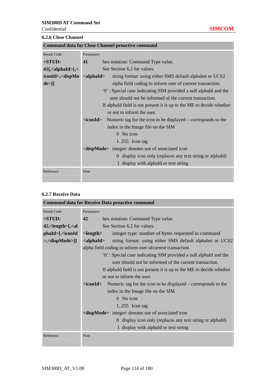| <b>6.2.6 Close Channel</b>                              |                                                                                    |  |  |
|---------------------------------------------------------|------------------------------------------------------------------------------------|--|--|
| <b>Command data for Close Channel proactive command</b> |                                                                                    |  |  |
| <b>Result Code</b>                                      | Parameters                                                                         |  |  |
| $+STUD:$                                                | 41<br>hex notation: Command Type value.                                            |  |  |
| $41$ [, <alphaid>[,&lt;</alphaid>                       | See Section 6.2 for values.                                                        |  |  |
| iconId>, <dispmo <alphaid=""></dispmo>                  | string format: using either SMS default alphabet or UCS2                           |  |  |
| de>]]                                                   | alpha field coding to inform user of current transaction.                          |  |  |
|                                                         | '0': Special case indicating SIM provided a null alphaId and the                   |  |  |
|                                                         | user should not be informed of the current transaction.                            |  |  |
|                                                         | If alphaId field is not present it is up to the ME to decide whether               |  |  |
|                                                         | or not to inform the user.                                                         |  |  |
|                                                         | Numeric tag for the icon to be displayed – corresponds to the<br><iconid></iconid> |  |  |
|                                                         | index in the Image file on the SIM                                                 |  |  |
|                                                         | $0$ No icon                                                                        |  |  |
|                                                         | $1.255$ Icon tag                                                                   |  |  |
|                                                         | <dispmode> integer: denotes use of associated icon</dispmode>                      |  |  |
|                                                         | 0 display icon only (replaces any text string or alphald)                          |  |  |
|                                                         | 1 display with alphaId or text string                                              |  |  |
| Reference                                               | Note                                                                               |  |  |
|                                                         |                                                                                    |  |  |

## **6.2.7 Receive Data**

| <b>Command data for Receive Data proactive command</b>                                                                        |                                                                  |                                                                                  |  |  |
|-------------------------------------------------------------------------------------------------------------------------------|------------------------------------------------------------------|----------------------------------------------------------------------------------|--|--|
| <b>Result Code</b>                                                                                                            | Parameters                                                       |                                                                                  |  |  |
| $+STUD:$                                                                                                                      | 42                                                               | hex notation: Command Type value.                                                |  |  |
| $42$ , < length > [, < al                                                                                                     |                                                                  | See Section 6.2 for values.                                                      |  |  |
| $phald$ = [, <iconid]< th=""><th><length></length></th><th>integer type: number of bytes requested in command</th></iconid]<> | <length></length>                                                | integer type: number of bytes requested in command                               |  |  |
| $\ge$ , $\le$ dispMode $>$ ]]                                                                                                 |                                                                  | <alphaid><br/>string format: using either SMS default alphabet or UCS2</alphaid> |  |  |
|                                                                                                                               |                                                                  | alpha field coding to inform user of current transaction.                        |  |  |
|                                                                                                                               | "O': Special case indicating SIM provided a null alphaId and the |                                                                                  |  |  |
|                                                                                                                               |                                                                  | user should not be informed of the current transaction.                          |  |  |
|                                                                                                                               |                                                                  | If alphald field is not present it is up to the ME to decide whether             |  |  |
|                                                                                                                               |                                                                  | or not to inform the user.                                                       |  |  |
|                                                                                                                               | <iconid></iconid>                                                | Numeric tag for the icon to be displayed – corresponds to the                    |  |  |
|                                                                                                                               |                                                                  | index in the Image file on the SIM                                               |  |  |
|                                                                                                                               |                                                                  | 0 No icon                                                                        |  |  |
|                                                                                                                               |                                                                  | $1.255$ Icon tag                                                                 |  |  |
|                                                                                                                               |                                                                  | <dispmode> integer: denotes use of associated icon</dispmode>                    |  |  |
|                                                                                                                               |                                                                  | 0 display icon only (replaces any text string or alphald)                        |  |  |
|                                                                                                                               |                                                                  | 1 display with alphaId or text string                                            |  |  |
| Reference                                                                                                                     | <b>Note</b>                                                      |                                                                                  |  |  |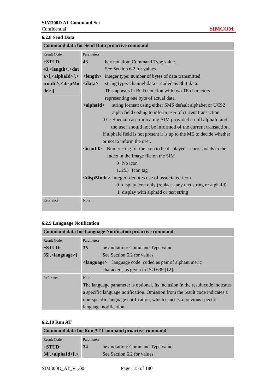Confidential **SIMCOM**

 $\overline{a}$ 

÷

|  | 6.2.8 Send Data |  |
|--|-----------------|--|
|--|-----------------|--|

| <b>Command data for Send Data proactive command</b>                                                                                        |                          |                                                                      |
|--------------------------------------------------------------------------------------------------------------------------------------------|--------------------------|----------------------------------------------------------------------|
| <b>Result Code</b>                                                                                                                         | Parameters               |                                                                      |
| $+STUD:$                                                                                                                                   | 43                       | hex notation: Command Type value.                                    |
| 43, <length>,<dat< th=""><th></th><th>See Section 6.2 for values.</th></dat<></length>                                                     |                          | See Section 6.2 for values.                                          |
| $a > \frac{1}{2}$ alphaId $\frac{1}{2}$                                                                                                    |                          | < <b>length</b> > integer type: number of bytes of data transmitted  |
| iconId>, <dispmo< th=""><th><math>&lt;</math>data<math>&gt;</math></th><th>string type: channel data – coded as 8 bit data.</th></dispmo<> | $<$ data $>$             | string type: channel data – coded as 8 bit data.                     |
| de>]]                                                                                                                                      |                          | This appears in BCD notation with two TE characters                  |
|                                                                                                                                            |                          | representing one byte of actual data.                                |
|                                                                                                                                            | $\alpha$ lphaId $\alpha$ | string format: using either SMS default alphabet or UCS2             |
|                                                                                                                                            |                          | alpha field coding to inform user of current transaction.            |
|                                                                                                                                            |                          | '0': Special case indicating SIM provided a null alphaId and         |
|                                                                                                                                            |                          | the user should not be informed of the current transaction.          |
|                                                                                                                                            |                          | If alphaId field is not present it is up to the ME to decide whether |
|                                                                                                                                            |                          | or not to inform the user.                                           |
|                                                                                                                                            | <iconid></iconid>        | Numeric tag for the icon to be displayed – corresponds to the        |
|                                                                                                                                            |                          | index in the Image file on the SIM                                   |
|                                                                                                                                            |                          | $0$ No icon                                                          |
|                                                                                                                                            |                          | $1.255$ Icon tag                                                     |
|                                                                                                                                            |                          | <dispmode> integer: denotes use of associated icon</dispmode>        |
|                                                                                                                                            |                          | 0 display icon only (replaces any text string or alphaId)            |
|                                                                                                                                            |                          | 1 display with alphaId or text string                                |
| Reference                                                                                                                                  | <b>Note</b>              |                                                                      |

# **6.2.9 Language Notification**

| <b>Command data for Language Notification proactive command</b> |                                                                                |  |  |
|-----------------------------------------------------------------|--------------------------------------------------------------------------------|--|--|
| <b>Result Code</b>                                              | Parameters                                                                     |  |  |
| $+STUD:$                                                        | 35<br>hex notation: Command Type value.                                        |  |  |
| $35$ [, <language>]</language>                                  | See Section 6.2 for values.                                                    |  |  |
|                                                                 | language code: coded as pair of alphanumeric<br><language></language>          |  |  |
|                                                                 | characters, as given in ISO 639 [12].                                          |  |  |
| Reference                                                       | <b>Note</b>                                                                    |  |  |
|                                                                 | The language parameter is optional. Its inclusion in the result code indicates |  |  |
|                                                                 | a specific language notification. Omission from the result code indicates a    |  |  |
|                                                                 | non-specific language notification, which cancels a previous specific          |  |  |
|                                                                 | language notification                                                          |  |  |

# **6.2.10 Run AT**

| <b>Command data for Run AT Command proactive command</b> |            |                                   |  |
|----------------------------------------------------------|------------|-----------------------------------|--|
| <b>Result Code</b>                                       | Parameters |                                   |  |
| $+STUD:$                                                 | 34         | hex notation: Command Type value. |  |
| $34$ [, <alphaid>[,&lt;</alphaid>                        |            | See Section 6.2 for values.       |  |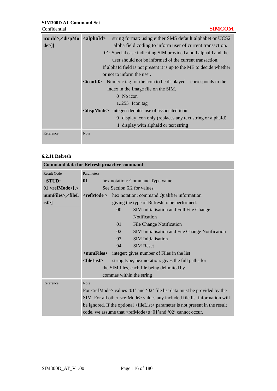| $iconId$ , <dispmo <alphaid=""></dispmo> | string format: using either SMS default alphabet or UCS2                                |  |  |  |
|------------------------------------------|-----------------------------------------------------------------------------------------|--|--|--|
| de>]]                                    | alpha field coding to inform user of current transaction.                               |  |  |  |
|                                          | '0': Special case indicating SIM provided a null alphaId and the                        |  |  |  |
|                                          | user should not be informed of the current transaction.                                 |  |  |  |
|                                          | If alphald field is not present it is up to the ME to decide whether                    |  |  |  |
|                                          | or not to inform the user.                                                              |  |  |  |
|                                          | $\langle$ <b>iconId</b> > Numeric tag for the icon to be displayed – corresponds to the |  |  |  |
|                                          | index in the Image file on the SIM.                                                     |  |  |  |
|                                          | $0$ No icon                                                                             |  |  |  |
|                                          | 1.255 Icon tag                                                                          |  |  |  |
|                                          | <dispmode> integer: denotes use of associated icon</dispmode>                           |  |  |  |
|                                          | 0 display icon only (replaces any text string or alphald)                               |  |  |  |
|                                          | 1 display with alphaId or text string                                                   |  |  |  |
| Reference                                | <b>Note</b>                                                                             |  |  |  |

# **6.2.11 Refresh**

| <b>Command data for Refresh proactive command</b>                                                                                                       |                                                                                          |                |                                                                                |  |  |
|---------------------------------------------------------------------------------------------------------------------------------------------------------|------------------------------------------------------------------------------------------|----------------|--------------------------------------------------------------------------------|--|--|
| <b>Result Code</b>                                                                                                                                      | Parameters                                                                               |                |                                                                                |  |  |
| $+STUD:$                                                                                                                                                | 01                                                                                       |                | hex notation: Command Type value.                                              |  |  |
| $01,$ <refmode><math>[-5, 6]</math></refmode>                                                                                                           |                                                                                          |                | See Section 6.2 for values.                                                    |  |  |
| numFiles>, <filel< th=""><th><math>&lt;</math>ref<math>\bf{Mode}</math> &gt;</th><th></th><th>hex notation: command Qualifier information</th></filel<> | $<$ ref $\bf{Mode}$ >                                                                    |                | hex notation: command Qualifier information                                    |  |  |
| $ist >$ ]                                                                                                                                               |                                                                                          |                | giving the type of Refresh to be performed.                                    |  |  |
|                                                                                                                                                         |                                                                                          | 0 <sup>0</sup> | <b>SIM Initialisation and Full File Change</b>                                 |  |  |
|                                                                                                                                                         |                                                                                          |                | Notification                                                                   |  |  |
|                                                                                                                                                         |                                                                                          | 01             | <b>File Change Notification</b>                                                |  |  |
|                                                                                                                                                         |                                                                                          | 02             | SIM Initialisation and File Change Notification                                |  |  |
|                                                                                                                                                         |                                                                                          | 03             | <b>SIM</b> Initialisation                                                      |  |  |
|                                                                                                                                                         |                                                                                          | 04             | <b>SIM Reset</b>                                                               |  |  |
|                                                                                                                                                         |                                                                                          |                | <b><numfiles></numfiles></b> integer: gives number of Files in the list        |  |  |
|                                                                                                                                                         | <filelist></filelist>                                                                    |                | string type, hex notation: gives the full paths for                            |  |  |
|                                                                                                                                                         |                                                                                          |                | the SIM files, each file being delimited by                                    |  |  |
|                                                                                                                                                         | commas within the string                                                                 |                |                                                                                |  |  |
| Reference                                                                                                                                               | <b>Note</b>                                                                              |                |                                                                                |  |  |
|                                                                                                                                                         |                                                                                          |                | For $\le$ refMode> values '01' and '02' file list data must be provided by the |  |  |
|                                                                                                                                                         | SIM. For all other <refmode> values any included file list information will</refmode>    |                |                                                                                |  |  |
|                                                                                                                                                         | be ignored. If the optional <filelist> parameter is not present in the result</filelist> |                |                                                                                |  |  |
|                                                                                                                                                         | code, we assume that <refmode>s '01' and '02' cannot occur.</refmode>                    |                |                                                                                |  |  |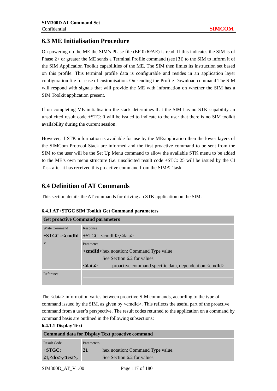# **6.3 ME Initialisation Procedure**

On powering up the ME the SIM's Phase file (EF 0x6FAE) is read. If this indicates the SIM is of Phase 2+ or greater the ME sends a Terminal Profile command (see [3]) to the SIM to inform it of the SIM Application Toolkit capabilities of the ME. The SIM then limits its instruction set based on this profile. This terminal profile data is configurable and resides in an application layer configuration file for ease of customisation. On sending the Profile Download command The SIM will respond with signals that will provide the ME with information on whether the SIM has a SIM Toolkit application present.

If on completing ME initialisation the stack determines that the SIM has no STK capability an unsolicited result code +STC: 0 will be issued to indicate to the user that there is no SIM toolkit availability during the current session.

However, if STK information is available for use by the ME/application then the lower layers of the SIMCom Protocol Stack are informed and the first proactive command to be sent from the SIM to the user will be the Set Up Menu command to allow the available STK menu to be added to the ME's own menu structure (i.e. unsolicited result code +STC: 25 will be issued by the CI Task after it has received this proactive command from the SIMAT task.

# **6.4 Definition of AT Commands**

This section details the AT commands for driving an STK application on the SIM.

| <b>Get proactive Command parameters</b> |                                                                                 |  |  |  |
|-----------------------------------------|---------------------------------------------------------------------------------|--|--|--|
| Write Command                           | Response                                                                        |  |  |  |
| $+STGC = <$ cmdId                       | $+STGC: <$ cmdId>, $<$ data>                                                    |  |  |  |
|                                         | Parameter                                                                       |  |  |  |
|                                         | <b><cmdid>hex notation: Command Type value</cmdid></b>                          |  |  |  |
|                                         | See Section 6.2 for values.                                                     |  |  |  |
|                                         | <data><br/>proactive command specific data, dependent on <cmdid></cmdid></data> |  |  |  |
| Reference                               |                                                                                 |  |  |  |
|                                         |                                                                                 |  |  |  |

#### **6.4.1 AT+STGC SIM Toolkit Get Command parameters**

The <data> information varies between proactive SIM commands, according to the type of command issued by the SIM, as given by <cmdId>. This reflects the useful part of the proactive command from a user's perspective. The result codes returned to the application on a command by command basis are outlined in the following subsections:

**6.4.1.1 Display Text** 

| <b>Command data for Display Text proactive command</b> |            |                                   |  |
|--------------------------------------------------------|------------|-----------------------------------|--|
| Result Code                                            | Parameters |                                   |  |
| $+STGC:$                                               | 21         | hex notation: Command Type value. |  |
| $21, <$ dcs>, $<$ text>,                               |            | See Section 6.2 for values.       |  |

SIM300D AT V1.00 Page 117 of 180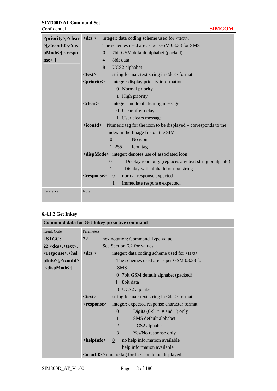| $<$ priority>, $<$ clear $<$ dcs >                                                                                              | integer: data coding scheme used for <text>.</text> |                                                                                |  |  |  |
|---------------------------------------------------------------------------------------------------------------------------------|-----------------------------------------------------|--------------------------------------------------------------------------------|--|--|--|
| >[, <iconid>,<dis< th=""><th></th><th colspan="3">The schemes used are as per GSM 03.38 for SMS</th></dis<></iconid>            |                                                     | The schemes used are as per GSM 03.38 for SMS                                  |  |  |  |
| pMode>[, <respo< th=""><th></th><th colspan="3">7bit GSM default alphabet (packed)<br/><math>\underline{0}</math></th></respo<> |                                                     | 7bit GSM default alphabet (packed)<br>$\underline{0}$                          |  |  |  |
| $nse>$ ]]                                                                                                                       |                                                     | $\overline{4}$<br>8bit data                                                    |  |  |  |
|                                                                                                                                 |                                                     | 8<br>UCS2 alphabet                                                             |  |  |  |
|                                                                                                                                 | $<$ text $>$                                        | string format: text string in <dcs> format</dcs>                               |  |  |  |
|                                                                                                                                 | <priority></priority>                               | integer: display priority information                                          |  |  |  |
|                                                                                                                                 |                                                     | $\underline{0}$ Normal priority                                                |  |  |  |
|                                                                                                                                 |                                                     | 1 High priority                                                                |  |  |  |
|                                                                                                                                 | <clear></clear>                                     | integer: mode of clearing message                                              |  |  |  |
|                                                                                                                                 |                                                     | $Q$ Clear after delay                                                          |  |  |  |
|                                                                                                                                 |                                                     | 1 User clears message                                                          |  |  |  |
|                                                                                                                                 |                                                     | $\alpha$ iconId> Numeric tag for the icon to be displayed – corresponds to the |  |  |  |
|                                                                                                                                 |                                                     | index in the Image file on the SIM                                             |  |  |  |
|                                                                                                                                 |                                                     | $\Omega$<br>No icon                                                            |  |  |  |
|                                                                                                                                 |                                                     | 1.255<br>Icon tag                                                              |  |  |  |
|                                                                                                                                 |                                                     | <dispmode> integer: denotes use of associated icon</dispmode>                  |  |  |  |
|                                                                                                                                 |                                                     | Display icon only (replaces any text string or alphaId)<br>$\theta$            |  |  |  |
|                                                                                                                                 |                                                     | 1<br>Display with alpha Id or text string                                      |  |  |  |
|                                                                                                                                 | <response></response>                               | normal response expected<br>$\overline{0}$                                     |  |  |  |
|                                                                                                                                 |                                                     | $\mathbf{1}$<br>immediate response expected.                                   |  |  |  |
| Reference                                                                                                                       | Note                                                |                                                                                |  |  |  |

# **6.4.1.2 Get Inkey**

|                                                                                                                                                          | <b>Command data for Get Inkey proactive command</b>                                           |  |  |  |
|----------------------------------------------------------------------------------------------------------------------------------------------------------|-----------------------------------------------------------------------------------------------|--|--|--|
| <b>Result Code</b>                                                                                                                                       | Parameters                                                                                    |  |  |  |
| +STGC:                                                                                                                                                   | 22<br>hex notation: Command Type value.                                                       |  |  |  |
| $22, <$ dcs>, $<$ text>,                                                                                                                                 | See Section 6.2 for values.                                                                   |  |  |  |
| <response>,<hel< th=""><th>integer: data coding scheme used for <text><br/><math>&lt;</math>dcs <math>&gt;</math></text></th><th></th></hel<></response> | integer: data coding scheme used for <text><br/><math>&lt;</math>dcs <math>&gt;</math></text> |  |  |  |
| $pInfo>[$ , <iconid></iconid>                                                                                                                            | The schemes used are as per GSM 03.38 for                                                     |  |  |  |
| , <dispmode>]</dispmode>                                                                                                                                 | <b>SMS</b>                                                                                    |  |  |  |
|                                                                                                                                                          | $\overline{0}$ 7 bit GSM default alphabet (packed)                                            |  |  |  |
|                                                                                                                                                          | 8bit data<br>$\overline{4}$                                                                   |  |  |  |
|                                                                                                                                                          | 8 UCS2 alphabet                                                                               |  |  |  |
|                                                                                                                                                          | string format: text string in <dcs> format<br/><math>&lt;</math>text<math>&gt;</math></dcs>   |  |  |  |
|                                                                                                                                                          | integer: expected response character format.<br><response></response>                         |  |  |  |
|                                                                                                                                                          | Digits $(0-9, *, # and +)$ only<br>$\theta$                                                   |  |  |  |
|                                                                                                                                                          | SMS default alphabet<br>$\mathbf{1}$                                                          |  |  |  |
|                                                                                                                                                          | UCS2 alphabet<br>2                                                                            |  |  |  |
|                                                                                                                                                          | 3<br>Yes/No response only                                                                     |  |  |  |
|                                                                                                                                                          | <helpinfo><br/>no help information available<br/><math>\theta</math></helpinfo>               |  |  |  |
|                                                                                                                                                          | help information available                                                                    |  |  |  |
|                                                                                                                                                          | $\alpha$ iconId > Numeric tag for the icon to be displayed –                                  |  |  |  |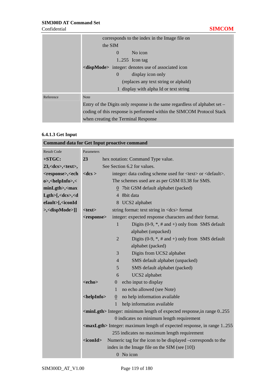|           | corresponds to the index in the Image file on                                |  |  |  |  |  |
|-----------|------------------------------------------------------------------------------|--|--|--|--|--|
|           | the SIM                                                                      |  |  |  |  |  |
|           | No icon<br>$\Omega$                                                          |  |  |  |  |  |
|           | $1.255$ Icon tag                                                             |  |  |  |  |  |
|           | <dispmode> integer: denotes use of associated icon</dispmode>                |  |  |  |  |  |
|           | display icon only<br>$\theta$                                                |  |  |  |  |  |
|           | (replaces any text string or alphald)                                        |  |  |  |  |  |
|           | 1 display with alpha Id or text string                                       |  |  |  |  |  |
| Reference | <b>Note</b>                                                                  |  |  |  |  |  |
|           | Entry of the Digits only response is the same regardless of alphabet set $-$ |  |  |  |  |  |
|           | coding of this response is performed within the SIMCOM Protocol Stack        |  |  |  |  |  |
|           | when creating the Terminal Response                                          |  |  |  |  |  |

#### **6.4.1.3 Get Input**

| <b>Command data for Get Input proactive command</b>                                                                                                                                  |                                                                                  |                |                                                                                 |  |
|--------------------------------------------------------------------------------------------------------------------------------------------------------------------------------------|----------------------------------------------------------------------------------|----------------|---------------------------------------------------------------------------------|--|
| <b>Result Code</b>                                                                                                                                                                   | Parameters                                                                       |                |                                                                                 |  |
| $+STGC:$                                                                                                                                                                             | 23<br>hex notation: Command Type value.                                          |                |                                                                                 |  |
| $23, <$ dcs>, $<$ text>,                                                                                                                                                             |                                                                                  |                | See Section 6.2 for values.                                                     |  |
| <response>,<ech< th=""><th><math>&lt;</math>d<math>cs</math> &gt;</th><th></th><th>integer: data coding scheme used for <text> or <default>.</default></text></th></ech<></response> | $<$ d $cs$ >                                                                     |                | integer: data coding scheme used for <text> or <default>.</default></text>      |  |
| o>, <helpinfo>,&lt;</helpinfo>                                                                                                                                                       |                                                                                  |                | The schemes used are as per GSM 03.38 for SMS.                                  |  |
| $minLgth$ , $\langle max$                                                                                                                                                            |                                                                                  |                | 0 7bit GSM default alphabet (packed)                                            |  |
| Lgth>[, <dcs>,<d< th=""><th></th><th></th><th>4 8bit data</th></d<></dcs>                                                                                                            |                                                                                  |                | 4 8bit data                                                                     |  |
| efault>[, <iconid< th=""><th></th><th></th><th>8 UCS2 alphabet</th></iconid<>                                                                                                        |                                                                                  |                | 8 UCS2 alphabet                                                                 |  |
| >, <dispmode>]]</dispmode>                                                                                                                                                           | $<$ text $>$                                                                     |                | string format: text string in <dcs> format</dcs>                                |  |
|                                                                                                                                                                                      | <response></response>                                                            |                | integer: expected response characters and their format.                         |  |
|                                                                                                                                                                                      |                                                                                  | $\mathbf{1}$   | Digits $(0-9, *, # and +)$ only from SMS default                                |  |
|                                                                                                                                                                                      |                                                                                  |                | alphabet (unpacked)                                                             |  |
|                                                                                                                                                                                      |                                                                                  | $\overline{2}$ | Digits $(0-9, *, # and +)$ only from SMS default                                |  |
|                                                                                                                                                                                      |                                                                                  |                | alphabet (packed)                                                               |  |
|                                                                                                                                                                                      |                                                                                  | 3              | Digits from UCS2 alphabet                                                       |  |
|                                                                                                                                                                                      |                                                                                  | 4              | SMS default alphabet (unpacked)                                                 |  |
|                                                                                                                                                                                      |                                                                                  | 5              | SMS default alphabet (packed)                                                   |  |
|                                                                                                                                                                                      |                                                                                  | 6              | UCS2 alphabet                                                                   |  |
|                                                                                                                                                                                      | <echo></echo>                                                                    | $\overline{0}$ | echo input to display                                                           |  |
|                                                                                                                                                                                      |                                                                                  | 1              | no echo allowed (see Note)                                                      |  |
|                                                                                                                                                                                      | <helpinfo></helpinfo>                                                            | $\overline{0}$ | no help information available                                                   |  |
|                                                                                                                                                                                      |                                                                                  | 1              | help information available                                                      |  |
|                                                                                                                                                                                      | <minlgth> Integer: minimum length of expected response, in range 0.255</minlgth> |                |                                                                                 |  |
|                                                                                                                                                                                      |                                                                                  |                | 0 indicates no minimum length requirement                                       |  |
|                                                                                                                                                                                      |                                                                                  |                | <maxlgth> Integer: maximum length of expected response, in range 1255</maxlgth> |  |
|                                                                                                                                                                                      |                                                                                  |                | 255 indicates no maximum length requirement                                     |  |
|                                                                                                                                                                                      | $<$ icon $Id$                                                                    |                | Numeric tag for the icon to be displayed -corresponds to the                    |  |
|                                                                                                                                                                                      |                                                                                  |                | index in the Image file on the SIM (see [10])                                   |  |
|                                                                                                                                                                                      |                                                                                  |                | 0 No icon                                                                       |  |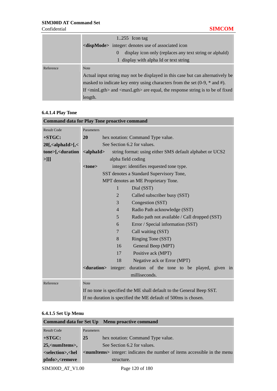٠

|           | $1.255$ Icon tag                                                                                                          |  |  |  |
|-----------|---------------------------------------------------------------------------------------------------------------------------|--|--|--|
|           | <dispmode> integer: denotes use of associated icon</dispmode>                                                             |  |  |  |
|           | display icon only (replaces any text string or alphald)<br>$\theta$                                                       |  |  |  |
|           | 1 display with alpha Id or text string                                                                                    |  |  |  |
| Reference | <b>Note</b>                                                                                                               |  |  |  |
|           | Actual input string may not be displayed in this case but can alternatively be                                            |  |  |  |
|           | masked to indicate key entry using characters from the set $(0-9, *$ and #).                                              |  |  |  |
|           | If $\langle \text{minLgth} \rangle$ and $\langle \text{maxLgth} \rangle$ are equal, the response string is to be of fixed |  |  |  |
|           | length.                                                                                                                   |  |  |  |

#### **6.4.1.4 Play Tone**

|                                                                                                                                                      |                                                                              | <b>Command data for Play Tone proactive command</b>                            |  |  |  |
|------------------------------------------------------------------------------------------------------------------------------------------------------|------------------------------------------------------------------------------|--------------------------------------------------------------------------------|--|--|--|
| <b>Result Code</b>                                                                                                                                   | Parameters                                                                   |                                                                                |  |  |  |
| $+STGC:$                                                                                                                                             | 20<br>hex notation: Command Type value.                                      |                                                                                |  |  |  |
| $20$ [, <alphaid>[,&lt;</alphaid>                                                                                                                    | See Section 6.2 for values.                                                  |                                                                                |  |  |  |
| tone>[, <duration< th=""><th colspan="4"><math>\alpha</math>lphaId&gt;<br/>string format: using either SMS default alphabet or UCS2</th></duration<> | $\alpha$ lphaId><br>string format: using either SMS default alphabet or UCS2 |                                                                                |  |  |  |
| $>$ ]]]                                                                                                                                              |                                                                              | alpha field coding                                                             |  |  |  |
|                                                                                                                                                      | <tone></tone>                                                                | integer: identifies requested tone type.                                       |  |  |  |
|                                                                                                                                                      |                                                                              | SST denotes a Standard Supervisory Tone,                                       |  |  |  |
|                                                                                                                                                      |                                                                              | MPT denotes an ME Proprietary Tone.                                            |  |  |  |
|                                                                                                                                                      |                                                                              | Dial (SST)<br>1                                                                |  |  |  |
|                                                                                                                                                      | Called subscriber busy (SST)<br>2                                            |                                                                                |  |  |  |
|                                                                                                                                                      |                                                                              | Congestion (SST)<br>3                                                          |  |  |  |
|                                                                                                                                                      |                                                                              | Radio Path acknowledge (SST)<br>$\overline{4}$                                 |  |  |  |
|                                                                                                                                                      | $5\overline{)}$<br>Radio path not available / Call dropped (SST)             |                                                                                |  |  |  |
|                                                                                                                                                      | Error / Special information (SST)<br>6                                       |                                                                                |  |  |  |
|                                                                                                                                                      |                                                                              | Call waiting (SST)<br>$\tau$                                                   |  |  |  |
|                                                                                                                                                      | Ringing Tone (SST)<br>8                                                      |                                                                                |  |  |  |
|                                                                                                                                                      | 16<br>General Beep (MPT)                                                     |                                                                                |  |  |  |
|                                                                                                                                                      | Positive ack (MPT)<br>17                                                     |                                                                                |  |  |  |
|                                                                                                                                                      |                                                                              | 18<br>Negative ack or Error (MPT)                                              |  |  |  |
|                                                                                                                                                      |                                                                              | <duration> integer:<br/>duration of the tone to be played, given in</duration> |  |  |  |
|                                                                                                                                                      |                                                                              | milliseconds.                                                                  |  |  |  |
| Reference                                                                                                                                            | Note                                                                         |                                                                                |  |  |  |
|                                                                                                                                                      |                                                                              | If no tone is specified the ME shall default to the General Beep SST.          |  |  |  |
|                                                                                                                                                      |                                                                              | If no duration is specified the ME default of 500ms is chosen.                 |  |  |  |

# **6.4.1.5 Set Up Menu**

| Command data for Set Up Menu proactive command                                                                                                          |            |                                                                                            |
|---------------------------------------------------------------------------------------------------------------------------------------------------------|------------|--------------------------------------------------------------------------------------------|
| <b>Result Code</b>                                                                                                                                      | Parameters |                                                                                            |
| $+STGC:$                                                                                                                                                | <b>25</b>  | hex notation: Command Type value.                                                          |
| 25, <numitems>,</numitems>                                                                                                                              |            | See Section 6.2 for values.                                                                |
| <selection>,<hel< th=""><th></th><th><b><numitems></numitems></b> integer: indicates the number of items accessible in the menu</th></hel<></selection> |            | <b><numitems></numitems></b> integer: indicates the number of items accessible in the menu |
| pInfo>, <remove< th=""><th></th><th>structure.</th></remove<>                                                                                           |            | structure.                                                                                 |
| SIM300D AT V1.00                                                                                                                                        |            | Page 120 of 180                                                                            |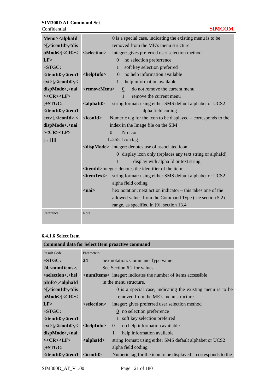**Confidential** 

|  | ٠ |  |
|--|---|--|

| Menu> <alphaid< th=""><th>0 is a special case, indicating the existing menu is to be</th></alphaid<>                                    | 0 is a special case, indicating the existing menu is to be                                |  |  |  |
|-----------------------------------------------------------------------------------------------------------------------------------------|-------------------------------------------------------------------------------------------|--|--|--|
| $>\frac{5}{3}$ <iconid>, <dis< th=""><th>removed from the ME's menu structure.</th></dis<></iconid>                                     | removed from the ME's menu structure.                                                     |  |  |  |
| pMode>  <cr>&lt;</cr>                                                                                                                   | <selection><br/>integer: gives preferred user selection method</selection>                |  |  |  |
| LF                                                                                                                                      | no selection preferrence<br>$\overline{0}$                                                |  |  |  |
| $+STGC:$                                                                                                                                | $\mathbf{1}$<br>soft key selection preferred                                              |  |  |  |
| <itemid>,<itemt< th=""><th>no help information available<br/><helpinfo><br/><math>\overline{0}</math></helpinfo></th></itemt<></itemid> | no help information available<br><helpinfo><br/><math>\overline{0}</math></helpinfo>      |  |  |  |
| ext>[, <iconid>,&lt;</iconid>                                                                                                           | help information available<br>$\mathbf{1}$                                                |  |  |  |
| dispMode>, <nai< th=""><th>do not remove the current menu<br/><removemenu><br/><math>\overline{0}</math></removemenu></th></nai<>       | do not remove the current menu<br><removemenu><br/><math>\overline{0}</math></removemenu> |  |  |  |
| $><$ CR $><$ LF $>$                                                                                                                     | $\mathbf{1}$<br>remove the current menu                                                   |  |  |  |
| $[+STGC:$                                                                                                                               | string format: using either SMS default alphabet or UCS2<br>$\alpha$ <alphaid></alphaid>  |  |  |  |
| <itemid>,<itemt< th=""><th>alpha field coding</th></itemt<></itemid>                                                                    | alpha field coding                                                                        |  |  |  |
| $ext>[$ , <iconid>, &lt;</iconid>                                                                                                       | Numeric tag for the icon to be displayed – corresponds to the<br>$<$ iconId $>$           |  |  |  |
| dispMode>, <nai< th=""><th colspan="3">index in the Image file on the SIM</th></nai<>                                                   | index in the Image file on the SIM                                                        |  |  |  |
| $><\text{CR}\text{><}\text{LF}\text{>}$                                                                                                 | No icon<br>$\Omega$                                                                       |  |  |  |
| []]]]                                                                                                                                   | $1.255$ Icon tag                                                                          |  |  |  |
|                                                                                                                                         | <dispmode> integer: denotes use of associated icon</dispmode>                             |  |  |  |
|                                                                                                                                         | 0 display icon only (replaces any text string or alphaId)                                 |  |  |  |
|                                                                                                                                         | $\mathbf{1}$<br>display with alpha Id or text string                                      |  |  |  |
|                                                                                                                                         | <itemid>integer: denotes the identifier of the item</itemid>                              |  |  |  |
|                                                                                                                                         | <itemtext><br/>string format: using either SMS default alphabet or UCS2</itemtext>        |  |  |  |
|                                                                                                                                         | alpha field coding                                                                        |  |  |  |
|                                                                                                                                         | $<$ nai $>$<br>hex notation: next action indicator – this takes one of the                |  |  |  |
|                                                                                                                                         | allowed values from the Command Type (see section 5.2)                                    |  |  |  |
|                                                                                                                                         | range, as specified in [9], section 13.4                                                  |  |  |  |
| Reference                                                                                                                               | <b>Note</b>                                                                               |  |  |  |
|                                                                                                                                         |                                                                                           |  |  |  |

#### **6.4.1.6 Select Item**

|                                                                                                                                             |                                                                                                       | <b>Command data for Select Item proactive command</b>                          |
|---------------------------------------------------------------------------------------------------------------------------------------------|-------------------------------------------------------------------------------------------------------|--------------------------------------------------------------------------------|
| <b>Result Code</b>                                                                                                                          | Parameters                                                                                            |                                                                                |
| $+STGC:$                                                                                                                                    | 24                                                                                                    | hex notation: Command Type value.                                              |
| 24, <numitems>,</numitems>                                                                                                                  |                                                                                                       | See Section 6.2 for values.                                                    |
| <selection>,<hel< th=""><th></th><th><b><numitems></numitems></b> integer: indicates the number of items accessible</th></hel<></selection> |                                                                                                       | <b><numitems></numitems></b> integer: indicates the number of items accessible |
| pInfo>, <alphaid< th=""><th></th><th>in the menu structure.</th></alphaid<>                                                                 |                                                                                                       | in the menu structure.                                                         |
| $>\frac{5}{3}$ <iconid>, <dis< th=""><th></th><th>0 is a special case, indicating the existing menu is to be</th></dis<></iconid>           |                                                                                                       | 0 is a special case, indicating the existing menu is to be                     |
| pMode>  <cr>&lt;</cr>                                                                                                                       |                                                                                                       | removed from the ME's menu structure.                                          |
| LF                                                                                                                                          | <selection></selection>                                                                               | integer: gives preferred user selection method                                 |
| $+STGC:$                                                                                                                                    |                                                                                                       | $\Omega$ no selection preferrence                                              |
| <itemid>,<itemt< th=""><th></th><th>1 soft key selection preferred</th></itemt<></itemid>                                                   |                                                                                                       | 1 soft key selection preferred                                                 |
| $ext>[$ , $\langle$ iconId>, $\langle$                                                                                                      | $\alpha$ -chelpInfo $\alpha$                                                                          | no help information available<br>$\theta$                                      |
| dispMode>, <nai< th=""><th></th><th>help information available<br/>1</th></nai<>                                                            |                                                                                                       | help information available<br>1                                                |
| $><\text{CR}><\text{LF}>$                                                                                                                   | $\alpha$ <alphaid< th=""><th>string format: using either SMS default alphabet or UCS2</th></alphaid<> | string format: using either SMS default alphabet or UCS2                       |
| $[+STGC:$                                                                                                                                   |                                                                                                       | alpha field coding                                                             |
| <itemid>,<itemt <iconid=""></itemt></itemid>                                                                                                |                                                                                                       | Numeric tag for the icon to be displayed $-$ corresponds to the                |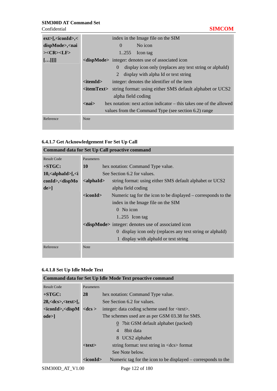**Confidential** 

|  | <b>Service Service</b> |
|--|------------------------|

| ext>[ <i>sinId</i> ]                                                   | index in the Image file on the SIM                                              |
|------------------------------------------------------------------------|---------------------------------------------------------------------------------|
| dispMode>, <nai< th=""><th>No icon<br/><math>\Omega</math></th></nai<> | No icon<br>$\Omega$                                                             |
| $><\text{CR}><\text{LF}>$                                              | 1.255<br>Icon tag                                                               |
| []]]]                                                                  | <dispmode> integer: denotes use of associated icon</dispmode>                   |
|                                                                        | display icon only (replaces any text string or alphald)<br>$\theta$             |
|                                                                        | 2<br>display with alpha Id or text string                                       |
|                                                                        | $<$ itemId $>$<br>integer: denotes the identifier of the item                   |
|                                                                        | string format: using either SMS default alphabet or UCS2<br>$\langle$ itemText> |
|                                                                        | alpha field coding                                                              |
|                                                                        | hex notation: next action indicator – this takes one of the allowed<br>$nai$    |
|                                                                        | values from the Command Type (see section 6.2) range                            |
| Reference                                                              | <b>Note</b>                                                                     |

# **6.4.1.7 Get Acknowledgement For Set Up Call**

| <b>Command data for Set Up Call proactive command</b> |                                                                                           |                                                               |  |  |
|-------------------------------------------------------|-------------------------------------------------------------------------------------------|---------------------------------------------------------------|--|--|
| <b>Result Code</b>                                    | Parameters                                                                                |                                                               |  |  |
| $+STGC:$                                              | <b>10</b><br>hex notation: Command Type value.                                            |                                                               |  |  |
| $10$ , $\alpha$ lphaId $\alpha$ [, $\alpha$ ]         | See Section 6.2 for values.                                                               |                                                               |  |  |
| $\text{cond}$ , $\text{cdispMo}$                      | $\alpha$ <alphaid><br/>string format: using either SMS default alphabet or UCS2</alphaid> |                                                               |  |  |
| $de>$ ]                                               |                                                                                           | alpha field coding                                            |  |  |
|                                                       | $<$ iconId $>$                                                                            | Numeric tag for the icon to be displayed – corresponds to the |  |  |
|                                                       |                                                                                           | index in the Image file on the SIM                            |  |  |
|                                                       |                                                                                           | $0$ No icon                                                   |  |  |
|                                                       |                                                                                           | 1255 Icon tag                                                 |  |  |
|                                                       |                                                                                           | <dispmode> integer: denotes use of associated icon</dispmode> |  |  |
|                                                       |                                                                                           | 0 display icon only (replaces any text string or alphald)     |  |  |
|                                                       |                                                                                           | 1 display with alphaId or text string                         |  |  |
| Reference                                             | <b>Note</b>                                                                               |                                                               |  |  |
|                                                       |                                                                                           |                                                               |  |  |

# **6.4.1.8 Set Up Idle Mode Text**

| Command data for Set Up Idle Mode Text proactive command                                                                                      |                |                                                               |  |
|-----------------------------------------------------------------------------------------------------------------------------------------------|----------------|---------------------------------------------------------------|--|
| <b>Result Code</b>                                                                                                                            | Parameters     |                                                               |  |
| $+STGC:$                                                                                                                                      | 28             | hex notation: Command Type value.                             |  |
| $28, <$ dcs>, $<$ text>[,                                                                                                                     |                | See Section 6.2 for values.                                   |  |
| /ciconId>, <dispm< th=""><th><math>&lt;</math>dcs <math>&gt;</math></th><th>integer: data coding scheme used for <text>.</text></th></dispm<> | $<$ dcs $>$    | integer: data coding scheme used for <text>.</text>           |  |
| ode>                                                                                                                                          |                | The schemes used are as per GSM 03.38 for SMS.                |  |
|                                                                                                                                               |                | $\Omega$ 7 bit GSM default alphabet (packed)                  |  |
|                                                                                                                                               |                | 8bit data<br>$\overline{4}$                                   |  |
|                                                                                                                                               |                | 8 UCS2 alphabet                                               |  |
|                                                                                                                                               | $<$ text $>$   | string format: text string in <dcs> format</dcs>              |  |
|                                                                                                                                               |                | See Note below.                                               |  |
|                                                                                                                                               | $<$ iconId $>$ | Numeric tag for the icon to be displayed – corresponds to the |  |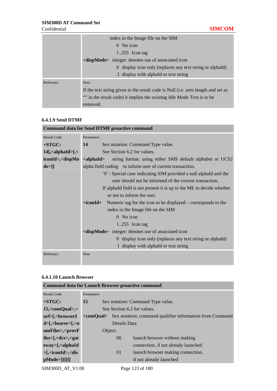|           | index in the Image file on the SIM                                               |
|-----------|----------------------------------------------------------------------------------|
|           | $0$ No icon                                                                      |
|           | $1.255$ Icon tag                                                                 |
|           | <dispmode> integer: denotes use of associated icon</dispmode>                    |
|           | 0 display icon only (replaces any text string or alphald)                        |
|           | 1 display with alphald or text string                                            |
| Reference | <b>Note</b>                                                                      |
|           | If the text string given in the result code is Null (i.e. zero length and set as |
|           | "" in the result code) it implies the existing Idle Mode Text is to be           |
|           | removed.                                                                         |

### **6.4.1.9 Send DTMF**

|                                                                                                                                                  | <b>Command data for Send DTMF proactive command</b>                                        |  |  |  |  |
|--------------------------------------------------------------------------------------------------------------------------------------------------|--------------------------------------------------------------------------------------------|--|--|--|--|
| <b>Result Code</b>                                                                                                                               | Parameters                                                                                 |  |  |  |  |
| $+STGC:$                                                                                                                                         | hex notation: Command Type value.<br>14                                                    |  |  |  |  |
| $14$ [, <alphaid>[, &lt;</alphaid>                                                                                                               | See Section 6.2 for values.                                                                |  |  |  |  |
| iconId>, <dispmo< th=""><th><math>\alpha</math> <alphaid<br>string format: using either SMS default alphabet or UCS2</alphaid<br></th></dispmo<> | $\alpha$ <alphaid<br>string format: using either SMS default alphabet or UCS2</alphaid<br> |  |  |  |  |
| de>]]                                                                                                                                            | alpha field coding to inform user of current transaction.                                  |  |  |  |  |
|                                                                                                                                                  | "O': Special case indicating SIM provided a null alphald and the                           |  |  |  |  |
|                                                                                                                                                  | user should not be informed of the current transaction.                                    |  |  |  |  |
|                                                                                                                                                  | If alphald field is not present it is up to the ME to decide whether                       |  |  |  |  |
|                                                                                                                                                  | or not to inform the user.                                                                 |  |  |  |  |
|                                                                                                                                                  | $\alpha$ iconId > Numeric tag for the icon to be displayed – corresponds to the            |  |  |  |  |
|                                                                                                                                                  | index in the Image file on the SIM                                                         |  |  |  |  |
|                                                                                                                                                  | 0 No icon                                                                                  |  |  |  |  |
|                                                                                                                                                  | $1.255$ Icon tag                                                                           |  |  |  |  |
|                                                                                                                                                  | <dispmode> integer: denotes use of associated icon</dispmode>                              |  |  |  |  |
|                                                                                                                                                  | 0 display icon only (replaces any text string or alphald)                                  |  |  |  |  |
|                                                                                                                                                  | 1 display with alphaId or text string                                                      |  |  |  |  |
| Reference                                                                                                                                        | <b>Note</b>                                                                                |  |  |  |  |
|                                                                                                                                                  |                                                                                            |  |  |  |  |

#### **6.4.1.10 Launch Browser**

| <b>Command data for Launch Browser proactive command</b>                                                                                                                                                                         |            |                 |                                                                              |
|----------------------------------------------------------------------------------------------------------------------------------------------------------------------------------------------------------------------------------|------------|-----------------|------------------------------------------------------------------------------|
| <b>Result Code</b>                                                                                                                                                                                                               | Parameters |                 |                                                                              |
| $+STGC:$                                                                                                                                                                                                                         | 15         |                 | hex notation: Command Type value.                                            |
| $15$ , < com Qual >, <                                                                                                                                                                                                           |            |                 | See Section 6.2 for values.                                                  |
| url>[, <browseri< th=""><th></th><th></th><th><comqual> hex notation: command qualifier information from Command</comqual></th></browseri<>                                                                                      |            |                 | <comqual> hex notation: command qualifier information from Command</comqual> |
| $d$ /- $\leq$ bearer / $\leq$ n                                                                                                                                                                                                  |            | Details Data    |                                                                              |
| $umFiles$ >, < $errorF$                                                                                                                                                                                                          |            | Object:         |                                                                              |
| $iles$ = $s$ = $s$ = $s$ = $s$ = $s$ = $s$ = $s$ = $s$ = $s$ = $s$ = $s$ = $s$ = $s$ = $s$ = $s$ = $s$ = $s$ = $s$ = $s$ = $s$ = $s$ = $s$ = $s$ = $s$ = $s$ = $s$ = $s$ = $s$ = $s$ = $s$ = $s$ = $s$ = $s$ = $s$ = $s$ = $s$ = |            | 00 <sup>°</sup> | launch browser without making                                                |
| $eway$ = $\leq$ alphaId                                                                                                                                                                                                          |            |                 | connection, if not already launched                                          |
| $>$ [, <iconid>,<dis< th=""><th></th><th>01</th><th>launch browser making connection,</th></dis<></iconid>                                                                                                                       |            | 01              | launch browser making connection,                                            |
| $pMode >$ []]]]]]                                                                                                                                                                                                                |            |                 | if not already launched                                                      |
| $\alpha$ <b>T</b> $\alpha$                                                                                                                                                                                                       |            |                 |                                                                              |

SIM300D\_AT\_V1.00 Page 123 of 180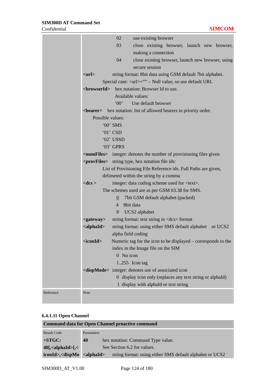|           |                                                                                                       | 02<br>use existing browser                                                        |  |  |  |
|-----------|-------------------------------------------------------------------------------------------------------|-----------------------------------------------------------------------------------|--|--|--|
|           |                                                                                                       | 03<br>close existing browser, launch new browser,                                 |  |  |  |
|           |                                                                                                       | making a connection                                                               |  |  |  |
|           |                                                                                                       | 04<br>close existing browser, launch new browser, using                           |  |  |  |
|           |                                                                                                       | secure session                                                                    |  |  |  |
|           | $<$ url $>$                                                                                           | string format: 8bit data using GSM default 7bit alphabet.                         |  |  |  |
|           |                                                                                                       | Special case: <url>="" - Null value, so use default URL</url>                     |  |  |  |
|           |                                                                                                       | <br>browserId> hex notation: Browser Id to use.                                   |  |  |  |
|           |                                                                                                       | Available values:                                                                 |  |  |  |
|           |                                                                                                       | `00'<br>Use default browser                                                       |  |  |  |
|           |                                                                                                       | <br>bearer> hex notation: list of allowed bearers in priority order.              |  |  |  |
|           | Possible values:                                                                                      |                                                                                   |  |  |  |
|           |                                                                                                       | '00' SMS                                                                          |  |  |  |
|           |                                                                                                       | $'01'$ CSD                                                                        |  |  |  |
|           |                                                                                                       | '02' USSD                                                                         |  |  |  |
|           |                                                                                                       | '03' GPRS                                                                         |  |  |  |
|           |                                                                                                       | <numfiles> integer: denotes the number of provisioning files given</numfiles>     |  |  |  |
|           | <provfiles> string type, hex notation file ids:</provfiles>                                           |                                                                                   |  |  |  |
|           |                                                                                                       | List of Provisioning File Reference ids. Full Paths are given,                    |  |  |  |
|           |                                                                                                       | delimeted within the string by a comma                                            |  |  |  |
|           | $<$ d $cs$ >                                                                                          | integer: data coding scheme used for <text>.</text>                               |  |  |  |
|           |                                                                                                       | The schemes used are as per GSM 03.38 for SMS.                                    |  |  |  |
|           |                                                                                                       | 7bit GSM default alphabet (packed)<br>$\theta$                                    |  |  |  |
|           |                                                                                                       | 8bit data<br>$\overline{4}$                                                       |  |  |  |
|           |                                                                                                       | 8<br>UCS2 alphabet                                                                |  |  |  |
|           | <gateway></gateway>                                                                                   | string format: text string in <dcs> format</dcs>                                  |  |  |  |
|           | $\alpha$ <alphaid< th=""><th>string format: using either SMS default alphabet or UCS2</th></alphaid<> | string format: using either SMS default alphabet or UCS2                          |  |  |  |
|           |                                                                                                       | alpha field coding                                                                |  |  |  |
|           | <iconid></iconid>                                                                                     | Numeric tag for the icon to be displayed – corresponds to the                     |  |  |  |
|           |                                                                                                       | index in the Image file on the SIM<br>0 No icon                                   |  |  |  |
|           |                                                                                                       |                                                                                   |  |  |  |
|           |                                                                                                       | $1.255$ Icon tag<br><dispmode> integer: denotes use of associated icon</dispmode> |  |  |  |
|           |                                                                                                       | 0 display icon only (replaces any text string or alphaId)                         |  |  |  |
|           |                                                                                                       | 1 display with alphaId or text string                                             |  |  |  |
|           |                                                                                                       |                                                                                   |  |  |  |
| Reference | Note                                                                                                  |                                                                                   |  |  |  |

# **6.4.1.11 Open Channel**

| <b>Command data for Open Channel proactive command</b> |            |                                                          |  |
|--------------------------------------------------------|------------|----------------------------------------------------------|--|
| <b>Result Code</b>                                     | Parameters |                                                          |  |
| $+STGC:$                                               | 40         | hex notation: Command Type value.                        |  |
| $40$ [, <alphaid>[,&lt;</alphaid>                      |            | See Section 6.2 for values.                              |  |
| $icond \rightarrow <$ dispMo $<$ alphaId>              |            | string format: using either SMS default alphabet or UCS2 |  |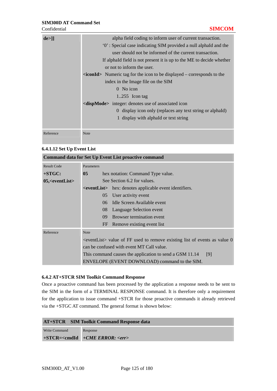| $de>$ ]   | alpha field coding to inform user of current transaction.                               |
|-----------|-----------------------------------------------------------------------------------------|
|           | "O': Special case indicating SIM provided a null alphald and the                        |
|           | user should not be informed of the current transaction.                                 |
|           | If alphald field is not present it is up to the ME to decide whether                    |
|           | or not to inform the user.                                                              |
|           | $\langle$ <b>iconId</b> > Numeric tag for the icon to be displayed – corresponds to the |
|           | index in the Image file on the SIM                                                      |
|           | $0$ No icon                                                                             |
|           | $1.255$ Icon tag                                                                        |
|           | <dispmode> integer: denotes use of associated icon</dispmode>                           |
|           | 0 display icon only (replaces any text string or alphald)                               |
|           | 1 display with alphald or text string                                                   |
|           |                                                                                         |
| Reference | <b>Note</b>                                                                             |

#### **6.4.1.12 Set Up Event List**

|                            |                                                                                       | <b>Command data for Set Up Event List proactive command</b>                                                                                                                                                                                  |  |  |
|----------------------------|---------------------------------------------------------------------------------------|----------------------------------------------------------------------------------------------------------------------------------------------------------------------------------------------------------------------------------------------|--|--|
| <b>Result Code</b>         | Parameters                                                                            |                                                                                                                                                                                                                                              |  |  |
| $+STGC:$                   | 0 <sub>5</sub><br>hex notation: Command Type value.                                   |                                                                                                                                                                                                                                              |  |  |
| $05$ , $\le$ eventList $>$ |                                                                                       | See Section 6.2 for values.                                                                                                                                                                                                                  |  |  |
|                            |                                                                                       | <b><i><u>Exercicions</u></i></b> Sexteber 2.1 and the set of the set of the set of the set of the set of the set of the set of the set of the set of the set of the set of the set of the set of the set of the set of the set of the set of |  |  |
|                            | User activity event<br>0 <sub>5</sub>                                                 |                                                                                                                                                                                                                                              |  |  |
|                            | Idle Screen Available event<br>06                                                     |                                                                                                                                                                                                                                              |  |  |
|                            | 08<br>Language Selection event                                                        |                                                                                                                                                                                                                                              |  |  |
|                            | Browser termination event<br>09                                                       |                                                                                                                                                                                                                                              |  |  |
|                            |                                                                                       | Remove existing event list<br>FF                                                                                                                                                                                                             |  |  |
| Reference                  | <b>Note</b>                                                                           |                                                                                                                                                                                                                                              |  |  |
|                            | <eventlist> value of FF used to remove existing list of events as value 0</eventlist> |                                                                                                                                                                                                                                              |  |  |
|                            | can be confused with event MT Call value.                                             |                                                                                                                                                                                                                                              |  |  |
|                            | This command causes the application to send a GSM 11.14<br>[9]                        |                                                                                                                                                                                                                                              |  |  |
|                            |                                                                                       | ENVELOPE (EVENT DOWNLOAD) command to the SIM.                                                                                                                                                                                                |  |  |

#### **6.4.2 AT+STCR SIM Toolkit Command Response**

Once a proactive command has been processed by the application a response needs to be sent to the SIM in the form of a TERMINAL RESPONSE command. It is therefore only a requirement for the application to issue command +STCR for those proactive commands it already retrieved via the +STGC AT command. The general format is shown below:

|  | <b>AT+STCR</b> SIM Toolkit Command Response data |  |
|--|--------------------------------------------------|--|
|--|--------------------------------------------------|--|

Write Command **+STCR=<cmdId** *+CME ERROR: <err>*Response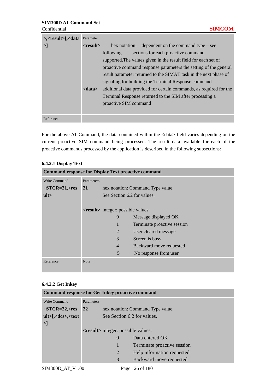| $\ge$ , $\lt$ result $\ge$ [, $\lt$ data | Parameter      |                                                                    |
|------------------------------------------|----------------|--------------------------------------------------------------------|
| >1                                       | $<$ result $>$ | hex notation: dependent on the command type – see                  |
|                                          |                | sections for each proactive command<br>following                   |
|                                          |                | supported. The values given in the result field for each set of    |
|                                          |                | proactive command response parameters the setting of the general   |
|                                          |                | result parameter returned to the SIMAT task in the next phase of   |
|                                          |                | signaling for building the Terminal Response command.              |
|                                          | <data></data>  | additional data provided for certain commands, as required for the |
|                                          |                | Terminal Response returned to the SIM after processing a           |
|                                          |                | proactive SIM command                                              |
|                                          |                |                                                                    |
| Reference                                |                |                                                                    |

For the above AT Command, the data contained within the <data> field varies depending on the current proactive SIM command being processed. The result data available for each of the proactive commands processed by the application is described in the following subsections:

#### **6.4.2.1 Display Text**

| <b>Command response for Display Text proactive command</b> |             |                                                    |                                   |  |
|------------------------------------------------------------|-------------|----------------------------------------------------|-----------------------------------|--|
| <b>Write Command</b>                                       | Parameters  |                                                    |                                   |  |
| $+STCR = 21, <$ res                                        | <b>21</b>   |                                                    | hex notation: Command Type value. |  |
| ult                                                        |             | See Section 6.2 for values.                        |                                   |  |
|                                                            |             |                                                    |                                   |  |
|                                                            |             | <b><result></result></b> integer: possible values: |                                   |  |
|                                                            |             | $\theta$                                           | Message displayed OK              |  |
|                                                            |             |                                                    | Terminate proactive session       |  |
|                                                            |             | $\overline{2}$                                     | User cleared message              |  |
|                                                            |             | 3                                                  | Screen is busy                    |  |
|                                                            |             | $\overline{4}$                                     | Backward move requested           |  |
|                                                            |             | 5                                                  | No response from user             |  |
| Reference                                                  | <b>Note</b> |                                                    |                                   |  |

#### **6.4.2.2 Get Inkey**

| <b>Command response for Get Inkey proactive command</b>                                                      |            |                                                    |                                   |  |
|--------------------------------------------------------------------------------------------------------------|------------|----------------------------------------------------|-----------------------------------|--|
| Write Command                                                                                                | Parameters |                                                    |                                   |  |
| $+STCR = 22, <$ res                                                                                          | <b>22</b>  |                                                    | hex notation: Command Type value. |  |
| $ult > \frac{1}{6}$ <dcs>, <text< th=""><th></th><th>See Section 6.2 for values.</th><th></th></text<></dcs> |            | See Section 6.2 for values.                        |                                   |  |
| >1                                                                                                           |            |                                                    |                                   |  |
|                                                                                                              |            | <b><result></result></b> integer: possible values: |                                   |  |
|                                                                                                              |            | $\Omega$                                           | Data entered OK                   |  |
|                                                                                                              |            |                                                    | Terminate proactive session       |  |
|                                                                                                              |            | 2                                                  | Help information requested        |  |
|                                                                                                              |            | 3                                                  | Backward move requested           |  |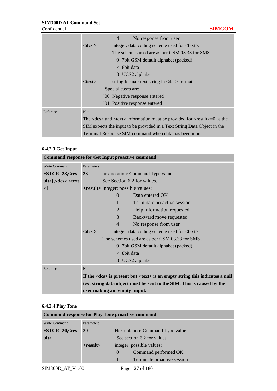|           | No response from user<br>$\overline{4}$                                                                                                                                                                                                                               |  |  |  |  |
|-----------|-----------------------------------------------------------------------------------------------------------------------------------------------------------------------------------------------------------------------------------------------------------------------|--|--|--|--|
|           | $<$ dcs $>$<br>integer: data coding scheme used for <text>.</text>                                                                                                                                                                                                    |  |  |  |  |
|           | The schemes used are as per GSM 03.38 for SMS.                                                                                                                                                                                                                        |  |  |  |  |
|           | $\Omega$ 7 bit GSM default alphabet (packed)                                                                                                                                                                                                                          |  |  |  |  |
|           | 4 8 bit data                                                                                                                                                                                                                                                          |  |  |  |  |
|           | 8 UCS2 alphabet                                                                                                                                                                                                                                                       |  |  |  |  |
|           | $<$ text $>$<br>string format: text string in <dcs> format</dcs>                                                                                                                                                                                                      |  |  |  |  |
|           | Special cases are:<br>"00" Negative response entered                                                                                                                                                                                                                  |  |  |  |  |
|           |                                                                                                                                                                                                                                                                       |  |  |  |  |
|           | "01" Positive response entered                                                                                                                                                                                                                                        |  |  |  |  |
| Reference | <b>Note</b>                                                                                                                                                                                                                                                           |  |  |  |  |
|           | The $\langle$ dcs $\rangle$ and $\langle$ text $\rangle$ information must be provided for $\langle$ result $\rangle$ =0 as the<br>SIM expects the input to be provided in a Text String Data Object in the<br>Terminal Response SIM command when data has been input. |  |  |  |  |
|           |                                                                                                                                                                                                                                                                       |  |  |  |  |
|           |                                                                                                                                                                                                                                                                       |  |  |  |  |

#### **6.4.2.3 Get Input**

|                                                                                       |                                                    | <b>Command response for Get Input proactive command</b>                                                                   |  |
|---------------------------------------------------------------------------------------|----------------------------------------------------|---------------------------------------------------------------------------------------------------------------------------|--|
| Write Command                                                                         | Parameters                                         |                                                                                                                           |  |
| $+STCR = 23, <$ res                                                                   | <b>23</b>                                          | hex notation: Command Type value.                                                                                         |  |
| ult>[, <dcs>,<text< th=""><th></th><th>See Section 6.2 for values.</th></text<></dcs> |                                                    | See Section 6.2 for values.                                                                                               |  |
| >]                                                                                    | <b><result></result></b> integer: possible values: |                                                                                                                           |  |
|                                                                                       |                                                    | Data entered OK<br>$\Omega$                                                                                               |  |
|                                                                                       |                                                    | 1<br>Terminate proactive session                                                                                          |  |
|                                                                                       |                                                    | $\overline{2}$<br>Help information requested                                                                              |  |
|                                                                                       |                                                    | 3<br>Backward move requested                                                                                              |  |
|                                                                                       |                                                    | $\overline{4}$<br>No response from user                                                                                   |  |
|                                                                                       | $<$ dcs $>$                                        | integer: data coding scheme used for <text>.</text>                                                                       |  |
|                                                                                       |                                                    | The schemes used are as per GSM 03.38 for SMS.                                                                            |  |
|                                                                                       |                                                    | $\overline{0}$ 7 bit GSM default alphabet (packed)                                                                        |  |
|                                                                                       |                                                    | 4 8 bit data                                                                                                              |  |
|                                                                                       |                                                    | 8 UCS2 alphabet                                                                                                           |  |
| Reference                                                                             | <b>Note</b>                                        |                                                                                                                           |  |
|                                                                                       |                                                    | If the $\langle \text{dcs} \rangle$ is present but $\langle \text{text} \rangle$ is an empty string this indicates a null |  |
|                                                                                       |                                                    | text string data object must be sent to the SIM. This is caused by the                                                    |  |
|                                                                                       |                                                    | user making an 'empty' input.                                                                                             |  |

# **6.4.2.4 Play Tone**

| <b>Command response for Play Tone proactive command</b> |                                                |                |                             |  |
|---------------------------------------------------------|------------------------------------------------|----------------|-----------------------------|--|
| Write Command                                           | Parameters                                     |                |                             |  |
| $+STCR = 20, <$ res                                     | <b>20</b><br>Hex notation: Command Type value. |                |                             |  |
| ult                                                     | See section 6.2 for values.                    |                |                             |  |
|                                                         | $<$ result $>$<br>integer: possible values:    |                |                             |  |
|                                                         |                                                | $\overline{0}$ | Command performed OK        |  |
|                                                         |                                                |                | Terminate proactive session |  |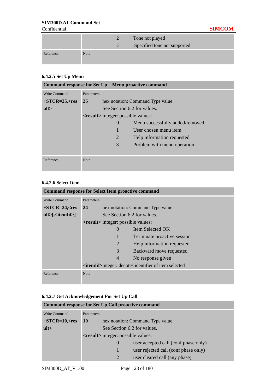|           |             | Tone not played<br>Specified tone not supported |
|-----------|-------------|-------------------------------------------------|
| Reference | <b>Note</b> |                                                 |

# **6.4.2.5 Set Up Menu**

| Command response for Set Up Menu proactive command |                                             |                             |                                   |  |
|----------------------------------------------------|---------------------------------------------|-----------------------------|-----------------------------------|--|
| Write Command                                      | Parameters                                  |                             |                                   |  |
| $+STCR = 25, <$ res                                | <b>25</b>                                   |                             | hex notation: Command Type value. |  |
| ult                                                |                                             | See Section 6.2 for values. |                                   |  |
|                                                    | <result> integer: possible values:</result> |                             |                                   |  |
|                                                    |                                             | $\Omega$                    | Menu successfully added/removed   |  |
|                                                    |                                             |                             | User chosen menu item             |  |
|                                                    |                                             | $\overline{2}$              | Help information requested        |  |
|                                                    |                                             | 3                           | Problem with menu operation       |  |
|                                                    |                                             |                             |                                   |  |
| Reference                                          | <b>Note</b>                                 |                             |                                   |  |
|                                                    |                                             |                             |                                   |  |

## **6.4.2.6 Select Item**

| <b>Command response for Select Item proactive command</b> |             |                                                    |                                                                       |  |
|-----------------------------------------------------------|-------------|----------------------------------------------------|-----------------------------------------------------------------------|--|
| <b>Write Command</b>                                      | Parameters  |                                                    |                                                                       |  |
| $+STCR = 24, <$ res                                       | <b>24</b>   |                                                    | hex notation: Command Type value.                                     |  |
| $ult>[$ , $\lt$ itemId > $]$                              |             |                                                    | See Section 6.2 for values.                                           |  |
|                                                           |             | <b><result></result></b> integer: possible values: |                                                                       |  |
|                                                           |             | $\Omega$                                           | Item Selected OK                                                      |  |
|                                                           |             |                                                    | Terminate proactive session                                           |  |
|                                                           |             | 2                                                  | Help information requested                                            |  |
|                                                           |             | 3                                                  | Backward move requested                                               |  |
|                                                           |             | 4                                                  | No response given                                                     |  |
|                                                           |             |                                                    | <b><itemid></itemid></b> integer: denotes identifier of item selected |  |
| Reference                                                 | <b>Note</b> |                                                    |                                                                       |  |

# **6.4.2.7 Get Acknowledgement For Set Up Call**

| <b>Command response for Set Up Call proactive command</b> |                                         |                                                    |                                      |  |
|-----------------------------------------------------------|-----------------------------------------|----------------------------------------------------|--------------------------------------|--|
| <b>Write Command</b>                                      | Parameters                              |                                                    |                                      |  |
| $+STCR=10,$                                               | 10<br>hex notation: Command Type value. |                                                    |                                      |  |
| ult                                                       | See Section 6.2 for values.             |                                                    |                                      |  |
|                                                           |                                         | <b><result></result></b> integer: possible values: |                                      |  |
|                                                           |                                         | $\theta$                                           | user accepted call (conf phase only) |  |
|                                                           |                                         |                                                    | user rejected call (conf phase only) |  |
|                                                           |                                         | $\mathcal{D}_{\cdot}$                              | user cleared call (any phase)        |  |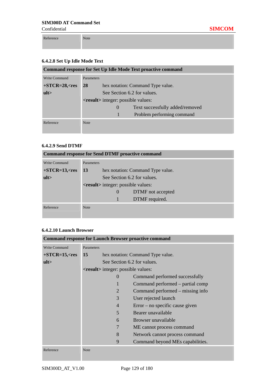Reference Note

| <b>Command response for Set Up Idle Mode Text proactive command</b> |             |                                                    |                                   |  |
|---------------------------------------------------------------------|-------------|----------------------------------------------------|-----------------------------------|--|
| Write Command                                                       | Parameters  |                                                    |                                   |  |
| $+STCR = 28, <$ res                                                 | <b>28</b>   |                                                    | hex notation: Command Type value. |  |
| ult                                                                 |             | See Section 6.2 for values.                        |                                   |  |
|                                                                     |             | <b><result></result></b> integer: possible values: |                                   |  |
|                                                                     |             | $\theta$                                           | Text successfully added/removed   |  |
|                                                                     |             |                                                    | Problem performing command        |  |
| Reference                                                           | <b>Note</b> |                                                    |                                   |  |

#### **6.4.2.9 Send DTMF**

| <b>Command response for Send DTMF proactive command</b> |             |                                             |                                   |
|---------------------------------------------------------|-------------|---------------------------------------------|-----------------------------------|
| Write Command                                           | Parameters  |                                             |                                   |
| $+STCR=13,\text{<}res$                                  | 13          |                                             | hex notation: Command Type value. |
| ult                                                     |             | See Section 6.2 for values.                 |                                   |
|                                                         |             | <result> integer: possible values:</result> |                                   |
|                                                         |             | $\theta$                                    | DTMF not accepted                 |
|                                                         |             |                                             | DTMF required.                    |
| Reference                                               | <b>Note</b> |                                             |                                   |
|                                                         |             |                                             |                                   |

#### **6.4.2.10 Launch Browser**

|                     |             |                                                    | <b>Command response for Launch Browser proactive command</b> |  |
|---------------------|-------------|----------------------------------------------------|--------------------------------------------------------------|--|
| Write Command       | Parameters  |                                                    |                                                              |  |
| $+STCR = 15, <$ res | 15          | hex notation: Command Type value.                  |                                                              |  |
| ult                 |             | See Section 6.2 for values.                        |                                                              |  |
|                     |             | <b><result></result></b> integer: possible values: |                                                              |  |
|                     |             | $\Omega$                                           | Command performed successfully                               |  |
|                     |             |                                                    | Command performed – partial comp                             |  |
|                     |             | 2                                                  | Command performed – missing info                             |  |
|                     |             | 3                                                  | User rejected launch                                         |  |
|                     |             | $\overline{4}$                                     | $Error - no specific cause given$                            |  |
|                     |             | 5                                                  | Bearer unavailable                                           |  |
|                     |             | 6                                                  | Browser unavailable                                          |  |
|                     |             | 7                                                  | ME cannot process command                                    |  |
|                     |             | 8                                                  | Network cannot process command                               |  |
|                     |             | 9                                                  | Command beyond MEs capabilities.                             |  |
| Reference           | <b>Note</b> |                                                    |                                                              |  |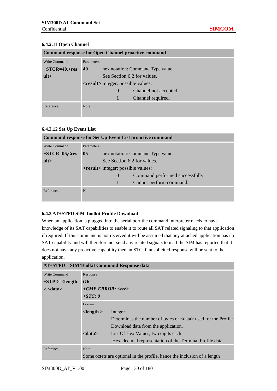#### **6.4.2.11 Open Channel**

| <b>Command response for Open Channel proactive command</b> |             |                                             |                                   |  |
|------------------------------------------------------------|-------------|---------------------------------------------|-----------------------------------|--|
| Write Command                                              | Parameters  |                                             |                                   |  |
| $+STCR = 40, <$ res                                        | 40          |                                             | hex notation: Command Type value. |  |
| ult                                                        |             | See Section 6.2 for values.                 |                                   |  |
|                                                            |             | <result> integer: possible values:</result> |                                   |  |
|                                                            |             | $\theta$                                    | Channel not accepted              |  |
|                                                            |             |                                             | Channel required.                 |  |
| Reference                                                  | <b>Note</b> |                                             |                                   |  |

#### **6.4.2.12 Set Up Event List**

| <b>Command response for Set Up Event List proactive command</b> |                   |                                                    |                                   |  |
|-----------------------------------------------------------------|-------------------|----------------------------------------------------|-----------------------------------|--|
| Write Command                                                   | <b>Parameters</b> |                                                    |                                   |  |
| $+STCR = 05, <$ res                                             | 05                |                                                    | hex notation: Command Type value. |  |
| ult                                                             |                   | See Section 6.2 for values.                        |                                   |  |
|                                                                 |                   | <b><result></result></b> integer: possible values: |                                   |  |
|                                                                 |                   | $\theta$                                           | Command performed successfully    |  |
|                                                                 |                   |                                                    | Cannot perform command.           |  |
| Reference                                                       | <b>Note</b>       |                                                    |                                   |  |

#### **6.4.3 AT+STPD SIM Toolkit Profile Download**

When an application is plugged into the serial port the command interpreter needs to have knowledge of its SAT capabilities to enable it to route all SAT related signaling to that application if required. If this command is not received it will be assumed that any attached application has no SAT capability and will therefore not send any related signals to it. If the SIM has reported that it does not have any proactive capability then an STC: 0 unsolicited response will be sent to the application.

|                          |                            | <b>AT+STPD</b> SIM Toolkit Command Response data                         |
|--------------------------|----------------------------|--------------------------------------------------------------------------|
| Write Command            | Response                   |                                                                          |
| $+STPD=$                 | $\overline{OK}$            |                                                                          |
| $\ge$ , $\lt$ data $\gt$ | $+ CME$ ERROR: <err></err> |                                                                          |
|                          | $+STC:0$                   |                                                                          |
|                          | Parameter                  |                                                                          |
|                          | $<$ length $>$             | Integer                                                                  |
|                          |                            | Determines the number of bytes of <data> used for the Profile</data>     |
|                          |                            | Download data from the application.                                      |
|                          | <data></data>              | List Of Hex Values, two digits each:                                     |
|                          |                            | Hexadecimal representation of the Terminal Profile data                  |
| Reference                | <b>Note</b>                |                                                                          |
|                          |                            | Some octets are optional in the profile, hence the inclusion of a length |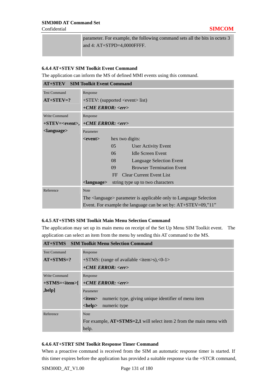Confidential **SIMCOM**

parameter. For example, the following command sets all the bits in octets 3 and 4: AT+STPD=4,0000FFFF.

#### **6.4.4 AT+STEV SIM Toolkit Event Command**

The application can inform the MS of defined MMI events using this command.

| <b>AT+STEV</b> SIM Toolkit Event Command |                                                                              |                                        |  |
|------------------------------------------|------------------------------------------------------------------------------|----------------------------------------|--|
| <b>Test Command</b>                      | Response                                                                     |                                        |  |
| $AT+STEV=?$                              |                                                                              | $+$ STEV: (supported < event > list)   |  |
|                                          | +CME ERROR: <err></err>                                                      |                                        |  |
| Write Command                            | Response                                                                     |                                        |  |
| $+STEV = < event>,$                      | $+ CME$ ERROR: $\langle err \rangle$                                         |                                        |  |
| <language></language>                    | Parameter                                                                    |                                        |  |
|                                          | <event></event>                                                              | hex two digits:                        |  |
|                                          |                                                                              | 05<br><b>User Activity Event</b>       |  |
|                                          |                                                                              | 06<br><b>Idle Screen Event</b>         |  |
|                                          |                                                                              | 08<br><b>Language Selection Event</b>  |  |
|                                          |                                                                              | <b>Browser Termination Event</b><br>09 |  |
|                                          |                                                                              | <b>Clear Current Event List</b><br>FF  |  |
|                                          | <language></language>                                                        | string type up to two characters       |  |
| Reference                                | <b>Note</b>                                                                  |                                        |  |
|                                          | The <language> parameter is applicable only to Language Selection</language> |                                        |  |
|                                          | Event. For example the language can be set by: $AT+STEV=09,"11"$             |                                        |  |

#### **6.4.5 AT+STMS SIM Toolkit Main Menu Selection Command**

The application may set up its main menu on receipt of the Set Up Menu SIM Toolkit event. The application can select an item from the menu by sending this AT command to the MS.

|                     | <b>AT+STMS</b> SIM Toolkit Menu Selection Command                     |  |  |
|---------------------|-----------------------------------------------------------------------|--|--|
| <b>Test Command</b> | Response                                                              |  |  |
| $AT+STMS=?$         | $+STMS$ : (range of available <item>s),&lt;0-1&gt;</item>             |  |  |
|                     | $+ CME$ ERROR: $\langle err \rangle$                                  |  |  |
| Write Command       | Response                                                              |  |  |
| $+STMS = item$      | $+CME$ ERROR: $\langle err \rangle$                                   |  |  |
| ,help]              | Parameter                                                             |  |  |
|                     | numeric type, giving unique identifier of menu item<br><item></item>  |  |  |
|                     | <help><br/>numeric type</help>                                        |  |  |
| Reference           | <b>Note</b>                                                           |  |  |
|                     | For example, $AT+STMS=2,1$ will select item 2 from the main menu with |  |  |
|                     | help.                                                                 |  |  |

#### **6.4.6 AT+STRT SIM Toolkit Response Timer Command**

When a proactive command is received from the SIM an automatic response timer is started. If this timer expires before the application has provided a suitable response via the +STCR command,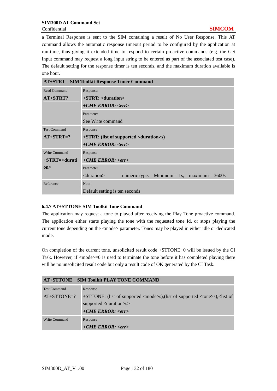a Terminal Response is sent to the SIM containing a result of No User Response. This AT command allows the automatic response timeout period to be configured by the application at run-time, thus giving it extended time to respond to certain proactive commands (e.g. the Get Input command may request a long input string to be entered as part of the associated test case). The default setting for the response timer is ten seconds, and the maximum duration available is one hour.

|                     | <b>AT+STRT</b> SIM Toolkit Response Timer Command                  |  |  |  |
|---------------------|--------------------------------------------------------------------|--|--|--|
| Read Command        | Response:                                                          |  |  |  |
| AT+STRT?            | $+STRT:$ $\le$ duration $>$                                        |  |  |  |
|                     | $+ CME$ ERROR: $\langle err \rangle$                               |  |  |  |
|                     | Parameter                                                          |  |  |  |
|                     | See Write command                                                  |  |  |  |
| <b>Test Command</b> | Response                                                           |  |  |  |
| $AT+STRT=?$         | $+STRT$ : (list of supported $\langle$ duration $\rangle$ s)       |  |  |  |
|                     | $+ CME$ ERROR: $\langle err \rangle$                               |  |  |  |
| Write Command       | Response                                                           |  |  |  |
| $+STRT = <$ durati  | $+CME$ ERROR: <err></err>                                          |  |  |  |
| on                  | Parameter                                                          |  |  |  |
|                     | $\alpha$ $\alpha$<br>numeric type. Minimum = 1s, maximum = $3600s$ |  |  |  |
| Reference           | <b>Note</b>                                                        |  |  |  |
|                     | Default setting is ten seconds                                     |  |  |  |

#### **6.4.7 AT+STTONE SIM Toolkit Tone Command**

The application may request a tone to played after receiving the Play Tone proactive command. The application either starts playing the tone with the requested tone Id, or stops playing the current tone depending on the  $\langle$ mode $\rangle$  parameter. Tones may be played in either idle or dedicated mode.

On completion of the current tone, unsolicited result code +STTONE: 0 will be issued by the CI Task. However, if  $\langle$ mode $\rangle$ =0 is used to terminate the tone before it has completed playing there will be no unsolicited result code but only a result code of OK generated by the CI Task.

|                     | AT+STTONE SIM Toolkit PLAY TONE COMMAND                                                                   |
|---------------------|-----------------------------------------------------------------------------------------------------------|
| <b>Test Command</b> | Response                                                                                                  |
| $AT+STTONE=?$       | +STTONE: (list of supported <mode>s),(list of supported <tone>s),<list of<="" td=""></list></tone></mode> |
|                     | supported <duration>s&gt;</duration>                                                                      |
|                     | $+ CME$ ERROR: $\langle err \rangle$                                                                      |
| Write Command       | Response                                                                                                  |
|                     | $+CME$ ERROR: $\langle err \rangle$                                                                       |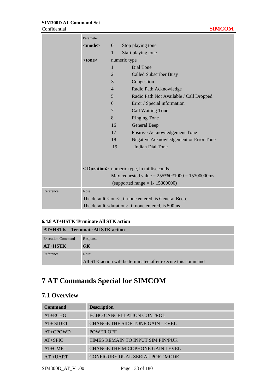#### **SIM300D AT Command Set**  Confidential **SIMCOM**

|           | Parameter                                                     |                                                   |                                         |  |
|-----------|---------------------------------------------------------------|---------------------------------------------------|-----------------------------------------|--|
|           | <mode></mode>                                                 | $\overline{0}$                                    | Stop playing tone                       |  |
|           |                                                               | $\mathbf{1}$                                      | Start playing tone                      |  |
|           | <tone></tone>                                                 |                                                   | numeric type                            |  |
|           |                                                               | $\mathbf{1}$                                      | Dial Tone                               |  |
|           |                                                               | $\overline{2}$                                    | <b>Called Subscriber Busy</b>           |  |
|           |                                                               | 3                                                 | Congestion                              |  |
|           |                                                               | $\overline{4}$                                    | Radio Path Acknowledge                  |  |
|           |                                                               | 5                                                 | Radio Path Not Available / Call Dropped |  |
|           |                                                               | 6                                                 | Error / Special information             |  |
|           |                                                               | $\overline{7}$                                    | <b>Call Waiting Tone</b>                |  |
|           |                                                               | 8                                                 | <b>Ringing Tone</b>                     |  |
|           |                                                               | 16                                                | General Beep                            |  |
|           |                                                               | 17                                                | Positive Acknowledgement Tone           |  |
|           |                                                               | 18                                                | Negative Acknowledgement or Error Tone  |  |
|           |                                                               | 19                                                | <b>Indian Dial Tone</b>                 |  |
|           |                                                               |                                                   |                                         |  |
|           |                                                               | < Duration> numeric type, in milliseconds.        |                                         |  |
|           |                                                               |                                                   |                                         |  |
|           |                                                               | Max requested value = $255*60*1000 = 15300000$ ms |                                         |  |
|           | (supported range = $1 - 15300000$ )                           |                                                   |                                         |  |
| Reference | Note                                                          |                                                   |                                         |  |
|           | The default <tone>, if none entered, is General Beep.</tone>  |                                                   |                                         |  |
|           | The default <duration>, if none entered, is 500ms.</duration> |                                                   |                                         |  |

# **6.4.8 AT+HSTK Terminate All STK action**

| <b>AT+HSTK</b> Terminate All STK action |                                                              |  |  |  |
|-----------------------------------------|--------------------------------------------------------------|--|--|--|
| <b>Execution Command</b>                | Response                                                     |  |  |  |
| $AT+HSTK$                               | $\overline{OK}$                                              |  |  |  |
| Reference                               | Note:                                                        |  |  |  |
|                                         | All STK action will be terminated after execute this command |  |  |  |

# **7 AT Commands Special for SIMCOM**

# **7.1 Overview**

| <b>Command</b> | <b>Description</b>                     |
|----------------|----------------------------------------|
| $AT+ECHO$      | <b>ECHO CANCELLATION CONTROL</b>       |
| $AT + SIDET$   | CHANGE THE SIDE TONE GAIN LEVEL        |
| AT+CPOWD       | POWER OFF                              |
| $AT+SPIC$      | TIMES REMAIN TO INPUT SIM PIN/PUK      |
| $AT+CMIC$      | <b>CHANGE THE MICOPHONE GAIN LEVEL</b> |
| $AT + UART$    | CONFIGURE DUAL SERIAL PORT MODE        |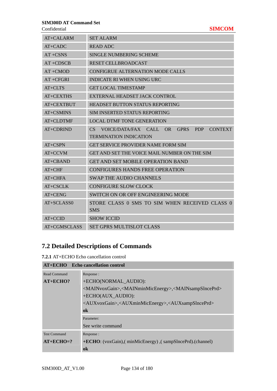Confidential **SIMCOM**

| AT+CALARM        | <b>SET ALARM</b>                                                            |
|------------------|-----------------------------------------------------------------------------|
| $AT+CADC$        | <b>READ ADC</b>                                                             |
| $AT + CSNS$      | <b>SINGLE NUMBERING SCHEME</b>                                              |
| $AT + CDSCB$     | <b>RESET CELLBROADCAST</b>                                                  |
| $AT + CMOD$      | <b>CONFIGRUE ALTERNATION MODE CALLS</b>                                     |
| $AT + CFGRI$     | <b>INDICATE RI WHEN USING URC</b>                                           |
| AT+CLTS          | <b>GET LOCAL TIMESTAMP</b>                                                  |
| <b>AT+CEXTHS</b> | EXTERNAL HEADSET JACK CONTROL                                               |
| AT+CEXTBUT       | <b>HEADSET BUTTON STATUS REPORTING</b>                                      |
| AT+CSMINS        | SIM INSERTED STATUS REPORTING                                               |
| AT+CLDTMF        | <b>LOCAL DTMF TONE GENERATION</b>                                           |
| AT+CDRIND        | <b>CONTEXT</b><br>CS<br>VOICE/DATA/FAX CALL OR<br><b>GPRS</b><br><b>PDP</b> |
|                  | <b>TERMINATION INDICATION</b>                                               |
| AT+CSPN          | <b>GET SERVICE PROVIDER NAME FORM SIM</b>                                   |
| AT+CCVM          | GET AND SET THE VOICE MAIL NUMBER ON THE SIM                                |
| AT+CBAND         | <b>GET AND SET MOBILE OPERATION BAND</b>                                    |
| $AT+CHF$         | <b>CONFIGURES HANDS FREE OPERATION</b>                                      |
| $AT+CHFA$        | <b>SWAP THE AUDIO CHANNELS</b>                                              |
| AT+CSCLK         | <b>CONFIGURE SLOW CLOCK</b>                                                 |
| $AT+CENG$        | <b>SWITCH ON OR OFF ENGINEERING MODE</b>                                    |
| AT+SCLASS0       | STORE CLASS 0 SMS TO SIM WHEN RECEIVED CLASS 0                              |
|                  | <b>SMS</b>                                                                  |
| $AT+CCID$        | <b>SHOW ICCID</b>                                                           |
| AT+CGMSCLASS     | SET GPRS MULTISLOT CLASS                                                    |

# **7.2 Detailed Descriptions of Commands**

**7.2.1** AT+ECHO Echo cancellation control

|                     | AT+ECHO Echo cancellation control                                                                       |
|---------------------|---------------------------------------------------------------------------------------------------------|
| Read Command        | Response:                                                                                               |
| $AT+ECHO?$          | +ECHO(NORMAL AUDIO):                                                                                    |
|                     | <mainvoxgain>,<mainminmicenergy>,<mainsampsinceprd></mainsampsinceprd></mainminmicenergy></mainvoxgain> |
|                     | +ECHO(AUX_AUDIO):                                                                                       |
|                     | <auxvoxgain>,<auxminmicenergy>,<auxsampslnceprd></auxsampslnceprd></auxminmicenergy></auxvoxgain>       |
|                     | ok                                                                                                      |
|                     | Parameter:                                                                                              |
|                     | See write command                                                                                       |
| <b>Test Command</b> | Response:                                                                                               |
| $AT+ECHO=?$         | +ECHO: (voxGain),(minMicEnergy),(sampSIncePrd).(channel)                                                |
|                     | ok                                                                                                      |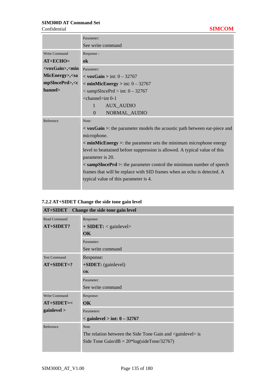|                                                                                                                   | Parameter:                                                                                 |
|-------------------------------------------------------------------------------------------------------------------|--------------------------------------------------------------------------------------------|
|                                                                                                                   | See write command                                                                          |
| Write Command                                                                                                     | Response:                                                                                  |
| $AT+ECHO=$                                                                                                        | ok                                                                                         |
| <voxgain>,<min< th=""><th>Parameter:</th></min<></voxgain>                                                        | Parameter:                                                                                 |
| MicEnergy>, <sa< th=""><th><math>\langle</math> voxGain &gt; int: 0 - 32767</th></sa<>                            | $\langle$ voxGain > int: 0 - 32767                                                         |
| mpSlncePrd>, <c< th=""><th><math>\sim</math> minMicEnergy <math>&gt;</math> int: <math>0 - 32767</math></th></c<> | $\sim$ minMicEnergy $>$ int: $0 - 32767$                                                   |
| hannel>                                                                                                           | $<$ sampSlncePrd $>$ int: 0 - 32767                                                        |
|                                                                                                                   | $\langle$ channel $>$ int 0-1                                                              |
|                                                                                                                   | $\mathbf{1}$<br><b>AUX_AUDIO</b>                                                           |
|                                                                                                                   | NORMAL_AUDIO<br>$\Omega$                                                                   |
| Reference                                                                                                         | Note:                                                                                      |
|                                                                                                                   | $\langle$ voxGain $\rangle$ : the parameter models the acoustic path between ear-piece and |
|                                                                                                                   | microphone.                                                                                |
|                                                                                                                   | < minMicEnergy >: the parameter sets the minimum microphone energy                         |
|                                                                                                                   | level to beattained before suppression is allowed. A typical value of this                 |
|                                                                                                                   | parameter is 20.                                                                           |
|                                                                                                                   | < sampSincePrd >: the parameter control the minimum number of speech                       |
|                                                                                                                   | frames that will be replace with SID frames when an echo is detected. A                    |
|                                                                                                                   | typical value of this parameter is 4.                                                      |
|                                                                                                                   |                                                                                            |

# **7.2.2 AT+SIDET Change the side tone gain level**

| Change the side tone gain level<br><b>AT+SIDET</b> |                                                                        |  |
|----------------------------------------------------|------------------------------------------------------------------------|--|
| Read Command                                       | Response:                                                              |  |
| AT+SIDET?                                          | $+$ SIDET: $<$ gainlevel $>$                                           |  |
|                                                    | OK                                                                     |  |
|                                                    | Parameter:                                                             |  |
|                                                    | See write command                                                      |  |
| <b>Test Command</b>                                | Response:                                                              |  |
| $AT+SIDET=?$                                       | +SIDET: (gainlevel)                                                    |  |
|                                                    | $\overline{\text{OK}}$                                                 |  |
|                                                    | Parameter:                                                             |  |
|                                                    | See write command                                                      |  |
| Write Command                                      | Response:                                                              |  |
| $AT+SIDET=<$                                       | $\overline{\text{OK}}$                                                 |  |
| gainlevel >                                        | Parameters                                                             |  |
|                                                    | $<$ gainlevel $>$ int: $0 - 32767$                                     |  |
| Reference                                          | <b>Note</b>                                                            |  |
|                                                    | The relation between the Side Tone Gain and <gainlevel> is</gainlevel> |  |
|                                                    | Side Tone Gain/dB = $20*log(sideTone/32767)$                           |  |
|                                                    |                                                                        |  |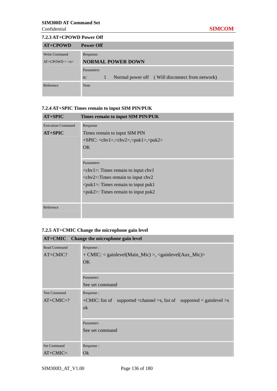#### **7.2.3 AT+CPOWD Power Off**

| $AT+CPOWD$     | <b>Power Off</b>                                         |  |
|----------------|----------------------------------------------------------|--|
| Write Command  | Response:                                                |  |
| $AT+CPOWD = n$ | <b>NORMAL POWER DOWN</b>                                 |  |
|                | Parameters                                               |  |
|                | Normal power off (Will disconnect from network)<br>$n$ : |  |
| Reference      | <b>Note</b>                                              |  |
|                |                                                          |  |

# **7.2.4 AT+SPIC Times remain to input SIM PIN/PUK**

| $AT+SPIC$                | Times remain to input SIM PIN/PUK                                                              |
|--------------------------|------------------------------------------------------------------------------------------------|
| <b>Execution Command</b> | Response                                                                                       |
| $AT+SPIC$                | Times remain to input SIM PIN                                                                  |
|                          | $+SPIC: <\n<\n> <\n> <\n> <\n> <\n> <\n> <\n> <\n> <\n> <\n> <\n> <\n> <\n> <\n> <\n> <\n\leq$ |
|                          | OK                                                                                             |
|                          |                                                                                                |
|                          | Parameters                                                                                     |
|                          | $\langle$ chv1 $>$ : Times remain to input chv1                                                |
|                          | $\langle$ chv2>:Times remain to input chv2                                                     |
|                          | $\langle \text{puk1}\rangle$ : Times remain to input puk1                                      |
|                          | $\langle \text{puk2}\rangle$ : Times remain to input puk2                                      |
|                          |                                                                                                |
| Reference                |                                                                                                |

# **7.2.5 AT+CMIC Change the microphone gain level**

|                                    | AT+CMIC Change the microphone gain level                                                                                   |
|------------------------------------|----------------------------------------------------------------------------------------------------------------------------|
| Read Command<br>$AT+CMIC?$         | Response:<br>+ CMIC: < gainlevel(Main_Mic) >, < gainlevel(Aux_Mic) ><br>OK                                                 |
|                                    | Parameter:<br>See set command                                                                                              |
| <b>Test Command</b><br>$AT+CMIC=?$ | Response:<br>+CMIC: list of supported <channel>s, list of supported &lt; gainlevel &gt;s<br/><math>\alpha</math></channel> |
|                                    | Parameter:<br>See set command                                                                                              |
| <b>Set Command</b><br>$AT+CMIC=$   | Response:<br>Qk                                                                                                            |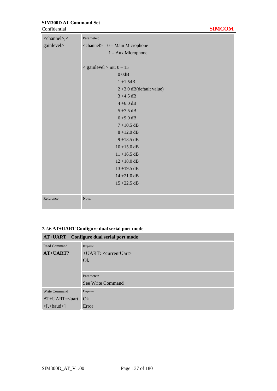**Confidential** 

| <channel>,&lt;</channel> | Parameter:                              |
|--------------------------|-----------------------------------------|
| gainlevel>               | <channel> 0 - Main Microphone</channel> |
|                          | 1 - Aux Microphone                      |
|                          |                                         |
|                          | $\langle$ gainlevel $>$ int: 0 - 15     |
|                          | 00dB                                    |
|                          | $1 + 1.5dB$                             |
|                          | $2 + 3.0$ dB(default value)             |
|                          | $3 + 4.5$ dB                            |
|                          | $4 + 6.0$ dB                            |
|                          | $5 + 7.5$ dB                            |
|                          | $6 + 9.0$ dB                            |
|                          | $7 + 10.5$ dB                           |
|                          | $8 + 12.0$ dB                           |
|                          | $9 + 13.5$ dB                           |
|                          | $10 + 15.0$ dB                          |
|                          | $11 + 16.5$ dB                          |
|                          | $12 + 18.0$ dB                          |
|                          | $13 + 19.5$ dB                          |
|                          | $14 + 21.0$ dB                          |
|                          | $15 + 22.5$ dB                          |
|                          |                                         |
| Reference                | Note:                                   |
|                          |                                         |

# **7.2.6 AT+UART Configure dual serial port mode**

|                                  | <b>AT+UART</b> Configure dual serial port mode |
|----------------------------------|------------------------------------------------|
| <b>Read Command</b>              | Response                                       |
| AT+UART?                         | $+UART: $                                      |
|                                  | Qk                                             |
|                                  |                                                |
|                                  | Parameter:                                     |
|                                  | See Write Command                              |
| Write Command                    | Response                                       |
| $AT+UART = quart$                | Qk                                             |
| $>[$ , $\langle$ baud $\rangle]$ | Error                                          |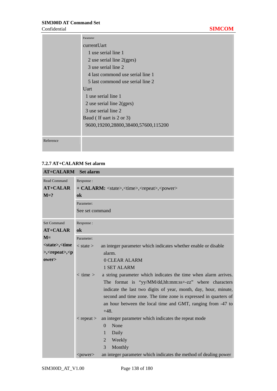|           | Parameter                           |
|-----------|-------------------------------------|
|           | currentUart                         |
|           | 1 use serial line 1                 |
|           | 2 use serial line $2(gprs)$         |
|           | 3 use serial line 2                 |
|           | 4 last commond use serial line 1    |
|           | 5 last commond use serial line 2    |
|           | Uart                                |
|           | 1 use serial line 1                 |
|           | 2 use serial line $2(gprs)$         |
|           | 3 use serial line 2                 |
|           | Baud (If uart is 2 or 3)            |
|           | 9600,19200,28800,38400,57600,115200 |
|           |                                     |
| Reference |                                     |
|           |                                     |

### **7.2.7 AT+CALARM Set alarm**

| <b>AT+CALARM</b> Set alarm                                                                                                                                     |                                                                                                                                |                                                                  |  |  |  |
|----------------------------------------------------------------------------------------------------------------------------------------------------------------|--------------------------------------------------------------------------------------------------------------------------------|------------------------------------------------------------------|--|--|--|
| <b>Read Command</b>                                                                                                                                            | Response:                                                                                                                      |                                                                  |  |  |  |
| <b>AT+CALAR</b>                                                                                                                                                | + CALARM: <state>,<time>,<repeat>,<power></power></repeat></time></state>                                                      |                                                                  |  |  |  |
| $M=?$                                                                                                                                                          | ok                                                                                                                             |                                                                  |  |  |  |
|                                                                                                                                                                | Parameter:                                                                                                                     |                                                                  |  |  |  |
|                                                                                                                                                                | See set command                                                                                                                |                                                                  |  |  |  |
| <b>Set Command</b>                                                                                                                                             | Response:                                                                                                                      |                                                                  |  |  |  |
| $AT+CALAR$                                                                                                                                                     | ok                                                                                                                             |                                                                  |  |  |  |
| $M=$                                                                                                                                                           | Parameter:                                                                                                                     |                                                                  |  |  |  |
| <state>,<time< th=""><th><math>&lt;</math> state <math>&gt;</math></th><th>an integer parameter which indicates whether enable or disable</th></time<></state> | $<$ state $>$                                                                                                                  | an integer parameter which indicates whether enable or disable   |  |  |  |
| >, <repeat>,<p< th=""><th></th><th>alarm.</th></p<></repeat>                                                                                                   |                                                                                                                                | alarm.                                                           |  |  |  |
| ower>                                                                                                                                                          |                                                                                                                                | 0 CLEAR ALARM                                                    |  |  |  |
|                                                                                                                                                                |                                                                                                                                | <b>1 SET ALARM</b>                                               |  |  |  |
|                                                                                                                                                                | $<$ time $>$                                                                                                                   | a string parameter which indicates the time when alarm arrives.  |  |  |  |
|                                                                                                                                                                |                                                                                                                                | The format is "yy/MM/dd,hh:mm:ss+-zz" where characters           |  |  |  |
|                                                                                                                                                                |                                                                                                                                | indicate the last two digits of year, month, day, hour, minute,  |  |  |  |
|                                                                                                                                                                | second and time zone. The time zone is expressed in quarters of<br>an hour between the local time and GMT, ranging from -47 to |                                                                  |  |  |  |
|                                                                                                                                                                |                                                                                                                                |                                                                  |  |  |  |
|                                                                                                                                                                |                                                                                                                                | $+48.$                                                           |  |  |  |
|                                                                                                                                                                | $<$ repeat $>$                                                                                                                 | an integer parameter which indicates the repeat mode             |  |  |  |
|                                                                                                                                                                |                                                                                                                                | None<br>$\theta$                                                 |  |  |  |
|                                                                                                                                                                |                                                                                                                                | $\mathbf{1}$<br>Daily                                            |  |  |  |
|                                                                                                                                                                |                                                                                                                                | $\overline{2}$<br>Weekly                                         |  |  |  |
|                                                                                                                                                                |                                                                                                                                | 3<br>Monthly                                                     |  |  |  |
|                                                                                                                                                                | <power></power>                                                                                                                | an integer parameter which indicates the method of dealing power |  |  |  |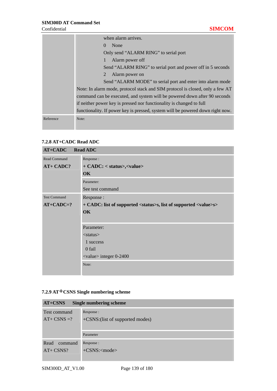|           | when alarm arrives.                                                                                                                                                                                                                |  |  |  |  |  |
|-----------|------------------------------------------------------------------------------------------------------------------------------------------------------------------------------------------------------------------------------------|--|--|--|--|--|
|           | None<br>$\Omega$                                                                                                                                                                                                                   |  |  |  |  |  |
|           | Only send "ALARM RING" to serial port                                                                                                                                                                                              |  |  |  |  |  |
|           | Alarm power off                                                                                                                                                                                                                    |  |  |  |  |  |
|           | Send "ALARM RING" to serial port and power off in 5 seconds                                                                                                                                                                        |  |  |  |  |  |
|           | Alarm power on<br>2                                                                                                                                                                                                                |  |  |  |  |  |
|           | Send "ALARM MODE" to serial port and enter into alarm mode                                                                                                                                                                         |  |  |  |  |  |
|           | Note: In alarm mode, protocol stack and SIM protocol is closed, only a few AT<br>command can be executed, and system will be powered down after 90 seconds<br>if neither power key is pressed nor functionality is changed to full |  |  |  |  |  |
|           |                                                                                                                                                                                                                                    |  |  |  |  |  |
|           |                                                                                                                                                                                                                                    |  |  |  |  |  |
|           | functionality. If power key is pressed, system will be powered down right now.                                                                                                                                                     |  |  |  |  |  |
| Reference | Note:                                                                                                                                                                                                                              |  |  |  |  |  |
|           |                                                                                                                                                                                                                                    |  |  |  |  |  |

# **7.2.8 AT+CADC Read ADC**

| <b>AT+CADC</b> Read ADC |                                                                                      |  |  |
|-------------------------|--------------------------------------------------------------------------------------|--|--|
| <b>Read Command</b>     | Response:                                                                            |  |  |
| <b>AT+ CADC?</b>        | + CADC: < status>, <value></value>                                                   |  |  |
|                         | OK                                                                                   |  |  |
|                         | Parameter:                                                                           |  |  |
|                         | See test command                                                                     |  |  |
| <b>Test Command</b>     | Response:                                                                            |  |  |
| $AT+CADC=?$             | + CADC: list of supported <status>s, list of supported <value>s&gt;</value></status> |  |  |
|                         | <b>OK</b>                                                                            |  |  |
|                         |                                                                                      |  |  |
|                         | Parameter:                                                                           |  |  |
|                         | $<$ status $>$                                                                       |  |  |
|                         | 1 success                                                                            |  |  |
|                         | 0 fail                                                                               |  |  |
|                         | $\langle$ value $\rangle$ integer 0-2400                                             |  |  |
|                         | Note:                                                                                |  |  |
|                         |                                                                                      |  |  |

# **7.2.9 AT+CSNS Single numbering scheme**

| $AT+CSNS$<br>Single numbering scheme |                                                |  |  |
|--------------------------------------|------------------------------------------------|--|--|
| Test command<br>$AT+CSNS=?$          | Response :<br>+CSNS: (list of supported modes) |  |  |
|                                      | Parameter                                      |  |  |
| Read<br>command<br>$AT+CSNS?$        | Response :<br>$+C$ SNS: $<$ mode $>$           |  |  |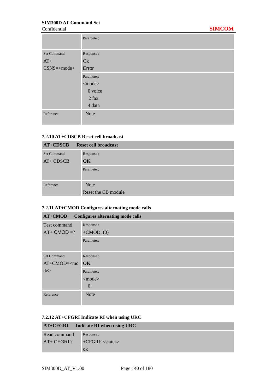|                    | Parameter:   |
|--------------------|--------------|
| <b>Set Command</b> | Response:    |
| $AT+$              | Ok           |
| $CSNS=\text{mode}$ | Error        |
|                    | Parameter:   |
|                    | $<$ mode $>$ |
|                    | 0 voice      |
|                    | $2$ fax      |
|                    | 4 data       |
| Reference          | <b>Note</b>  |

#### **7.2.10 AT+CDSCB Reset cell broadcast**

| $AT+CDSCB$                | Reset cell broadcast    |
|---------------------------|-------------------------|
| Set Command<br>$AT+CDSCB$ | Response :<br><b>OK</b> |
|                           | Parameter:              |
| Reference                 | <b>Note</b>             |
|                           | Reset the CB module     |

# **7.2.11 AT+CMOD Configures alternating mode calls**

| AT+CMOD<br><b>Configures alternating mode calls</b> |                |  |  |
|-----------------------------------------------------|----------------|--|--|
| Test command                                        | Response:      |  |  |
| $AT+$ CMOD =?                                       | $+CMOD: (0)$   |  |  |
|                                                     | Parameter:     |  |  |
|                                                     |                |  |  |
| <b>Set Command</b>                                  | Response:      |  |  |
| $AT+CMOD=<$ mo                                      | OK             |  |  |
| de                                                  | Parameter:     |  |  |
|                                                     | $<$ mode $>$   |  |  |
|                                                     | $\overline{0}$ |  |  |
| Reference                                           | <b>Note</b>    |  |  |
|                                                     |                |  |  |

#### **7.2.12 AT+CFGRI Indicate RI when using URC**

|               | $AT+CFGRI$ Indicate RI when using URC |
|---------------|---------------------------------------|
| Read command  | Response :                            |
| $AT+ CFGRI$ ? | $+CFGRI: \langle status \rangle$      |
|               | ok                                    |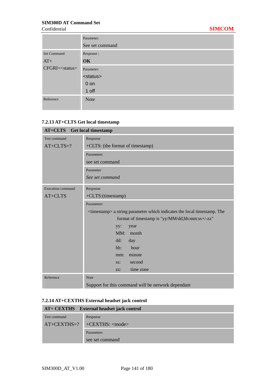|                          | Parameter:        |  |  |  |
|--------------------------|-------------------|--|--|--|
|                          | See set command   |  |  |  |
| <b>Set Command</b>       | Response:         |  |  |  |
| $AT+$                    | OK                |  |  |  |
| CFGRI= <status></status> | Parameter:        |  |  |  |
|                          | <status></status> |  |  |  |
|                          | $0$ on            |  |  |  |
|                          | 1 off             |  |  |  |
| Reference                | <b>Note</b>       |  |  |  |
|                          |                   |  |  |  |

# **7.2.13 AT+CLTS Get local timestamp**

| $AT+CLTS$<br><b>Get local timestamp</b> |                                                                                     |  |  |  |  |
|-----------------------------------------|-------------------------------------------------------------------------------------|--|--|--|--|
| Test command                            | Response                                                                            |  |  |  |  |
| $AT+CLTS=?$                             | +CLTS: (the format of timestamp)                                                    |  |  |  |  |
|                                         | Parameters                                                                          |  |  |  |  |
|                                         | see set command                                                                     |  |  |  |  |
|                                         | Parameter                                                                           |  |  |  |  |
|                                         | See set command                                                                     |  |  |  |  |
| <b>Execution command</b>                | Response                                                                            |  |  |  |  |
| AT+CLTS                                 | +CLTS:(timestamp)                                                                   |  |  |  |  |
|                                         | Parameters                                                                          |  |  |  |  |
|                                         | <timestamp> a string parameter which indicates the local timestamp. The</timestamp> |  |  |  |  |
|                                         | format of timestamp is "yy/MM/dd,hh:mm:ss+/-zz"                                     |  |  |  |  |
|                                         | year<br>yy:                                                                         |  |  |  |  |
|                                         | MM:<br>month                                                                        |  |  |  |  |
|                                         | dd:<br>day                                                                          |  |  |  |  |
|                                         | hh:<br>hour                                                                         |  |  |  |  |
|                                         | minute<br>mm:                                                                       |  |  |  |  |
|                                         | second<br>SS:                                                                       |  |  |  |  |
|                                         | time zone<br>ZZ:                                                                    |  |  |  |  |
| Reference                               | <b>Note</b>                                                                         |  |  |  |  |
|                                         | Support for this command will be network dependant                                  |  |  |  |  |

# **7.2.14 AT+CEXTHS External headset jack control**

|               | AT+ CEXTHS External headset jack control |
|---------------|------------------------------------------|
| Test command  | Response                                 |
| $AT+CEXTHS=?$ | $+CEXTHS$ : $\langle$ mode $\rangle$     |
|               | <b>Parameters</b>                        |
|               | see set command                          |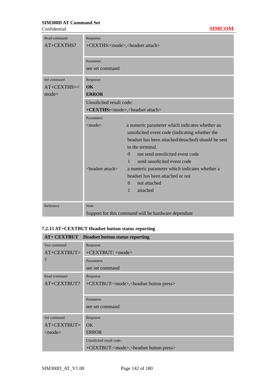**Confidential** 

| Read command<br>AT+CEXTHS? | Response                                             | +CEXTHS: <mode>,<headset attach=""></headset></mode> |
|----------------------------|------------------------------------------------------|------------------------------------------------------|
|                            | Parameter                                            |                                                      |
|                            | see set command                                      |                                                      |
| Set command                | Response                                             |                                                      |
| $AT+CEXTHS=<$              | $\alpha$                                             |                                                      |
| mode                       | <b>ERROR</b>                                         |                                                      |
|                            | Unsolicited result code:                             |                                                      |
|                            | +CEXTHS: <mode>,<headset attach=""></headset></mode> |                                                      |
|                            | Parameters                                           |                                                      |
|                            | $<$ mode $>$                                         | a numeric parameter which indicates whether an       |
|                            |                                                      | unsolicited event code (indicating whether the       |
|                            |                                                      | headset has been attached/detached) should be sent   |
|                            |                                                      | to the terminal.                                     |
|                            |                                                      | not send unsolicited event code<br>$\Omega$          |
|                            |                                                      | send unsolicited event code<br>$\mathbf{1}$          |
|                            | <headset attach=""></headset>                        | a numeric parameter which indicates whether a        |
|                            |                                                      | headset has been attached or not                     |
|                            |                                                      | $\Omega$<br>not attached                             |
|                            |                                                      | attached<br>1                                        |
| Reference                  | <b>Note</b>                                          |                                                      |
|                            |                                                      | Support for this command will be hardware dependant  |

# **7.2.15 AT+CEXTBUT Headset button status reporting**

|                          | AT+ CEXTBUT Headset button status reporting                    |  |  |
|--------------------------|----------------------------------------------------------------|--|--|
| Test command             | Response                                                       |  |  |
| $AT+CEXTBUT=$<br>$\cdot$ | +CEXTBUT: <mode></mode>                                        |  |  |
|                          | Parameters                                                     |  |  |
|                          | see set command                                                |  |  |
| Read command             | Response                                                       |  |  |
| AT+CEXTBUT?              | +CEXTBUT: <mode>,<headset button="" press=""></headset></mode> |  |  |
|                          |                                                                |  |  |
|                          | Parameter                                                      |  |  |
|                          | see set command                                                |  |  |
| Set command              | Response                                                       |  |  |
| $AT+CEXTBUT=$            | OK                                                             |  |  |
| $\leq$ mode $>$          | <b>ERROR</b>                                                   |  |  |
|                          | Unsolicited result code:                                       |  |  |
|                          | +CEXTBUT: <mode>,<headset button="" press=""></headset></mode> |  |  |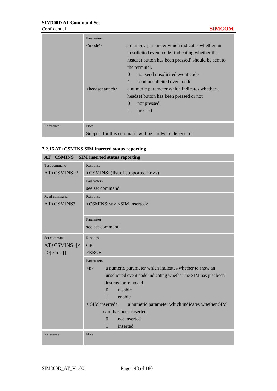|           | Parameters                    |                                                     |
|-----------|-------------------------------|-----------------------------------------------------|
|           | $<$ mode $>$                  | a numeric parameter which indicates whether an      |
|           |                               | unsolicited event code (indicating whether the      |
|           |                               | headset button has been pressed) should be sent to  |
|           |                               | the terminal.                                       |
|           |                               | not send unsolicited event code<br>$\Omega$         |
|           |                               | send unsolicited event code                         |
|           | $\epsilon$ headset attach $>$ | a numeric parameter which indicates whether a       |
|           |                               | headset button has been pressed or not              |
|           |                               | $\theta$<br>not pressed                             |
|           |                               | pressed                                             |
|           |                               |                                                     |
| Reference | <b>Note</b>                   |                                                     |
|           |                               | Support for this command will be hardware dependant |

#### **7.2.16 AT+CSMINS SIM inserted status reporting**

| <b>AT+ CSMINS</b><br><b>SIM</b> inserted status reporting |                                                                         |  |  |
|-----------------------------------------------------------|-------------------------------------------------------------------------|--|--|
| Test command                                              | Response                                                                |  |  |
| $AT+CSMINS=?$                                             | $+CSMINS$ : (list of supported $\langle n \rangle$ s)                   |  |  |
|                                                           | Parameters                                                              |  |  |
|                                                           | see set command                                                         |  |  |
| Read command                                              | Response                                                                |  |  |
| AT+CSMINS?                                                | +CSMINS: <n>,<sim inserted=""></sim></n>                                |  |  |
|                                                           |                                                                         |  |  |
|                                                           | Parameter                                                               |  |  |
|                                                           | see set command                                                         |  |  |
| Set command                                               | Response                                                                |  |  |
| $AT+CSMINS=[1]$                                           | OK                                                                      |  |  |
| n > [1, 1]                                                | <b>ERROR</b>                                                            |  |  |
|                                                           | Parameters                                                              |  |  |
|                                                           | a numeric parameter which indicates whether to show an<br>m>            |  |  |
|                                                           | unsolicited event code indicating whether the SIM has just been         |  |  |
|                                                           | inserted or removed.                                                    |  |  |
|                                                           | disable<br>$\Omega$                                                     |  |  |
|                                                           | enable<br>$\mathbf{1}$                                                  |  |  |
|                                                           | $<$ SIM inserted $>$<br>a numeric parameter which indicates whether SIM |  |  |
|                                                           | card has been inserted.                                                 |  |  |
|                                                           | not inserted<br>$\theta$                                                |  |  |
|                                                           | 1<br>inserted                                                           |  |  |
|                                                           |                                                                         |  |  |
| Reference                                                 | Note                                                                    |  |  |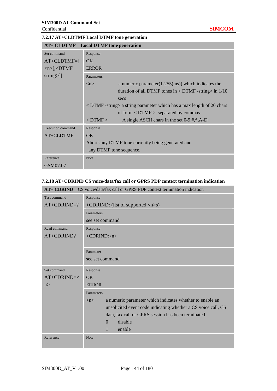#### **7.2.17 AT+CLDTMF Local DTMF tone generation**

| <b>AT+ CLDTMF</b> Local DTMF tone generation |                                                                               |                                                                  |  |
|----------------------------------------------|-------------------------------------------------------------------------------|------------------------------------------------------------------|--|
| Set command                                  | Response                                                                      |                                                                  |  |
| $AT+CLDTMF=[$                                | <b>OK</b>                                                                     |                                                                  |  |
| $\langle n \rangle$ [ $\langle$ DTMF         | <b>ERROR</b>                                                                  |                                                                  |  |
| $string >$ ]]                                | Parameters                                                                    |                                                                  |  |
|                                              | $\langle n \rangle$                                                           | a numeric parameter $(1-255$ (ms)) which indicates the           |  |
|                                              |                                                                               | duration of all DTMF tones in $\langle$ DTMF -string $>$ in 1/10 |  |
|                                              |                                                                               | secs                                                             |  |
|                                              | $\epsilon$ DTMF-string a string parameter which has a max length of 20 chars  |                                                                  |  |
|                                              |                                                                               | of form $\langle$ DTMF $\rangle$ , separated by commas.          |  |
|                                              | $<$ DTMF $>$                                                                  | A single ASCII chars in the set $0-9,#,*,A-D$ .                  |  |
| Execution command                            | Response                                                                      |                                                                  |  |
| AT+CLDTMF                                    | OK.                                                                           |                                                                  |  |
|                                              | Aborts any DTMF tone currently being generated and<br>any DTMF tone sequence. |                                                                  |  |
|                                              |                                                                               |                                                                  |  |
| Reference                                    | Note                                                                          |                                                                  |  |
| GSM07.07                                     |                                                                               |                                                                  |  |

### **7.2.18 AT+CDRIND CS voice/data/fax call or GPRS PDP context termination indication**

| $AT+CDRIND$<br>CS voice/data/fax call or GPRS PDP context termination indication |                                                                                 |  |  |
|----------------------------------------------------------------------------------|---------------------------------------------------------------------------------|--|--|
| Test command                                                                     | Response                                                                        |  |  |
| $AT+CDRIND=?$                                                                    | +CDRIND: (list of supported <n>s)</n>                                           |  |  |
|                                                                                  | Parameters                                                                      |  |  |
|                                                                                  | see set command                                                                 |  |  |
| Read command                                                                     | Response                                                                        |  |  |
| AT+CDRIND?                                                                       | $+CDRIND:n$                                                                     |  |  |
|                                                                                  |                                                                                 |  |  |
|                                                                                  | Parameter                                                                       |  |  |
|                                                                                  | see set command                                                                 |  |  |
| Set command                                                                      | Response                                                                        |  |  |
| $AT+CDRIND=<$                                                                    | $\overline{OK}$                                                                 |  |  |
| n >                                                                              | <b>ERROR</b>                                                                    |  |  |
|                                                                                  | Parameters                                                                      |  |  |
|                                                                                  | a numeric parameter which indicates whether to enable an<br>$\langle n \rangle$ |  |  |
|                                                                                  | unsolicited event code indicating whether a CS voice call, CS                   |  |  |
|                                                                                  | data, fax call or GPRS session has been terminated.                             |  |  |
|                                                                                  | disable<br>$\Omega$                                                             |  |  |
|                                                                                  | 1<br>enable                                                                     |  |  |
| Reference                                                                        | <b>Note</b>                                                                     |  |  |
|                                                                                  |                                                                                 |  |  |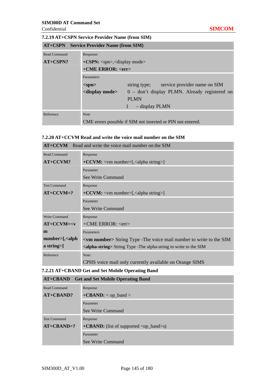#### **7.2.19 AT+CSPN Service Provider Name (from SIM)**

| <b>AT+CSPN</b> Service Provider Name (from SIM) |                             |                                                                                  |  |
|-------------------------------------------------|-----------------------------|----------------------------------------------------------------------------------|--|
| Read Command                                    | Response:                   |                                                                                  |  |
| $AT+CSPN?$                                      |                             | $+CSPN: \langle spn \rangle, \langle display \rangle$<br>+CME ERROR: <err></err> |  |
|                                                 |                             |                                                                                  |  |
|                                                 | Parameters                  |                                                                                  |  |
|                                                 | $<$ spn $>$                 | string type; service provider name on SIM                                        |  |
|                                                 | <display mode=""></display> | 0 – don't display PLMN. Already registered on                                    |  |
|                                                 |                             | <b>PLMN</b>                                                                      |  |
|                                                 |                             | - display PLMN                                                                   |  |
| Reference                                       | <b>Note</b>                 |                                                                                  |  |
|                                                 |                             | CME errors possible if SIM not inserted or PIN not entered.                      |  |

### **7.2.20 AT+CCVM Read and write the voice mail number on the SIM**

| $AT+CCVM$ Read and write the voice mail number on the SIM |                                                                                  |  |  |
|-----------------------------------------------------------|----------------------------------------------------------------------------------|--|--|
| <b>Read Command</b>                                       | Response                                                                         |  |  |
| $AT+CCVM?$                                                | $+CCVM$ : <vm number="">[,<alpha string="">]</alpha></vm>                        |  |  |
|                                                           | Parameter                                                                        |  |  |
|                                                           | See Write Command                                                                |  |  |
| <b>Test Command</b>                                       | Response                                                                         |  |  |
| $AT+CCVM=?$                                               | $+CCVM$ : <vm number="">[,<alpha string="">]</alpha></vm>                        |  |  |
|                                                           | Parameter                                                                        |  |  |
|                                                           | See Write Command                                                                |  |  |
| Write Command                                             | Response                                                                         |  |  |
| $AT+CCVM=$                                                | +CME ERROR: <err></err>                                                          |  |  |
| m                                                         | Parameters                                                                       |  |  |
| $number>[$ , $\alpha$ lph                                 | <vm number=""> String Type - The voice mail number to write to the SIM</vm>      |  |  |
| a string>]                                                | <alpha-string> String Type - The alpha-string to write to the SIM</alpha-string> |  |  |
| Reference                                                 | Note:                                                                            |  |  |
|                                                           | CPHS voice mail only currently available on Orange SIMS                          |  |  |

### **7.2.21 AT+CBAND Get and Set Mobile Operating Band**

| <b>AT+CBAND</b> Get and Set Mobile Operating Band |                                                                    |  |
|---------------------------------------------------|--------------------------------------------------------------------|--|
| Read Command                                      | Response                                                           |  |
| $AT+CBAND?$                                       | $+CBAND:$ < op_band >                                              |  |
|                                                   | Parameter                                                          |  |
|                                                   | See Write Command                                                  |  |
| <b>Test Command</b>                               | Response                                                           |  |
| $AT+CBAND=?$                                      | $+$ <b>CBAND:</b> (list of supported $\langle op\_band \rangle$ s) |  |
|                                                   | Parameter                                                          |  |
|                                                   | See Write Command                                                  |  |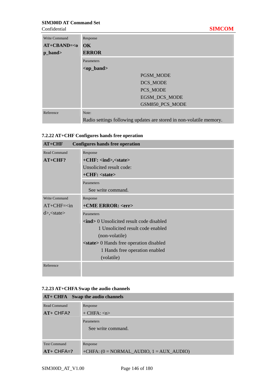**Confidential** 

| <b>Write Command</b> | Response                                                            |
|----------------------|---------------------------------------------------------------------|
| $AT+CBAND=$          | <b>OK</b>                                                           |
| p_band>              | <b>ERROR</b>                                                        |
|                      | Parameters                                                          |
|                      | <op_band></op_band>                                                 |
|                      | PGSM_MODE                                                           |
|                      | DCS_MODE                                                            |
|                      | PCS MODE                                                            |
|                      | <b>EGSM DCS MODE</b>                                                |
|                      | GSM850 PCS MODE                                                     |
| Reference            | Note:                                                               |
|                      | Radio settings following updates are stored in non-volatile memory. |

### **7.2.22 AT+CHF Configures hands free operation**

| $AT+CHF$      | <b>Configures hands free operation</b>             |  |
|---------------|----------------------------------------------------|--|
| Read Command  | Response                                           |  |
| $AT+CHF?$     | $+CHF: \langle ind \rangle, \langle state \rangle$ |  |
|               | Unsolicited result code:                           |  |
|               | $+CHF: < state>$                                   |  |
|               | Parameters                                         |  |
|               | See write command.                                 |  |
| Write Command | Response                                           |  |
| $AT+CHF=in$   | +CME ERROR: <err></err>                            |  |
| $d$ , state   | Parameters                                         |  |
|               | <b>sind</b> > 0 Unsolicited result code disabled   |  |
|               | 1 Unsolicited result code enabled                  |  |
|               | (non-volatile)                                     |  |
|               | <state> 0 Hands free operation disabled</state>    |  |
|               | 1 Hands free operation enabled                     |  |
|               | (volatile)                                         |  |
| Reference     |                                                    |  |

# **7.2.23 AT+CHFA Swap the audio channels**

|                     | AT+ CHFA Swap the audio channels             |
|---------------------|----------------------------------------------|
| Read Command        | Response                                     |
| $AT+CHFA?$          | $+$ CHFA: $\langle n \rangle$                |
|                     | Parameters                                   |
|                     | See write command.                           |
|                     |                                              |
| <b>Test Command</b> | Response                                     |
| $AT+CHFA=?$         | +CHFA: $(0 = NORMAL\_AUDIO, 1 = AUX\_AUDIO)$ |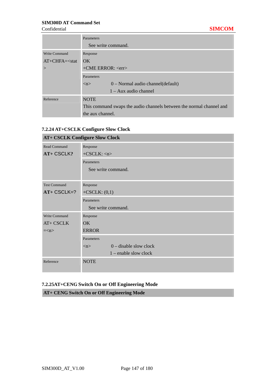|                      | Parameters                                                           |  |
|----------------------|----------------------------------------------------------------------|--|
|                      | See write command.                                                   |  |
| <b>Write Command</b> | Response                                                             |  |
| $AT + CHFA = < stat$ | OK                                                                   |  |
| $\rm{>}$             | $+CME$ ERROR: $\langle$ err $>$                                      |  |
|                      | Parameters                                                           |  |
|                      | $0$ – Normal audio channel (default)<br>$\langle n \rangle$          |  |
|                      | $1 - Aux$ audio channel                                              |  |
| Reference            | <b>NOTE</b>                                                          |  |
|                      | This command swaps the audio channels between the normal channel and |  |
|                      | the aux channel.                                                     |  |

#### **7.2.24 AT+CSCLK Configure Slow Clock**

| <b>AT+ CSCLK Configure Slow Clock</b> |                                |  |  |
|---------------------------------------|--------------------------------|--|--|
| <b>Read Command</b>                   | Response                       |  |  |
| <b>AT+ CSCLK?</b>                     | $+CSCLK:$ <n></n>              |  |  |
|                                       | Parameters                     |  |  |
|                                       | See write command.             |  |  |
|                                       |                                |  |  |
| <b>Test Command</b>                   | Response                       |  |  |
| $AT+ CSCLK=?$                         | $+CSCLK$ : $(0,1)$             |  |  |
|                                       | Parameters                     |  |  |
|                                       | See write command.             |  |  |
| Write Command                         | Response                       |  |  |
| AT+ CSCLK                             | OK.                            |  |  |
| $=\lt n$                              | <b>ERROR</b>                   |  |  |
|                                       | Parameters                     |  |  |
|                                       | $0$ – disable slow clock<br>m> |  |  |
|                                       | $1$ – enable slow clock        |  |  |
| Reference                             | <b>NOTE</b>                    |  |  |

# **7.2.25AT+CENG Switch On or Off Engineering Mode**

**AT+ CENG Switch On or Off Engineering Mode**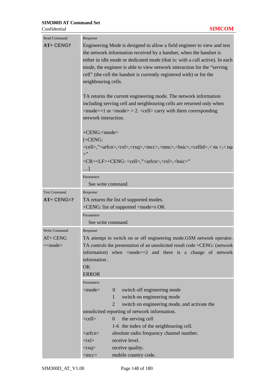| <b>Read Command</b> | Response                                                                                                                                                           |  |  |
|---------------------|--------------------------------------------------------------------------------------------------------------------------------------------------------------------|--|--|
| $AT+CENG?$          | Engineering Mode is designed to allow a field engineer to view and test                                                                                            |  |  |
|                     | the network information received by a handset, when the handset is                                                                                                 |  |  |
|                     | either in idle mode or dedicated mode (that is: with a call active). In each                                                                                       |  |  |
|                     | mode, the engineer is able to view network interaction for the "serving"                                                                                           |  |  |
|                     | cell" (the cell the handset is currently registered with) or for the                                                                                               |  |  |
|                     | neighbouring cells.                                                                                                                                                |  |  |
|                     | TA returns the current engineering mode. The network information                                                                                                   |  |  |
|                     | including serving cell and neighbouring cells are returned only when<br>$\alpha$ <mode>=1 or <mode> = 2. <cell> carry with them corresponding</cell></mode></mode> |  |  |
|                     |                                                                                                                                                                    |  |  |
|                     | network interaction.                                                                                                                                               |  |  |
|                     | +CENG: <mode></mode>                                                                                                                                               |  |  |
|                     | $[-CENG:$                                                                                                                                                          |  |  |
|                     | <cell>,"<arfcn>,<rxl>,<rxq>,<mcc>,<mnc>,<bsic>,<cellid>,<r></r>a&gt;,<txp< td=""></txp<></cellid></bsic></mnc></mcc></rxq></rxl></arfcn></cell>                    |  |  |
|                     | $>$ "                                                                                                                                                              |  |  |
|                     | <cr><lf>+CENG: <cell>,"<arfcn>,<rxl>,<br/>bsic&gt;"</rxl></arfcn></cell></lf></cr>                                                                                 |  |  |
|                     | $\ldots]$                                                                                                                                                          |  |  |
|                     | Parameters                                                                                                                                                         |  |  |
|                     | See write command.                                                                                                                                                 |  |  |
| <b>Test Command</b> | Response                                                                                                                                                           |  |  |
| $AT+CENG=?$         | TA returns the list of supported modes.                                                                                                                            |  |  |
|                     | $+CENG$ : list of supported $\langle$ mode $\rangle$ s OK                                                                                                          |  |  |
|                     | Parameters                                                                                                                                                         |  |  |
|                     | See write command.                                                                                                                                                 |  |  |
| Write Command       | Response                                                                                                                                                           |  |  |
| AT+ CENG            | TA attempt to switch on or off engineering mode.GSM network operator.                                                                                              |  |  |
| = <mode></mode>     | TA controls the presentation of an unsolicited result code +CENG: (network                                                                                         |  |  |
|                     | information) when $\langle$ mode $\rangle$ =2 and there is a change of network<br>information.                                                                     |  |  |
|                     | OK                                                                                                                                                                 |  |  |
|                     | <b>ERROR</b>                                                                                                                                                       |  |  |
|                     | Parameters                                                                                                                                                         |  |  |
|                     | $<$ mode $>$<br>switch off engineering mode<br>$\overline{0}$                                                                                                      |  |  |
|                     | switch on engineering mode<br>$\mathbf{1}$                                                                                                                         |  |  |
|                     | $\overline{2}$<br>switch on engineering mode, and activate the                                                                                                     |  |  |
|                     | unsolicited reporting of network information.                                                                                                                      |  |  |
|                     | the serving cell<br>$<$ cell $>$<br>$\Omega$                                                                                                                       |  |  |
|                     | 1-6 the index of the neighbouring cell.                                                                                                                            |  |  |
|                     | absolute radio frequency channel number.<br>$\langle \text{arfcn} \rangle$                                                                                         |  |  |
|                     | receive level.<br>$<$ rxl $>$                                                                                                                                      |  |  |
|                     | receive quality.<br>$<$ rxq>                                                                                                                                       |  |  |
|                     | mobile country code.<br>$<$ mcc $>$                                                                                                                                |  |  |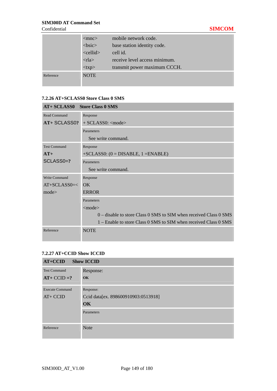|           | $<$ mnc $>$             | mobile network code.          |
|-----------|-------------------------|-------------------------------|
|           | $<$ bsic $>$            | base station identity code.   |
|           | $\le$ cellid $\ge$      | cell id.                      |
|           | $\langle$ rla $\rangle$ | receive level access minimum. |
|           | $<$ txp>                | transmit power maximum CCCH.  |
| Reference | <b>NOTE</b>             |                               |
|           |                         |                               |

#### **7.2.26 AT+SCLASS0 Store Class 0 SMS**

| AT+ SCLASS0 Store Class 0 SMS |                                                                     |  |  |
|-------------------------------|---------------------------------------------------------------------|--|--|
| Read Command                  | Response                                                            |  |  |
| AT+ SCLASS0?                  | $+$ SCLASS0: $\langle$ mode $\rangle$                               |  |  |
|                               | Parameters                                                          |  |  |
|                               | See write command.                                                  |  |  |
| <b>Test Command</b>           | Response                                                            |  |  |
| $AT+$                         | $+SCLASSO: (0 = DISABLE, 1 = ENABLE)$                               |  |  |
| SCLASS0=?                     | Parameters                                                          |  |  |
|                               | See write command.                                                  |  |  |
| Write Command                 | Response                                                            |  |  |
| $AT+SCLASS0=<$                | $\overline{OK}$                                                     |  |  |
| mode                          | <b>ERROR</b>                                                        |  |  |
|                               | Parameters                                                          |  |  |
|                               | $<$ mode $>$                                                        |  |  |
|                               | $0$ – disable to store Class 0 SMS to SIM when received Class 0 SMS |  |  |
|                               | 1 – Enable to store Class 0 SMS to SIM when received Class 0 SMS    |  |  |
| Reference                     | <b>NOTE</b>                                                         |  |  |

#### **7.2.27 AT+CCID Show ICCID**

| $AT+CCID$<br><b>Show ICCID</b>      |                                                               |  |
|-------------------------------------|---------------------------------------------------------------|--|
| <b>Test Command</b><br>$AT+CCID=?$  | Response:<br><b>OK</b>                                        |  |
| <b>Execute Command</b><br>$AT+CCID$ | Response:<br>Ccid data[ex. 898600910903:0513918]<br><b>OK</b> |  |
|                                     | Parameters                                                    |  |
| Reference                           | <b>Note</b>                                                   |  |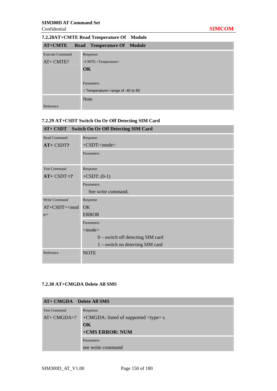# **7.2.28AT+CMTE Read Temperature Of Module**

| <b>AT+CMTE</b>         | <b>Read Temperature Of Module</b>              |
|------------------------|------------------------------------------------|
| <b>Execute Command</b> | Response:                                      |
| AT+ CMTE?              | +CMTE: <temperature></temperature>             |
|                        | <b>OK</b>                                      |
|                        |                                                |
|                        | Parameters                                     |
|                        | <temperature> range of -40 to 90</temperature> |
|                        | <b>Note</b>                                    |
| Reference              |                                                |

## **7.2.29 AT+CSDT Switch On Or Off Detecting SIM Card**

| AT+ CSDT Switch On Or Off Detecting SIM Card   |                                     |  |
|------------------------------------------------|-------------------------------------|--|
| Read Command                                   | Response                            |  |
| AT+ CSDT?                                      | +CSDT: <mode></mode>                |  |
|                                                | Parameters                          |  |
| <b>Test Command</b>                            | Response                            |  |
| $AT+ CSDT = ?$                                 | $+CSDT: (0-1)$                      |  |
|                                                | Parameters                          |  |
|                                                | See write command.                  |  |
| Write Command                                  | Response                            |  |
| AT+CSDT= <mod< td=""><td><b>OK</b></td></mod<> | <b>OK</b>                           |  |
| e                                              | <b>ERROR</b>                        |  |
|                                                | Parameters                          |  |
|                                                | $<$ mode $>$                        |  |
|                                                | $0$ – switch off detecting SIM card |  |
|                                                | $1$ – switch on detecting SIM card  |  |
| Reference                                      | <b>NOTE</b>                         |  |

#### **7.2.30 AT+CMGDA Delete All SMS**

| AT+ CMGDA Delete All SMS |                                           |  |
|--------------------------|-------------------------------------------|--|
| <b>Test Command</b>      | Response:                                 |  |
| $AT+ CMGDA=?$            | $+CMGDA$ : listed of supported $ltype> s$ |  |
|                          | $\alpha$                                  |  |
| +CMS ERROR: NUM          |                                           |  |
|                          | Parameters                                |  |
|                          | see write command                         |  |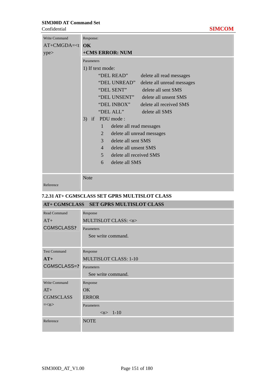| Confidential                            |  | MCOM |
|-----------------------------------------|--|------|
| the property of the control of the con- |  |      |

| <b>Write Command</b> | Response:                                  |  |  |
|----------------------|--------------------------------------------|--|--|
| $AT+CMGDA= OK$       |                                            |  |  |
| ype>                 | +CMS ERROR: NUM                            |  |  |
|                      | Parameters                                 |  |  |
|                      | 1) If text mode:                           |  |  |
|                      | "DEL READ"<br>delete all read messages     |  |  |
|                      | "DEL UNREAD"<br>delete all unread messages |  |  |
|                      | "DEL SENT"<br>delete all sent SMS          |  |  |
|                      | "DEL UNSENT"<br>delete all unsent SMS      |  |  |
|                      | "DEL INBOX"<br>delete all received SMS     |  |  |
|                      | "DEL ALL"<br>delete all SMS                |  |  |
|                      | PDU mode:<br>3)<br>if                      |  |  |
|                      | delete all read messages<br>1              |  |  |
|                      | 2<br>delete all unread messages            |  |  |
|                      | delete all sent SMS<br>$\mathcal{E}$       |  |  |
|                      | delete all unsent SMS<br>$\overline{4}$    |  |  |
|                      | $\mathbf{5}$<br>delete all received SMS    |  |  |
|                      | delete all SMS<br>6                        |  |  |
|                      |                                            |  |  |
|                      | <b>Note</b>                                |  |  |
|                      |                                            |  |  |

Reference

### **7.2.31 AT+ CGMSCLASS SET GPRS MULTISLOT CLASS**

|                     | AT+ CGMSCLASS SET GPRS MULTISLOT CLASS |  |  |
|---------------------|----------------------------------------|--|--|
| Read Command        | Response                               |  |  |
| $AT+$               | MULTISLOT CLASS: <n></n>               |  |  |
| <b>CGMSCLASS?</b>   | Parameters                             |  |  |
|                     | See write command.                     |  |  |
|                     |                                        |  |  |
| <b>Test Command</b> | Response                               |  |  |
| $AT+$               | <b>MULTISLOT CLASS: 1-10</b>           |  |  |
| CGMSCLASS=?         | Parameters                             |  |  |
|                     | See write command.                     |  |  |
| Write Command       | Response                               |  |  |
| $AT+$               | OK                                     |  |  |
| <b>CGMSCLASS</b>    | <b>ERROR</b>                           |  |  |
| $=\lt n$            | Parameters                             |  |  |
|                     | $\langle n \rangle$ 1-10               |  |  |
| Reference           | <b>NOTE</b>                            |  |  |
|                     |                                        |  |  |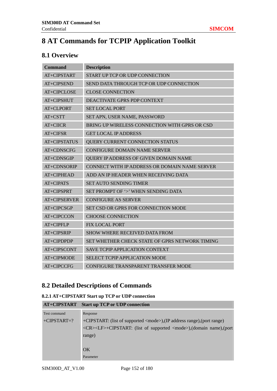# **8 AT Commands for TCPIP Application Toolkit**

# **8.1 Overview**

| <b>Command</b>      | <b>Description</b>                             |  |
|---------------------|------------------------------------------------|--|
| AT+CIPSTART         | START UP TCP OR UDP CONNECTION                 |  |
| AT+CIPSEND          | SEND DATA THROUGH TCP OR UDP CONNECTION        |  |
| AT+CIPCLOSE         | <b>CLOSE CONNECTION</b>                        |  |
| AT+CIPSHUT          | <b>DEACTIVATE GPRS PDP CONTEXT</b>             |  |
| AT+CLPORT           | <b>SET LOCAL PORT</b>                          |  |
| $AT+CSTT$           | SET APN, USER NAME, PASSWORD                   |  |
| $AT+CHCR$           | BRING UP WIRELESS CONNECTION WITH GPRS OR CSD  |  |
| $AT+CIFSR$          | <b>GET LOCAL IP ADDRESS</b>                    |  |
| <b>AT+CIPSTATUS</b> | QUERY CURRENT CONNECTION STATUS                |  |
| AT+CDNSCFG          | <b>CONFIGURE DOMAIN NAME SERVER</b>            |  |
| AT+CDNSGIP          | QUERY IP ADDRESS OF GIVEN DOMAIN NAME          |  |
| AT+CDNSORIP         | CONNECT WITH IP ADDRESS OR DOMAIN NAME SERVER  |  |
| AT+CIPHEAD          | ADD AN IP HEADER WHEN RECEIVING DATA           |  |
| AT+CIPATS           | <b>SET AUTO SENDING TIMER</b>                  |  |
| AT+CIPSPRT          | SET PROMPT OF '>' WHEN SENDING DATA            |  |
| <b>AT+CIPSERVER</b> | <b>CONFIGURE AS SERVER</b>                     |  |
| AT+CIPCSGP          | <b>SET CSD OR GPRS FOR CONNECTION MODE</b>     |  |
| AT+CIPCCON          | <b>CHOOSE CONNECTION</b>                       |  |
| AT+CIPFLP           | <b>FIX LOCAL PORT</b>                          |  |
| AT+CIPSRIP          | <b>SHOW WHERE RECEIVED DATA FROM</b>           |  |
| AT+CIPDPDP          | SET WHETHER CHECK STATE OF GPRS NETWORK TIMING |  |
| AT+CIPSCONT         | <b>SAVE TCPIP APPLICATION CONTEXT</b>          |  |
| AT+CIPMODE          | <b>SELECT TCPIP APPLICATION MODE</b>           |  |
| AT+CIPCCFG          | CONFIGURE TRANSPARENT TRANSFER MODE            |  |

# **8.2 Detailed Descriptions of Commands**

#### **8.2.1 AT+CIPSTART Start up TCP or UDP connection**

|               | AT+CIPSTART Start up TCP or UDP connection                                         |
|---------------|------------------------------------------------------------------------------------|
| Test command  | Response                                                                           |
| $+CIPSTART=?$ | +CIPSTART: (list of supported <mode>),(IP address range),(port range)</mode>       |
|               | <cr><lf>+CIPSTART: (list of supported <mode>),(domain name),(port</mode></lf></cr> |
|               | range)                                                                             |
|               |                                                                                    |
|               | $\alpha$                                                                           |
|               | Parameter                                                                          |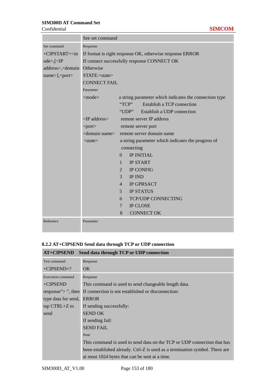|                                                                      | See set command                                          |                                                        |  |
|----------------------------------------------------------------------|----------------------------------------------------------|--------------------------------------------------------|--|
| Set command                                                          | Response                                                 |                                                        |  |
| $+CIPSTART=m$                                                        | If format is right response OK, otherwise response ERROR |                                                        |  |
| ode>,[<]                                                             | If connect successfully response CONNECT OK              |                                                        |  |
| address>, <domain otherwise<="" td=""><td colspan="3"></td></domain> |                                                          |                                                        |  |
| name>], <port></port>                                                | STATE: <state></state>                                   |                                                        |  |
|                                                                      | <b>CONNECT FAIL</b>                                      |                                                        |  |
|                                                                      | Parameter                                                |                                                        |  |
|                                                                      | $<$ mode $>$                                             | a string parameter which indicates the connection type |  |
|                                                                      |                                                          | TCP<br><b>Establish a TCP connection</b>               |  |
|                                                                      |                                                          | Establish a UDP connection<br>"UDP"                    |  |
|                                                                      | $\langle$ IP address $>$                                 | remote server IP address                               |  |
|                                                                      | $<$ port $>$                                             | remote server port                                     |  |
|                                                                      | <domain name=""></domain>                                | remote server domain name                              |  |
|                                                                      | $<$ state $>$                                            | a string parameter which indicates the progress of     |  |
|                                                                      |                                                          | connecting                                             |  |
|                                                                      |                                                          | <b>IP INITIAL</b><br>0                                 |  |
|                                                                      |                                                          | <b>IP START</b><br>$\mathbf{1}$                        |  |
|                                                                      |                                                          | <b>IP CONFIG</b><br>$\overline{2}$                     |  |
|                                                                      |                                                          | 3<br><b>IP IND</b>                                     |  |
|                                                                      |                                                          | <b>IP GPRSACT</b><br>$\overline{4}$                    |  |
|                                                                      |                                                          | 5<br><b>IP STATUS</b>                                  |  |
|                                                                      |                                                          | <b>TCP/UDP CONNECTING</b><br>6                         |  |
|                                                                      |                                                          | <b>IP CLOSE</b><br>$\tau$                              |  |
|                                                                      |                                                          | <b>CONNECT OK</b><br>8                                 |  |
| Reference                                                            | Parameter                                                |                                                        |  |

### **8.2.2 AT+CIPSEND Send data through TCP or UDP connection**

| Send data through TCP or UDP connection<br><b>AT+CIPSEND</b> |                                                                             |  |
|--------------------------------------------------------------|-----------------------------------------------------------------------------|--|
| Test command                                                 | Response                                                                    |  |
| $+CIPSEND=?$                                                 | OK.                                                                         |  |
| <b>Execution command</b>                                     | Response                                                                    |  |
| +CIPSEND                                                     | This command is used to send changeable length data.                        |  |
|                                                              | response">", then If connection is not established or disconnection:        |  |
| type data for send,                                          | <b>ERROR</b>                                                                |  |
| $tan CTRL + Z to$                                            | If sending successfully:                                                    |  |
| send                                                         | <b>SEND OK</b>                                                              |  |
|                                                              | If sending fail:                                                            |  |
|                                                              | <b>SEND FAIL</b>                                                            |  |
|                                                              | <b>Note</b>                                                                 |  |
|                                                              | This command is used to send data on the TCP or UDP connection that has     |  |
|                                                              | been established already. Ctrl-Z is used as a termination symbol. There are |  |
|                                                              | at most 1024 bytes that can be sent at a time.                              |  |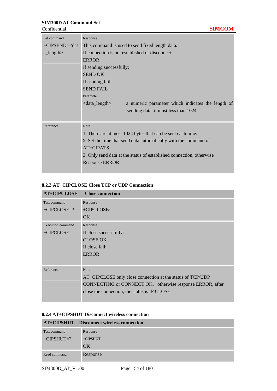**Confidential** 

| Set command                                                                           | Response                                                                   |
|---------------------------------------------------------------------------------------|----------------------------------------------------------------------------|
| +CIPSEND= <dat< td=""><td>This command is used to send fixed length data.</td></dat<> | This command is used to send fixed length data.                            |
| $a$ _length $>$                                                                       | If connection is not established or disconnect:                            |
|                                                                                       | <b>ERROR</b>                                                               |
|                                                                                       | If sending successfully:                                                   |
|                                                                                       | <b>SEND OK</b>                                                             |
|                                                                                       | If sending fail:                                                           |
|                                                                                       | <b>SEND FAIL</b>                                                           |
|                                                                                       | Parameter                                                                  |
|                                                                                       | $\alpha$ -data_length<br>a numeric parameter which indicates the length of |
|                                                                                       | sending data, it must less than 1024                                       |
|                                                                                       |                                                                            |
| Reference                                                                             | <b>Note</b>                                                                |
|                                                                                       | 1. There are at most 1024 bytes that can be sent each time.                |
|                                                                                       | 2. Set the time that send data automatically with the command of           |
|                                                                                       | AT+CIPATS.                                                                 |
|                                                                                       | 3. Only send data at the status of established connection, otherwise       |
|                                                                                       | <b>Response ERROR</b>                                                      |
|                                                                                       |                                                                            |

#### **8.2.3 AT+CIPCLOSE Close TCP or UDP Connection**

| <b>AT+CIPCLOSE</b>             | <b>Close connection</b>                                                                                                                                                                |
|--------------------------------|----------------------------------------------------------------------------------------------------------------------------------------------------------------------------------------|
| Test command<br>$+CIPCLOSE=?$  | Response<br>+CIPCLOSE:                                                                                                                                                                 |
| Execution command<br>+CIPCLOSE | OK.<br>Response<br>If close successfully:<br><b>CLOSE OK</b><br>If close fail:<br><b>ERROR</b>                                                                                         |
| Reference                      | <b>Note</b><br>AT+CIPCLOSE only close connection at the status of TCP/UDP<br>CONNECTING or CONNECT OK, otherwise response ERROR, after<br>close the connection, the status is IP CLOSE |

#### **8.2.4 AT+CIPSHUT Disconnect wireless connection**

|              | AT+CIPSHUT Disconnect wireless connection |
|--------------|-------------------------------------------|
| Test command | Response                                  |
| $+CIPSHUT=?$ | $+CIPSHUT:$                               |
|              | OK                                        |
| Read command | Response                                  |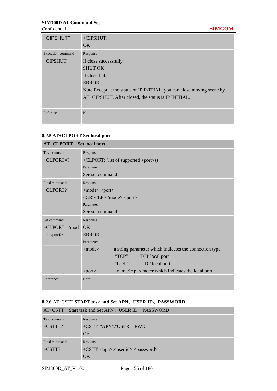| +CIPSHUT?         | +CIPSHUT:                                                              |
|-------------------|------------------------------------------------------------------------|
|                   | OK.                                                                    |
| Execution command | Response                                                               |
| $+CIPSHUT$        | If close successfully:                                                 |
|                   | <b>SHUT OK</b>                                                         |
|                   | If close fail:                                                         |
|                   | <b>ERROR</b>                                                           |
|                   | Note Except at the status of IP INITIAL, you can close moving scene by |
|                   | AT+CIPSHUT. After closed, the status is IP INITIAL.                    |
|                   |                                                                        |
| Reference         | <b>Note</b>                                                            |
|                   |                                                                        |

### **8.2.5 AT+CLPORT Set local port**

| <b>AT+CLPORT</b>     | <b>Set local port</b>                                                     |
|----------------------|---------------------------------------------------------------------------|
| <b>Test command</b>  | Response                                                                  |
| $+CLPORT=?$          | $+CLPORT$ : (list of supported $\langle port \rangle$ s)                  |
|                      | Parameter                                                                 |
|                      | See set command                                                           |
| Read command         | Response                                                                  |
| +CLPORT?             | <mode>:<port></port></mode>                                               |
|                      | <cr><lf><mode>:<port></port></mode></lf></cr>                             |
|                      | Parameter                                                                 |
|                      | See set command                                                           |
| Set command          | Response                                                                  |
| $+CLPORT = mod$      | OK                                                                        |
| $e$ >, <port></port> | <b>ERROR</b>                                                              |
|                      | Parameter                                                                 |
|                      | a string parameter which indicates the connection type<br>$\leq$ mode $>$ |
|                      | TCP<br><b>TCP</b> local port                                              |
|                      | "UDP"<br><b>UDP</b> local port                                            |
|                      | a numeric parameter which indicates the local port<br>$\text{opt}$        |
| Reference            | <b>Note</b>                                                               |

#### **8.2.6** AT+CSTT **START task and Set APN**、**USER ID**、**PASSWORD**

| Start task and Set APN, USER ID, PASSWORD<br>$AT+CSTT$ |                                                              |  |
|--------------------------------------------------------|--------------------------------------------------------------|--|
| Test command                                           | Response                                                     |  |
| $+CSTT=?$                                              | +CSTT: "APN","USER","PWD"                                    |  |
|                                                        | OK                                                           |  |
| Read command                                           | Response                                                     |  |
| $+CSTT$ ?                                              | +CSTT: <apn>,<user id="">,<password></password></user></apn> |  |
|                                                        | OK                                                           |  |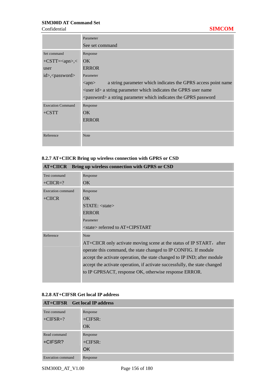#### Confidential **SIMCOM**

|                            | Parameter                                                                                |
|----------------------------|------------------------------------------------------------------------------------------|
|                            | See set command                                                                          |
| Set command                | Response                                                                                 |
| $+CSTT=2$                  | OK                                                                                       |
| user                       | <b>ERROR</b>                                                                             |
| id>, <password></password> | Parameter                                                                                |
|                            | a string parameter which indicates the GPRS access point name<br>$\langle$ apn $\rangle$ |
|                            | $\leq$ user id $\geq$ a string parameter which indicates the GPRS user name              |
|                            | <password> a string parameter which indicates the GPRS password</password>               |
| <b>Execution Command</b>   | Response                                                                                 |
| $+CSTT$                    | OK.                                                                                      |
|                            | <b>ERROR</b>                                                                             |
|                            |                                                                                          |
| Reference                  | <b>Note</b>                                                                              |
|                            |                                                                                          |

### **8.2.7 AT+CIICR Bring up wireless connection with GPRS or CSD**

|                   | AT+CIICR Bring up wireless connection with GPRS or CSD                     |
|-------------------|----------------------------------------------------------------------------|
| Test command      | Response                                                                   |
| $+CIICR=?$        | OK.                                                                        |
| Execution command | Response                                                                   |
| $+CIICR$          | OK.                                                                        |
|                   | STATE: <state></state>                                                     |
|                   | <b>ERROR</b>                                                               |
|                   | Parameter                                                                  |
|                   | $\langle$ state $\rangle$ referred to AT+CIPSTART                          |
| Reference         | <b>Note</b>                                                                |
|                   | AT+CIICR only activate moving scene at the status of IP START, after       |
|                   | operate this command, the state changed to IP CONFIG. If module            |
|                   | accept the activate operation, the state changed to IP IND; after module   |
|                   | accept the activate operation, if activate successfully, the state changed |
|                   | to IP GPRSACT, response OK, otherwise response ERROR.                      |
|                   |                                                                            |

### **8.2.8 AT+CIFSR Get local IP address**

|                          | <b>AT+CIFSR</b> Get local IP address |
|--------------------------|--------------------------------------|
| Test command             | Response                             |
| $+CIFSR=?$               | $+CIFSR:$                            |
|                          | OK.                                  |
| Read command             | Response                             |
| +CIFSR?                  | $+CIFSR:$                            |
|                          | <b>OK</b>                            |
| <b>Execution command</b> | Response                             |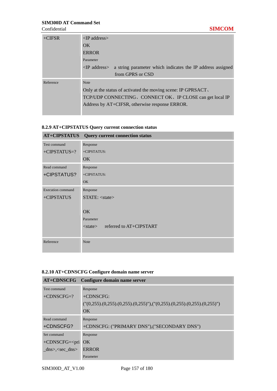| $+CIFSR$  | $\langle$ P address $>$                                                                |
|-----------|----------------------------------------------------------------------------------------|
|           | $\alpha$                                                                               |
|           | <b>ERROR</b>                                                                           |
|           | Parameter                                                                              |
|           | a string parameter which indicates the IP address assigned<br>$\langle$ IP address $>$ |
|           | from GPRS or CSD                                                                       |
| Reference | <b>Note</b>                                                                            |
|           | Only at the status of activated the moving scene: IP GPRSACT,                          |
|           | TCP/UDP CONNECTING, CONNECT OK, IP CLOSE can get local IP                              |
|           | Address by AT+CIFSR, otherwise response ERROR.                                         |
|           |                                                                                        |

### **8.2.9 AT+CIPSTATUS Query current connection status**

| <b>AT+CIPSTATUS</b>      | <b>Query current connection status</b>   |
|--------------------------|------------------------------------------|
| Test command             | Response                                 |
| $+CIPSTATUS=?$           | +CIPSTATUS:                              |
|                          | <b>OK</b>                                |
| Read command             | Response                                 |
| +CIPSTATUS?              | +CIPSTATUS:                              |
|                          | <b>OK</b>                                |
| <b>Execution</b> command | Response                                 |
| +CIPSTATUS               | STATE: <state></state>                   |
|                          |                                          |
|                          | <b>OK</b>                                |
|                          | Parameter                                |
|                          | referred to AT+CIPSTART<br>$<$ state $>$ |
|                          |                                          |
| Reference                | <b>Note</b>                              |
|                          |                                          |

#### **8.2.10 AT+CDNSCFG Configure domain name server**

|                                             | AT+CDNSCFG Configure domain name server                                        |
|---------------------------------------------|--------------------------------------------------------------------------------|
| Test command                                | Response                                                                       |
| $+CDNSCFG=?$                                | $+CDNSCFG$                                                                     |
|                                             | $(1(0,255),(0,255),(0,255),(0,255)$ "), $(1(0,255),(0,255),(0,255),(0,255)$ ") |
|                                             | OK                                                                             |
| Read command                                | Response                                                                       |
| +CDNSCFG?                                   | +CDNSCFG: ("PRIMARY DNS"),("SECONDARY DNS")                                    |
| Set command                                 | Response                                                                       |
| +CDNSCFG= <pri ok<="" td=""><td></td></pri> |                                                                                |
| $\text{dns}$ <sec dns=""></sec>             | <b>ERROR</b>                                                                   |
|                                             | Parameter                                                                      |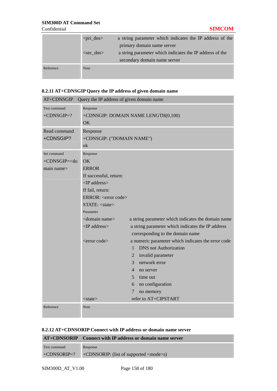|           | $\pi$ -dns>  | a string parameter which indicates the IP address of the<br>primary domain name server   |
|-----------|--------------|------------------------------------------------------------------------------------------|
|           | $<$ sec dns> | a string parameter which indicates the IP address of the<br>secondary domain name server |
| Reference | <b>Note</b>  |                                                                                          |

### **8.2.11 AT+CDNSGIP Query the IP address of given domain name**

| AT+CDNSGIP<br>Query the IP address of given domain name                 |                                                                   |                |                                                                                       |
|-------------------------------------------------------------------------|-------------------------------------------------------------------|----------------|---------------------------------------------------------------------------------------|
| Test command<br>$+$ CDNSGIP=?                                           | Response<br>+CDNSGIP: DOMAIN NAME LENGTH(0,100)                   |                |                                                                                       |
|                                                                         | OK                                                                |                |                                                                                       |
| Read command                                                            | Response                                                          |                |                                                                                       |
| +CDNSGIP?                                                               | +CDNSGIP: ("DOMAIN NAME")                                         |                |                                                                                       |
|                                                                         | ok                                                                |                |                                                                                       |
| Set command<br>+CDNSGIP= <do< td=""><td colspan="3">Response</td></do<> | Response                                                          |                |                                                                                       |
| main name                                                               | OK<br><b>ERROR</b>                                                |                |                                                                                       |
|                                                                         | If successful, return:                                            |                |                                                                                       |
|                                                                         | <ip address=""></ip>                                              |                |                                                                                       |
|                                                                         | If fail, return:                                                  |                |                                                                                       |
|                                                                         | ERROR: <error code=""></error>                                    |                |                                                                                       |
|                                                                         | STATE: <state></state>                                            |                |                                                                                       |
|                                                                         | Parameter                                                         |                |                                                                                       |
|                                                                         | <domain name=""></domain>                                         |                | a string parameter which indicates the domain name                                    |
|                                                                         | <ip address=""></ip>                                              |                | a string parameter which indicates the IP address<br>corresponding to the domain name |
|                                                                         | $\epsilon$ $\epsilon$ $\epsilon$ $\epsilon$ $\epsilon$ $\epsilon$ |                | a numeric parameter which indicates the error code                                    |
|                                                                         |                                                                   | $\mathbf{1}$   | <b>DNS</b> not Authorization                                                          |
|                                                                         |                                                                   | $\overline{2}$ | invalid parameter                                                                     |
|                                                                         |                                                                   | 3              | network error                                                                         |
|                                                                         |                                                                   | $\overline{4}$ | no server                                                                             |
|                                                                         |                                                                   | 5 <sup>1</sup> | time out                                                                              |
|                                                                         |                                                                   | 6<br>7         | no configuration<br>no memory                                                         |
|                                                                         | $<$ state $>$                                                     |                | refer to AT+CIPSTART                                                                  |
| Reference                                                               | Note                                                              |                |                                                                                       |
|                                                                         |                                                                   |                |                                                                                       |

#### **8.2.12 AT+CDNSORIP Connect with IP address or domain name server**

|              | AT+CDNSORIP Connect with IP address or domain name server         |
|--------------|-------------------------------------------------------------------|
| Test command | Response                                                          |
|              | $+$ CDNSORIP=? $+$ CDNSORIP: (list of supported $\langle$ mode>s) |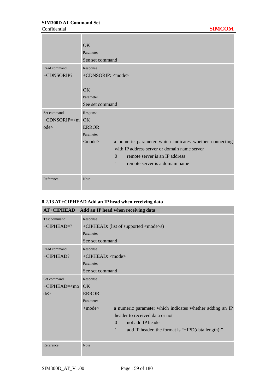|                           | $\overline{\text{OK}}$                                                 |
|---------------------------|------------------------------------------------------------------------|
|                           | Parameter                                                              |
|                           | See set command                                                        |
| Read command              | Response                                                               |
| +CDNSORIP?                | +CDNSORIP: <mode></mode>                                               |
|                           |                                                                        |
|                           | $\overline{\text{OK}}$                                                 |
|                           | Parameter                                                              |
|                           | See set command                                                        |
| Set command               | Response                                                               |
| $+$ CDNSORIP= $\leq$ m OK |                                                                        |
| $ode\triangleright$       | <b>ERROR</b>                                                           |
|                           | Parameter                                                              |
|                           | a numeric parameter which indicates whether connecting<br>$<$ mode $>$ |
|                           | with IP address server or domain name server                           |
|                           | remote server is an IP address<br>$\Omega$                             |
|                           | $\mathbf{1}$<br>remote server is a domain name                         |
|                           |                                                                        |
| Reference                 | Note                                                                   |

# **8.2.13 AT+CIPHEAD Add an IP head when receiving data**

| <b>AT+CIPHEAD</b> | Add an IP head when receiving data                                       |
|-------------------|--------------------------------------------------------------------------|
| Test command      | Response                                                                 |
| $+CIPHEAD=?$      | +CIPHEAD: (list of supported <mode>s)</mode>                             |
|                   | Parameter                                                                |
|                   | See set command                                                          |
| Read command      | Response                                                                 |
| +CIPHEAD?         | +CIPHEAD: <mode></mode>                                                  |
|                   | Parameter                                                                |
|                   | See set command                                                          |
| Set command       | Response                                                                 |
| $+CIPHEAD=<$ mo   | OK                                                                       |
| de                | <b>ERROR</b>                                                             |
|                   | Parameter                                                                |
|                   | a numeric parameter which indicates whether adding an IP<br>$<$ mode $>$ |
|                   | header to received data or not                                           |
|                   | not add IP header<br>$\Omega$                                            |
|                   | $\mathbf{1}$<br>add IP header, the format is "+IPD(data length):"        |
|                   |                                                                          |
| Reference         | Note                                                                     |

×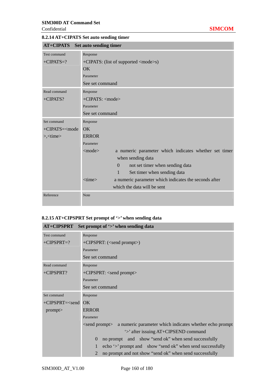# **8.2.14 AT+CIPATS Set auto sending timer**

| <b>AT+CIPATS</b>                                                  | Set auto sending timer                                                     |  |
|-------------------------------------------------------------------|----------------------------------------------------------------------------|--|
| Test command                                                      | Response                                                                   |  |
| $+CIPATS=?$                                                       | +CIPATS: (list of supported <mode>s)</mode>                                |  |
|                                                                   | <b>OK</b>                                                                  |  |
|                                                                   | Parameter                                                                  |  |
|                                                                   | See set command                                                            |  |
| Read command                                                      | Response                                                                   |  |
| +CIPATS?                                                          | $+CIPATS: $                                                                |  |
|                                                                   | Parameter                                                                  |  |
|                                                                   | See set command                                                            |  |
| Set command                                                       | Response                                                                   |  |
| +CIPATS= <mode< td=""><td><math>\overline{OK}</math></td></mode<> | $\overline{OK}$                                                            |  |
| $\ge$ , $\lt$ time $>$                                            | <b>ERROR</b>                                                               |  |
|                                                                   | Parameter                                                                  |  |
|                                                                   | $<$ mode $>$<br>a numeric parameter which indicates whether set timer      |  |
|                                                                   | when sending data                                                          |  |
|                                                                   | $\Omega$<br>not set timer when sending data                                |  |
|                                                                   | Set timer when sending data<br>1                                           |  |
|                                                                   | $\times$ time $>$<br>a numeric parameter which indicates the seconds after |  |
|                                                                   | which the data will be sent                                                |  |
| Reference                                                         | <b>Note</b>                                                                |  |

### **8.2.15 AT+CIPSPRT Set prompt of '>' when sending data**

| <b>AT+CIPSPRT</b>   | Set prompt of '>' when sending data                                             |  |
|---------------------|---------------------------------------------------------------------------------|--|
| Test command        | Response                                                                        |  |
| $+CIPSPRT=?$        | +CIPSPRT: ( <send prompt="">)</send>                                            |  |
|                     | Parameter                                                                       |  |
|                     | See set command                                                                 |  |
| Read command        | Response                                                                        |  |
| +CIPSPRT?           | +CIPSPRT: <send prompt=""></send>                                               |  |
|                     | Parameter                                                                       |  |
|                     | See set command                                                                 |  |
| Set command         | Response                                                                        |  |
| $+CIPSPRT = <$ send | $\overline{\text{OK}}$                                                          |  |
| prompt              | <b>ERROR</b>                                                                    |  |
|                     | Parameter                                                                       |  |
|                     | <send prompt=""> a numeric parameter which indicates whether echo prompt</send> |  |
|                     | '>' after issuing AT+CIPSEND command                                            |  |
|                     | no prompt and show "send ok" when send successfully<br>$\Omega$                 |  |
|                     | echo '>' prompt and show "send ok" when send successfully                       |  |
|                     | no prompt and not show "send ok" when send successfully                         |  |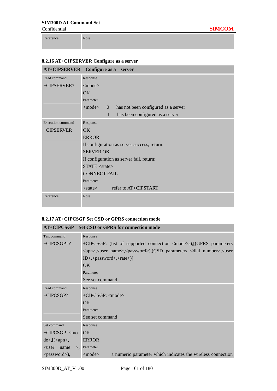Reference Note

### **8.2.16 AT+CIPSERVER Configure as a server**

| AT+CIPSERVER Configure as a server |                                                                                     |  |
|------------------------------------|-------------------------------------------------------------------------------------|--|
| Read command                       | Response                                                                            |  |
| +CIPSERVER?                        | $<$ mode $>$                                                                        |  |
|                                    | OK                                                                                  |  |
|                                    | Parameter                                                                           |  |
|                                    | <mode><br/>has not been configured as a server<br/><math>\overline{0}</math></mode> |  |
|                                    | has been configured as a server<br>1                                                |  |
| <b>Execution</b> command           | Response                                                                            |  |
| +CIPSERVER                         | OK                                                                                  |  |
|                                    | <b>ERROR</b>                                                                        |  |
|                                    | If configuration as server success, return:                                         |  |
|                                    | <b>SERVER OK</b>                                                                    |  |
|                                    | If configuration as server fail, return:                                            |  |
|                                    | STATE: <state></state>                                                              |  |
|                                    | <b>CONNECT FAIL</b>                                                                 |  |
|                                    | Parameter                                                                           |  |
|                                    | refer to AT+CIPSTART<br>$<$ state $>$                                               |  |
| Reference                          | Note                                                                                |  |
|                                    |                                                                                     |  |

#### **8.2.17 AT+CIPCSGP Set CSD or GPRS connection mode**

|                                     | AT+CIPCSGP Set CSD or GPRS for connection mode                                                                         |  |  |
|-------------------------------------|------------------------------------------------------------------------------------------------------------------------|--|--|
| <b>Test command</b>                 | Response                                                                                                               |  |  |
| $+CIPCSGP=?$                        | +CIPCSGP: (list of supported connection <mode>s),[(GPRS parameters</mode>                                              |  |  |
|                                     | <apn>,<user name="">,<password>),(CSD parameters <dial number="">,<user< td=""></user<></dial></password></user></apn> |  |  |
|                                     | ID>, <password>,<rate>)]</rate></password>                                                                             |  |  |
|                                     | OK                                                                                                                     |  |  |
|                                     | Parameter                                                                                                              |  |  |
|                                     | See set command                                                                                                        |  |  |
| Read command                        | Response                                                                                                               |  |  |
| $+CIPCSGP?$                         | +CIPCSGP: <mode></mode>                                                                                                |  |  |
|                                     | OK.                                                                                                                    |  |  |
|                                     | Parameter                                                                                                              |  |  |
|                                     | See set command                                                                                                        |  |  |
| Set command                         | Response                                                                                                               |  |  |
| $+CIPCSGP=\leq mO$                  | OK                                                                                                                     |  |  |
| $de$ , $\frac{1}{2}$ ( <apn>,</apn> | <b>ERROR</b>                                                                                                           |  |  |
| name<br>$\mathbf{L}$<br>$user$      | Parameter                                                                                                              |  |  |
| $<$ password $>$ ),                 | a numeric parameter which indicates the wireless connection<br>$<$ mode $>$                                            |  |  |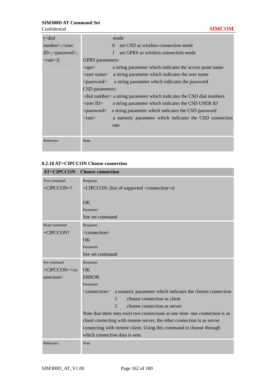| $\left($ < dial                 |                               | mode                                                                          |
|---------------------------------|-------------------------------|-------------------------------------------------------------------------------|
| $number$ $\lt$ user             |                               | set CSD as wireless connection mode<br>$\Omega$                               |
| $ID$ , <password>,</password>   |                               | set GPRS as wireless connection mode                                          |
| $\langle \text{rate} \rangle$ ] | <b>GPRS</b> parameters:       |                                                                               |
|                                 | $\langle$ apn $\rangle$       | a string parameter which indicates the access point name                      |
|                                 | $\langle$ user name $\rangle$ | a string parameter which indicates the user name                              |
|                                 | <password></password>         | a string parameter which indicates the password                               |
|                                 | CSD parameters:               |                                                                               |
|                                 |                               | $\le$ dial number $>$ a string parameter which indicates the CSD dial numbers |
|                                 | $\langle$ user ID $\rangle$   | a string parameter which indicates the CSD USER ID                            |
|                                 | <password></password>         | a string parameter which indicates the CSD password                           |
|                                 | $<$ rate $>$                  | a numeric parameter which indicates the CSD connection                        |
|                                 |                               | rate                                                                          |
|                                 |                               |                                                                               |
| Reference                       | <b>Note</b>                   |                                                                               |

#### **8.2.18 AT+CIPCCON Choose connection**

| <b>AT+CIPCCON</b>                                              | <b>Choose connection</b>                                                                                                     |
|----------------------------------------------------------------|------------------------------------------------------------------------------------------------------------------------------|
| <b>Test command</b>                                            | Response                                                                                                                     |
| $+CIPCCON=?$                                                   | +CIPCCON: (list of supported <connection>s)</connection>                                                                     |
|                                                                | OK                                                                                                                           |
|                                                                | Parameter                                                                                                                    |
|                                                                | See set command                                                                                                              |
| Read command                                                   | Response                                                                                                                     |
| +CIPCCON?                                                      | <connection></connection>                                                                                                    |
|                                                                | OK                                                                                                                           |
|                                                                | Parameter                                                                                                                    |
|                                                                | See set command                                                                                                              |
| Set command                                                    | Response                                                                                                                     |
| +CIPCCON= <co< td=""><td><math>\overline{OK}</math></td></co<> | $\overline{OK}$                                                                                                              |
| nnection>                                                      | <b>ERROR</b>                                                                                                                 |
|                                                                | Parameter                                                                                                                    |
|                                                                | a numeric parameter which indicates the chosen connection<br><connection><br/>choose connection as client<br/>1</connection> |
|                                                                | $\mathcal{D}_{\cdot}$<br>choose connection as server                                                                         |
|                                                                | Note that there may exist two connections at one time: one connection is as                                                  |
|                                                                | client connecting with remote server, the other connection is as server                                                      |
|                                                                | connecting with remote client. Using this command to choose through                                                          |
|                                                                | which connection data is sent.                                                                                               |
| Reference                                                      | Note                                                                                                                         |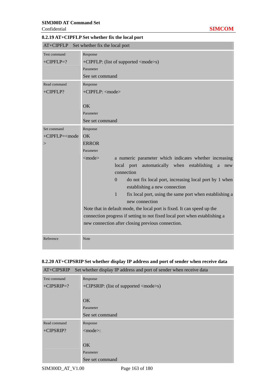| AT+CIPFLP Set whether fix the local port        |                                                                                                                                                                                                                                                                                                                                                                                                                                                                                                                                                                                                                                        |  |
|-------------------------------------------------|----------------------------------------------------------------------------------------------------------------------------------------------------------------------------------------------------------------------------------------------------------------------------------------------------------------------------------------------------------------------------------------------------------------------------------------------------------------------------------------------------------------------------------------------------------------------------------------------------------------------------------------|--|
| <b>Test command</b><br>$+CIPELP=?$              | Response<br>+CIPFLP: (list of supported <mode>s)<br/>Parameter<br/>See set command</mode>                                                                                                                                                                                                                                                                                                                                                                                                                                                                                                                                              |  |
| Read command<br>+CIPFLP?                        | Response<br>+CIPFLP: <mode><br/>OK<br/>Parameter<br/>See set command</mode>                                                                                                                                                                                                                                                                                                                                                                                                                                                                                                                                                            |  |
| Set command<br>+CIPFLP= <mode<br>&gt;</mode<br> | Response<br>OK<br><b>ERROR</b><br>Parameter<br><mode><br/>a numeric parameter which indicates whether increasing<br/>automatically when<br/>establishing<br/>local port<br/>a<br/>new<br/>connection<br/>do not fix local port, increasing local port by 1 when<br/><math>\Omega</math><br/>establishing a new connection<br/>fix local port, using the same port when establishing a<br/>1<br/>new connection<br/>Note that in default mode, the local port is fixed. It can speed up the<br/>connection progress if setting to not fixed local port when establishing a<br/>new connection after closing previous connection.</mode> |  |
| Reference                                       | Note                                                                                                                                                                                                                                                                                                                                                                                                                                                                                                                                                                                                                                   |  |

### **8.2.19 AT+CIPFLP Set whether fix the local port**

#### **8.2.20 AT+CIPSRIP Set whether display IP address and port of sender when receive data**

| AT+CIPSRIP   | Set whether display IP address and port of sender when receive data |
|--------------|---------------------------------------------------------------------|
| Test command | Response                                                            |
| $+CIPSRIP=?$ | +CIPSRIP: (list of supported <mode>s)</mode>                        |
|              |                                                                     |
|              | OK                                                                  |
|              | Parameter                                                           |
|              | See set command                                                     |
| Read command | Response                                                            |
| $+CIPSRIP?$  | $<$ mode $>$ :                                                      |
|              |                                                                     |
|              | OK                                                                  |
|              | Parameter                                                           |
|              | See set command                                                     |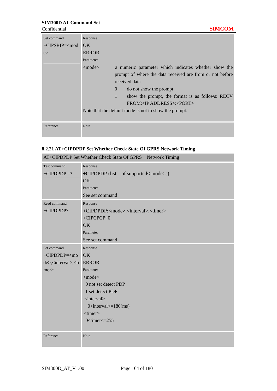Confidential **SIMCOM**

| Set command<br>$+CIPSRIP=\leqmod$<br>e | Response<br>OK<br><b>ERROR</b><br>Parameter<br>a numeric parameter which indicates whether show the<br>$\leq$ mode $>$                                                                                                                                                                    |
|----------------------------------------|-------------------------------------------------------------------------------------------------------------------------------------------------------------------------------------------------------------------------------------------------------------------------------------------|
|                                        | prompt of where the data received are from or not before<br>received data.<br>$\Omega$<br>do not show the prompt<br>$\mathbf{1}$<br>show the prompt, the format is as follows: RECV<br>FROM: <ip address="">:<port><br/>Note that the default mode is not to show the prompt.</port></ip> |
| Reference                              | <b>Note</b>                                                                                                                                                                                                                                                                               |

### **8.2.21 AT+CIPDPDP Set Whether Check State Of GPRS Network Timing**

| AT+CIPDPDP Set Whether Check State Of GPRS Network Timing                               |                                                                                                                                                                                                                                                                               |
|-----------------------------------------------------------------------------------------|-------------------------------------------------------------------------------------------------------------------------------------------------------------------------------------------------------------------------------------------------------------------------------|
| <b>Test command</b><br>$+CIPDPDP = ?$                                                   | Response<br>+CIPDPDP:(list of supported< mode>s)<br><b>OK</b><br>Parameter<br>See set command                                                                                                                                                                                 |
| Read command<br>+CIPDPDP?                                                               | Response<br>+CIPDPDP: <mode>,<interval>,<timer><br/>+CIPCPCP: 0<br/><b>OK</b><br/>Parameter<br/>See set command</timer></interval></mode>                                                                                                                                     |
| Set command<br>+CIPDPDP= <mo<br>de&gt;,<interval>,<ti<br>mer</ti<br></interval></mo<br> | Response<br><b>OK</b><br><b>ERROR</b><br>Parameter<br>$<$ mode $>$<br>0 not set detect PDP<br>1 set detect PDP<br><interval><br/><math>0</math> <interval <="&lt;math">180(ms)<br/><timer><br/>0<math>\times</math>timer<math>\times</math>=255</timer></interval></interval> |
| Reference                                                                               | Note                                                                                                                                                                                                                                                                          |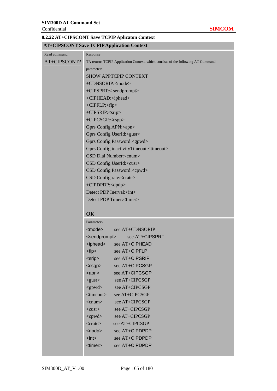### **8.2.22 AT+CIPSCONT Save TCPIP Aplicaton Context**

# **AT+CIPSCONT Save TCPIP Application Context**

| Read command | Response                                                                         |
|--------------|----------------------------------------------------------------------------------|
| AT+CIPSCONT? | TA returns TCPIP Application Context, which consists of the following AT Command |
|              | parameters.                                                                      |
|              | <b>SHOW APPTCPIP CONTEXT</b>                                                     |
|              | +CDNSORIP: <mode></mode>                                                         |
|              | +CIPSPRT:< sendprompt>                                                           |
|              | +CIPHEAD: <iphead></iphead>                                                      |
|              | +CIPFLP: <flp></flp>                                                             |
|              | +CIPSRIP: <srip></srip>                                                          |
|              | +CIPCSGP: <csgp></csgp>                                                          |
|              | Gprs Config APN: <apn></apn>                                                     |
|              | Gprs Config UserId: <gusr></gusr>                                                |
|              | Gprs Config Password: <gpwd></gpwd>                                              |
|              | Gprs Config inactivityTimeout: <timeout></timeout>                               |
|              | CSD Dial Number: <cnum></cnum>                                                   |
|              | CSD Config UserId: <cusr></cusr>                                                 |
|              | CSD Config Password: <cpwd></cpwd>                                               |
|              | CSD Config rate: <crate></crate>                                                 |
|              | +CIPDPDP: <dpdp></dpdp>                                                          |
|              | Detect PDP Inerval: <int></int>                                                  |
|              | Detect PDP Timer: <timer></timer>                                                |
|              |                                                                                  |
|              | OK                                                                               |
|              | Parameters                                                                       |
|              | <mode><br/>see AT+CDNSORIP</mode>                                                |
|              | <sendprompt><br/>see AT+CIPSPRT</sendprompt>                                     |
|              | <iphead> see AT+CIPHEAD</iphead>                                                 |
|              | $<$ flp $>$<br>see AT+CIPFLP                                                     |
|              | see AT+CIPSRIP<br><srip></srip>                                                  |
|              | see AT+CIPCSGP<br>$<$ csgp $>$                                                   |
|              | see AT+CIPCSGP<br>$app$                                                          |
|              | see AT+CIPCSGP<br>$<$ gusr $>$                                                   |
|              | see AT+CIPCSGP<br>$<$ gpwd $>$                                                   |
|              | <timeout><br/>see AT+CIPCSGP</timeout>                                           |
|              | see AT+CIPCSGP<br>$<$ cnum $>$                                                   |
|              | see AT+CIPCSGP<br>$<$ cusr $>$                                                   |
|              | see AT+CIPCSGP<br>$<$ cpwd $>$                                                   |
|              | see AT+CIPCSGP<br>$<$ crate $>$                                                  |
|              | see AT+CIPDPDP<br>$<$ dpdp $>$                                                   |
|              | $int$<br>see AT+CIPDPDP                                                          |
|              | <timer><br/>see AT+CIPDPDP</timer>                                               |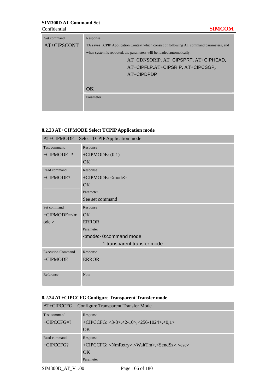#### Confidential **SIMCOM**

| Set command | Response                                                                                 |  |
|-------------|------------------------------------------------------------------------------------------|--|
| AT+CIPSCONT | TA saves TCPIP Application Context which consist of following AT command parameters, and |  |
|             | when system is rebooted, the parameters will be loaded automatically:                    |  |
|             | AT+CDNSORIP, AT+CIPSPRT, AT+CIPHEAD,                                                     |  |
|             | AT+CIPFLP, AT+CIPSRIP, AT+CIPCSGP,                                                       |  |
|             | AT+CIPDPDP                                                                               |  |
|             |                                                                                          |  |
|             | $\alpha$                                                                                 |  |
|             | Parameter                                                                                |  |
|             |                                                                                          |  |

# **8.2.23 AT+CIPMODE Select TCPIP Application mode**

| AT+CIPMODE               | <b>Select TCPIP Application mode</b> |
|--------------------------|--------------------------------------|
| Test command             | Response                             |
| $+CIPMODE=?$             | $+CIPMODE: (0,1)$                    |
|                          | <b>OK</b>                            |
| Read command             | Response                             |
| +CIPMODE?                | +CIPMODE: <mode></mode>              |
|                          | OK                                   |
|                          | Parameter                            |
|                          | See set command                      |
| Set command              | Response                             |
| $+CIPMODE=m$             | OK                                   |
| ode >                    | <b>ERROR</b>                         |
|                          | Parameter                            |
|                          | <mode> 0:command mode</mode>         |
|                          | 1:transparent transfer mode          |
| <b>Execution Command</b> | Response                             |
| +CIPMODE                 | <b>ERROR</b>                         |
|                          |                                      |
| Reference                | <b>Note</b>                          |

### **8.2.24 AT+CIPCCFG Configure Transparent Transfer mode**

| AT+CIPCCFG Configure Transparent Transfer Mode |                                                                               |
|------------------------------------------------|-------------------------------------------------------------------------------|
| Test command                                   | Response                                                                      |
| $+CIPCCFG=?$                                   | $+CIPCCFG: <3-8$ >,<2-10>,<256-1024>,<0,1>                                    |
|                                                | OK                                                                            |
|                                                |                                                                               |
| Read command                                   | Response                                                                      |
| $+CIPCCFG?$                                    | +CIPCCFG: <nmretry>,<waittm>,<sendsz>,<esc></esc></sendsz></waittm></nmretry> |
|                                                | OK                                                                            |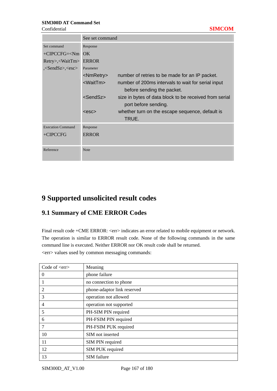|                                 | See set command                                                                                       |  |
|---------------------------------|-------------------------------------------------------------------------------------------------------|--|
| Set command                     | Response                                                                                              |  |
| $+CIPCCFG= OK$                  |                                                                                                       |  |
| Retry>, <waittm></waittm>       | <b>ERROR</b>                                                                                          |  |
| , <sendsz>,<esc></esc></sendsz> | Parameter                                                                                             |  |
|                                 | <nmretry><br/>number of retries to be made for an IP packet.</nmretry>                                |  |
|                                 | <waittm><br/>number of 200ms intervals to wait for serial input</waittm>                              |  |
|                                 | before sending the packet.                                                                            |  |
|                                 | <sendsz><br/>size in bytes of data block to be received from serial<br/>port before sending.</sendsz> |  |
|                                 | whether turn on the escape sequence, default is<br>$<$ esc $>$<br>TRUE.                               |  |
| <b>Execution Command</b>        | Response                                                                                              |  |
| $+CIPCCFG$                      | <b>ERROR</b>                                                                                          |  |
|                                 |                                                                                                       |  |
| Reference                       | <b>Note</b>                                                                                           |  |

# **9 Supported unsolicited result codes**

# **9.1 Summary of CME ERROR Codes**

Final result code +CME ERROR: <err> indicates an error related to mobile equipment or network. The operation is similar to ERROR result code. None of the following commands in the same command line is executed. Neither ERROR nor OK result code shall be returned. <err> values used by common messaging commands:

| Code of $\langle err \rangle$ | Meaning                     |
|-------------------------------|-----------------------------|
| $\theta$                      | phone failure               |
|                               | no connection to phone      |
| 2                             | phone-adaptor link reserved |
| 3                             | operation not allowed       |
| 4                             | operation not supported     |
| 5                             | PH-SIM PIN required         |
| 6                             | PH-FSIM PIN required        |
| 7                             | PH-FSIM PUK required        |
| 10                            | SIM not inserted            |
| 11                            | SIM PIN required            |
| 12                            | SIM PUK required            |
| 13                            | SIM failure                 |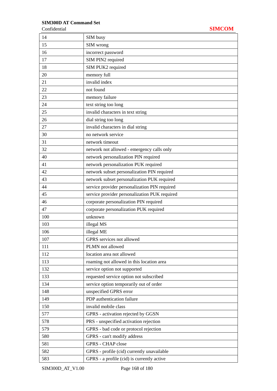| SIM busy                                      |
|-----------------------------------------------|
| SIM wrong                                     |
| incorrect password                            |
| SIM PIN2 required                             |
| SIM PUK2 required                             |
| memory full                                   |
| invalid index                                 |
| not found                                     |
| memory failure                                |
| text string too long                          |
| invalid characters in text string             |
| dial string too long                          |
| invalid characters in dial string             |
| no network service                            |
| network timeout                               |
| network not allowed - emergency calls only    |
| network personalization PIN required          |
| network personalization PUK required          |
| network subset personalization PIN required   |
| network subset personalization PUK required   |
| service provider personalization PIN required |
| service provider personalization PUK required |
| corporate personalization PIN required        |
| corporate personalization PUK required        |
| unknown                                       |
| illegal MS                                    |
| illegal ME                                    |
| GPRS services not allowed                     |
| PLMN not allowed                              |
| location area not allowed                     |
| roaming not allowed in this location area     |
| service option not supported                  |
| requested service option not subscribed       |
| service option temporarily out of order       |
| unspecified GPRS error                        |
| PDP authentication failure                    |
| invalid mobile class                          |
| GPRS - activation rejected by GGSN            |
| PRS - unspecified activation rejection        |
| GPRS - bad code or protocol rejection         |
| GPRS - can't modify address                   |
| <b>GPRS - CHAP close</b>                      |
| GPRS - profile (cid) currently unavailable    |
| GPRS - a profile (cid) is currently active    |
|                                               |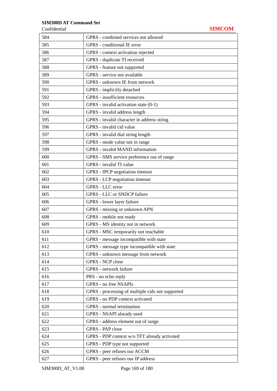### Confidential **SIMCOM**

| 584 | GPRS - combined services not allowed             |
|-----|--------------------------------------------------|
| 585 | GPRS - conditional IE error                      |
| 586 | GPRS - context activation rejected               |
| 587 | GPRS - duplicate TI received                     |
| 588 | GPRS - feature not supported                     |
| 589 | GPRS - service not available                     |
| 590 | GPRS - unknown IE from network                   |
| 591 | GPRS - implicitly detached                       |
| 592 | GPRS - insufficient resources                    |
| 593 | GPRS - invalid activation state (0-1)            |
| 594 | GPRS - invalid address length                    |
| 595 | GPRS - invalid character in address string       |
| 596 | GPRS - invalid cid value                         |
| 597 | GPRS - invalid dial string length                |
| 598 | GPRS - mode value not in range                   |
| 599 | <b>GPRS</b> - invalid MAND information           |
| 600 | GPRS - SMS service preference out of range       |
| 601 | GPRS - invalid TI value                          |
| 602 | GPRS - IPCP negotiation timeout                  |
| 603 | GPRS - LCP negotiation timeout                   |
| 604 | GPRS - LLC error                                 |
| 605 | GPRS - LLC or SNDCP failure                      |
| 606 | GPRS - lower layer failure                       |
| 607 | GPRS - missing or unknown APN                    |
| 608 | GPRS - mobile not ready                          |
| 609 | GPRS - MS identity not in network                |
| 610 | GPRS - MSC temporarily not reachable             |
| 611 | GPRS - message incompatible with state           |
| 612 | GPRS - message type incompatible with state      |
| 613 | GPRS - unknown message from network              |
| 614 | <b>GPRS</b> - NCP close                          |
| 615 | GPRS - network failure                           |
| 616 | PRS - no echo reply                              |
| 617 | <b>GPRS</b> - no free NSAPIs                     |
| 618 | GPRS - processing of multiple cids not supported |
| 619 | GPRS - no PDP context activated                  |
| 620 | GPRS - normal termination                        |
| 621 | GPRS - NSAPI already used                        |
| 622 | GPRS - address element out of range              |
| 623 | GPRS - PAP close                                 |
| 624 | GPRS - PDP context w/o TFT already activated     |
| 625 | GPRS - PDP type not supported                    |
| 626 | GPRS - peer refuses our ACCM                     |
| 627 | GPRS - peer refuses our IP address               |
|     |                                                  |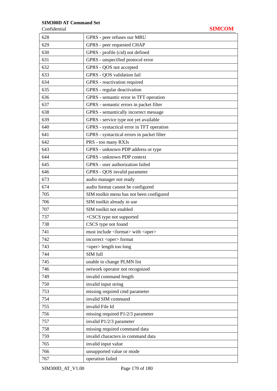Confidential **SIMCOM**

| 628 | GPRS - peer refuses our MRU                       |
|-----|---------------------------------------------------|
| 629 | GPRS - peer requested CHAP                        |
| 630 | GPRS - profile (cid) not defined                  |
| 631 | GPRS - unspecified protocol error                 |
| 632 | GPRS - QOS not accepted                           |
| 633 | GPRS - QOS validation fail                        |
| 634 | GPRS - reactivation required                      |
| 635 | GPRS - regular deactivation                       |
| 636 | GPRS - semantic error in TFT operation            |
| 637 | GPRS - semantic errors in packet filter           |
| 638 | GPRS - semantically incorrect message             |
| 639 | GPRS - service type not yet available             |
| 640 | GPRS - syntactical error in TFT operation         |
| 641 | GPRS - syntactical errors in packet filter        |
| 642 | PRS - too many RXJs                               |
| 643 | GPRS - unknown PDP address or type                |
| 644 | <b>GPRS</b> - unknown PDP context                 |
| 645 | GPRS - user authorization failed                  |
| 646 | GPRS - QOS invalid parameter                      |
| 673 | audio manager not ready                           |
| 674 | audio format cannot be configured                 |
| 705 | SIM toolkit menu has not been configured          |
| 706 | SIM toolkit already in use                        |
| 707 | SIM toolkit not enabled                           |
| 737 | +CSCS type not supported                          |
| 738 | CSCS type not found                               |
| 741 | must include <format> with <oper></oper></format> |
| 742 | incorrect <oper> format</oper>                    |
| 743 | <oper> length too long</oper>                     |
| 744 | SIM full                                          |
| 745 | unable to change PLMN list                        |
| 746 | network operator not recognized                   |
| 749 | invalid command length                            |
| 750 | invalid input string                              |
| 753 | missing required cmd parameter                    |
| 754 | invalid SIM command                               |
| 755 | invalid File Id                                   |
| 756 | missing required P1/2/3 parameter                 |
| 757 | invalid P1/2/3 parameter                          |
| 758 | missing required command data                     |
| 759 | invalid characters in command data                |
| 765 | invalid input value                               |
| 766 | unsupported value or mode                         |
| 767 | operation failed                                  |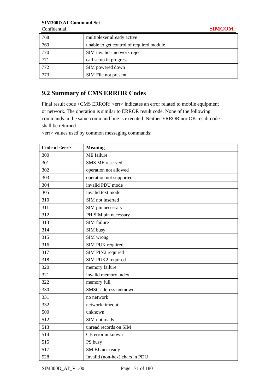Confidential **SIMCOM**

| 768 | multiplexer already active               |
|-----|------------------------------------------|
| 769 | unable to get control of required module |
| 770 | SIM invalid - network reject             |
| 771 | call setup in progress                   |
| 772 | SIM powered down                         |
| 773 | SIM File not present                     |

# **9.2 Summary of CMS ERROR Codes**

Final result code +CMS ERROR: <err> indicates an error related to mobile equipment or network. The operation is similar to ERROR result code. None of the following commands in the same command line is executed. Neither ERROR nor OK result code shall be returned.

<err> values used by common messaging commands:

| Code of <err></err> | <b>Meaning</b>                 |
|---------------------|--------------------------------|
| 300                 | ME failure                     |
| 301                 | <b>SMS ME</b> reserved         |
| 302                 | operation not allowed          |
| 303                 | operation not supported        |
| 304                 | invalid PDU mode               |
| 305                 | invalid text mode              |
| 310                 | SIM not inserted               |
| 311                 | SIM pin necessary              |
| 312                 | PH SIM pin necessary           |
| 313                 | SIM failure                    |
| 314                 | SIM busy                       |
| 315                 | SIM wrong                      |
| 316                 | SIM PUK required               |
| 317                 | SIM PIN2 required              |
| 318                 | SIM PUK2 required              |
| 320                 | memory failure                 |
| 321                 | invalid memory index           |
| 322                 | memory full                    |
| 330                 | SMSC address unknown           |
| 331                 | no network                     |
| 332                 | network timeout                |
| 500                 | unknown                        |
| 512                 | SIM not ready                  |
| 513                 | unread records on SIM          |
| 514                 | CB error unknown               |
| 515                 | PS busy                        |
| 517                 | SM BL not ready                |
| 528                 | Invalid (non-hex) chars in PDU |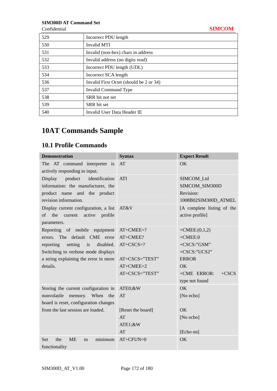| Confidential |                                         | <b>SIMCOM</b> |
|--------------|-----------------------------------------|---------------|
| 529          | Incorrect PDU length                    |               |
| 530          | Invalid MTI                             |               |
| 531          | Invalid (non-hex) chars in address      |               |
| 532          | Invalid address (no digits read)        |               |
| 533          | Incorrect PDU length (UDL)              |               |
| 534          | Incorrect SCA length                    |               |
| 536          | Invalid First Octet (should be 2 or 34) |               |
| 537          | Invalid Command Type                    |               |
| 538          | SRR bit not set                         |               |
| 539          | SRR bit set                             |               |
| 540          | Invalid User Data Header IE             |               |

# **10AT Commands Sample**

# **10.1 Profile Commands**

| <b>Demonstration</b>                            | <b>Syntax</b>     | <b>Expect Result</b>       |
|-------------------------------------------------|-------------------|----------------------------|
| The AT command interpreter is                   | AT                | OK                         |
| actively responding to input.                   |                   |                            |
| Display<br>product<br>identification            | <b>ATI</b>        | SIMCOM_Ltd                 |
| information: the manufacturer, the              |                   | SIMCOM_SIM300D             |
| and the product<br>product name                 |                   | Revision:                  |
| revision information.                           |                   | 1008B02SIM300D_ATMEL       |
| Display current configuration, a list           | AT&V              | [A complete listing of the |
| the<br>current<br>active<br>of<br>profile       |                   | active profile]            |
| parameters.                                     |                   |                            |
| Reporting of mobile equipment                   | $AT+CMEE=?$       | $+$ CMEE: $(0,1,2)$        |
| The default CME error<br>errors.                | AT+CMEE?          | $+$ CMEE: $0$              |
| setting is<br>reporting<br>disabled.            | $AT+CSCS=?$       | +CSCS:"GSM"                |
| Switching to verbose mode displays              |                   | +CSCS:"UCS2"               |
| a string explaining the error in more           | AT+CSCS="TEST"    | <b>ERROR</b>               |
| details.                                        | $AT+CMEE=2$       | OK                         |
|                                                 | AT+CSCS="TEST"    | +CME ERROR:<br>$+CSCS$     |
|                                                 |                   | type not found             |
| Storing the current configuration in            | ATE0;&W           | OK                         |
| nonvolatile<br>When<br>memory.<br>the           | AT                | [No echo]                  |
| board is reset, configuration changes           |                   |                            |
| from the last session are loaded.               | [Reset the board] | <b>OK</b>                  |
|                                                 | AT                | [No echo]                  |
|                                                 | ATE1;&W           |                            |
|                                                 | AT                | [Echo on]                  |
| <b>ME</b><br>minimum<br>the<br><b>Set</b><br>to | $AT+CFUN=0$       | OK                         |
| functionality                                   |                   |                            |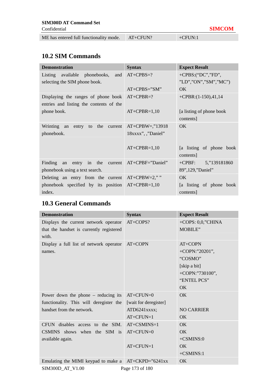| ME has entered full functionality mode. | $AT+CFUN?$ | $+CFUN:1$ |  |
|-----------------------------------------|------------|-----------|--|
|-----------------------------------------|------------|-----------|--|

# **10.2 SIM Commands**

| <b>Demonstration</b>                                                                       | <b>Syntax</b>      | <b>Expect Result</b>                   |
|--------------------------------------------------------------------------------------------|--------------------|----------------------------------------|
| Listing available phonebooks, and AT+CPBS=?                                                |                    | $+CPBS:("DC", "FD",$                   |
| selecting the SIM phone book.                                                              |                    | "LD","ON","SM","MC")                   |
|                                                                                            | $AT+CPBS="SM"$     | OK.                                    |
| Displaying the ranges of phone book $AT+CPBR=?$<br>entries and listing the contents of the |                    | $+CPBR$ : $(1-150)$ , $41$ , $14$      |
| phone book.                                                                                | $AT+CPBR=1,10$     | [a listing of phone book]<br>contents] |
| Wrinting an entry to the current $AT+CPBW =$ ,"13918                                       |                    | OK.                                    |
| phonebook.                                                                                 | 18xxxx", ,"Daniel" |                                        |
|                                                                                            | $AT+CPBR=1,10$     | [a listing of phone book<br>contents]  |
| Finding an entry in the current AT+CPBF="Daniel"                                           |                    | $+CPBF$ : 5,"139181860                 |
| phonebook using a text search.                                                             |                    | 89",129,"Daniel"                       |
| Deleting an entry from the current AT+CPBW=2,""                                            |                    | OK                                     |
| phonebook specified by its position AT+CPBR=1,10                                           |                    | [a listing of phone book               |
| index.                                                                                     |                    | contents]                              |

# **10.3 General Commands**

| <b>Demonstration</b>                                  | <b>Syntax</b>         | <b>Expect Result</b> |
|-------------------------------------------------------|-----------------------|----------------------|
| Displays the current network operator                 | AT+COPS?              | $+COPS: 0,0,"CHINA$  |
| that the handset is currently registered              |                       | MOBILE"              |
| with.                                                 |                       |                      |
| Display a full list of network operator               | AT+COPN               | AT+COPN              |
| names.                                                |                       | +COPN:"20201",       |
|                                                       |                       | "COSMO"              |
|                                                       |                       | [skip a bit]         |
|                                                       |                       | +COPN:"730100",      |
|                                                       |                       | "ENTEL PCS"          |
|                                                       |                       | <b>OK</b>            |
| Power down the phone $-$ reducing its                 | $AT+CFUN=0$           | OK                   |
| functionality. This will deregister the               | [wait for deregister] |                      |
| handset from the network.                             | ATD6241xxxx;          | <b>NO CARRIER</b>    |
|                                                       | $AT+CFUN=1$           | OK                   |
| CFUN disables access to the SIM.                      | $AT+CSMINS=1$         | $\overline{OK}$      |
| CSMINS shows when the SIM is                          | $AT+CFUN=0$           | OK                   |
| available again.                                      |                       | $+CSMINS:0$          |
|                                                       | $AT+CFUN=1$           | OK                   |
|                                                       |                       | $+CSMINS:1$          |
| Emulating the MIMI keypad to make a $AT+CKPD=$ 6241xx |                       | OK                   |
| SIM300D AT V1.00                                      | Page 173 of 180       |                      |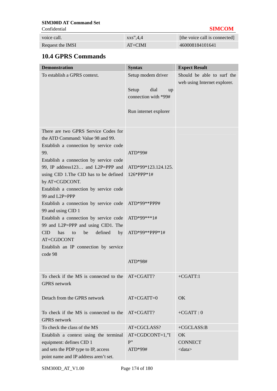Confidential **SIMCOM**

| <b>Communication</b> |                             | <u>DAILOONI</u>               |
|----------------------|-----------------------------|-------------------------------|
| voice call.          | $\overline{\text{xxs}}$ 4.4 | [the voice call is connected] |
| Request the IMSI     | $AT+CIMI$                   | 460008184101641               |

# **10.4 GPRS Commands**

| <b>Demonstration</b>                                                                                                                                                                                                                                                                                                                                                                                                                                                                                                                                                                                  | <b>Syntax</b>                                                                                                  | <b>Expect Result</b>                                       |
|-------------------------------------------------------------------------------------------------------------------------------------------------------------------------------------------------------------------------------------------------------------------------------------------------------------------------------------------------------------------------------------------------------------------------------------------------------------------------------------------------------------------------------------------------------------------------------------------------------|----------------------------------------------------------------------------------------------------------------|------------------------------------------------------------|
| To establish a GPRS context.                                                                                                                                                                                                                                                                                                                                                                                                                                                                                                                                                                          | Setup modem driver<br>Setup<br>dial<br>up<br>connection with *99#<br>Run internet explorer                     | Should be able to surf the<br>web using Internet explorer. |
| There are two GPRS Service Codes for<br>the ATD Command: Value 98 and 99.<br>Establish a connection by service code<br>99.<br>Establish a connection by service code<br>99, IP address123 and L2P=PPP and<br>using CID 1. The CID has to be defined<br>by AT+CGDCONT.<br>Establish a connection by service code<br>99 and L2P=PPP<br>Establish a connection by service code<br>99 and using CID 1<br>Establish a connection by service code<br>99 and L2P=PPP and using CID1. The<br>defined<br><b>CID</b><br>has<br>be<br>by<br>to<br>AT+CGDCONT<br>Establish an IP connection by service<br>code 98 | $ATD*99#$<br>ATD*99*123.124.125.<br>126*PPP*1#<br>ATD*99**PPP#<br>ATD*99***1#<br>$ATD*99**PPP*1#$<br>$ATD*98#$ |                                                            |
| To check if the MS is connected to the<br><b>GPRS</b> network                                                                                                                                                                                                                                                                                                                                                                                                                                                                                                                                         | $AT+CGATT$ ?                                                                                                   | $+CGATT:1$                                                 |
| Detach from the GPRS network                                                                                                                                                                                                                                                                                                                                                                                                                                                                                                                                                                          | $AT+CGATT=0$                                                                                                   | OK                                                         |
| To check if the MS is connected to the<br><b>GPRS</b> network                                                                                                                                                                                                                                                                                                                                                                                                                                                                                                                                         | AT+CGATT?                                                                                                      | $+CGATT:0$                                                 |
| To check the class of the MS                                                                                                                                                                                                                                                                                                                                                                                                                                                                                                                                                                          | AT+CGCLASS?                                                                                                    | +CGCLASS:B                                                 |
| Establish a context using the terminal<br>equipment: defines CID 1<br>and sets the PDP type to IP, access<br>point name and IP address aren't set.                                                                                                                                                                                                                                                                                                                                                                                                                                                    | $AT+CGDCONT=1,"I$<br>P''<br>$ATD*99#$                                                                          | OK<br><b>CONNECT</b><br>$<$ data $>$                       |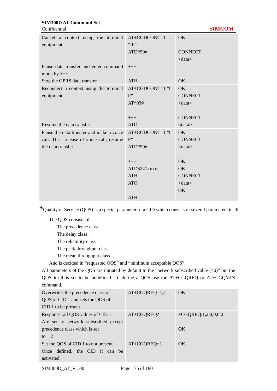Confidential **SIMCOM**

| Cancel a context using the terminal AT+CGDCONT=1,<br>equipment | " $IP$ "          | OK                     |
|----------------------------------------------------------------|-------------------|------------------------|
|                                                                | ATD*99#           | <b>CONNECT</b>         |
|                                                                |                   | $<$ data $>$           |
| Pause data transfer and enter command                          | $+++$             |                        |
| mode by $++$                                                   |                   |                        |
| Stop the GPRS data transfer                                    | <b>ATH</b>        | <b>OK</b>              |
| Reconnect a context using the terminal                         | $AT+CGDCONT=1,"I$ | OK                     |
| equipment                                                      | P''               | <b>CONNECT</b>         |
|                                                                | $AT*99#$          | $\langle data \rangle$ |
|                                                                |                   |                        |
|                                                                | $+++$             | <b>CONNECT</b>         |
| Resume the data transfer                                       | <b>ATO</b>        | $<$ data $>$           |
| Pause the data transfer and make a voice                       | $AT+CGDCONT=1,"I$ | OK                     |
| call. The release of voice call, resume                        | P''               | <b>CONNECT</b>         |
| the data transfer                                              | $ATD*99#$         | $<$ data $>$           |
|                                                                |                   |                        |
|                                                                | $+++$             | OK                     |
|                                                                | ATD6241xxxx;      | OK                     |
|                                                                | <b>ATH</b>        | <b>CONNECT</b>         |
|                                                                | <b>ATO</b>        | $<$ data $>$           |
|                                                                |                   | OK                     |
|                                                                | <b>ATH</b>        |                        |

**\***Quality of Service (QOS) is a special parameter of a CID which consists of several parameters itself.

The QOS consists of

The precedence class

The delay class

The reliability class

The peak throughput class

The mean throughput class

And is decided in "requested QOS" and "minimum acceptable QOS".

All parameters of the QOS are initiated by default to the "network subscribed value (=0)" but the QOS itself is set to be undefined. To define a QOS use the AT+CGQREQ or AT+CGQMIN command.

| Overwrites the precedence class of   | $AT+CGQRED=1,2$ | OK                  |
|--------------------------------------|-----------------|---------------------|
| QOS of CID 1 and sets the QOS of     |                 |                     |
| CID 1 to be present                  |                 |                     |
| Response: all QOS values of CID 1    | $AT+CGOREO?$    | +CGQREQ:1,2,0,0,0,0 |
| Are set to network subscribed except |                 |                     |
| precedence class which is set        |                 | OK                  |
| to $2$                               |                 |                     |
| Set the QOS of CID 1 to not present. | $AT+CGOREO=1$   | OK                  |
| Once defined, the CID it can be      |                 |                     |
| activated.                           |                 |                     |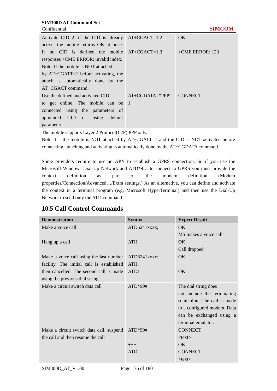| Confidential                                         |                    | <b>SIMCOM</b>     |
|------------------------------------------------------|--------------------|-------------------|
| Activate CID 2, if the CID is already $AT+CGACT=1,2$ |                    | OK.               |
| active, the mobile returns OK at once.               |                    |                   |
| If no CID is defined the mobile $AT+CGACT=1,3$       |                    | $+CME$ ERROR: 123 |
| responses + CME ERROR: invalid index.                |                    |                   |
| Note: If the mobile is NOT attached                  |                    |                   |
| by $AT+CGATT=1$ before activating, the               |                    |                   |
| attach is automatically done by the                  |                    |                   |
| $AT+CGACT$ command.                                  |                    |                   |
| Use the defined and activated CID                    | $AT+CGDATA="PPP",$ | <b>CONNECT</b>    |
| to get online. The mobile can be $\vert$ 1           |                    |                   |
| connected using the parameters of                    |                    |                   |
| appointed CID or using default                       |                    |                   |
| parameter                                            |                    |                   |

The mobile supports Layer 2 Protocol(L2P) PPP only.

Note: If the mobile is NOT attached by AT+CGATT=1 and the CID is NOT activated before connecting, attaching and activating is automatically done by the AT+CGDATA command.

Some providers require to use an APN to establish a GPRS connection. So if you use the Microsoft Windows Dial-Up Network and ATD\*9… to connect to GPRS you must provide the context definition as part of the modem definition (Modem properties/Connection/Advanced…/Extra settings.) As an alternative, you can define and activate the context in a terminal program (e.g. Microsoft HyperTerminal) and then use the Dial-Up Network to send only the ATD command.

# **10.5 Call Control Commands**

| <b>Demonstration</b>                      | <b>Syntax</b> | <b>Expect Result</b>        |
|-------------------------------------------|---------------|-----------------------------|
| Make a voice call                         | ATD6241xxxx;  | OK                          |
|                                           |               | MS makes a voice call       |
| Hang up a call                            | <b>ATH</b>    | OK                          |
|                                           |               | Call dropped                |
| Make a voice call using the last number   | ATD6241xxxx;  | OK.                         |
| facility. The initial call is established | <b>ATH</b>    |                             |
| then cancelled. The second call is made   | <b>ATDL</b>   | OK                          |
| using the previous dial string.           |               |                             |
| Make a circuit switch data call           | $ATD*99#$     | The dial string does        |
|                                           |               | not include the terminating |
|                                           |               | semicolon. The call is made |
|                                           |               | to a configured modem. Data |
|                                           |               | can be exchanged using a    |
|                                           |               | terminal emulator.          |
| Make a circuit switch data call, suspend  | $ATD*99#$     | <b>CONNECT</b>              |
| the call and then resume the call         |               | $<$ text $>$                |
|                                           | $+++$         | OK                          |
|                                           | <b>ATO</b>    | <b>CONNECT</b>              |
|                                           |               | $<$ text $>$                |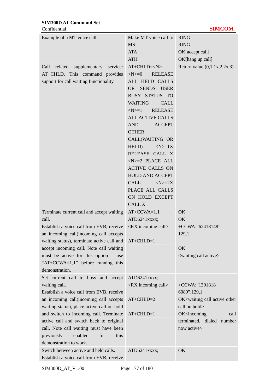Confidential **SIMCOM**

| Example of a MT voice call                                                | Make MT voice call to                 | <b>RING</b>                                              |
|---------------------------------------------------------------------------|---------------------------------------|----------------------------------------------------------|
|                                                                           | MS.                                   | <b>RING</b>                                              |
|                                                                           | <b>ATA</b>                            | OK[accept call]                                          |
|                                                                           | <b>ATH</b>                            | OK[hang up call]                                         |
| Call related supplementary service:                                       | $AT+CHLD=$                            | Return value: $(0,1,1x,2,2x,3)$                          |
| AT+CHLD. This command provides                                            | $<\!\!N\!\!>=\!\!0$<br><b>RELEASE</b> |                                                          |
| support for call waiting functionality.                                   | ALL HELD CALLS                        |                                                          |
|                                                                           | SENDS USER<br>OR                      |                                                          |
|                                                                           | <b>BUSY STATUS TO</b>                 |                                                          |
|                                                                           | <b>WAITING</b><br>CALL                |                                                          |
|                                                                           | $<\!\!N\!\!>=1$<br><b>RELEASE</b>     |                                                          |
|                                                                           | <b>ALL ACTIVE CALLS</b>               |                                                          |
|                                                                           | AND<br><b>ACCEPT</b>                  |                                                          |
|                                                                           | <b>OTHER</b>                          |                                                          |
|                                                                           | CALL(WAITING OR                       |                                                          |
|                                                                           | HELD)<br>$<\infty>=1X$                |                                                          |
|                                                                           | RELEASE CALL X                        |                                                          |
|                                                                           | $<$ N $> = 2$ PLACE ALL               |                                                          |
|                                                                           | <b>ACTIVE CALLS ON</b>                |                                                          |
|                                                                           | <b>HOLD AND ACCEPT</b>                |                                                          |
|                                                                           | CALL<br>$<\infty>=2X$                 |                                                          |
|                                                                           | PLACE ALL CALLS                       |                                                          |
|                                                                           | ON HOLD EXCEPT                        |                                                          |
|                                                                           | <b>CALL X</b>                         |                                                          |
| Terminate current call and accept waiting                                 | $AT+CCWA=1,1$                         | OK                                                       |
| call.                                                                     | ATD6241xxxx;                          | OK                                                       |
| Establish a voice call from EVB, receive                                  | $\langle$ RX incoming call $>$        | +CCWA:"62418148",                                        |
| an incoming call (incoming call accepts)                                  |                                       | 129,1                                                    |
| waiting status), terminate active call and AT+CHLD=1                      |                                       |                                                          |
| accept incoming call. Note call waiting                                   |                                       | OK                                                       |
| must be active for this option – use<br>"AT+CCWA=1,1" before running this |                                       | <waiting active="" call=""></waiting>                    |
| demonstration.                                                            |                                       |                                                          |
| Set current call to busy and accept                                       | ATD6241xxxx;                          |                                                          |
| waiting call.                                                             | $\langle$ RX incoming call $>$        | +CCWA:"1391818                                           |
| Establish a voice call from EVB, receive                                  |                                       | 6089",129,1                                              |
| an incoming call(incoming call accepts                                    | $AT+CHLD=2$                           | OK <waiting active="" call="" other<="" td=""></waiting> |
| waiting status), place active call on hold                                |                                       | call on hold>                                            |
| and switch to incoming call. Terminate                                    | $AT+CHLD=1$                           | OK <incoming<br>call</incoming<br>                       |
| active call and switch back to original                                   |                                       | terminated, dialed number                                |
| call. Note call waiting must have been                                    |                                       | now active>                                              |
| previously<br>enabled<br>this<br>for                                      |                                       |                                                          |
| demonstration to work.                                                    |                                       |                                                          |
| Switch between active and held calls.                                     | ATD6241xxxx;                          | OK                                                       |
| Establish a voice call from EVB, receive                                  |                                       |                                                          |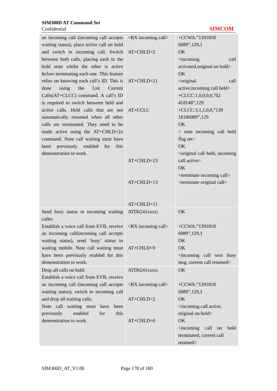# Confidential **SIMCOM**

| an incoming call (incoming call accepts                                     | <rx call="" incoming=""></rx>  | +CCWA:"1391818                                                  |
|-----------------------------------------------------------------------------|--------------------------------|-----------------------------------------------------------------|
| waiting status), place active call on hold                                  |                                | 6089",129,1                                                     |
| and switch to incoming call. Switch                                         | $AT+CHLD=2$                    | OK                                                              |
| between both calls, placing each in the                                     |                                | <incoming<br>call</incoming<br>                                 |
| hold state whilst the other is active                                       |                                | activated, original on hold>                                    |
| before terminating each one. This feature                                   |                                | <b>OK</b>                                                       |
| relies on knowing each call's ID. This is                                   | $AT+CHLD=21$                   | <original<br>call</original<br>                                 |
| using<br>the<br>List<br>done<br>Current                                     |                                | active, incoming call held>                                     |
| Calls(AT+CLCC) command. A call's ID                                         |                                | +CLCC:1,0,0,0,0,"62                                             |
| is required to switch between held and                                      |                                | 418148",129                                                     |
| active calls. Held calls that are not                                       | AT+CCLC                        | +CLCC:3,1,1,0,0,"139                                            |
| automatically resumed when all other                                        |                                | 18186089",129                                                   |
| calls are terminated. They need to be                                       |                                | OK                                                              |
| made active using the $AT+CHLD=2x$                                          |                                | < note incoming call held                                       |
| command. Note call waiting must have<br>been previously enabled for<br>this |                                | flag set><br><b>OK</b>                                          |
| demonstration to work.                                                      |                                | <original call="" held,="" incoming<="" td=""></original>       |
|                                                                             | $AT+CHLD=23$                   | call active>                                                    |
|                                                                             |                                | OK                                                              |
|                                                                             |                                | <terminate call="" incoming=""></terminate>                     |
|                                                                             | $AT+CHLD=13$                   | <terminate call="" original=""></terminate>                     |
|                                                                             |                                |                                                                 |
|                                                                             |                                |                                                                 |
|                                                                             | AT+CHLD=11                     |                                                                 |
| Send busy status to incoming waiting                                        | ATD6241xxxx;                   | OK                                                              |
| caller.                                                                     |                                |                                                                 |
| Establish a voice call from EVB, receive                                    | $\langle$ RX incoming call $>$ | +CCWA:"1391818                                                  |
| an incoming call(incoming call accepts                                      |                                | 6089",129,1                                                     |
| waiting status), send 'busy' status to                                      |                                | OK                                                              |
| waiting mobile. Note call waiting must                                      | $AT+CHLD=0$                    | OK                                                              |
| have been previously enabled for this                                       |                                | <incoming busy<="" call="" sent="" td=""></incoming>            |
| demonstration to work.                                                      |                                | msg, current call retained>                                     |
| Drop all calls on hold.                                                     | ATD6241xxxx;                   | <b>OK</b>                                                       |
| Establish a voice call from EVB, receive                                    |                                |                                                                 |
| an incoming call (incoming call accepts                                     | $\langle$ RX incoming call $>$ | +CCWA:"1391818                                                  |
| waiting status), switch to incoming call                                    |                                | 6089",129,1                                                     |
| and drop all waiting calls.                                                 | $AT+CHLD=2$                    | <b>OK</b>                                                       |
| Note call waiting must have<br>been<br>enabled<br>for<br>this               |                                | <incoming active,<br="" call="">original on hold&gt;</incoming> |
| previously<br>demonstration to work.                                        | $AT+CHLD=0$                    | OK                                                              |
|                                                                             |                                | $\leq$ incoming<br>call<br>hold<br>on                           |
|                                                                             |                                | terminated, current call                                        |
|                                                                             |                                | retained>                                                       |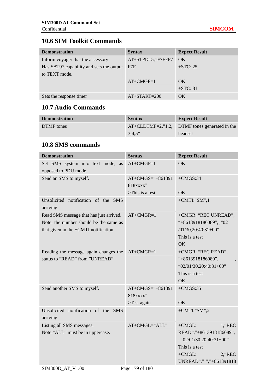# **10.6 SIM Toolkit Commands**

| <b>Demonstration</b>                     | <b>Syntax</b>       | <b>Expect Result</b> |
|------------------------------------------|---------------------|----------------------|
| Inform voyager that the accessory        | $AT+STPD=5,1F7FFF7$ | OK                   |
| Has SAT97 capability and sets the output | F7F                 | $+STC: 25$           |
| to TEXT mode.                            |                     |                      |
|                                          | $AT+CMGF=1$         | OK.                  |
|                                          |                     | $+STC: 81$           |
| Sets the response timer                  | $AT+STATE=200$      | OK                   |

# **10.7 Audio Commands**

| <b>Demonstration</b> | <b>Syntax</b> | <b>Expect Result</b>                             |
|----------------------|---------------|--------------------------------------------------|
| DTMF tones           |               | $AT+CLDTMF=2$ ,"1,2, DTMF tones generated in the |
|                      | 3.4.5"        | headset                                          |

# **10.8 SMS commands**

| <b>Demonstration</b>                                                                                                       | <b>Syntax</b>                                             | <b>Expect Result</b>                                                                                                                                      |
|----------------------------------------------------------------------------------------------------------------------------|-----------------------------------------------------------|-----------------------------------------------------------------------------------------------------------------------------------------------------------|
| Set SMS system into text mode, as<br>opposed to PDU mode.                                                                  | $AT+CMGF=1$                                               | <b>OK</b>                                                                                                                                                 |
| Send an SMS to myself.                                                                                                     | $AT+CMGS =$ "+861391<br>818xxxx"<br>$\sum$ This is a test | $+CMGS:34$<br>OK                                                                                                                                          |
| Unsolicited notification of the SMS<br>arriving                                                                            |                                                           | $+$ CMTI:"SM",1                                                                                                                                           |
| Read SMS message that has just arrived.<br>Note: the number should be the same as<br>that given in the +CMTI notification. | $AT+CMGR=1$                                               | +CMGR: "REC UNREAD",<br>"+8613918186089", ,"02<br>$/01/30,20:40:31+00"$<br>This is a test<br>OK                                                           |
| Reading the message again changes the<br>status to "READ" from "UNREAD"                                                    | $AT+CMGR=1$                                               | +CMGR: "REC READ",<br>"+8613918186089",<br>" $02/01/30, 20:40:31+00"$<br>This is a test<br>OK                                                             |
| Send another SMS to myself.                                                                                                | $AT+CMGS='+861391$<br>818xxxx"<br>>Test again             | $+CMGS:35$<br>OK                                                                                                                                          |
| Unsolicited notification of the SMS<br>arriving                                                                            |                                                           | $+$ CMTI:"SM",2                                                                                                                                           |
| Listing all SMS messages.<br>Note:"ALL" must be in uppercase.                                                              | AT+CMGL="ALL"                                             | $+CMGL$ :<br>$1$ ,"REC<br>READ","+8613918186089",<br>$, '02/01/30, 20:40:31+00'$<br>This is a test<br>$+CMGL$ :<br>$2$ , $REC$<br>UNREAD"," ","+861391818 |